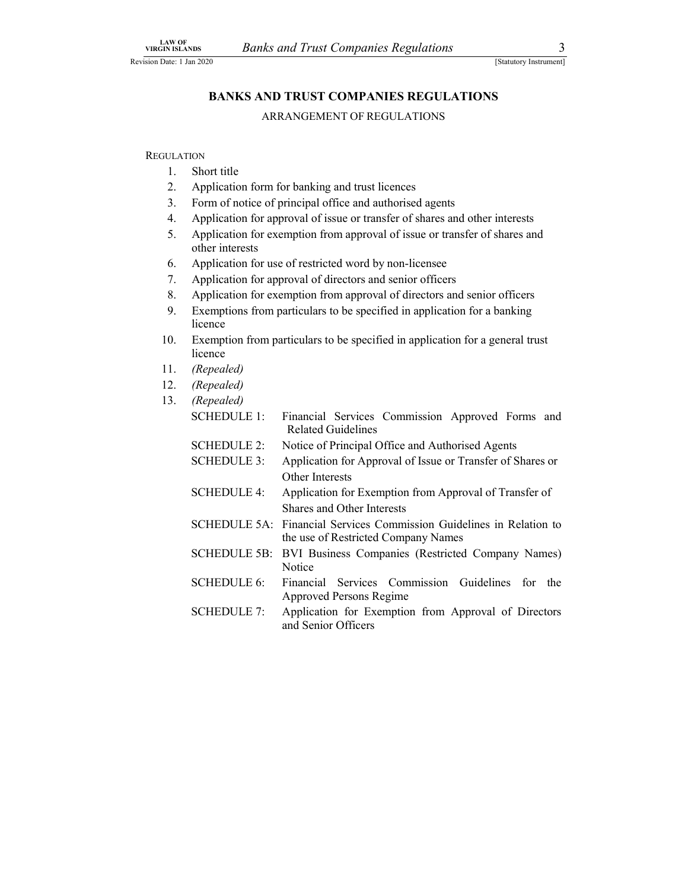**REGULATION** 

- 1. Short title
- 2. Application form for banking and trust licences
- 3. Form of notice of principal office and authorised agents
- 4. Application for approval of issue or transfer of shares and other interests
- 5. Application for exemption from approval of issue or transfer of shares and other interests
- 6. Application for use of restricted word by non-licensee
- 7. Application for approval of directors and senior officers
- 8. Application for exemption from approval of directors and senior officers
- 9. Exemptions from particulars to be specified in application for a banking licence
- 10. Exemption from particulars to be specified in application for a general trust licence
- 11. (Repealed)
- 12. (Repealed)
- 13. (Repealed)
	- SCHEDULE 1: Financial Services Commission Approved Forms and Related Guidelines
	- SCHEDULE 2: Notice of Principal Office and Authorised Agents
	- SCHEDULE 3: Application for Approval of Issue or Transfer of Shares or Other Interests
	- SCHEDULE 4: Application for Exemption from Approval of Transfer of Shares and Other Interests
	- SCHEDULE 5A: Financial Services Commission Guidelines in Relation to the use of Restricted Company Names
	- SCHEDULE 5B: BVI Business Companies (Restricted Company Names) **Notice**
	- SCHEDULE 6: Financial Services Commission Guidelines for the Approved Persons Regime
	- SCHEDULE 7: Application for Exemption from Approval of Directors and Senior Officers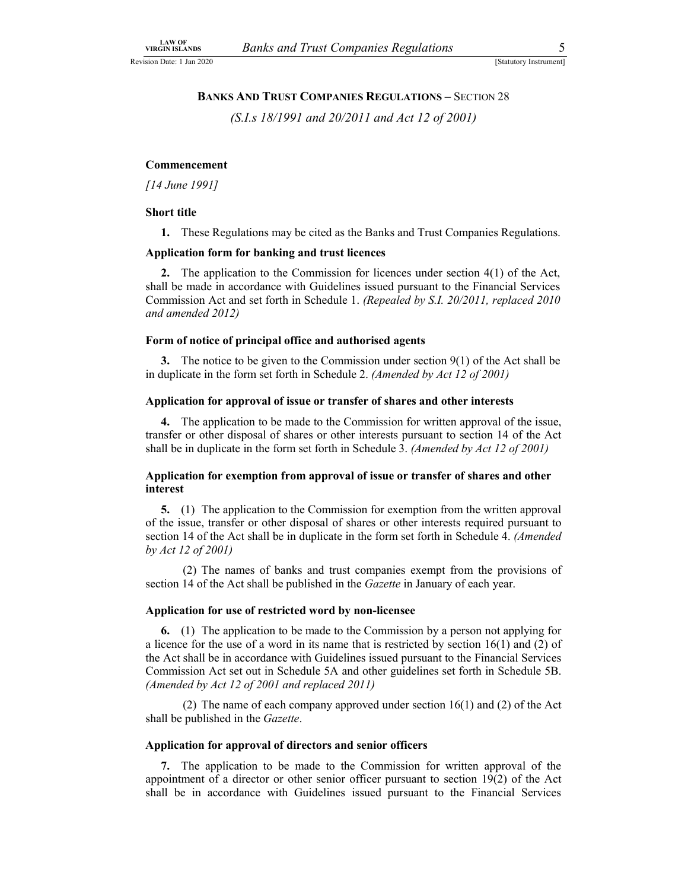# LAW OF<br>
URGIN ISLANDS Banks and Trust Companies Regulations 5<br>
Statutory Instrument]<br>
BANKS AND TRUST COMPANIES REGULATIONS – SECTION 28<br>
(S.I.s 18/1991 and 20/2011 and Act 12 of 2001) BANKS AND TRUST COMPANIES REGULATIONS – SECTION 28

(S.I.s 18/1991 and 20/2011 and Act 12 of 2001)

### Commencement

[14 June 1991]

### Short title

1. These Regulations may be cited as the Banks and Trust Companies Regulations.

### Application form for banking and trust licences

2. The application to the Commission for licences under section 4(1) of the Act, shall be made in accordance with Guidelines issued pursuant to the Financial Services Commission Act and set forth in Schedule 1. (Repealed by S.I. 20/2011, replaced 2010 and amended 2012)

### Form of notice of principal office and authorised agents

3. The notice to be given to the Commission under section  $9(1)$  of the Act shall be in duplicate in the form set forth in Schedule 2. (Amended by Act 12 of 2001)

### Application for approval of issue or transfer of shares and other interests

4. The application to be made to the Commission for written approval of the issue, transfer or other disposal of shares or other interests pursuant to section 14 of the Act shall be in duplicate in the form set forth in Schedule 3. (Amended by Act 12 of 2001)

### Application for exemption from approval of issue or transfer of shares and other interest

5. (1) The application to the Commission for exemption from the written approval of the issue, transfer or other disposal of shares or other interests required pursuant to section 14 of the Act shall be in duplicate in the form set forth in Schedule 4. (Amended by Act 12 of 2001)

 (2) The names of banks and trust companies exempt from the provisions of section 14 of the Act shall be published in the Gazette in January of each year.

### Application for use of restricted word by non-licensee

6. (1) The application to be made to the Commission by a person not applying for a licence for the use of a word in its name that is restricted by section  $16(1)$  and (2) of the Act shall be in accordance with Guidelines issued pursuant to the Financial Services Commission Act set out in Schedule 5A and other guidelines set forth in Schedule 5B. (Amended by Act 12 of 2001 and replaced 2011)

 (2) The name of each company approved under section 16(1) and (2) of the Act shall be published in the *Gazette*.

### Application for approval of directors and senior officers

7. The application to be made to the Commission for written approval of the appointment of a director or other senior officer pursuant to section 19(2) of the Act shall be in accordance with Guidelines issued pursuant to the Financial Services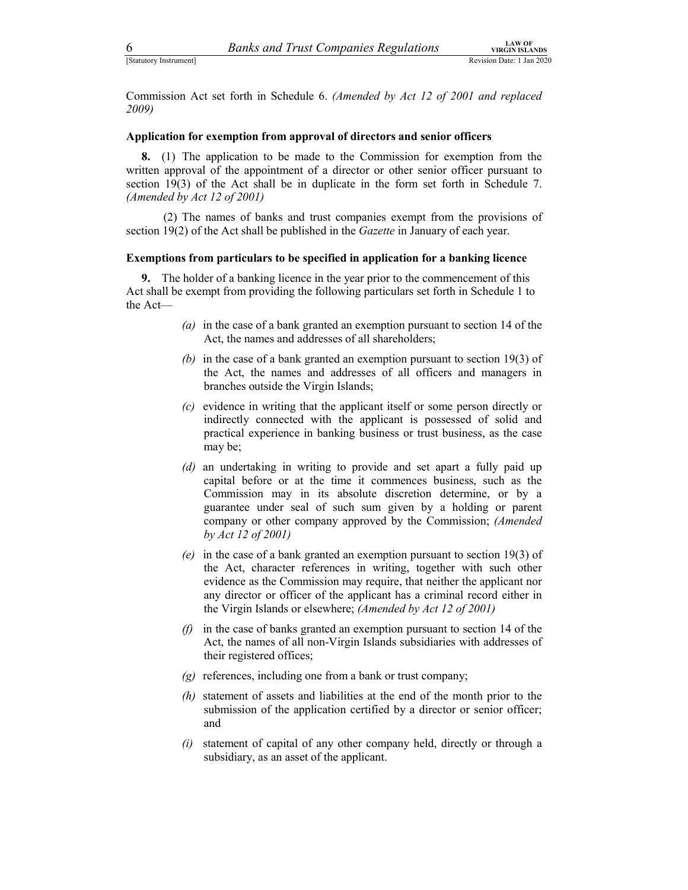Estatutory Instrument]<br>
Estatutory Instrument]<br>
Extritutory Instrument]<br>
Extritutory Instrument]<br>
Commission Act set forth in Schedule 6. *(Amended by Act 12 of 2001 and replaced*<br>
2009) Commission Act set forth in Schedule 6. (Amended by Act 12 of 2001 and replaced 2009)

### Application for exemption from approval of directors and senior officers

8. (1) The application to be made to the Commission for exemption from the written approval of the appointment of a director or other senior officer pursuant to section 19(3) of the Act shall be in duplicate in the form set forth in Schedule 7. (Amended by Act 12 of 2001)

 (2) The names of banks and trust companies exempt from the provisions of section 19(2) of the Act shall be published in the Gazette in January of each year.

### Exemptions from particulars to be specified in application for a banking licence

9. The holder of a banking licence in the year prior to the commencement of this Act shall be exempt from providing the following particulars set forth in Schedule 1 to the Act—

- (a) in the case of a bank granted an exemption pursuant to section 14 of the Act, the names and addresses of all shareholders;
- (b) in the case of a bank granted an exemption pursuant to section 19(3) of the Act, the names and addresses of all officers and managers in branches outside the Virgin Islands;
- (c) evidence in writing that the applicant itself or some person directly or indirectly connected with the applicant is possessed of solid and practical experience in banking business or trust business, as the case may be;
- (d) an undertaking in writing to provide and set apart a fully paid up capital before or at the time it commences business, such as the Commission may in its absolute discretion determine, or by a guarantee under seal of such sum given by a holding or parent company or other company approved by the Commission; (Amended by Act 12 of 2001)
- (e) in the case of a bank granted an exemption pursuant to section 19(3) of the Act, character references in writing, together with such other evidence as the Commission may require, that neither the applicant nor any director or officer of the applicant has a criminal record either in the Virgin Islands or elsewhere; (Amended by Act 12 of 2001)
- $(f)$  in the case of banks granted an exemption pursuant to section 14 of the Act, the names of all non-Virgin Islands subsidiaries with addresses of their registered offices;
- (g) references, including one from a bank or trust company;
- (h) statement of assets and liabilities at the end of the month prior to the submission of the application certified by a director or senior officer; and
- (i) statement of capital of any other company held, directly or through a subsidiary, as an asset of the applicant.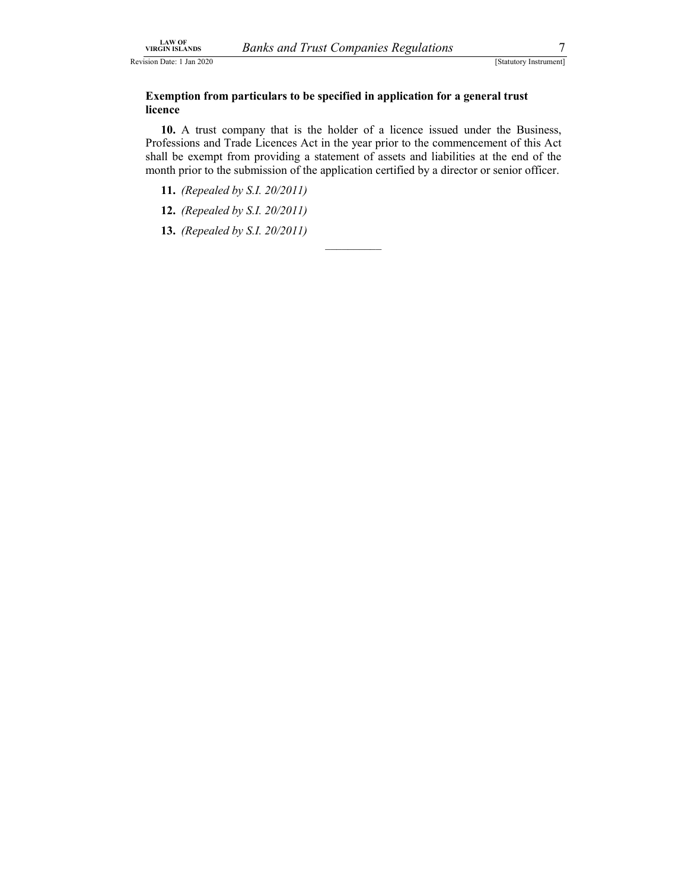Revision Date: 1 Jan 2020 [Statutory Instrument] [Statutory Instrument]

## LAW OF<br>
SIGEN ISLANDS Banks and Trust Companies Regulations Total (Statutory Instrument)<br>
Exemption from particulars to be specified in application for a general trust<br>
licence Exemption from particulars to be specified in application for a general trust licence

10. A trust company that is the holder of a licence issued under the Business, Professions and Trade Licences Act in the year prior to the commencement of this Act shall be exempt from providing a statement of assets and liabilities at the end of the month prior to the submission of the application certified by a director or senior officer.

11. (Repealed by S.I. 20/2011)

12. (Repealed by S.I. 20/2011)

13. (Repealed by S.I. 20/2011)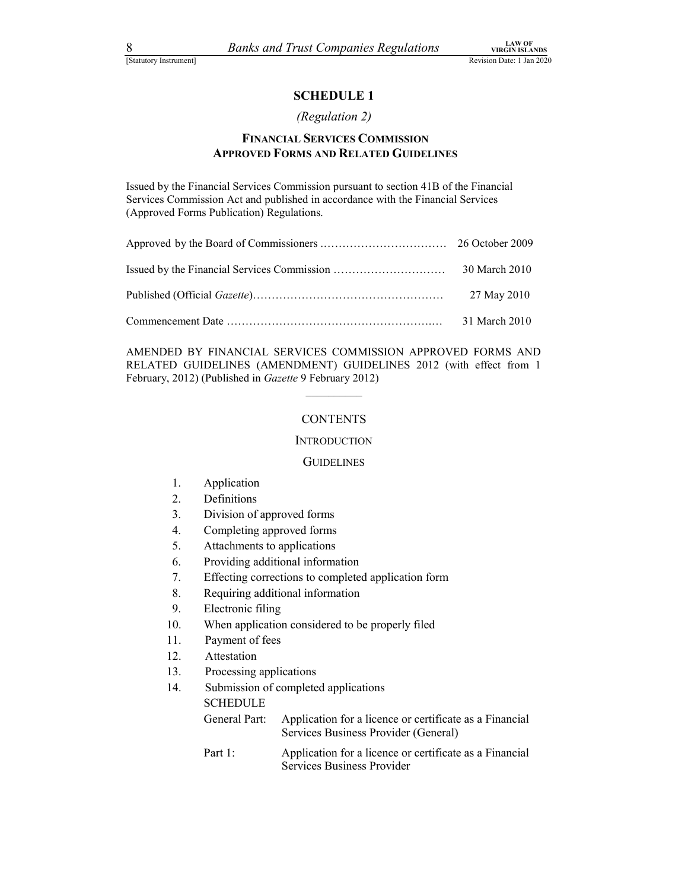### SCHEDULE 1

### (Regulation 2)

### FINANCIAL SERVICES COMMISSION APPROVED FORMS AND RELATED GUIDELINES

| 8<br><b>Banks and Trust Companies Regulations</b>                                                                                                                                                                    | <b>LAW OF</b><br><b>VIRGIN ISLANDS</b> |
|----------------------------------------------------------------------------------------------------------------------------------------------------------------------------------------------------------------------|----------------------------------------|
| [Statutory Instrument]                                                                                                                                                                                               | Revision Date: 1 Jan 2020              |
| <b>SCHEDULE 1</b>                                                                                                                                                                                                    |                                        |
| (Regulation 2)                                                                                                                                                                                                       |                                        |
| <b>FINANCIAL SERVICES COMMISSION</b><br><b>APPROVED FORMS AND RELATED GUIDELINES</b>                                                                                                                                 |                                        |
| Issued by the Financial Services Commission pursuant to section 41B of the Financial<br>Services Commission Act and published in accordance with the Financial Services<br>(Approved Forms Publication) Regulations. |                                        |
|                                                                                                                                                                                                                      |                                        |
|                                                                                                                                                                                                                      | 30 March 2010                          |
|                                                                                                                                                                                                                      | 27 May 2010                            |
|                                                                                                                                                                                                                      | 31 March 2010                          |

AMENDED BY FINANCIAL SERVICES COMMISSION APPROVED FORMS AND RELATED GUIDELINES (AMENDMENT) GUIDELINES 2012 (with effect from 1 February, 2012) (Published in Gazette 9 February 2012)

### \_\_\_\_\_\_\_\_\_\_ CONTENTS

### Introduction<br>Guidelines

- 1. Application
- 2. Definitions
- 3. Division of approved forms
- 4. Completing approved forms
- 5. Attachments to applications
- 6. Providing additional information
- 7. Effecting corrections to completed application form
- 8. Requiring additional information
- 9. Electronic filing
- 10. When application considered to be properly filed
- 11. Payment of fees
- 12. Attestation
- 13. Processing applications
- 14. Submission of completed applications

**SCHEDULE** 

- General Part: Application for a licence or certificate as a Financial Services Business Provider (General)
- Part 1: Application for a licence or certificate as a Financial Services Business Provider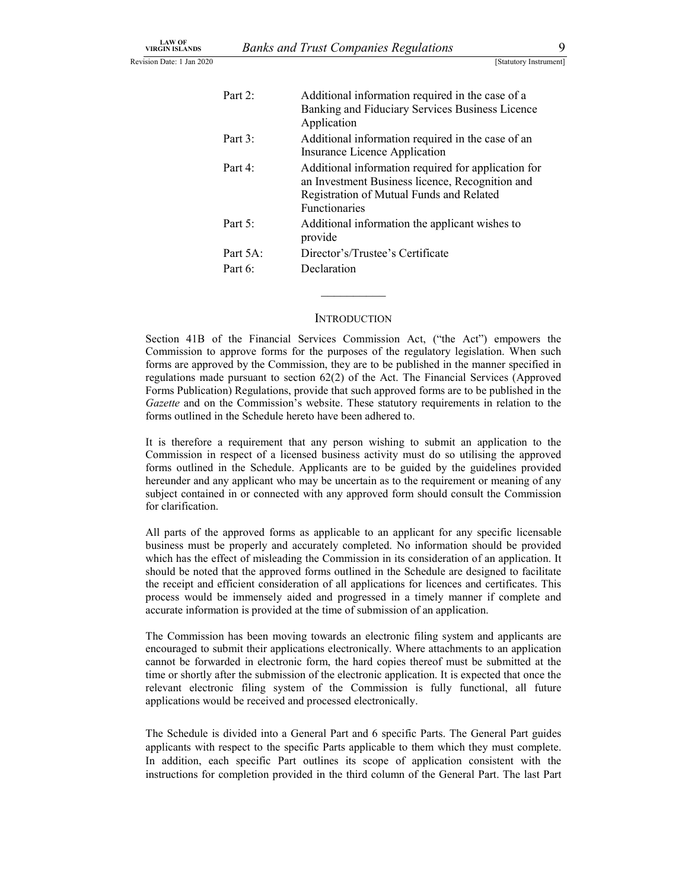| <b>LAW OF</b>                                  |          |                                                                                                     |
|------------------------------------------------|----------|-----------------------------------------------------------------------------------------------------|
| <b>VIRGIN ISLANDS</b><br>sion Date: 1 Jan 2020 |          | <b>Banks and Trust Companies Regulations</b><br>9                                                   |
|                                                |          |                                                                                                     |
|                                                |          | [Statutory Instrument]                                                                              |
|                                                | Part 2:  |                                                                                                     |
|                                                |          | Additional information required in the case of a<br>Banking and Fiduciary Services Business Licence |
|                                                |          | Application                                                                                         |
|                                                | Part 3:  | Additional information required in the case of an                                                   |
|                                                | Part 4:  | Insurance Licence Application<br>Additional information required for application for                |
|                                                |          | an Investment Business licence, Recognition and                                                     |
|                                                |          | Registration of Mutual Funds and Related                                                            |
|                                                |          | Functionaries                                                                                       |
|                                                | Part 5:  | Additional information the applicant wishes to                                                      |
|                                                | Part 5A: | provide<br>Director's/Trustee's Certificate                                                         |

### **INTRODUCTION**

Section 41B of the Financial Services Commission Act, ("the Act") empowers the Commission to approve forms for the purposes of the regulatory legislation. When such forms are approved by the Commission, they are to be published in the manner specified in regulations made pursuant to section 62(2) of the Act. The Financial Services (Approved Forms Publication) Regulations, provide that such approved forms are to be published in the Gazette and on the Commission's website. These statutory requirements in relation to the forms outlined in the Schedule hereto have been adhered to.

It is therefore a requirement that any person wishing to submit an application to the Commission in respect of a licensed business activity must do so utilising the approved forms outlined in the Schedule. Applicants are to be guided by the guidelines provided hereunder and any applicant who may be uncertain as to the requirement or meaning of any subject contained in or connected with any approved form should consult the Commission for clarification.

All parts of the approved forms as applicable to an applicant for any specific licensable business must be properly and accurately completed. No information should be provided which has the effect of misleading the Commission in its consideration of an application. It should be noted that the approved forms outlined in the Schedule are designed to facilitate the receipt and efficient consideration of all applications for licences and certificates. This process would be immensely aided and progressed in a timely manner if complete and accurate information is provided at the time of submission of an application.

The Commission has been moving towards an electronic filing system and applicants are encouraged to submit their applications electronically. Where attachments to an application cannot be forwarded in electronic form, the hard copies thereof must be submitted at the time or shortly after the submission of the electronic application. It is expected that once the relevant electronic filing system of the Commission is fully functional, all future applications would be received and processed electronically.

The Schedule is divided into a General Part and 6 specific Parts. The General Part guides applicants with respect to the specific Parts applicable to them which they must complete. In addition, each specific Part outlines its scope of application consistent with the instructions for completion provided in the third column of the General Part. The last Part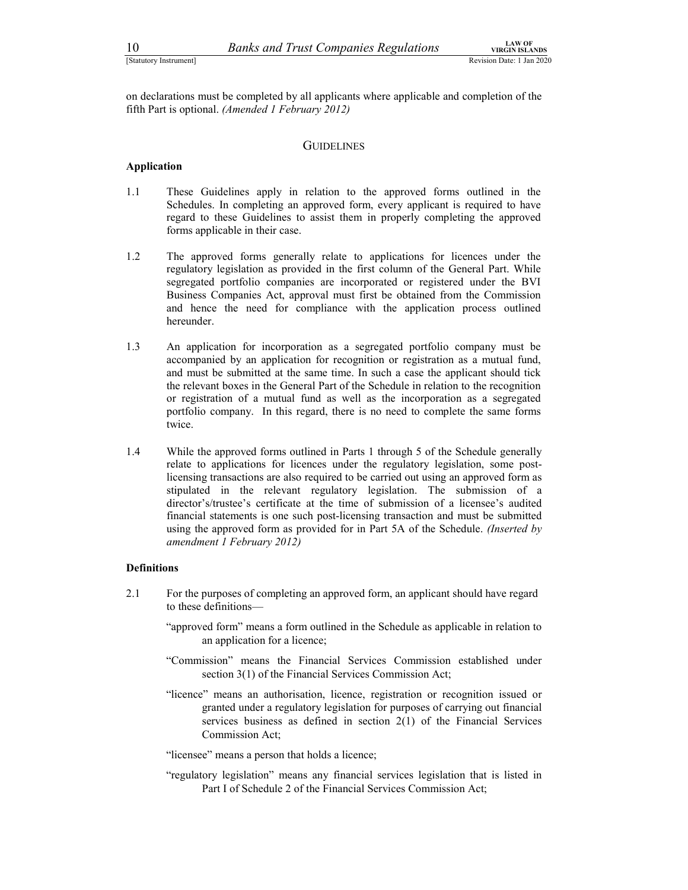10 Banks and Trust Companies Regulations<br>
Statutory Instrument]<br>
Statutory Instrument]<br>
Completed by all applicants where applicable and completion of the<br>
fifth Part is optional. *(Amended 1 February 2012)* on declarations must be completed by all applicants where applicable and completion of the fifth Part is optional. (Amended 1 February 2012)

### **GUIDELINES**

### Application

- 1.1 These Guidelines apply in relation to the approved forms outlined in the Schedules. In completing an approved form, every applicant is required to have regard to these Guidelines to assist them in properly completing the approved forms applicable in their case.
- 1.2 The approved forms generally relate to applications for licences under the regulatory legislation as provided in the first column of the General Part. While segregated portfolio companies are incorporated or registered under the BVI Business Companies Act, approval must first be obtained from the Commission and hence the need for compliance with the application process outlined hereunder.
- 1.3 An application for incorporation as a segregated portfolio company must be accompanied by an application for recognition or registration as a mutual fund, and must be submitted at the same time. In such a case the applicant should tick the relevant boxes in the General Part of the Schedule in relation to the recognition or registration of a mutual fund as well as the incorporation as a segregated portfolio company. In this regard, there is no need to complete the same forms twice.
- 1.4 While the approved forms outlined in Parts 1 through 5 of the Schedule generally relate to applications for licences under the regulatory legislation, some postlicensing transactions are also required to be carried out using an approved form as stipulated in the relevant regulatory legislation. The submission of a director's/trustee's certificate at the time of submission of a licensee's audited financial statements is one such post-licensing transaction and must be submitted using the approved form as provided for in Part 5A of the Schedule. (Inserted by amendment 1 February 2012)

### Definitions

- 2.1 For the purposes of completing an approved form, an applicant should have regard to these definitions—
	- "approved form" means a form outlined in the Schedule as applicable in relation to an application for a licence;
	- "Commission" means the Financial Services Commission established under section 3(1) of the Financial Services Commission Act;
	- "licence" means an authorisation, licence, registration or recognition issued or granted under a regulatory legislation for purposes of carrying out financial services business as defined in section 2(1) of the Financial Services Commission Act;
	- "licensee" means a person that holds a licence;
	- "regulatory legislation" means any financial services legislation that is listed in Part I of Schedule 2 of the Financial Services Commission Act;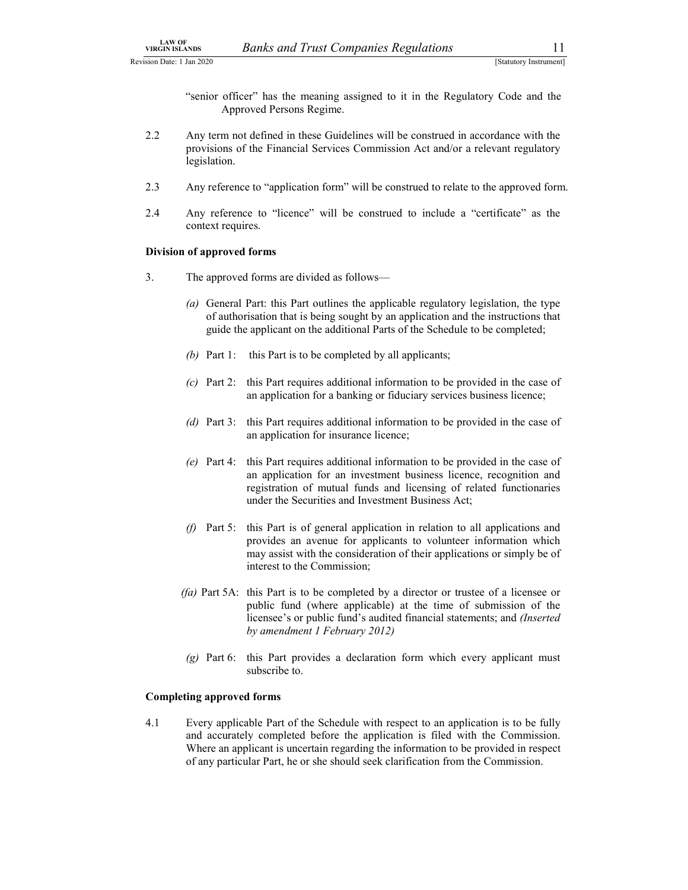LAW OF<br>
VIRGIN ISLANDS Banks and Trust Companies Regulations 11<br>
Statutory Instrument]<br>
Statutory Instrument<br>
Statutory Instrument<br>
Statutory Instrument<br>
Statutory Instrument<br>
Statutory Instrument<br>
Statutory Instrument<br>
Ap "senior officer" has the meaning assigned to it in the Regulatory Code and the Approved Persons Regime.

- 2.2 Any term not defined in these Guidelines will be construed in accordance with the provisions of the Financial Services Commission Act and/or a relevant regulatory legislation.
- 2.3 Any reference to "application form" will be construed to relate to the approved form.
- 2.4 Any reference to "licence" will be construed to include a "certificate" as the context requires.

### Division of approved forms

- 3. The approved forms are divided as follows—
	- (a) General Part: this Part outlines the applicable regulatory legislation, the type of authorisation that is being sought by an application and the instructions that guide the applicant on the additional Parts of the Schedule to be completed;
	- (b) Part 1: this Part is to be completed by all applicants;
	- (c) Part 2: this Part requires additional information to be provided in the case of an application for a banking or fiduciary services business licence;
	- (d) Part 3: this Part requires additional information to be provided in the case of an application for insurance licence;
	- (e) Part 4: this Part requires additional information to be provided in the case of an application for an investment business licence, recognition and registration of mutual funds and licensing of related functionaries under the Securities and Investment Business Act;
	- (f) Part 5: this Part is of general application in relation to all applications and provides an avenue for applicants to volunteer information which may assist with the consideration of their applications or simply be of interest to the Commission;
	- (fa) Part 5A: this Part is to be completed by a director or trustee of a licensee or public fund (where applicable) at the time of submission of the licensee's or public fund's audited financial statements; and (Inserted by amendment 1 February 2012)
	- $(g)$  Part 6: this Part provides a declaration form which every applicant must subscribe to.

### Completing approved forms

4.1 Every applicable Part of the Schedule with respect to an application is to be fully and accurately completed before the application is filed with the Commission. Where an applicant is uncertain regarding the information to be provided in respect of any particular Part, he or she should seek clarification from the Commission.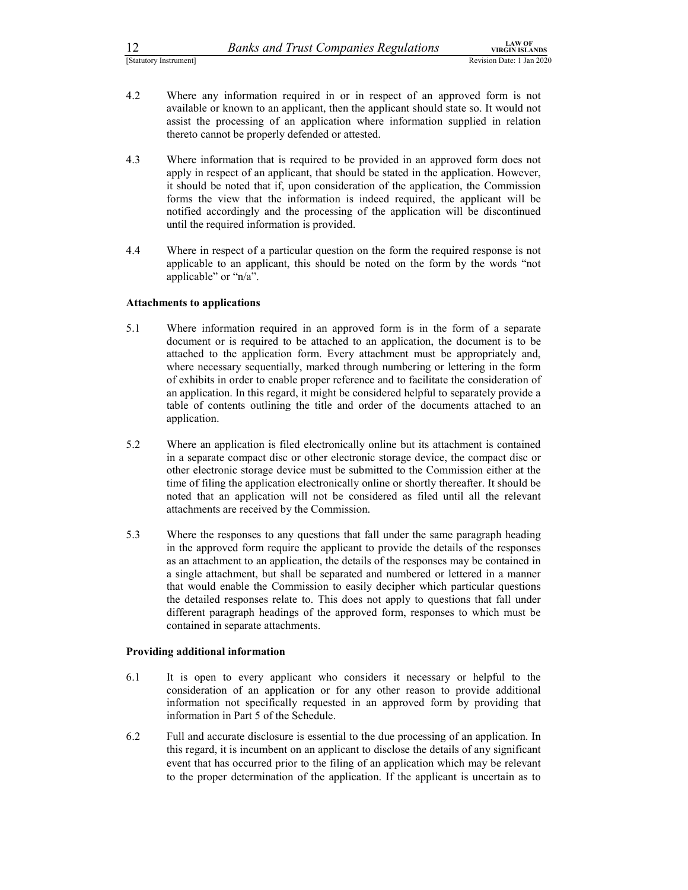- 12 Banks and Trust Companies Regulations<br>
Statutory Instrument]<br>
<sup>1</sup> Evision Date: 1 Jan 2020<br>
<sup>1</sup> Actuatory Instrument]<br>
<sup>1</sup> Actuatory Instrument<br>
<sup>1</sup> Actuatory Instrument<br>
<sup>1</sup> Actuator Revision Date: 1 Jan 2020<br>
<sup>1</sup> Actu <sup>12</sup><br>
<sup>[Statutory Instrument]<br>
<sup>2020</sup><br>
<sup>2020</sup><br>
<sup>2020</sup><br>
<sup>2020</sup><br>
<sup>2020</sup><br>
<sup>2020</sup><br>
<sup>2020</sup><br>
<sup>2020</sup><br>
<sup>2020</sup><br>
<sup>2020</sup><br>
<sup>2020</sup><br>
<sup>2020</sup><br>
<sup>2020</sup><br>
<sup>2020</sup><br>
<sup>2020</sup><br>
<sup>2020</sup><br>
<sup>2020</sup><br>
<sup>2020</sup><br>
<sup>2020</sup><br>
<sup>2020</sup><br>
<sup>2020</sup><br>
<sup>2020</sup><br>
<sup>2020</sup><br>
<sup>2020</sup></sup> available or known to an applicant, then the applicant should state so. It would not assist the processing of an application where information supplied in relation thereto cannot be properly defended or attested.
- 4.3 Where information that is required to be provided in an approved form does not apply in respect of an applicant, that should be stated in the application. However, it should be noted that if, upon consideration of the application, the Commission forms the view that the information is indeed required, the applicant will be notified accordingly and the processing of the application will be discontinued until the required information is provided.
- 4.4 Where in respect of a particular question on the form the required response is not applicable to an applicant, this should be noted on the form by the words "not applicable" or "n/a".

### Attachments to applications

- 5.1 Where information required in an approved form is in the form of a separate document or is required to be attached to an application, the document is to be attached to the application form. Every attachment must be appropriately and, where necessary sequentially, marked through numbering or lettering in the form of exhibits in order to enable proper reference and to facilitate the consideration of an application. In this regard, it might be considered helpful to separately provide a table of contents outlining the title and order of the documents attached to an application.
- 5.2 Where an application is filed electronically online but its attachment is contained in a separate compact disc or other electronic storage device, the compact disc or other electronic storage device must be submitted to the Commission either at the time of filing the application electronically online or shortly thereafter. It should be noted that an application will not be considered as filed until all the relevant attachments are received by the Commission.
- 5.3 Where the responses to any questions that fall under the same paragraph heading in the approved form require the applicant to provide the details of the responses as an attachment to an application, the details of the responses may be contained in a single attachment, but shall be separated and numbered or lettered in a manner that would enable the Commission to easily decipher which particular questions the detailed responses relate to. This does not apply to questions that fall under different paragraph headings of the approved form, responses to which must be contained in separate attachments.

### Providing additional information

- 6.1 It is open to every applicant who considers it necessary or helpful to the consideration of an application or for any other reason to provide additional information not specifically requested in an approved form by providing that information in Part 5 of the Schedule.
- 6.2 Full and accurate disclosure is essential to the due processing of an application. In this regard, it is incumbent on an applicant to disclose the details of any significant event that has occurred prior to the filing of an application which may be relevant to the proper determination of the application. If the applicant is uncertain as to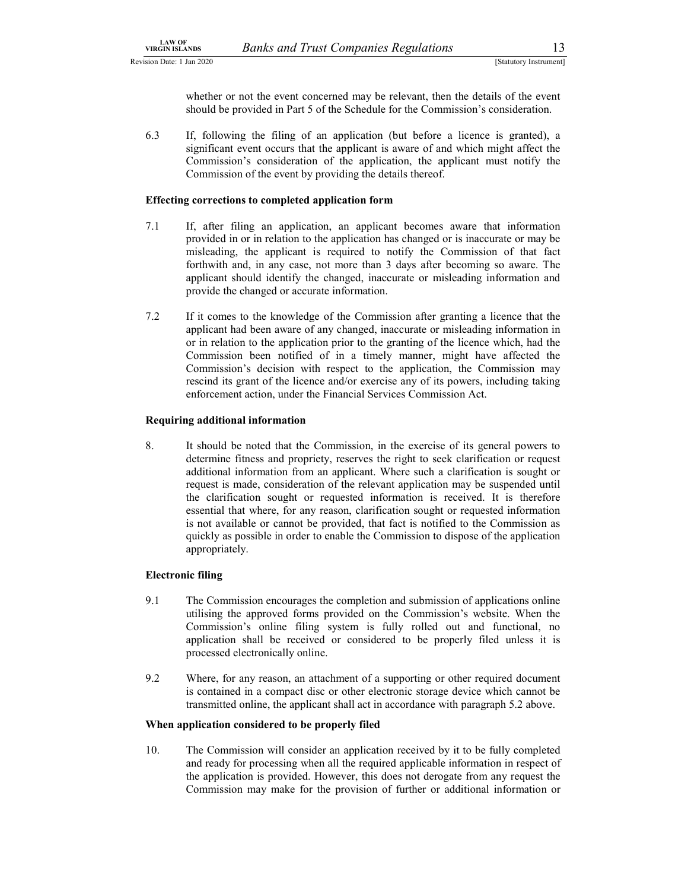LAW OF<br>
SIGEN ISLANDS Banks and Trust Companies Regulations 13<br>
Statutory Instrument]<br>
Whether or not the event concerned may be relevant, then the details of the event<br>
should be provided in Part 5 of the Schedule for the whether or not the event concerned may be relevant, then the details of the event should be provided in Part 5 of the Schedule for the Commission's consideration.

6.3 If, following the filing of an application (but before a licence is granted), a significant event occurs that the applicant is aware of and which might affect the Commission's consideration of the application, the applicant must notify the Commission of the event by providing the details thereof.

### Effecting corrections to completed application form

- 7.1 If, after filing an application, an applicant becomes aware that information provided in or in relation to the application has changed or is inaccurate or may be misleading, the applicant is required to notify the Commission of that fact forthwith and, in any case, not more than 3 days after becoming so aware. The applicant should identify the changed, inaccurate or misleading information and provide the changed or accurate information.
- 7.2 If it comes to the knowledge of the Commission after granting a licence that the applicant had been aware of any changed, inaccurate or misleading information in or in relation to the application prior to the granting of the licence which, had the Commission been notified of in a timely manner, might have affected the Commission's decision with respect to the application, the Commission may rescind its grant of the licence and/or exercise any of its powers, including taking enforcement action, under the Financial Services Commission Act.

### Requiring additional information

8. It should be noted that the Commission, in the exercise of its general powers to determine fitness and propriety, reserves the right to seek clarification or request additional information from an applicant. Where such a clarification is sought or request is made, consideration of the relevant application may be suspended until the clarification sought or requested information is received. It is therefore essential that where, for any reason, clarification sought or requested information is not available or cannot be provided, that fact is notified to the Commission as quickly as possible in order to enable the Commission to dispose of the application appropriately.

### Electronic filing

- 9.1 The Commission encourages the completion and submission of applications online utilising the approved forms provided on the Commission's website. When the Commission's online filing system is fully rolled out and functional, no application shall be received or considered to be properly filed unless it is processed electronically online.
- 9.2 Where, for any reason, an attachment of a supporting or other required document is contained in a compact disc or other electronic storage device which cannot be transmitted online, the applicant shall act in accordance with paragraph 5.2 above.

### When application considered to be properly filed

10. The Commission will consider an application received by it to be fully completed and ready for processing when all the required applicable information in respect of the application is provided. However, this does not derogate from any request the Commission may make for the provision of further or additional information or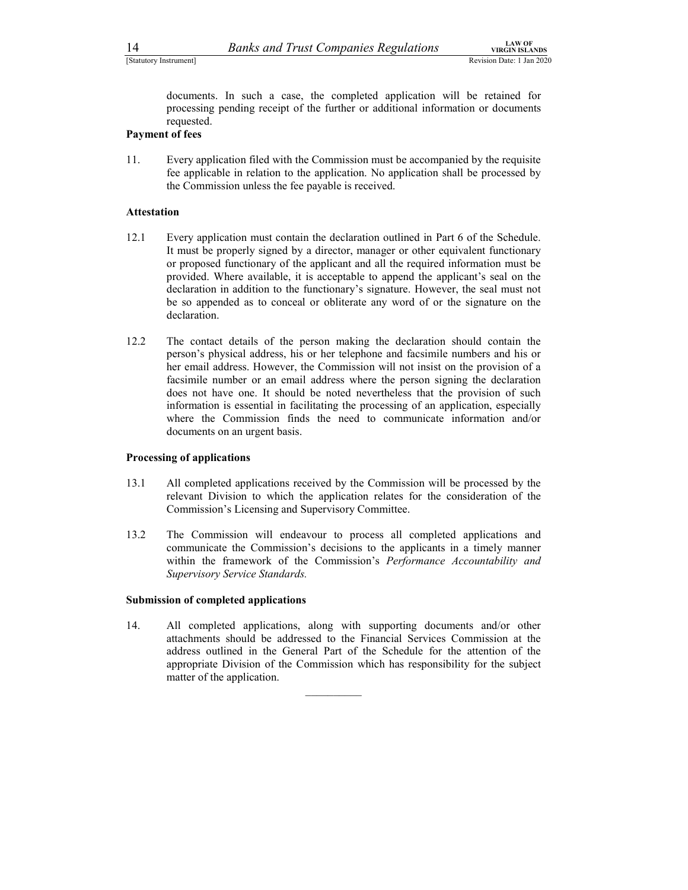14 *Banks and Trust Companies Regulations* **Examplements**<br>
Estatutory Instrument]<br> **EXECUTE COMPANIES AND REGIST CONSTAND REGIST DETERMINENT REVISION DATE:** 1 Jan 2020<br> **EXECUTE CONSTAND REGIST DETERMINENT DETERMINENT OF A** documents. In such a case, the completed application will be retained for processing pending receipt of the further or additional information or documents requested.

### Payment of fees

11. Every application filed with the Commission must be accompanied by the requisite fee applicable in relation to the application. No application shall be processed by the Commission unless the fee payable is received.

### Attestation

- 12.1 Every application must contain the declaration outlined in Part 6 of the Schedule. It must be properly signed by a director, manager or other equivalent functionary or proposed functionary of the applicant and all the required information must be provided. Where available, it is acceptable to append the applicant's seal on the declaration in addition to the functionary's signature. However, the seal must not be so appended as to conceal or obliterate any word of or the signature on the declaration.
- 12.2 The contact details of the person making the declaration should contain the person's physical address, his or her telephone and facsimile numbers and his or her email address. However, the Commission will not insist on the provision of a facsimile number or an email address where the person signing the declaration does not have one. It should be noted nevertheless that the provision of such information is essential in facilitating the processing of an application, especially where the Commission finds the need to communicate information and/or documents on an urgent basis.

### Processing of applications

- 13.1 All completed applications received by the Commission will be processed by the relevant Division to which the application relates for the consideration of the Commission's Licensing and Supervisory Committee.
- 13.2 The Commission will endeavour to process all completed applications and communicate the Commission's decisions to the applicants in a timely manner within the framework of the Commission's Performance Accountability and Supervisory Service Standards.

### Submission of completed applications

14. All completed applications, along with supporting documents and/or other attachments should be addressed to the Financial Services Commission at the address outlined in the General Part of the Schedule for the attention of the appropriate Division of the Commission which has responsibility for the subject matter of the application.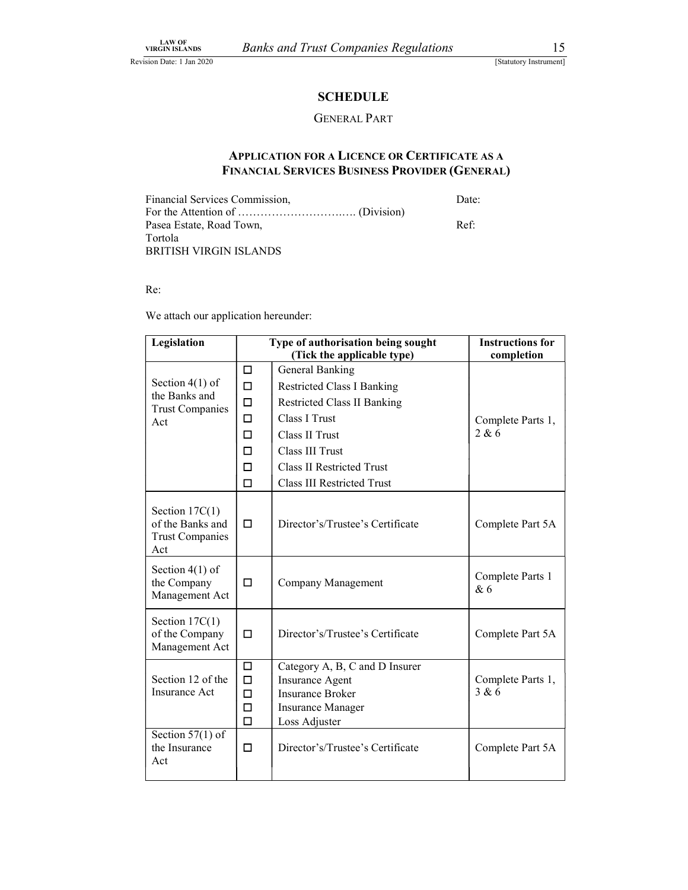### **SCHEDULE**

### GENERAL PART

### APPLICATION FOR A LICENCE OR CERTIFICATE AS A FINANCIAL SERVICES BUSINESS PROVIDER (GENERAL)

| Financial Services Commission, | Date:  |  |
|--------------------------------|--------|--|
|                                |        |  |
| Pasea Estate, Road Town,       | $Ref+$ |  |
| Tortola                        |        |  |
| BRITISH VIRGIN ISLANDS         |        |  |

Re:

We attach our application hereunder:

| Legislation                                                           |                            | Type of authorisation being sought                                                                                        | <b>Instructions for</b>    |
|-----------------------------------------------------------------------|----------------------------|---------------------------------------------------------------------------------------------------------------------------|----------------------------|
|                                                                       |                            | (Tick the applicable type)                                                                                                | completion                 |
|                                                                       | $\Box$                     | <b>General Banking</b>                                                                                                    |                            |
| Section $4(1)$ of<br>the Banks and                                    | $\Box$                     | <b>Restricted Class I Banking</b>                                                                                         |                            |
| <b>Trust Companies</b>                                                | $\Box$                     | <b>Restricted Class II Banking</b>                                                                                        |                            |
| Act                                                                   | $\Box$                     | Class I Trust                                                                                                             | Complete Parts 1,          |
|                                                                       | $\Box$                     | Class II Trust                                                                                                            | 2 & 6                      |
|                                                                       | □                          | Class III Trust                                                                                                           |                            |
|                                                                       | □                          | <b>Class II Restricted Trust</b>                                                                                          |                            |
|                                                                       | □                          | <b>Class III Restricted Trust</b>                                                                                         |                            |
| Section $17C(1)$<br>of the Banks and<br><b>Trust Companies</b><br>Act | □                          | Director's/Trustee's Certificate                                                                                          | Complete Part 5A           |
| Section $4(1)$ of<br>the Company<br>Management Act                    | $\Box$                     | Company Management                                                                                                        | Complete Parts 1<br>&6     |
| Section $17C(1)$<br>of the Company<br>Management Act                  | $\Box$                     | Director's/Trustee's Certificate                                                                                          | Complete Part 5A           |
| Section 12 of the<br>Insurance Act                                    | □<br>□<br>□<br>□<br>$\Box$ | Category A, B, C and D Insurer<br>Insurance Agent<br><b>Insurance Broker</b><br><b>Insurance Manager</b><br>Loss Adjuster | Complete Parts 1,<br>3 & 6 |
| Section $57(1)$ of<br>the Insurance<br>Act                            | □                          | Director's/Trustee's Certificate                                                                                          | Complete Part 5A           |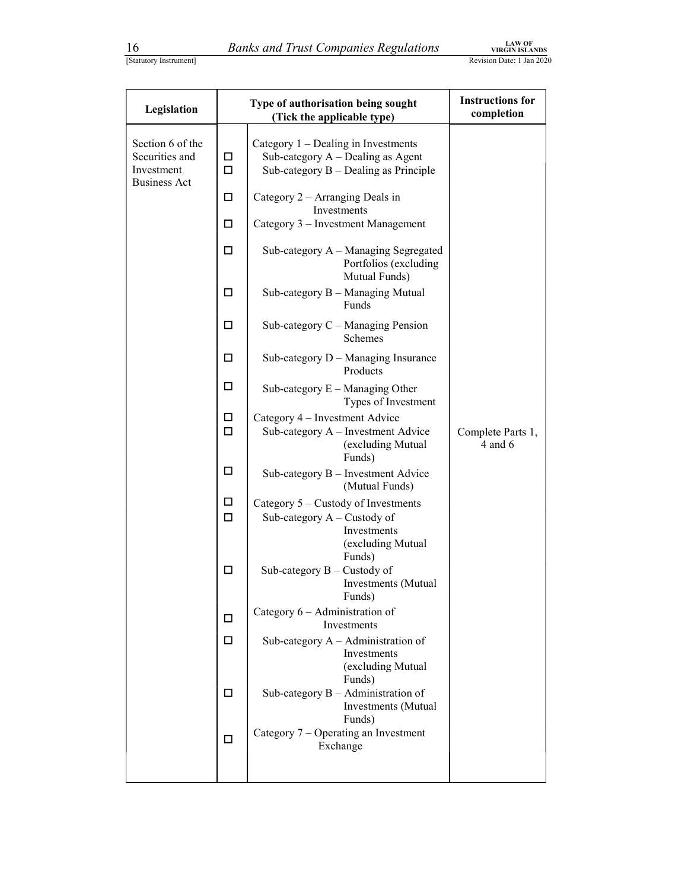| Statutory Instrument |  |
|----------------------|--|
|                      |  |

| 16                                                                      |                                                                                                                                                                   | <b>Banks and Trust Companies Regulations</b>                                                                                                                                                                                                                                                                                                                                                                                                                                                                                                                                                                                                                                                                                                                                                                                                                                                                                                                                                                                                                                                                         | <b>LAW OF</b><br><b>VIRGIN ISLANDS</b> |
|-------------------------------------------------------------------------|-------------------------------------------------------------------------------------------------------------------------------------------------------------------|----------------------------------------------------------------------------------------------------------------------------------------------------------------------------------------------------------------------------------------------------------------------------------------------------------------------------------------------------------------------------------------------------------------------------------------------------------------------------------------------------------------------------------------------------------------------------------------------------------------------------------------------------------------------------------------------------------------------------------------------------------------------------------------------------------------------------------------------------------------------------------------------------------------------------------------------------------------------------------------------------------------------------------------------------------------------------------------------------------------------|----------------------------------------|
| [Statutory Instrument]                                                  |                                                                                                                                                                   |                                                                                                                                                                                                                                                                                                                                                                                                                                                                                                                                                                                                                                                                                                                                                                                                                                                                                                                                                                                                                                                                                                                      | Revision Date: 1 Jan 2020              |
| Legislation                                                             |                                                                                                                                                                   | Type of authorisation being sought<br>(Tick the applicable type)                                                                                                                                                                                                                                                                                                                                                                                                                                                                                                                                                                                                                                                                                                                                                                                                                                                                                                                                                                                                                                                     | <b>Instructions for</b><br>completion  |
| Section 6 of the<br>Securities and<br>Investment<br><b>Business Act</b> | □<br>□<br>□<br>$\Box$<br>□<br>$\Box$<br>$\Box$<br>□<br>$\Box$<br>$\Box$<br>$\Box$<br>$\Box$<br>$\Box$<br>$\Box$<br>$\Box$<br>$\Box$<br>$\Box$<br>$\Box$<br>$\Box$ | Category 1 - Dealing in Investments<br>Sub-category A - Dealing as Agent<br>Sub-category B - Dealing as Principle<br>Category 2 - Arranging Deals in<br>Investments<br>Category 3 - Investment Management<br>Sub-category A - Managing Segregated<br>Portfolios (excluding<br>Mutual Funds)<br>Sub-category B - Managing Mutual<br>Funds<br>Sub-category $C -$ Managing Pension<br>Schemes<br>Sub-category D - Managing Insurance<br>Products<br>Sub-category $E -$ Managing Other<br>Types of Investment<br>Category 4 - Investment Advice<br>Sub-category A - Investment Advice<br>(excluding Mutual<br>Funds)<br>Sub-category B - Investment Advice<br>(Mutual Funds)<br>Category 5 - Custody of Investments<br>Sub-category A - Custody of<br>Investments<br>(excluding Mutual<br>Funds)<br>Sub-category B - Custody of<br>Investments (Mutual<br>Funds)<br>Category 6 - Administration of<br>Investments<br>Sub-category $A -$ Administration of<br>Investments<br>(excluding Mutual<br>Funds)<br>Sub-category $B -$ Administration of<br>Investments (Mutual<br>Funds)<br>Category 7 – Operating an Investment | Complete Parts 1,<br>4 and 6           |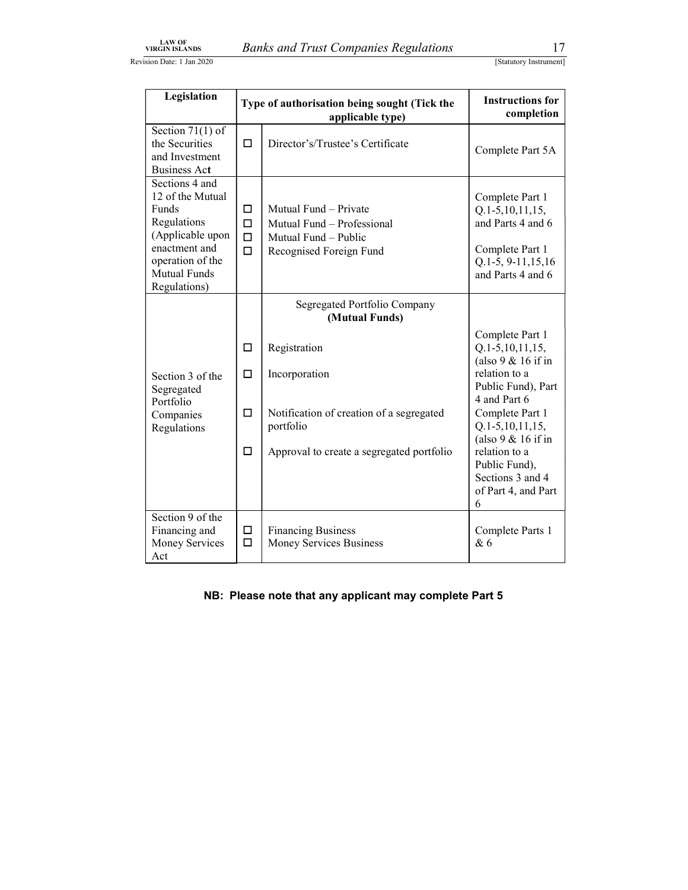| <b>LAW OF</b>                                                                                                                                       |                                 |                                                                                                        |                                                                                                                             |
|-----------------------------------------------------------------------------------------------------------------------------------------------------|---------------------------------|--------------------------------------------------------------------------------------------------------|-----------------------------------------------------------------------------------------------------------------------------|
| <b>VIRGIN ISLANDS</b><br>sion Date: 1 Jan 2020                                                                                                      |                                 | <b>Banks and Trust Companies Regulations</b>                                                           | 17<br>[Statutory Instrument]                                                                                                |
|                                                                                                                                                     |                                 |                                                                                                        |                                                                                                                             |
| Legislation<br>Type of authorisation being sought (Tick the<br>applicable type)                                                                     |                                 |                                                                                                        | <b>Instructions for</b><br>completion                                                                                       |
| Section $71(1)$ of<br>the Securities<br>and Investment<br><b>Business Act</b>                                                                       | $\Box$                          | Director's/Trustee's Certificate                                                                       | Complete Part 5A                                                                                                            |
| Sections 4 and<br>12 of the Mutual<br>Funds<br>Regulations<br>(Applicable upon<br>enactment and<br>operation of the<br>Mutual Funds<br>Regulations) | □<br>$\Box$<br>$\Box$<br>$\Box$ | Mutual Fund - Private<br>Mutual Fund - Professional<br>Mutual Fund - Public<br>Recognised Foreign Fund | Complete Part 1<br>$Q.1-5, 10, 11, 15,$<br>and Parts 4 and 6<br>Complete Part 1<br>Q.1-5, 9-11, 15, 16<br>and Parts 4 and 6 |
|                                                                                                                                                     |                                 | Segregated Portfolio Company<br>(Mutual Funds)                                                         |                                                                                                                             |
| Section 3 of the<br>Segregated                                                                                                                      | $\Box$<br>$\Box$                | Registration<br>Incorporation                                                                          | Complete Part 1<br>$Q.1-5, 10, 11, 15,$<br>(also $9 & 16$ if in<br>relation to a<br>Public Fund), Part<br>4 and Part 6      |
| Portfolio<br>Companies<br>Regulations                                                                                                               | $\Box$                          | Notification of creation of a segregated<br>portfolio                                                  | Complete Part 1<br>$Q.1-5, 10, 11, 15,$<br>(also $9 & 16$ if in                                                             |
|                                                                                                                                                     | $\Box$                          | Approval to create a segregated portfolio                                                              | relation to a<br>Public Fund),<br>Sections 3 and 4<br>of Part 4, and Part<br>6                                              |
| Section 9 of the<br>Financing and                                                                                                                   | □<br>$\Box$                     | <b>Financing Business</b><br>Money Services Business                                                   | Complete Parts 1<br>& 6                                                                                                     |

NB: Please note that any applicant may complete Part 5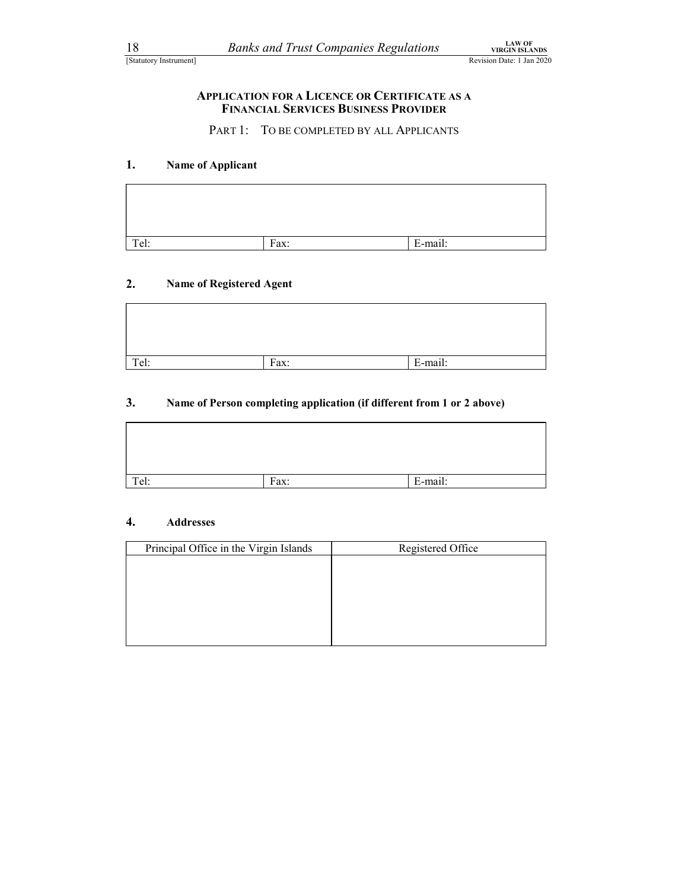## 18 *Banks and Trust Companies Regulations* **EXAMPLE CONVICTS LANGER**<br>
Statutory Instrument]<br> **APPLICATION FOR A LICENCE OR CERTIFICATE AS A**<br> **FINANCIAL SERVICES BUSINESS PROVIDER** APPLICATION FOR A LICENCE OR CERTIFICATE AS A FINANCIAL SERVICES BUSINESS PROVIDER

### 1. Name of Applicant

| 18   | <b>Banks and Trust Companies Regulations</b><br>[Statutory Instrument]                              | Revision Date: 1 Jan 2020 | <b>LAW OF</b><br><b>VIRGIN ISLANDS</b> |
|------|-----------------------------------------------------------------------------------------------------|---------------------------|----------------------------------------|
|      | <b>APPLICATION FOR A LICENCE OR CERTIFICATE AS A</b><br><b>FINANCIAL SERVICES BUSINESS PROVIDER</b> |                           |                                        |
|      | PART 1: TO BE COMPLETED BY ALL APPLICANTS                                                           |                           |                                        |
| 1.   | Name of Applicant                                                                                   |                           |                                        |
|      |                                                                                                     |                           |                                        |
| Tel: | Fax:                                                                                                | E-mail:                   |                                        |
|      |                                                                                                     |                           |                                        |
| 2.   | <b>Name of Registered Agent</b>                                                                     |                           |                                        |
|      |                                                                                                     |                           |                                        |
| Tel: | Fax:                                                                                                | E-mail:                   |                                        |

### 2. Name of Registered Agent

| Tel:                   | Fax:                                   | E-mail:                                                                |  |
|------------------------|----------------------------------------|------------------------------------------------------------------------|--|
| 2.                     | Name of Registered Agent               |                                                                        |  |
|                        |                                        |                                                                        |  |
| Tel:                   | Fax:                                   | E-mail:                                                                |  |
| 3.                     |                                        | Name of Person completing application (if different from 1 or 2 above) |  |
| Tel:                   | Fax:                                   | E-mail:                                                                |  |
|                        |                                        |                                                                        |  |
| 4.<br><b>Addresses</b> |                                        |                                                                        |  |
|                        | Principal Office in the Virgin Islands | Registered Office                                                      |  |

### 3. Name of Person completing application (if different from 1 or 2 above)

| Tel: | Fax: | E-mail: |
|------|------|---------|

### 4. Addresses

| 2.   | Name of Registered Agent               |      |                   |  |
|------|----------------------------------------|------|-------------------|--|
|      |                                        |      |                   |  |
|      |                                        |      |                   |  |
| Tel: |                                        | Fax: | E-mail:           |  |
|      |                                        |      |                   |  |
| Tel: |                                        | Fax: | E-mail:           |  |
| 4.   | <b>Addresses</b>                       |      |                   |  |
|      | Principal Office in the Virgin Islands |      | Registered Office |  |
|      |                                        |      |                   |  |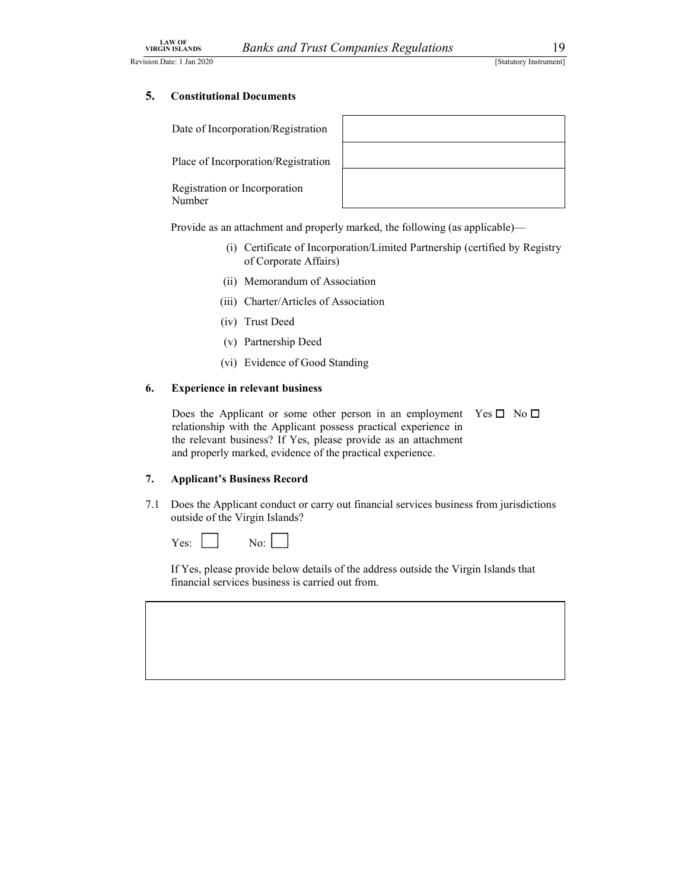Revision Date: 1 Jan 2020 [Statutory Instrument] [Statutory Instrument]

Date of Incorporation/Registration

Place of Incorporation/Registration

Registration or Incorporation Number



Provide as an attachment and properly marked, the following (as applicable)—

- (i) Certificate of Incorporation/Limited Partnership (certified by Registry of Corporate Affairs)
- (ii) Memorandum of Association
- (iii) Charter/Articles of Association
- (iv) Trust Deed
- (v) Partnership Deed
- (vi) Evidence of Good Standing

### 6. Experience in relevant business

Does the Applicant or some other person in an employment Yes  $\square$  No  $\square$ relationship with the Applicant possess practical experience in the relevant business? If Yes, please provide as an attachment and properly marked, evidence of the practical experience.

### 7. Applicant's Business Record

7.1 Does the Applicant conduct or carry out financial services business from jurisdictions outside of the Virgin Islands?

 $Yes:$  No:  $\Box$ 

If Yes, please provide below details of the address outside the Virgin Islands that financial services business is carried out from.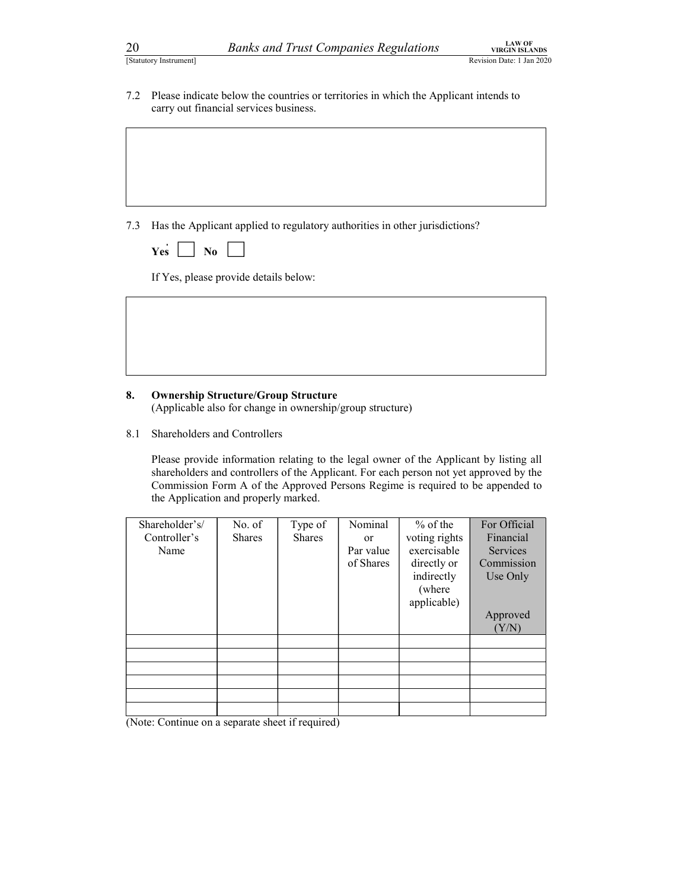20 Banks and Trust Companies Regulations<br>
Statutory Instrument]<br>
22 Please indicate below the countries or territories in which the Applicant intends to<br>
22 Please indicate below the countries or territories in which the A 20<br>  $20$ <br>
[Statutory Instrument]<br>
7.2 Please indicate below the countries or territories in which the Applicant intends to<br>
carry out financial services business. carry out financial services business.

7.3 Has the Applicant applied to regulatory authorities in other jurisdictions?

| u. | NΛ |  |
|----|----|--|

**Yes**  $\Box$  **No**  $\Box$ <br>If Yes, please provide details below:

### 8. Ownership Structure/Group Structure

(Applicable also for change in ownership/group structure)

8.1 Shareholders and Controllers

Please provide information relating to the legal owner of the Applicant by listing all shareholders and controllers of the Applicant. For each person not yet approved by the Commission Form A of the Approved Persons Regime is required to be appended to the Application and properly marked.

| Shareholder's/ | No. of        | Type of       | Nominal   | $%$ of the    | For Official    |
|----------------|---------------|---------------|-----------|---------------|-----------------|
| Controller's   | <b>Shares</b> | <b>Shares</b> | or        | voting rights | Financial       |
| Name           |               |               | Par value | exercisable   | <b>Services</b> |
|                |               |               | of Shares | directly or   | Commission      |
|                |               |               |           | indirectly    | Use Only        |
|                |               |               |           | (where        |                 |
|                |               |               |           | applicable)   |                 |
|                |               |               |           |               | Approved        |
|                |               |               |           |               | (Y/N)           |
|                |               |               |           |               |                 |
|                |               |               |           |               |                 |
|                |               |               |           |               |                 |
|                |               |               |           |               |                 |
|                |               |               |           |               |                 |
|                |               |               |           |               |                 |

(Note: Continue on a separate sheet if required)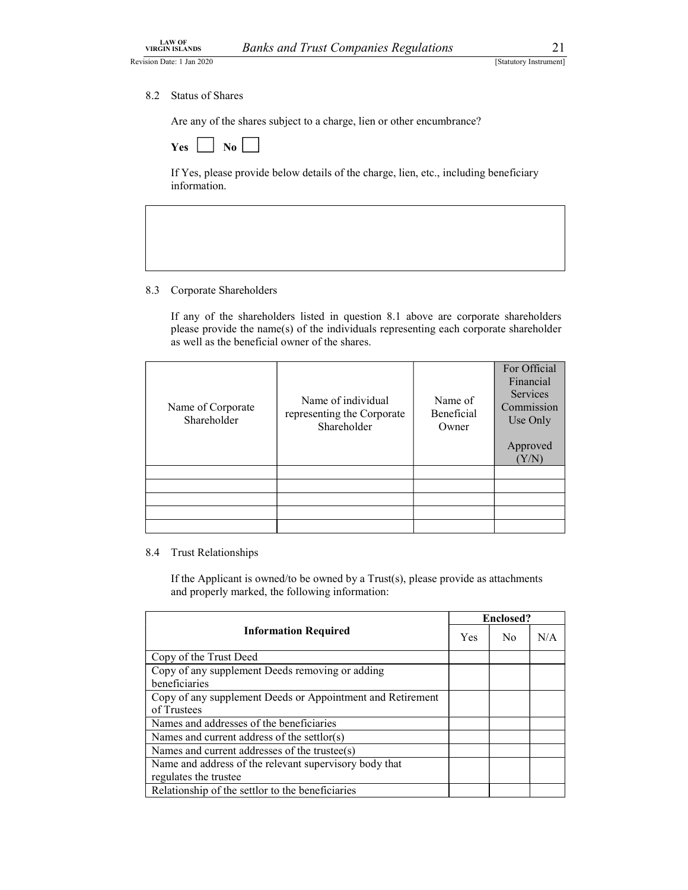EXAMPLE COMPANIES Regulations<br>
Sion Date: 1 Jan 2020<br>
8.2 Status of Shares<br>
Are any of the shares subject to a charge, lien or other encumbrance?<br> **1988**<br> **1988**<br> **1988**<br> **1988**<br> **1988**<br> **1988**<br> **1988**<br> **1988**<br> **1988** Are any of the shares subject to a charge, lien or other encumbrance?

| No<br>Y es |
|------------|
|------------|

If Yes, please provide below details of the charge, lien, etc., including beneficiary information.

### 8.3 Corporate Shareholders

 If any of the shareholders listed in question 8.1 above are corporate shareholders please provide the name(s) of the individuals representing each corporate shareholder as well as the beneficial owner of the shares.

| Name of Corporate<br>Shareholder                                                     | Name of individual<br>representing the Corporate<br>Shareholder                       | Name of<br>Beneficial<br>Owner | For Official     | Financial<br><b>Services</b><br>Commission<br>Use Only<br>Approved<br>(Y/N) |
|--------------------------------------------------------------------------------------|---------------------------------------------------------------------------------------|--------------------------------|------------------|-----------------------------------------------------------------------------|
|                                                                                      |                                                                                       |                                |                  |                                                                             |
| 8.4<br><b>Trust Relationships</b><br>and properly marked, the following information: | If the Applicant is owned/to be owned by a $Trust(s)$ , please provide as attachments |                                |                  |                                                                             |
|                                                                                      |                                                                                       |                                |                  |                                                                             |
|                                                                                      |                                                                                       |                                | <b>Enclosed?</b> |                                                                             |
|                                                                                      | <b>Information Required</b>                                                           | Yes                            | N <sub>o</sub>   | N/A                                                                         |
| Copy of the Trust Deed                                                               |                                                                                       |                                |                  |                                                                             |
| Copy of any supplement Deeds removing or adding                                      |                                                                                       |                                |                  |                                                                             |
| beneficiaries                                                                        |                                                                                       |                                |                  |                                                                             |
|                                                                                      | Copy of any supplement Deeds or Appointment and Retirement                            |                                |                  |                                                                             |
| of Trustees<br>Names and addresses of the beneficiaries                              |                                                                                       |                                |                  |                                                                             |

|                                                                                                                                                                     |     |                  | Approved<br>(Y/N) |
|---------------------------------------------------------------------------------------------------------------------------------------------------------------------|-----|------------------|-------------------|
|                                                                                                                                                                     |     |                  |                   |
|                                                                                                                                                                     |     |                  |                   |
|                                                                                                                                                                     |     |                  |                   |
| 8.4 Trust Relationships<br>If the Applicant is owned/to be owned by a $Trust(s)$ , please provide as attachments<br>and properly marked, the following information: |     |                  |                   |
|                                                                                                                                                                     |     | <b>Enclosed?</b> |                   |
| <b>Information Required</b>                                                                                                                                         | Yes | No               | N/A               |
| Copy of the Trust Deed                                                                                                                                              |     |                  |                   |
| Copy of any supplement Deeds removing or adding<br>beneficiaries                                                                                                    |     |                  |                   |
|                                                                                                                                                                     |     |                  |                   |
| Copy of any supplement Deeds or Appointment and Retirement<br>of Trustees                                                                                           |     |                  |                   |
| Names and addresses of the beneficiaries                                                                                                                            |     |                  |                   |
| Names and current address of the settlor(s)                                                                                                                         |     |                  |                   |
| Names and current addresses of the trustee(s)                                                                                                                       |     |                  |                   |
| Name and address of the relevant supervisory body that                                                                                                              |     |                  |                   |
| regulates the trustee<br>Relationship of the settlor to the beneficiaries                                                                                           |     |                  |                   |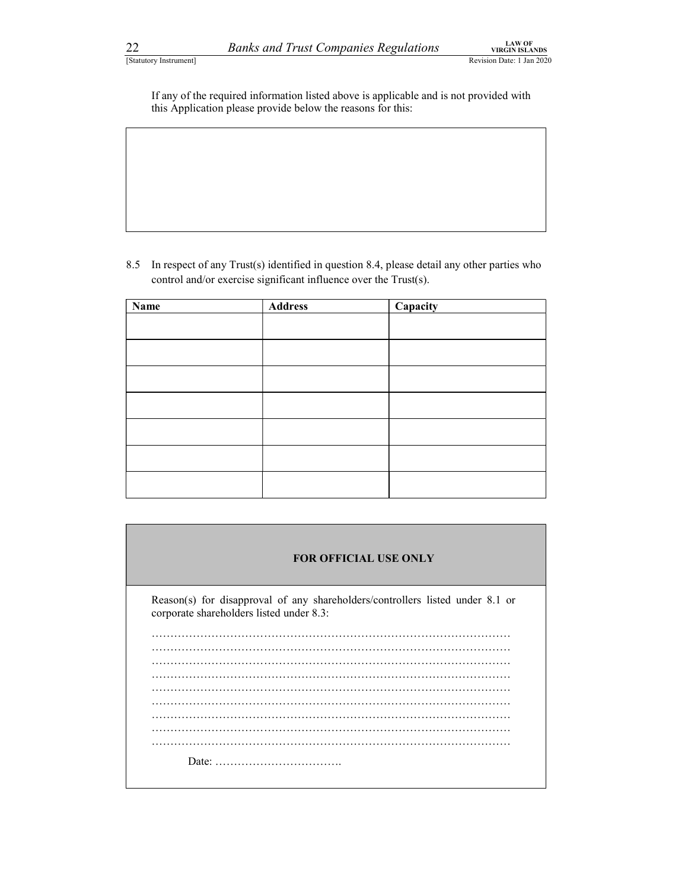22 Banks and Trust Companies Regulations<br>
Statutory Instrument]<br>
If any of the required information listed above is applicable and is not provided with<br>
this Application please provide below the reasons for this: If any of the required information listed above is applicable and is not provided with this Application please provide below the reasons for this:

| 22                     | <b>Banks and Trust Companies Regulations</b>                                                                                                          |          | <b>LAW OF</b><br><b>VIRGIN ISLANDS</b> |  |
|------------------------|-------------------------------------------------------------------------------------------------------------------------------------------------------|----------|----------------------------------------|--|
| [Statutory Instrument] |                                                                                                                                                       |          | Revision Date: 1 Jan 2020              |  |
|                        | If any of the required information listed above is applicable and is not provided with<br>this Application please provide below the reasons for this: |          |                                        |  |
|                        |                                                                                                                                                       |          |                                        |  |
|                        |                                                                                                                                                       |          |                                        |  |
|                        |                                                                                                                                                       |          |                                        |  |
|                        |                                                                                                                                                       |          |                                        |  |
|                        |                                                                                                                                                       |          |                                        |  |
|                        |                                                                                                                                                       |          |                                        |  |
|                        | In respect of any Trust(s) identified in question 8.4, please detail any other parties who                                                            |          |                                        |  |
| 8.5                    | control and/or exercise significant influence over the Trust(s).                                                                                      |          |                                        |  |
| Name                   | <b>Address</b>                                                                                                                                        | Capacity |                                        |  |
|                        |                                                                                                                                                       |          |                                        |  |
|                        |                                                                                                                                                       |          |                                        |  |
|                        |                                                                                                                                                       |          |                                        |  |
|                        |                                                                                                                                                       |          |                                        |  |
|                        |                                                                                                                                                       |          |                                        |  |
|                        |                                                                                                                                                       |          |                                        |  |
|                        |                                                                                                                                                       |          |                                        |  |
|                        |                                                                                                                                                       |          |                                        |  |

| <b>FOR OFFICIAL USE ONLY</b>                                                                                              |
|---------------------------------------------------------------------------------------------------------------------------|
| Reason(s) for disapproval of any shareholders/controllers listed under 8.1 or<br>corporate shareholders listed under 8.3: |
|                                                                                                                           |
|                                                                                                                           |
|                                                                                                                           |
|                                                                                                                           |
|                                                                                                                           |
|                                                                                                                           |
|                                                                                                                           |
|                                                                                                                           |
|                                                                                                                           |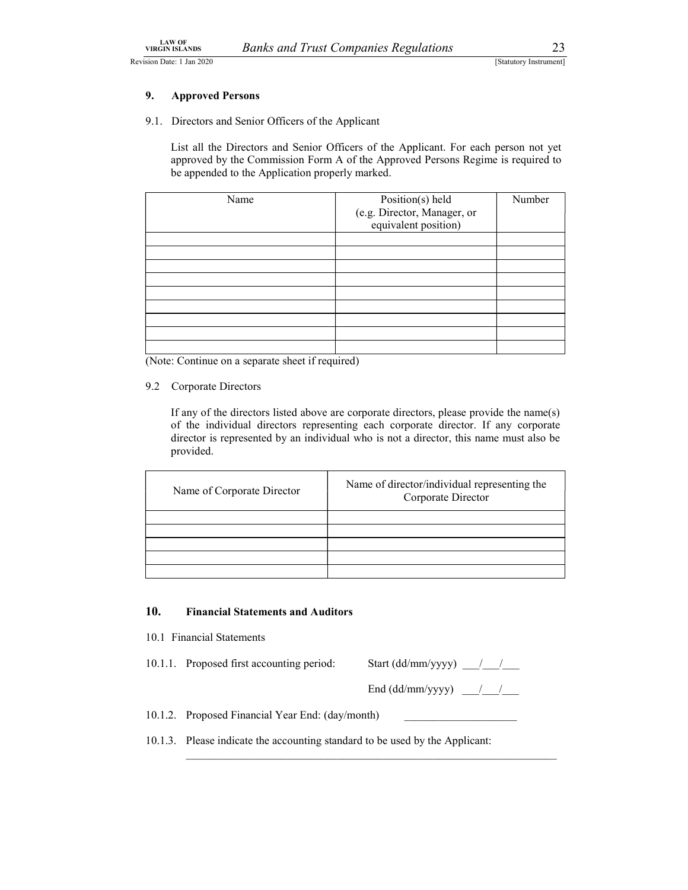### 9. Approved Persons

|    | <b>LAW OF</b><br><b>VIRGIN ISLANDS</b>              | <b>Banks and Trust Companies Regulations</b>                                         | 23                     |
|----|-----------------------------------------------------|--------------------------------------------------------------------------------------|------------------------|
|    | ision Date: 1 Jan 2020                              |                                                                                      | [Statutory Instrument] |
| 9. | <b>Approved Persons</b>                             |                                                                                      |                        |
|    | 9.1. Directors and Senior Officers of the Applicant |                                                                                      |                        |
|    |                                                     | List all the Directors and Senior Officers of the Applicant. For each person not yet |                        |
|    | be appended to the Application properly marked.     | approved by the Commission Form A of the Approved Persons Regime is required to      |                        |
|    | Name                                                | Position(s) held<br>(e.g. Director, Manager, or<br>equivalent position)              | Number                 |
|    |                                                     |                                                                                      |                        |
|    |                                                     |                                                                                      |                        |
|    |                                                     |                                                                                      |                        |
|    |                                                     |                                                                                      |                        |
|    |                                                     |                                                                                      |                        |

(Note: Continue on a separate sheet if required)

### 9.2 Corporate Directors

If any of the directors listed above are corporate directors, please provide the name(s) of the individual directors representing each corporate director. If any corporate director is represented by an individual who is not a director, this name must also be provided.

| Name of Corporate Director | Name of director/individual representing the<br>Corporate Director |  |
|----------------------------|--------------------------------------------------------------------|--|
|                            |                                                                    |  |
|                            |                                                                    |  |
|                            |                                                                    |  |

### 10. Financial Statements and Auditors

10.1 Financial Statements

10.1.1. Proposed first accounting period: Start (dd/mm/yyyy) \_\_\_/\_\_\_/

End (dd/mm/yyyy)  $\frac{1}{\sqrt{2}}$ 

10.1.2. Proposed Financial Year End: (day/month)

10.1.3. Please indicate the accounting standard to be used by the Applicant: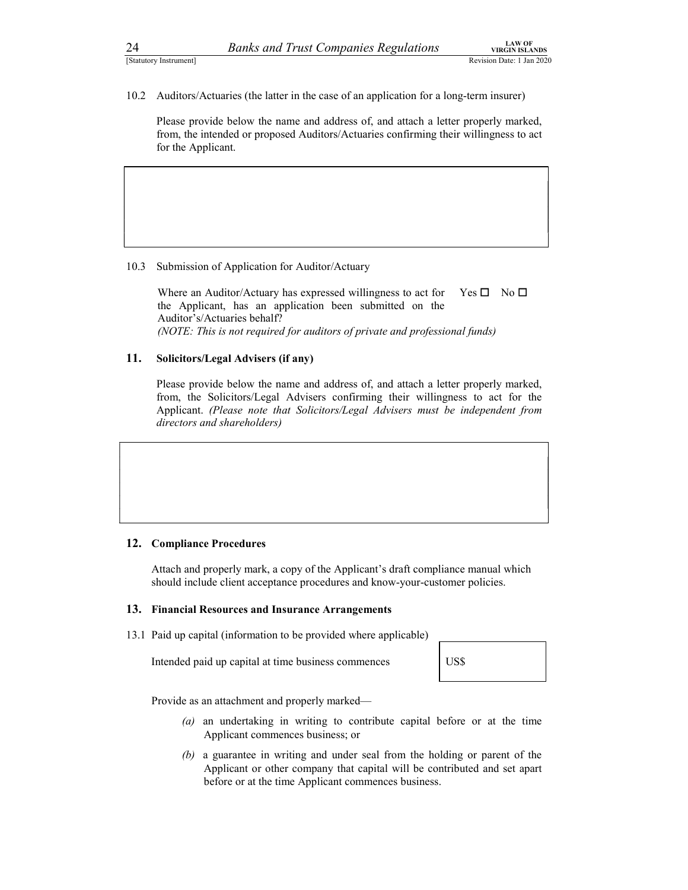24 Banks and Trust Companies Regulations<br>
Statutory Instrument]<br>
2020<br>
2020<br>
2020<br>
2020<br>
2020<br>
2020<br>
2020<br>
2020<br>
2020<br>
2020<br>
2020<br>
2020<br>
2020<br>
2020<br>
2020<br>
2020<br>
2020<br>
2020<br>
2020<br>
2020<br>
2020<br>
2020<br>
2020<br>
2020<br>
2020<br>
2020<br>
2

<sup>1</sup><br>
<sup>1</sup> Examples (Statutory Instrument)<br>
<sup>10.2</sup> Auditors/Actuaries (the latter in the case of an application for a long-term insurer)<br>
<sup>10.2</sup> Auditors/Actuaries (the latter in the case of an application for a long-term in Please provide below the name and address of, and attach a letter properly marked, from, the intended or proposed Auditors/Actuaries confirming their willingness to act for the Applicant.

10.3 Submission of Application for Auditor/Actuary

Where an Auditor/Actuary has expressed willingness to act for the Applicant, has an application been submitted on the Auditor's/Actuaries behalf?  $Yes \Box No \Box$ **EXAMPLE 18 EXAMPLE SET SET SET SET SET SET SET SET SERVIT SERVIT SERVIT SERVIT SERVIT SERVIT SERVIT SERVIT SERVIT SERVIT SERVIT SERVIT SERVIT SERVIT SERVIT SERVIT SERVIT SERVIT SERVIT SERVIT SERVIT SERVIT SERVIT SERVIT S** 

### 11. Solicitors/Legal Advisers (if any)

Please provide below the name and address of, and attach a letter properly marked, from, the Solicitors/Legal Advisers confirming their willingness to act for the Applicant. (Please note that Solicitors/Legal Advisers must be independent from directors and shareholders) Please provide below the name and address of, and attach a letter properly marked,<br>
from, the Solicitors/Legal Advisers confirming their willingness to act for the<br>
Applicant. (Please note that Solicitors/Legal Advisers mu

### 12. Compliance Procedures

Attach and properly mark, a copy of the Applicant's draft compliance manual which should include client acceptance procedures and know-your-customer policies.

### 13. Financial Resources and Insurance Arrangements

13.1 Paid up capital (information to be provided where applicable)

| US\$ |  |
|------|--|
|------|--|

Provide as an attachment and properly marked—

- (a) an undertaking in writing to contribute capital before or at the time Applicant commences business; or
- (b) a guarantee in writing and under seal from the holding or parent of the Applicant or other company that capital will be contributed and set apart before or at the time Applicant commences business.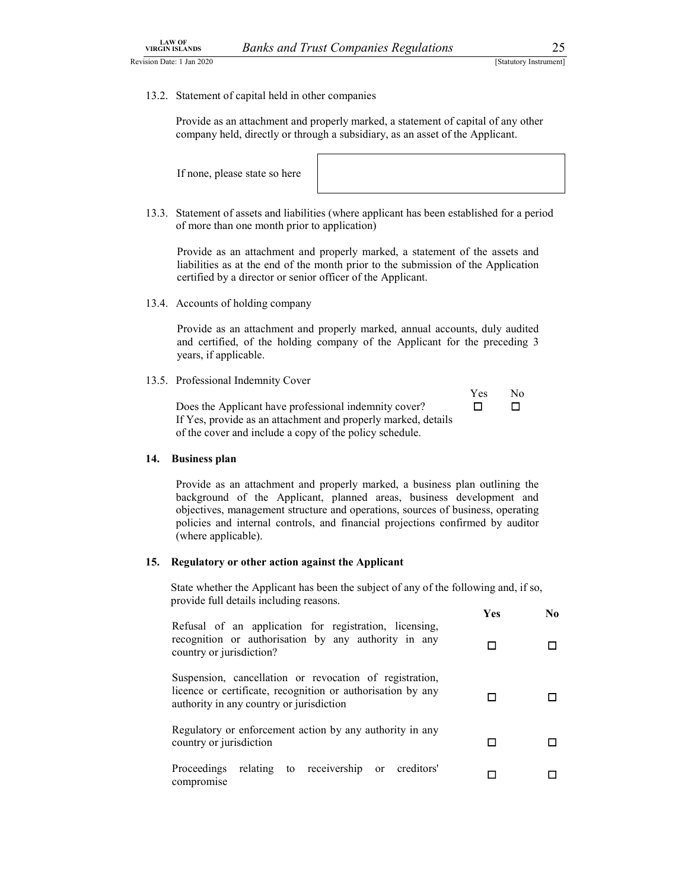LAW OF<br>
VIRGIN ISLANDS Banks and Trust Companies Regulations 25<br>
Statutory Instrument]<br>
13.2. Statement of capital held in other companies<br>
Provide as an attachment and properly marked a statement of capital of any other LAW OF<br>
13.2. Statement of capital held in other companies Regulations<br>
13.2. Statement of capital held in other companies<br>
Provide as an attachment and properly marked, a statement of capital of any other<br>
company held, d Provide as an attachment and properly marked, a statement of capital of any other company held, directly or through a subsidiary, as an asset of the Applicant.

If none, please state so here

13.3. Statement of assets and liabilities (where applicant has been established for a period of more than one month prior to application)

Provide as an attachment and properly marked, a statement of the assets and liabilities as at the end of the month prior to the submission of the Application certified by a director or senior officer of the Applicant. Yes No

13.4. Accounts of holding company

Provide as an attachment and properly marked, annual accounts, duly audited and certified, of the holding company of the Applicant for the preceding 3 years, if applicable.

13.5. Professional Indemnity Cover

|                                                               | <b>Yes</b> | No. |  |
|---------------------------------------------------------------|------------|-----|--|
| Does the Applicant have professional indemnity cover?         |            |     |  |
| If Yes, provide as an attachment and properly marked, details |            |     |  |
| of the cover and include a copy of the policy schedule.       |            |     |  |

### 14. Business plan

Provide as an attachment and properly marked, a business plan outlining the background of the Applicant, planned areas, business development and objectives, management structure and operations, sources of business, operating policies and internal controls, and financial projections confirmed by auditor (where applicable).

### 15. Regulatory or other action against the Applicant

State whether the Applicant has been the subject of any of the following and, if so, provide full details including reasons.

|                                                                                                                                                                    | <b>Yes</b> | No. |  |
|--------------------------------------------------------------------------------------------------------------------------------------------------------------------|------------|-----|--|
| Refusal of an application for registration, licensing,<br>recognition or authorisation by any authority in any<br>country or jurisdiction?                         | □          | □   |  |
| Suspension, cancellation or revocation of registration,<br>licence or certificate, recognition or authorisation by any<br>authority in any country or jurisdiction | □          |     |  |
| Regulatory or enforcement action by any authority in any<br>country or jurisdiction                                                                                | П          | □   |  |
| Proceedings relating to receivership or<br>creditors'<br>compromise                                                                                                | □          | □   |  |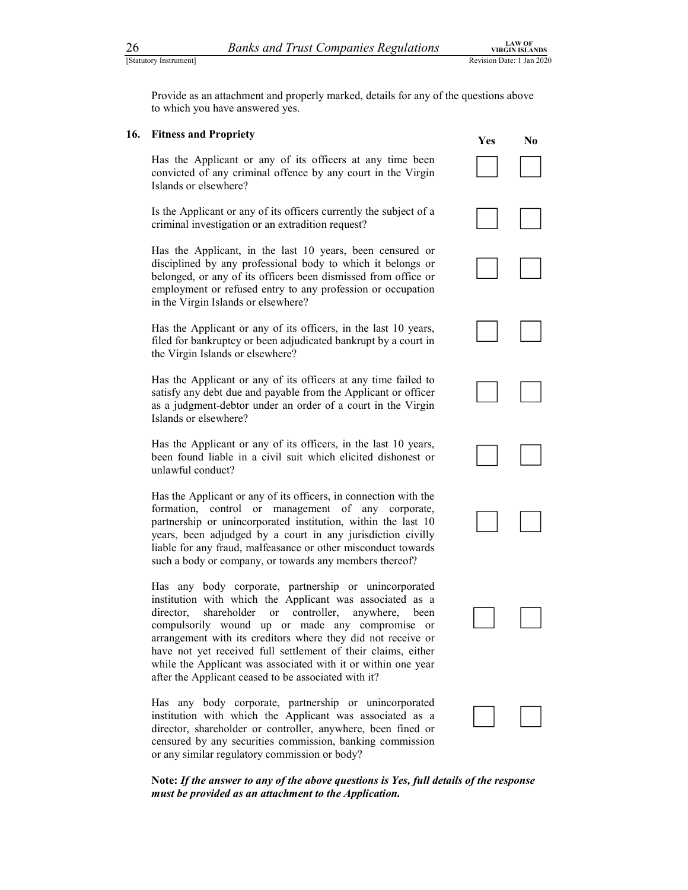26 Banks and Trust Companies Regulations<br>
Statutory Instrument]<br>
Provide as an attachment and properly marked, details for any of the questions above<br>
to which you have answered yes. Provide as an attachment and properly marked, details for any of the questions above to which you have answered yes.

26<br>
<u>Banks and Trust Companies Regulations</u><br>
Shandow Instanton<br>
Revision Date: 1 Jan 2020<br>
Provide as an attachment and properly marked, details for any of the questions above<br>
to which you have answered yes.<br> **16.** Fitne Has the Applicant or any of its officers at any time been convicted of any criminal offence by any court in the Virgin Islands or elsewhere? Has the Applicant or any of its officers at any time been<br>convicted of any criminal offence by any court in the Virgin<br>Islands or elsewhere?<br>Is the Applicant or any of its officers currently the subject of a

criminal investigation or an extradition request?

Has the Applicant, in the last 10 years, been censured or disciplined by any professional body to which it belongs or belonged, or any of its officers been dismissed from office or employment or refused entry to any profession or occupation in the Virgin Islands or elsewhere?

Has the Applicant or any of its officers, in the last 10 years, filed for bankruptcy or been adjudicated bankrupt by a court in the Virgin Islands or elsewhere? Has the Applicant or any of its officers, in the last 10 years,<br>
filed for bankruptcy or been adjudicated bankrupt by a court in<br>
the Virgin Islands or elsewhere?<br>
Has the Applicant or any of its officers at any time fail

satisfy any debt due and payable from the Applicant or officer as a judgment-debtor under an order of a court in the Virgin Islands or elsewhere? Has the Applicant or any of its officers at any time failed to<br>satisfy any debt due and payable from the Applicant or officer<br>as a judgment-debtor under an order of a court in the Virgin<br>Islands or elsewhere?<br>Has the Appli

been found liable in a civil suit which elicited dishonest or unlawful conduct?

Has the Applicant or any of its officers, in connection with the formation, control or management of any corporate, partnership or unincorporated institution, within the last 10 years, been adjudged by a court in any jurisdiction civilly liable for any fraud, malfeasance or other misconduct towards such a body or company, or towards any members thereof? Has the Applicant or any of its officers, in connection with the<br>formation, control or management of any corporate,<br>partnership or unincorporated institution, within the last 10<br>years, been adjudged by a court in any juris

institution with which the Applicant was associated as a director, shareholder or controller, anywhere, been compulsorily wound up or made any compromise or arrangement with its creditors where they did not receive or have not yet received full settlement of their claims, either while the Applicant was associated with it or within one year after the Applicant ceased to be associated with it? Has any body corporate, partnership or unincorporated<br>institution with which the Applicant was associated as a<br>director, shareholder or controller, anywhere, been<br>compulsorily wound up or made any compromise or<br>arrangement

institution with which the Applicant was associated as a director, shareholder or controller, anywhere, been fined or censured by any securities commission, banking commission or any similar regulatory commission or body?



Note: If the answer to any of the above questions is Yes, full details of the response must be provided as an attachment to the Application.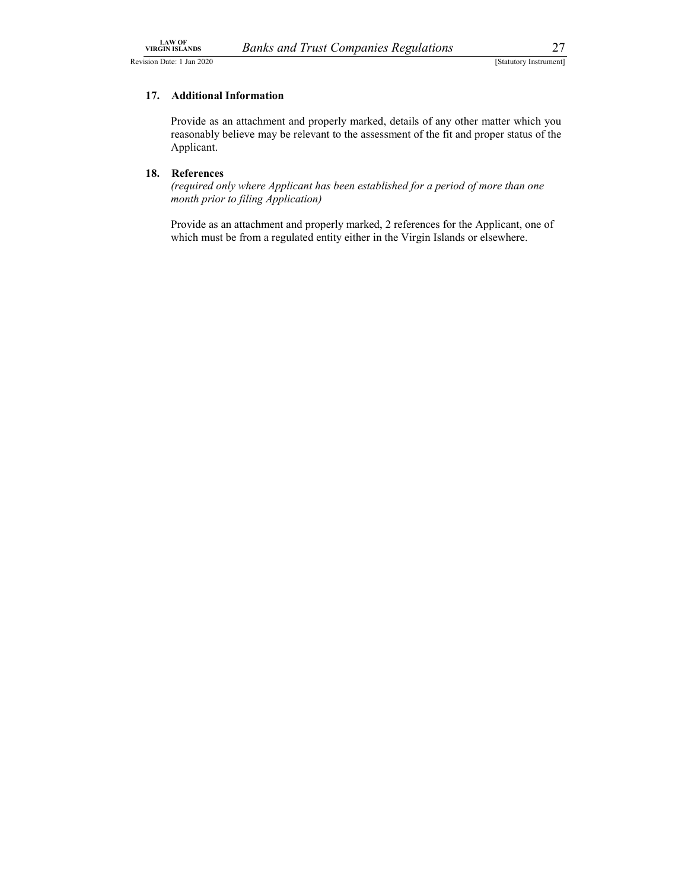### 17. Additional Information

LAW OF<br>
VIRGIN ISLANDS Banks and Trust Companies Regulations 27<br>
Statutory Instrument]<br>
17. Additional Information<br>
Provide as an attachment and properly marked details of any other matter which you Provide as an attachment and properly marked, details of any other matter which you reasonably believe may be relevant to the assessment of the fit and proper status of the Applicant.

### 18. References

(required only where Applicant has been established for a period of more than one month prior to filing Application)

Provide as an attachment and properly marked, 2 references for the Applicant, one of which must be from a regulated entity either in the Virgin Islands or elsewhere.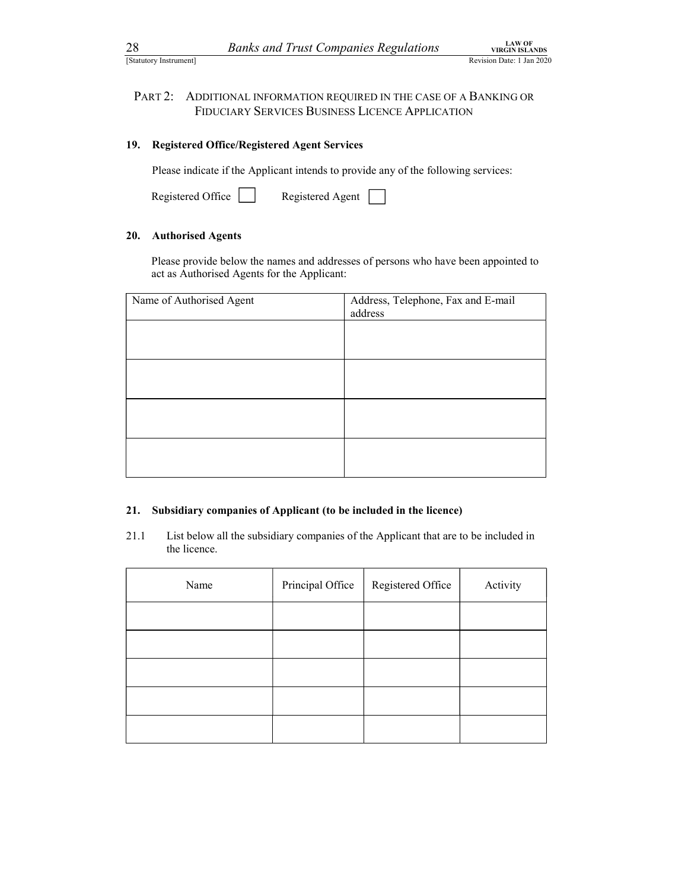28 Banks and Trust Companies Regulations<br>
<sup>LAW OF</sup><br>
<sup>LAW OF</sup><br>
PART 2: ADDITIONAL INFORMATION REQUIRED IN THE CASE OF A BANKING OR<br>
FIDUCIARY SERVICES BUSINESS LICENCE APPLICATION Banks and Trust Companies Regulations<br>
Revision Date: 1 Jan 2020<br>
PART 2: ADDITIONAL INFORMATION REQUIRED IN THE CASE OF A BANKING OR<br>
FIDUCIARY SERVICES BUSINESS LICENCE APPLICATION<br>
9. Registered Office/Registered Agent FIDUCIARY SERVICES BUSINESS LICENCE APPLICATION

### 19. Registered Office/Registered Agent Services

| Registered Office | Registered Agent |  |
|-------------------|------------------|--|

### 20. Authorised Agents

| 28  | <b>Banks and Trust Companies Regulations</b><br>[Statutory Instrument]                                                                |                                               | <b>LAW OF</b><br><b>VIRGIN ISLANDS</b><br>Revision Date: 1 Jan 2020 |
|-----|---------------------------------------------------------------------------------------------------------------------------------------|-----------------------------------------------|---------------------------------------------------------------------|
|     |                                                                                                                                       |                                               |                                                                     |
|     | PART <sub>2</sub> :<br>ADDITIONAL INFORMATION REQUIRED IN THE CASE OF A BANKING OR<br>FIDUCIARY SERVICES BUSINESS LICENCE APPLICATION |                                               |                                                                     |
| 19. | <b>Registered Office/Registered Agent Services</b>                                                                                    |                                               |                                                                     |
|     | Please indicate if the Applicant intends to provide any of the following services:                                                    |                                               |                                                                     |
|     | Registered Office<br>Registered Agent                                                                                                 |                                               |                                                                     |
| 20. | <b>Authorised Agents</b>                                                                                                              |                                               |                                                                     |
|     | Please provide below the names and addresses of persons who have been appointed to<br>act as Authorised Agents for the Applicant:     |                                               |                                                                     |
|     | Name of Authorised Agent                                                                                                              | Address, Telephone, Fax and E-mail<br>address |                                                                     |
|     |                                                                                                                                       |                                               |                                                                     |
|     |                                                                                                                                       |                                               |                                                                     |
|     |                                                                                                                                       |                                               |                                                                     |
|     |                                                                                                                                       |                                               |                                                                     |
|     |                                                                                                                                       |                                               |                                                                     |
|     |                                                                                                                                       |                                               |                                                                     |
|     |                                                                                                                                       |                                               |                                                                     |

### 21. Subsidiary companies of Applicant (to be included in the licence)

21.1 List below all the subsidiary companies of the Applicant that are to be included in the licence.

| Name | Principal Office | Registered Office | Activity |
|------|------------------|-------------------|----------|
|      |                  |                   |          |
|      |                  |                   |          |
|      |                  |                   |          |
|      |                  |                   |          |
|      |                  |                   |          |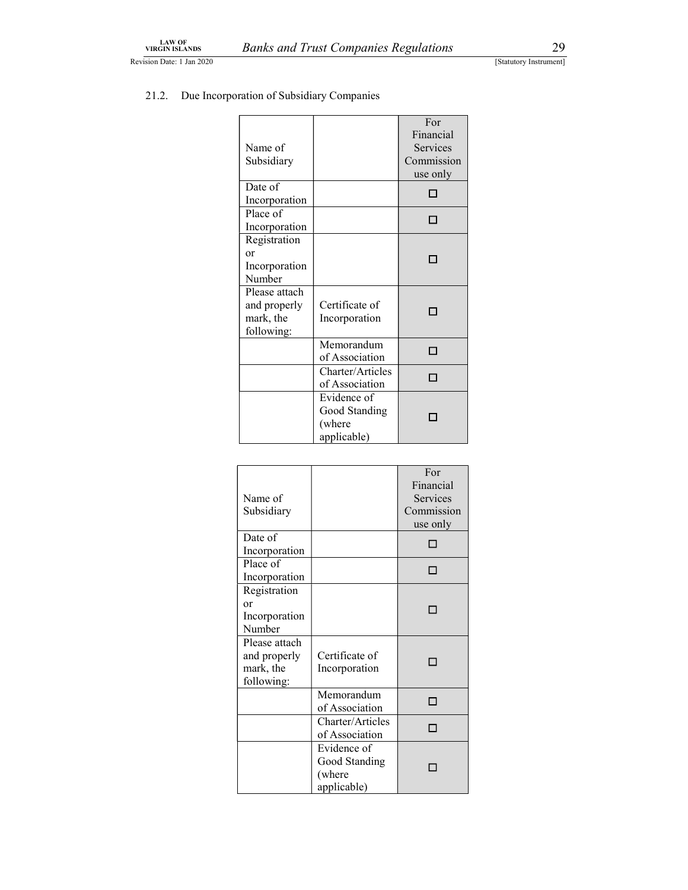| <b>LAW OF</b> | VIRGIN ISLANDS        |                                                          | <b>Banks and Trust Companies Regulations</b>          |                                                 | 29                     |
|---------------|-----------------------|----------------------------------------------------------|-------------------------------------------------------|-------------------------------------------------|------------------------|
|               | sion Date: 1 Jan 2020 |                                                          |                                                       |                                                 | [Statutory Instrument] |
| 21.2.         |                       | Due Incorporation of Subsidiary Companies                |                                                       | For                                             |                        |
|               |                       | Name of<br>Subsidiary                                    |                                                       | Financial<br>Services<br>Commission<br>use only |                        |
|               |                       | Date of<br>Incorporation                                 |                                                       | $\Box$                                          |                        |
|               |                       | Place of<br>Incorporation                                |                                                       | $\Box$                                          |                        |
|               |                       | Registration<br>or<br>Incorporation<br>Number            |                                                       | □                                               |                        |
|               |                       | Please attach<br>and properly<br>mark, the<br>following: | Certificate of<br>Incorporation                       | □                                               |                        |
|               |                       |                                                          | Memorandum<br>of Association                          | $\Box$                                          |                        |
|               |                       |                                                          | Charter/Articles<br>of Association                    | $\Box$                                          |                        |
|               |                       |                                                          | Evidence of<br>Good Standing<br>(where<br>applicable) | $\Box$                                          |                        |

# LAW OF<br>
EXECUTE ISLANDS BANKS and Trust Companies Regulations 29<br>
Statutory Instrument<br>
21.2. Due Incorporation of Subsidiary Companies

|                         |                  | For<br>Financial |
|-------------------------|------------------|------------------|
| Name of                 |                  | Services         |
| Subsidiary              |                  | Commission       |
|                         |                  | use only         |
| Date of                 |                  | П                |
| Incorporation           |                  |                  |
| Place of                |                  | П                |
| Incorporation           |                  |                  |
| Registration            |                  |                  |
| or                      |                  | П                |
| Incorporation           |                  |                  |
| Number                  |                  |                  |
| Please attach           |                  |                  |
| and properly            | Certificate of   |                  |
| mark, the<br>following: | Incorporation    |                  |
|                         | Memorandum       |                  |
|                         | of Association   | п                |
|                         | Charter/Articles | п                |
|                         | of Association   |                  |
|                         | Evidence of      |                  |
|                         | Good Standing    |                  |
|                         | (where           |                  |
|                         | applicable)      |                  |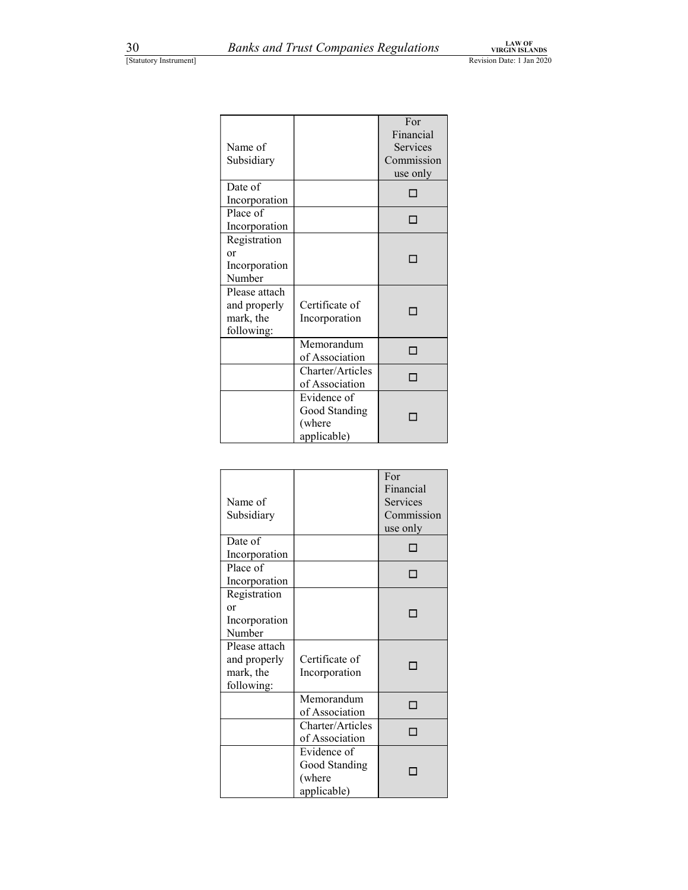| Name of<br>Subsidiary                                    |                                                       | For<br>Financial<br>Services<br>Commission<br>use only |
|----------------------------------------------------------|-------------------------------------------------------|--------------------------------------------------------|
| Date of<br>Incorporation                                 |                                                       | П                                                      |
| Place of<br>Incorporation                                |                                                       | П                                                      |
| Registration<br><sub>or</sub><br>Incorporation<br>Number |                                                       | □                                                      |
| Please attach<br>and properly<br>mark, the<br>following: | Certificate of<br>Incorporation                       |                                                        |
|                                                          | Memorandum<br>of Association                          | п                                                      |
|                                                          | Charter/Articles<br>of Association                    | п                                                      |
|                                                          | Evidence of<br>Good Standing<br>(where<br>applicable) |                                                        |

| Name of<br>Subsidiary                                    |                                                       | For<br>Financial<br>Services<br>Commission<br>use only |
|----------------------------------------------------------|-------------------------------------------------------|--------------------------------------------------------|
| Date of<br>Incorporation                                 |                                                       |                                                        |
| Place of<br>Incorporation                                |                                                       |                                                        |
| Registration<br>or<br>Incorporation<br>Number            |                                                       |                                                        |
| Please attach<br>and properly<br>mark, the<br>following: | Certificate of<br>Incorporation                       |                                                        |
|                                                          | Memorandum<br>of Association                          |                                                        |
|                                                          | Charter/Articles<br>of Association                    |                                                        |
|                                                          | Evidence of<br>Good Standing<br>(where<br>applicable) |                                                        |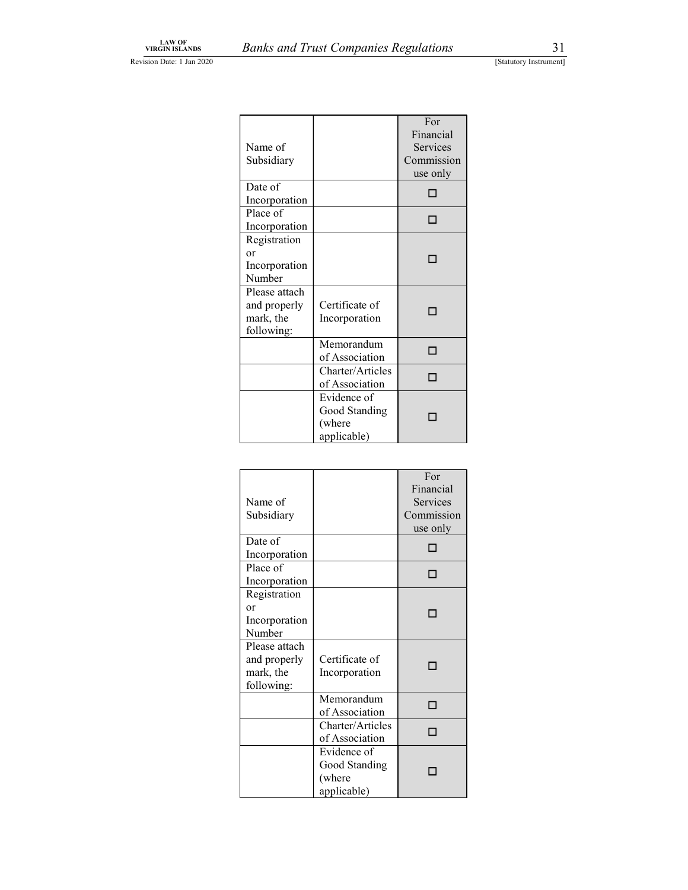| Name of<br>Subsidiary                                    |                                                       | For<br>Financial<br>Services<br>Commission<br>use only |
|----------------------------------------------------------|-------------------------------------------------------|--------------------------------------------------------|
| Date of<br>Incorporation                                 |                                                       | □                                                      |
| Place of<br>Incorporation                                |                                                       | П                                                      |
| Registration<br>or<br>Incorporation<br>Number            |                                                       | П                                                      |
| Please attach<br>and properly<br>mark, the<br>following: | Certificate of<br>Incorporation                       |                                                        |
|                                                          | Memorandum<br>of Association                          | п                                                      |
|                                                          | Charter/Articles<br>of Association                    | п                                                      |
|                                                          | Evidence of<br>Good Standing<br>(where<br>applicable) |                                                        |

| Name of<br>Subsidiary                                    |                                                       | For<br>Financial<br>Services<br>Commission<br>use only |
|----------------------------------------------------------|-------------------------------------------------------|--------------------------------------------------------|
| Date of<br>Incorporation                                 |                                                       |                                                        |
| Place of<br>Incorporation                                |                                                       | п                                                      |
| Registration<br><b>or</b><br>Incorporation<br>Number     |                                                       |                                                        |
| Please attach<br>and properly<br>mark, the<br>following: | Certificate of<br>Incorporation                       |                                                        |
|                                                          | Memorandum<br>of Association                          | п                                                      |
|                                                          | Charter/Articles<br>of Association                    | п                                                      |
|                                                          | Evidence of<br>Good Standing<br>(where<br>applicable) |                                                        |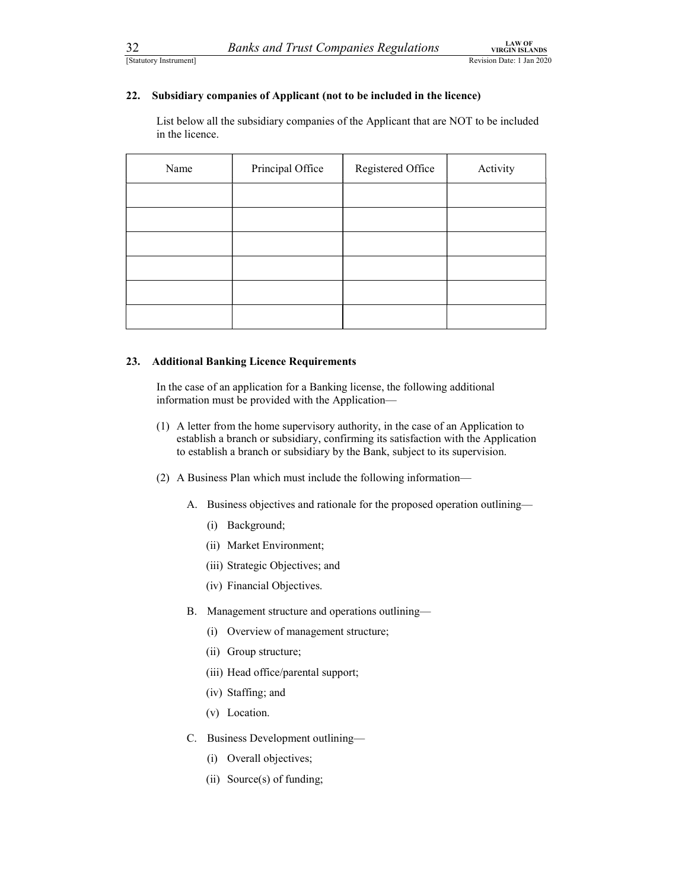# 32 Banks and Trust Companies Regulations<br>
Statutory Instrument]<br>
22. Subsidiary companies of Applicant (not to be included in the licence)<br>
1. Subsidiary companies of Applicant (not to be included in the licence)<br>
1. Is th 22. Subsidiary companies of Applicant (not to be included in the licence)

 List below all the subsidiary companies of the Applicant that are NOT to be included in the licence.

| Name | Principal Office | Registered Office | Activity |
|------|------------------|-------------------|----------|
|      |                  |                   |          |
|      |                  |                   |          |
|      |                  |                   |          |
|      |                  |                   |          |
|      |                  |                   |          |
|      |                  |                   |          |

### 23. Additional Banking Licence Requirements

 In the case of an application for a Banking license, the following additional information must be provided with the Application—

- (1) A letter from the home supervisory authority, in the case of an Application to establish a branch or subsidiary, confirming its satisfaction with the Application to establish a branch or subsidiary by the Bank, subject to its supervision.
- (2) A Business Plan which must include the following information—
	- A. Business objectives and rationale for the proposed operation outlining—
		- (i) Background;
		- (ii) Market Environment;
		- (iii) Strategic Objectives; and
		- (iv) Financial Objectives.
	- B. Management structure and operations outlining—
		- (i) Overview of management structure;
		- (ii) Group structure;
		- (iii) Head office/parental support;
		- (iv) Staffing; and
		- (v) Location.
	- C. Business Development outlining—
		- (i) Overall objectives;
		- (ii) Source(s) of funding;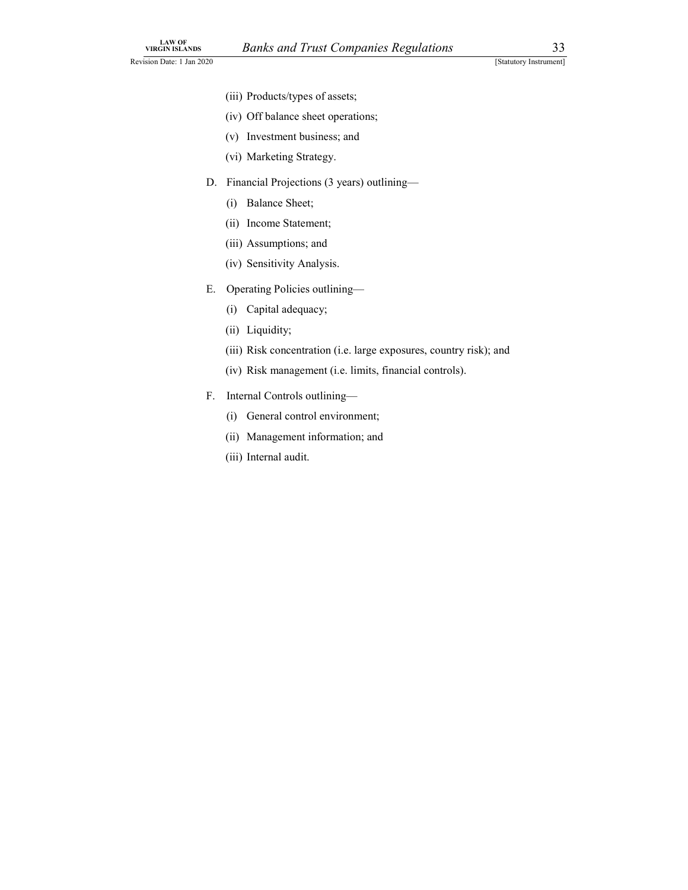- (iii) Products/types of assets;
- (iv) Off balance sheet operations;
- (v) Investment business; and
- (vi) Marketing Strategy.
- D. Financial Projections (3 years) outlining—
	- (i) Balance Sheet;
	- (ii) Income Statement;
	- (iii) Assumptions; and
	- (iv) Sensitivity Analysis.
- E. Operating Policies outlining—
	- (i) Capital adequacy;
	- (ii) Liquidity;
	- (iii) Risk concentration (i.e. large exposures, country risk); and
	- (iv) Risk management (i.e. limits, financial controls).
- F. Internal Controls outlining—
	- (i) General control environment;
	- (ii) Management information; and
	- (iii) Internal audit.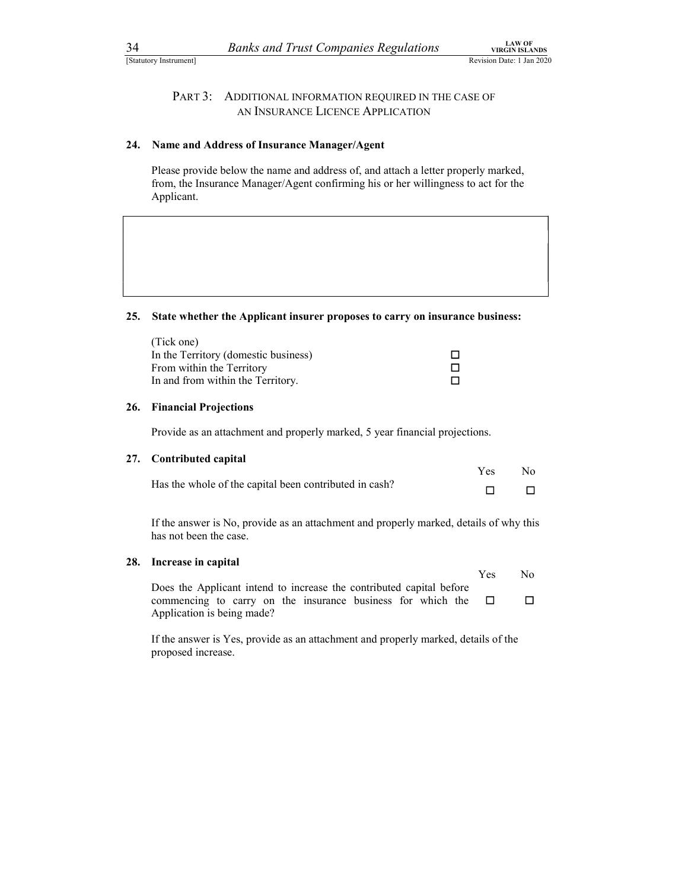## 34 Banks and Trust Companies Regulations<br>
Statutory Instrument]<br>
PART 3: ADDITIONAL INFORMATION REQUIRED IN THE CASE OF<br>
AN INSURANCE LICENCE APPLICATION Banks and Trust Companies Regulations<br>
TRGIN BLANDS<br>
PART 3: ADDITIONAL INFORMATION REQUIRED IN THE CASE OF<br>
AN INSURANCE LICENCE APPLICATION<br>
The and Address of Insurance Manager/Agent<br>
Se provide below the name and addre AN INSURANCE LICENCE APPLICATION

### 24. Name and Address of Insurance Manager/Agent

### 25. State whether the Applicant insurer proposes to carry on insurance business:

| Name and Address of Insurance Manager/Agent                                                                                                                                            |                  |                          |
|----------------------------------------------------------------------------------------------------------------------------------------------------------------------------------------|------------------|--------------------------|
| Please provide below the name and address of, and attach a letter properly marked,<br>from, the Insurance Manager/Agent confirming his or her willingness to act for the<br>Applicant. |                  |                          |
|                                                                                                                                                                                        |                  |                          |
| State whether the Applicant insurer proposes to carry on insurance business:                                                                                                           |                  |                          |
| (Tick one)<br>In the Territory (domestic business)<br>From within the Territory<br>In and from within the Territory.                                                                   | □<br>$\Box$<br>П |                          |
| <b>Financial Projections</b>                                                                                                                                                           |                  |                          |
| Provide as an attachment and properly marked, 5 year financial projections.                                                                                                            |                  |                          |
| <b>Contributed capital</b><br>Has the whole of the capital been contributed in cash?                                                                                                   | Yes<br>$\Box$    | N <sub>0</sub><br>$\Box$ |
|                                                                                                                                                                                        |                  |                          |

### 26. Financial Projections

### 27. Contributed capital

|                                                        | Yes | No. |
|--------------------------------------------------------|-----|-----|
| Has the whole of the capital been contributed in cash? |     |     |

Yes No If the answer is No, provide as an attachment and properly marked, details of why this has not been the case.

### 28. Increase in capital

|                                                                      | <b>Yes</b> | N٥ |
|----------------------------------------------------------------------|------------|----|
| Does the Applicant intend to increase the contributed capital before |            |    |
| commencing to carry on the insurance business for which the $\Box$   |            |    |
| Application is being made?                                           |            |    |

If the answer is Yes, provide as an attachment and properly marked, details of the proposed increase.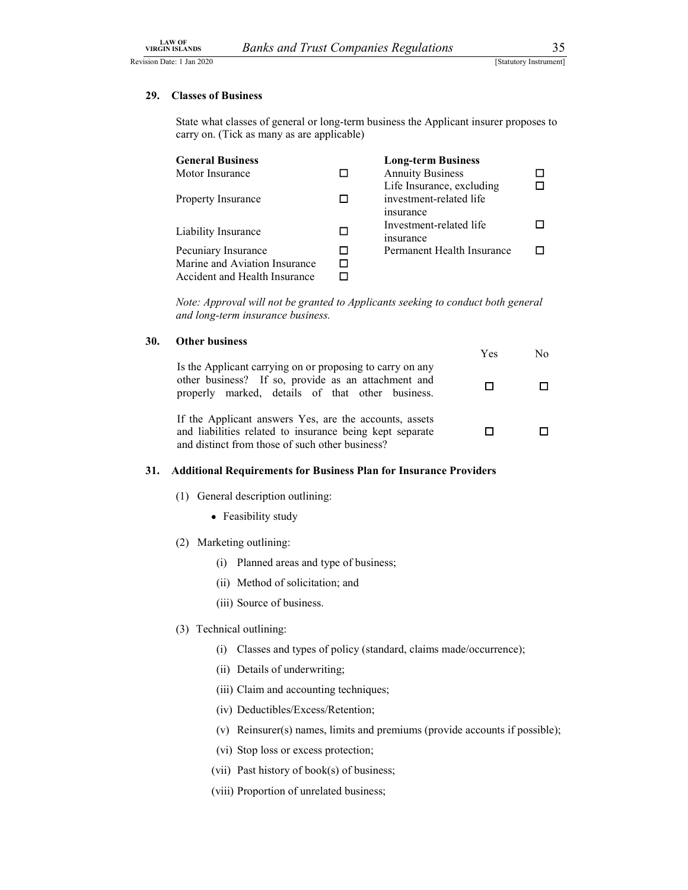### 29. Classes of Business

LAW OF<br>
VIRGIN ISLANDS Banks and Trust Companies Regulations 35<br>
Statutory Instrument]<br>
29. Classes of Business<br>
State what classes of general or long-term business the Applicant insurer proposes to State what classes of general or long-term business the Applicant insurer proposes to carry on. (Tick as many as are applicable)

| <b>General Business</b>       | <b>Long-term Business</b>  |  |
|-------------------------------|----------------------------|--|
| Motor Insurance               | <b>Annuity Business</b>    |  |
|                               | Life Insurance, excluding  |  |
| <b>Property Insurance</b>     | investment-related life    |  |
|                               | <i>s</i> nsurance          |  |
|                               | Investment-related life    |  |
| Liability Insurance           | <i>s</i> nsurance          |  |
| Pecuniary Insurance           | Permanent Health Insurance |  |
| Marine and Aviation Insurance |                            |  |
| Accident and Health Insurance |                            |  |

Note: Approval will not be granted to Applicants seeking to conduct both general and long-term insurance business.

### 30. Other business

|                                                                                                                                                                       | Yes | No |  |
|-----------------------------------------------------------------------------------------------------------------------------------------------------------------------|-----|----|--|
| Is the Applicant carrying on or proposing to carry on any<br>other business? If so, provide as an attachment and<br>properly marked, details of that other business.  |     |    |  |
| If the Applicant answers Yes, are the accounts, assets<br>and liabilities related to insurance being kept separate<br>and distinct from those of such other business? |     |    |  |

### 31. Additional Requirements for Business Plan for Insurance Providers

- (1) General description outlining:
	- Feasibility study
- (2) Marketing outlining:
	- (i) Planned areas and type of business;
	- (ii) Method of solicitation; and
	- (iii) Source of business.

### (3) Technical outlining:

- (i) Classes and types of policy (standard, claims made/occurrence);
- (ii) Details of underwriting;
- (iii) Claim and accounting techniques;
- (iv) Deductibles/Excess/Retention;
- (v) Reinsurer(s) names, limits and premiums (provide accounts if possible);
- (vi) Stop loss or excess protection;
- (vii) Past history of book(s) of business;
- (viii) Proportion of unrelated business;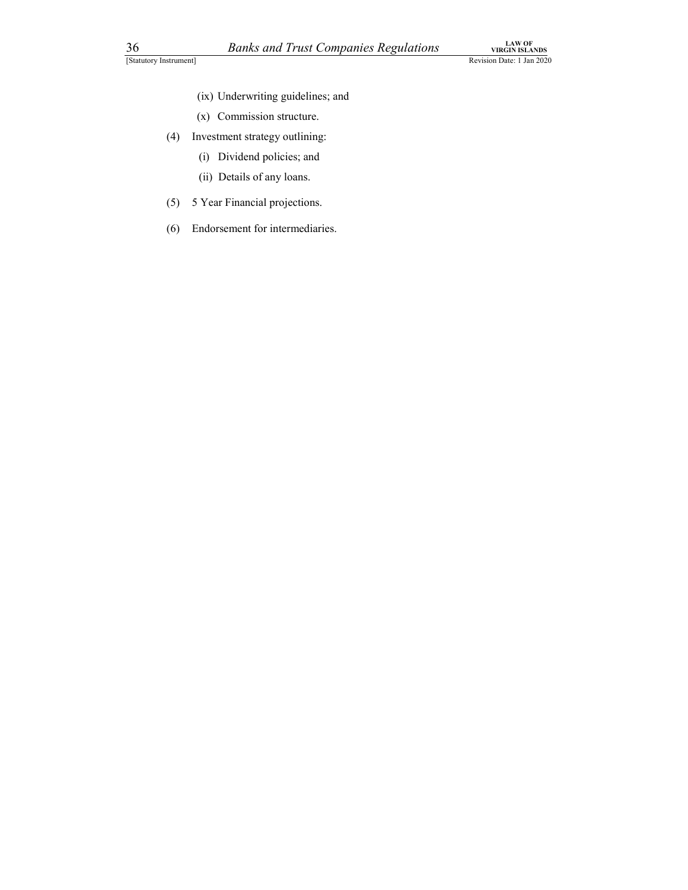- (ix) Underwriting guidelines; and
- (x) Commission structure.
- (4) Investment strategy outlining:
	- (i) Dividend policies; and
	- (ii) Details of any loans.
- (5) 5 Year Financial projections.
- (6) Endorsement for intermediaries.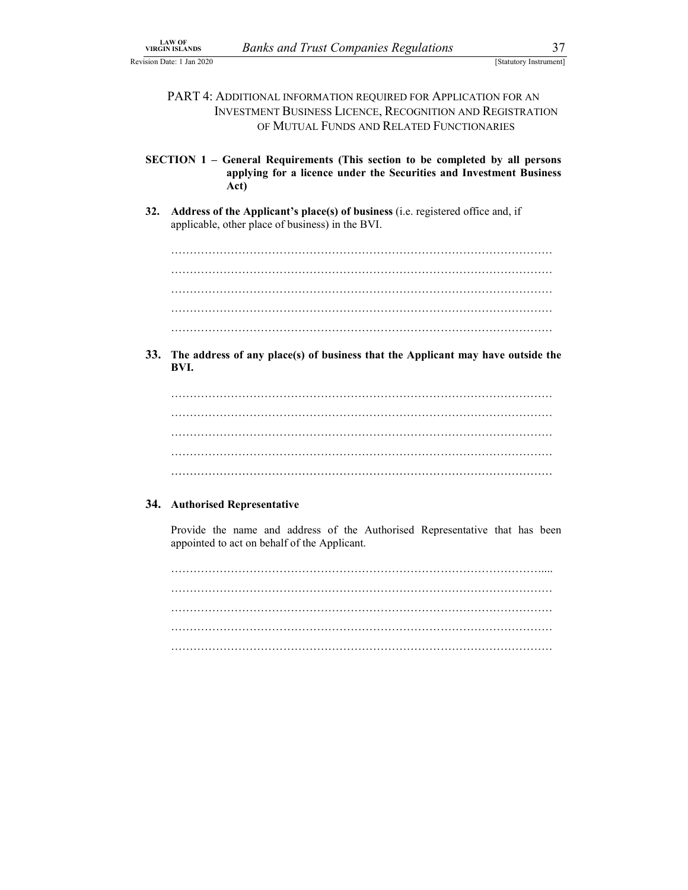LAW OF BANKS AND TRISTANDS BANKS AND TRISTANDS SIGN DATE: 1 Jan 2020<br>
Sign Date: 1 Jan 2020<br>
PART 4: ADDITIONAL INFORMATION REQUIRED FOR APPLICATION FOR AN<br>
INVESTMENT BUSINESS LICENCE, RECOGNITION AND REGISTRATION NETANDS BANKS and Trust Companies Regulations<br>
[Statutory Instrument]<br>
PART 4: ADDITIONAL INFORMATION REQUIRED FOR APPLICATION FOR AN<br>
INVESTMENT BUSINESS LICENCE, RECOGNITION AND REGISTRATION<br>
OF MUTUAL FUNDS AND RELATED Banks and Trust Companies Regulations<br>
[Statutory Instrument]<br>
ADDITIONAL INFORMATION REQUIRED FOR APPLICATION FOR AN<br>
INVESTMENT BUSINESS LICENCE, RECOGNITION AND REGISTRATION<br>
OF MUTUAL FUNDS AND RELATED FUNCTIONARIES<br>
-OF MUTUAL FUNDS AND RELATED FUNCTIONARIES

SECTION 1 – General Requirements (This section to be completed by all persons applying for a licence under the Securities and Investment Business Act)

32. Address of the Applicant's place(s) of business (i.e. registered office and, if

applicable, other place of business) in the BVI. ………………………………………………………………………………………… ………………………………………………………………………………………… ………………………………………………………………………………………… ………………………………………………………………………………………… …………………………………………………………………………………………

33. The address of any place(s) of business that the Applicant may have outside the BVI.

………………………………………………………………………………………… ………………………………………………………………………………………… ………………………………………………………………………………………… ………………………………………………………………………………………… …………………………………………………………………………………………

### 34. Authorised Representative

Provide the name and address of the Authorised Representative that has been

appointed to act on behalf of the Applicant. ……………………………………………………………………………………….... ………………………………………………………………………………………… ………………………………………………………………………………………… ………………………………………………………………………………………… …………………………………………………………………………………………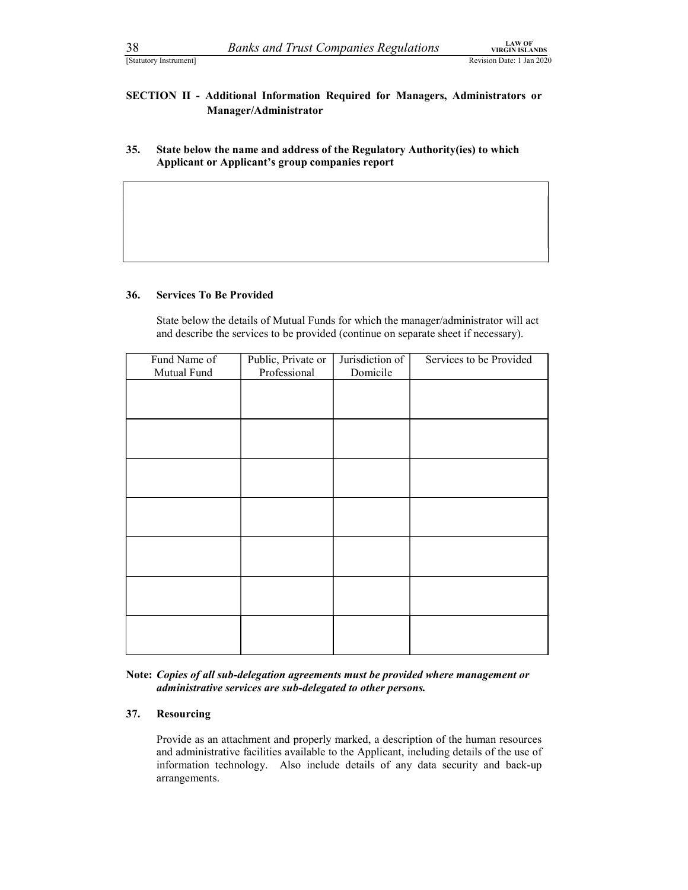38 Banks and Trust Companies Regulations<br>
Statutory Instrument]<br>
SECTION II - Additional Information Required for Managers, Administrators or<br>
Manager/Administrator SECTION II - Additional Information Required for Managers, Administrators or Manager/Administrator

35. State below the name and address of the Regulatory Authority(ies) to which Applicant or Applicant's group companies report

### 36. Services To Be Provided

State below the details of Mutual Funds for which the manager/administrator will act and describe the services to be provided (continue on separate sheet if necessary).

| Fund Name of | Public, Private or | Jurisdiction of | Services to be Provided |
|--------------|--------------------|-----------------|-------------------------|
| Mutual Fund  | Professional       | Domicile        |                         |
|              |                    |                 |                         |
|              |                    |                 |                         |
|              |                    |                 |                         |
|              |                    |                 |                         |
|              |                    |                 |                         |
|              |                    |                 |                         |
|              |                    |                 |                         |
|              |                    |                 |                         |
|              |                    |                 |                         |
|              |                    |                 |                         |
|              |                    |                 |                         |
|              |                    |                 |                         |
|              |                    |                 |                         |
|              |                    |                 |                         |
|              |                    |                 |                         |
|              |                    |                 |                         |
|              |                    |                 |                         |
|              |                    |                 |                         |
|              |                    |                 |                         |
|              |                    |                 |                         |

Note: Copies of all sub-delegation agreements must be provided where management or administrative services are sub-delegated to other persons.

### 37. Resourcing

Provide as an attachment and properly marked, a description of the human resources and administrative facilities available to the Applicant, including details of the use of information technology. Also include details of any data security and back-up arrangements.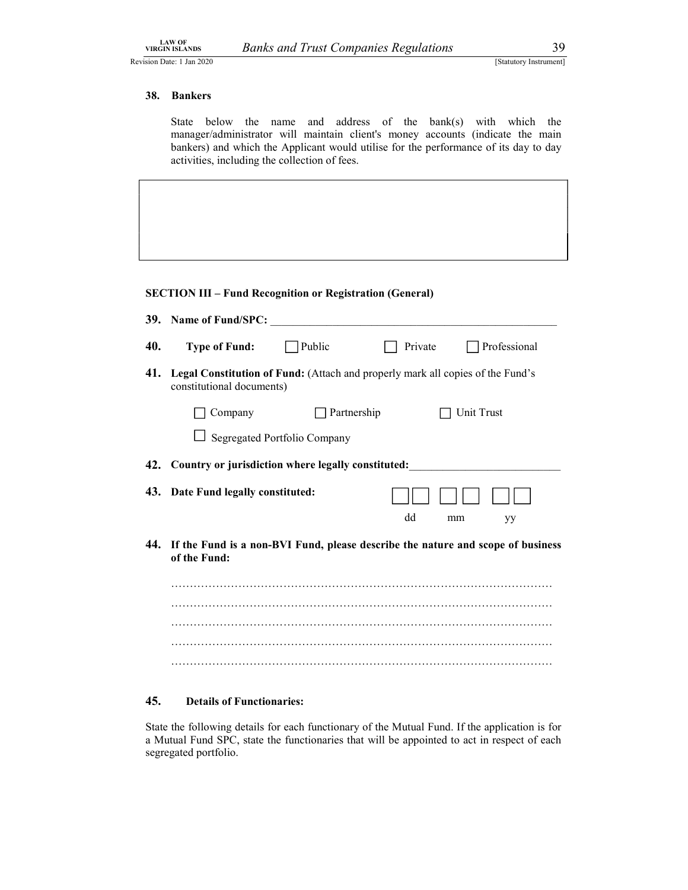### 38. Bankers

LAW OF<br>
URGIN ISLANDS Banks and Trust Companies Regulations 39<br>
Statutory Instrument]<br>
38. Bankers<br>
State below the name and address of the bank(s) with which the State below the name and address of the bank(s) with which the manager/administrator will maintain client's money accounts (indicate the main bankers) and which the Applicant would utilise for the performance of its day to day activities, including the collection of fees.

### SECTION III – Fund Recognition or Registration (General)

|     | 39. Name of Fund/SPC:                                                                                       |
|-----|-------------------------------------------------------------------------------------------------------------|
| 40. | Public<br>Professional<br><b>Type of Fund:</b><br>Private                                                   |
| 41. | Legal Constitution of Fund: (Attach and properly mark all copies of the Fund's<br>constitutional documents) |
|     | Partnership<br>Unit Trust<br>Company                                                                        |
|     | Segregated Portfolio Company                                                                                |
|     | 42. Country or jurisdiction where legally constituted:                                                      |
|     | 43. Date Fund legally constituted:<br>dd<br>mm<br>yy                                                        |
|     | 44. If the Fund is a non-BVI Fund, please describe the nature and scope of business<br>of the Fund:         |
|     |                                                                                                             |
|     |                                                                                                             |
|     |                                                                                                             |
|     |                                                                                                             |
|     |                                                                                                             |

### 45. Details of Functionaries:

State the following details for each functionary of the Mutual Fund. If the application is for a Mutual Fund SPC, state the functionaries that will be appointed to act in respect of each segregated portfolio.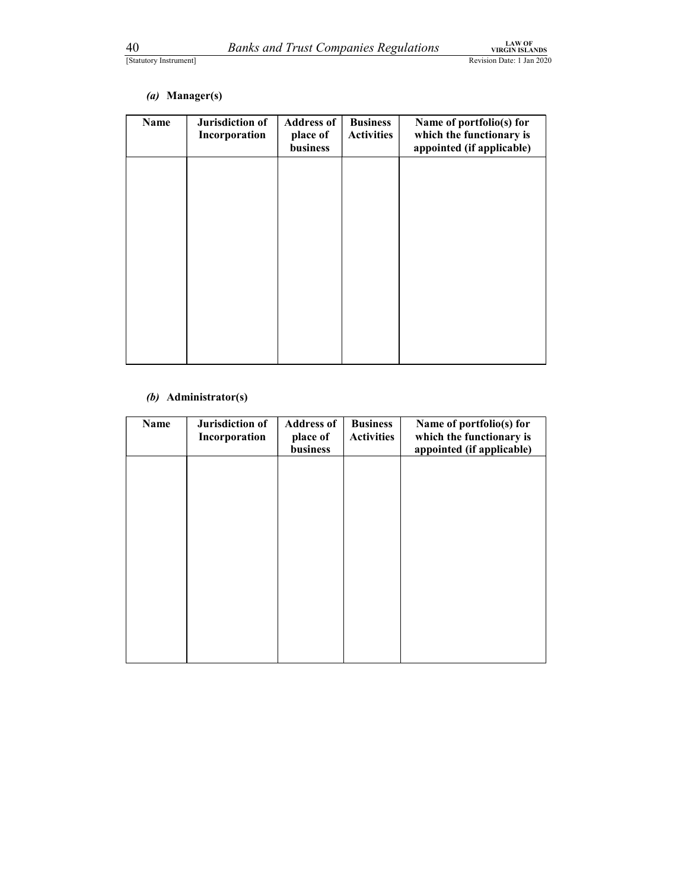| 40<br>[Statutory Instrument] |                                  | <b>Banks and Trust Companies Regulations</b> |                                      | <b>LAW OF</b><br><b>VIRGIN ISLANDS</b><br>Revision Date: 1 Jan 2020               |
|------------------------------|----------------------------------|----------------------------------------------|--------------------------------------|-----------------------------------------------------------------------------------|
| (a)                          | Manager(s)                       |                                              |                                      |                                                                                   |
| Name                         | Jurisdiction of<br>Incorporation | <b>Address of</b><br>place of<br>business    | <b>Business</b><br><b>Activities</b> | Name of portfolio(s) for<br>which the functionary is<br>appointed (if applicable) |
|                              |                                  |                                              |                                      |                                                                                   |
|                              |                                  |                                              |                                      |                                                                                   |
|                              |                                  |                                              |                                      |                                                                                   |
|                              |                                  |                                              |                                      |                                                                                   |
|                              |                                  |                                              |                                      |                                                                                   |
|                              |                                  |                                              |                                      |                                                                                   |
|                              | (b) Administrator(s)             |                                              |                                      |                                                                                   |
|                              |                                  |                                              |                                      |                                                                                   |
| Name                         | Jurisdiction of<br>Incorporation | <b>Address of</b><br>place of<br>business    | <b>Business</b><br><b>Activities</b> | Name of portfolio(s) for<br>which the functionary is<br>appointed (if applicable) |

### (b) Administrator(s)

| Name | Jurisdiction of<br>Incorporation | <b>Address of</b><br>place of<br>business | <b>Business</b><br><b>Activities</b> | Name of portfolio(s) for<br>which the functionary is<br>appointed (if applicable) |
|------|----------------------------------|-------------------------------------------|--------------------------------------|-----------------------------------------------------------------------------------|
|      |                                  |                                           |                                      |                                                                                   |
|      |                                  |                                           |                                      |                                                                                   |
|      |                                  |                                           |                                      |                                                                                   |
|      |                                  |                                           |                                      |                                                                                   |
|      |                                  |                                           |                                      |                                                                                   |
|      |                                  |                                           |                                      |                                                                                   |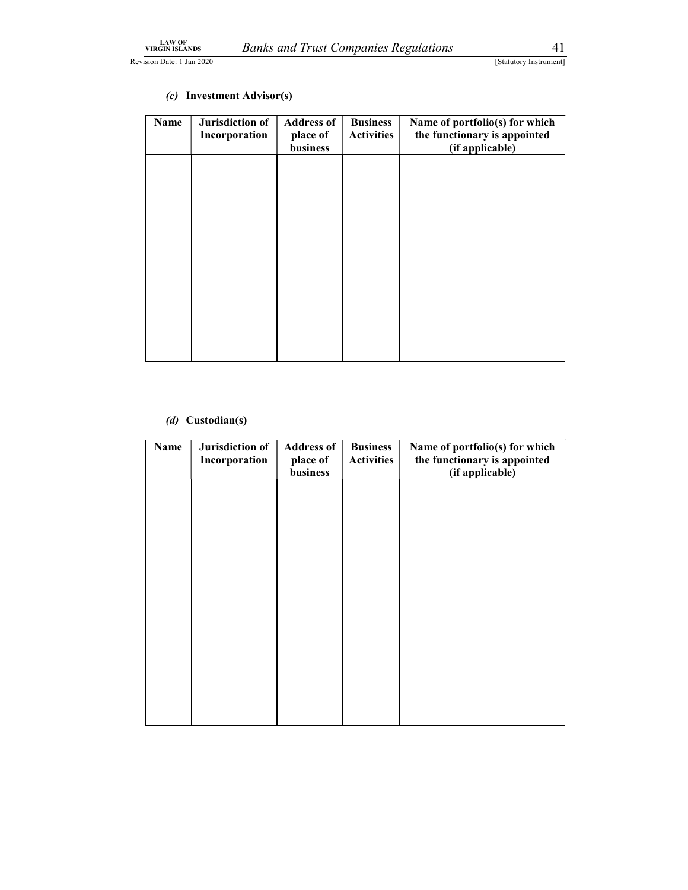| LAW OF<br>VIRGIN ISLANDS<br>ision Date: 1 Jan 2020 |                                  | <b>Banks and Trust Companies Regulations</b> |                                      | 41<br>[Statutory Instrument]                                                      |
|----------------------------------------------------|----------------------------------|----------------------------------------------|--------------------------------------|-----------------------------------------------------------------------------------|
| (c)                                                | <b>Investment Advisor(s)</b>     |                                              |                                      |                                                                                   |
| Name                                               | Jurisdiction of<br>Incorporation | <b>Address of</b><br>place of<br>business    | <b>Business</b><br><b>Activities</b> | Name of portfolio(s) for which<br>the functionary is appointed<br>(if applicable) |
|                                                    |                                  |                                              |                                      |                                                                                   |
|                                                    |                                  |                                              |                                      |                                                                                   |
|                                                    |                                  |                                              |                                      |                                                                                   |
|                                                    |                                  |                                              |                                      |                                                                                   |
|                                                    |                                  |                                              |                                      |                                                                                   |
|                                                    |                                  |                                              |                                      |                                                                                   |
| (d)                                                | Custodian(s)                     |                                              |                                      |                                                                                   |
| Name                                               | Jurisdiction of                  | <b>Address of</b><br>place of                | <b>Business</b><br><b>Activities</b> | Name of portfolio(s) for which<br>the functionary is appointed                    |
|                                                    | Incorporation                    | business                                     |                                      | (if applicable)                                                                   |

### (c) Investment Advisor(s)

### (d) Custodian(s)

| Name | Jurisdiction of<br>Incorporation | <b>Address of</b><br>place of<br>business | <b>Business</b><br><b>Activities</b> | Name of portfolio(s) for which<br>the functionary is appointed<br>(if applicable) |
|------|----------------------------------|-------------------------------------------|--------------------------------------|-----------------------------------------------------------------------------------|
|      |                                  |                                           |                                      |                                                                                   |
|      |                                  |                                           |                                      |                                                                                   |
|      |                                  |                                           |                                      |                                                                                   |
|      |                                  |                                           |                                      |                                                                                   |
|      |                                  |                                           |                                      |                                                                                   |
|      |                                  |                                           |                                      |                                                                                   |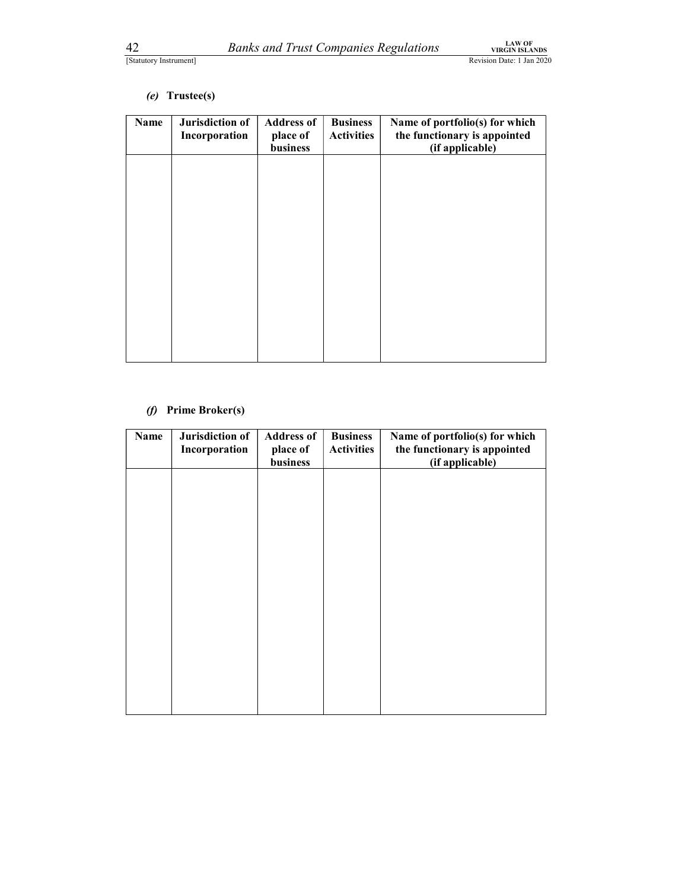### (e) Trustee(s)

| 42        | [Statutory Instrument]           | <b>Banks and Trust Companies Regulations</b> |                                      | <b>LAW OF</b><br><b>VIRGIN ISLANDS</b><br>Revision Date: 1 Jan 2020               |
|-----------|----------------------------------|----------------------------------------------|--------------------------------------|-----------------------------------------------------------------------------------|
|           | (e) Trustee(s)                   |                                              |                                      |                                                                                   |
| Name      | Jurisdiction of<br>Incorporation | <b>Address of</b><br>place of<br>business    | <b>Business</b><br><b>Activities</b> | Name of portfolio(s) for which<br>the functionary is appointed<br>(if applicable) |
|           |                                  |                                              |                                      |                                                                                   |
|           |                                  |                                              |                                      |                                                                                   |
|           |                                  |                                              |                                      |                                                                                   |
|           |                                  |                                              |                                      |                                                                                   |
|           |                                  |                                              |                                      |                                                                                   |
|           |                                  |                                              |                                      |                                                                                   |
| $\varphi$ | <b>Prime Broker(s)</b>           |                                              |                                      |                                                                                   |
| Name      | Jurisdiction of<br>Incorporation | <b>Address of</b><br>place of<br>business    | <b>Business</b><br><b>Activities</b> | Name of portfolio(s) for which<br>the functionary is appointed<br>(if applicable) |
|           |                                  |                                              |                                      |                                                                                   |

### (f) Prime Broker(s)

| Name | Jurisdiction of<br>Incorporation | <b>Address of</b><br>place of<br>business | <b>Business</b><br><b>Activities</b> | Name of portfolio(s) for which<br>the functionary is appointed<br>(if applicable) |
|------|----------------------------------|-------------------------------------------|--------------------------------------|-----------------------------------------------------------------------------------|
|      |                                  |                                           |                                      |                                                                                   |
|      |                                  |                                           |                                      |                                                                                   |
|      |                                  |                                           |                                      |                                                                                   |
|      |                                  |                                           |                                      |                                                                                   |
|      |                                  |                                           |                                      |                                                                                   |
|      |                                  |                                           |                                      |                                                                                   |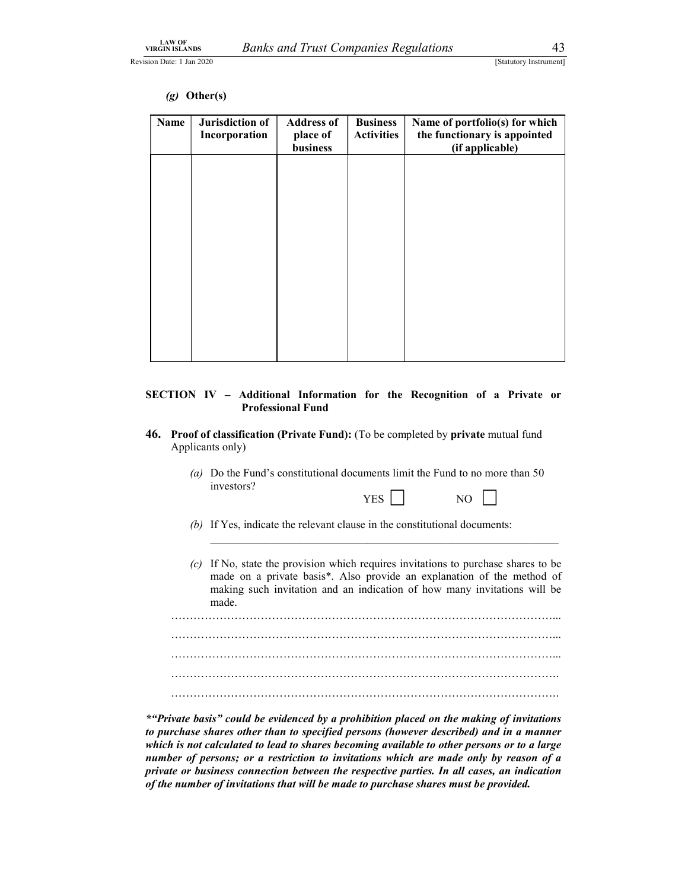### (g) Other(s)

| <b>LAW OF<br/>VIRGIN ISLANDS</b><br>sion Date: 1 Jan 2020 |                                                    | <b>Banks and Trust Companies Regulations</b> |                                      | 43<br>[Statutory Instrument]                                                      |
|-----------------------------------------------------------|----------------------------------------------------|----------------------------------------------|--------------------------------------|-----------------------------------------------------------------------------------|
| Name                                                      | $(g)$ Other(s)<br>Jurisdiction of<br>Incorporation | <b>Address of</b><br>place of<br>business    | <b>Business</b><br><b>Activities</b> | Name of portfolio(s) for which<br>the functionary is appointed<br>(if applicable) |

### SECTION IV – Additional Information for the Recognition of a Private or Professional Fund

- 46. Proof of classification (Private Fund): (To be completed by private mutual fund Applicants only)
	- (a) Do the Fund's constitutional documents limit the Fund to no more than 50 investors?
		- YES NO
	- (b) If Yes, indicate the relevant clause in the constitutional documents:
	- (c) If No, state the provision which requires invitations to purchase shares to be made on a private basis\*. Also provide an explanation of the method of making such invitation and an indication of how many invitations will be

made. …………………………………………………………………………………………... …………………………………………………………………………………………... …………………………………………………………………………………………... ………………………………………………………………………………………….. …………………………………………………………………………………………..

\*"Private basis" could be evidenced by a prohibition placed on the making of invitations to purchase shares other than to specified persons (however described) and in a manner which is not calculated to lead to shares becoming available to other persons or to a large number of persons; or a restriction to invitations which are made only by reason of a private or business connection between the respective parties. In all cases, an indication of the number of invitations that will be made to purchase shares must be provided.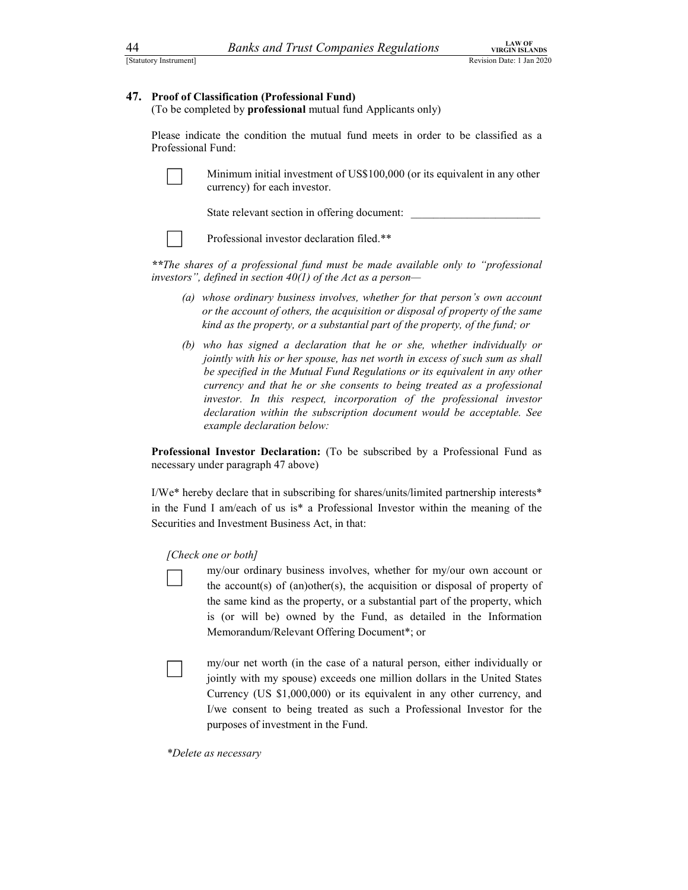### 47. Proof of Classification (Professional Fund)

Estatutory Instrument]<br>
Estatutory Instrument]<br>
Estatutory Instrument]<br> **47. Proof of Classification (Professional Fund)**<br>
(To be completed by **professional** mutual fund Applicants only) (To be completed by professional mutual fund Applicants only)

Please indicate the condition the mutual fund meets in order to be classified as a Professional Fund:

| $\overline{\phantom{a}}$ |  |  |
|--------------------------|--|--|
|                          |  |  |

Minimum initial investment of US\$100,000 (or its equivalent in any other currency) for each investor.

State relevant section in offering document:



Professional investor declaration filed.\*\*

\*\*The shares of a professional fund must be made available only to "professional investors", defined in section  $40(1)$  of the Act as a person-

- (a) whose ordinary business involves, whether for that person's own account or the account of others, the acquisition or disposal of property of the same kind as the property, or a substantial part of the property, of the fund; or
- (b) who has signed a declaration that he or she, whether individually or jointly with his or her spouse, has net worth in excess of such sum as shall be specified in the Mutual Fund Regulations or its equivalent in any other currency and that he or she consents to being treated as a professional investor. In this respect, incorporation of the professional investor declaration within the subscription document would be acceptable. See example declaration below:

Professional Investor Declaration: (To be subscribed by a Professional Fund as necessary under paragraph 47 above)

I/We\* hereby declare that in subscribing for shares/units/limited partnership interests\* in the Fund I am/each of us is\* a Professional Investor within the meaning of the Securities and Investment Business Act, in that:

### [Check one or both]

my/our ordinary business involves, whether for my/our own account or the account(s) of (an)other(s), the acquisition or disposal of property of the same kind as the property, or a substantial part of the property, which is (or will be) owned by the Fund, as detailed in the Information Memorandum/Relevant Offering Document\*; or

my/our net worth (in the case of a natural person, either individually or jointly with my spouse) exceeds one million dollars in the United States Currency (US \$1,000,000) or its equivalent in any other currency, and I/we consent to being treated as such a Professional Investor for the purposes of investment in the Fund.

\*Delete as necessary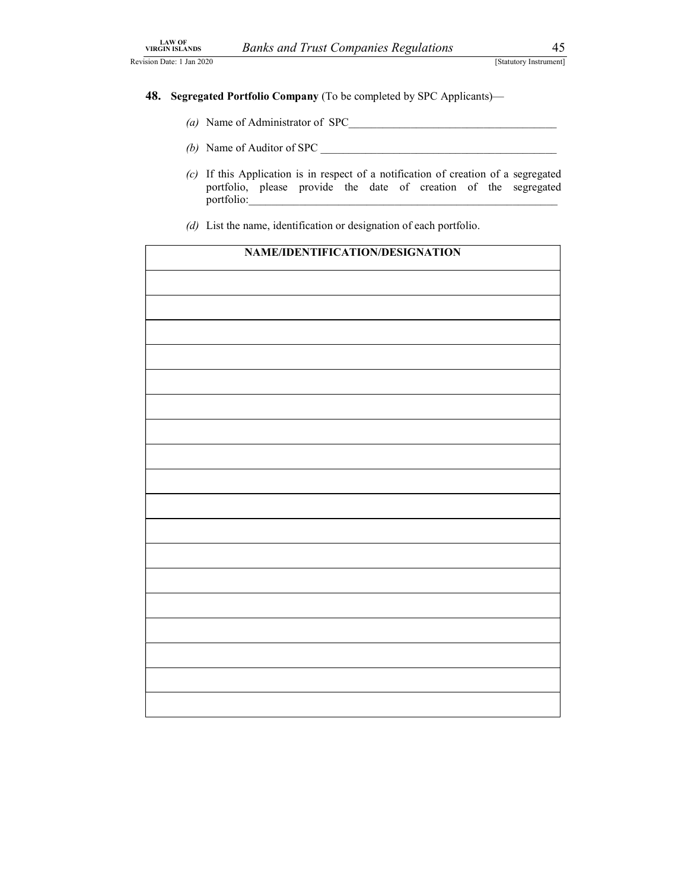- LAW OF<br>
VIRGIN ISLANDS Banks and Trust Companies Regulations 45<br>
Statutory Instrument]<br>
48. Segregated Portfolio Company (To be completed by SPC Applicants)—<br>
(a) Name of Administrator of SPC 48. Segregated Portfolio Company (To be completed by SPC Applicants)—
	- (a) Name of Administrator of SPC\_\_\_\_\_\_\_\_\_\_\_\_\_\_\_\_\_\_\_\_\_\_\_\_\_\_\_\_\_\_\_\_\_\_\_\_\_
	- (b) Name of Auditor of SPC  $\overline{\phantom{a}}$
	- (c) If this Application is in respect of a notification of creation of a segregated portfolio, please provide the date of creation of the segregated portfolio:
	- (d) List the name, identification or designation of each portfolio.

| NAME/IDENTIFICATION/DESIGNATION |  |
|---------------------------------|--|
|                                 |  |
|                                 |  |
|                                 |  |
|                                 |  |
|                                 |  |
|                                 |  |
|                                 |  |
|                                 |  |
|                                 |  |
|                                 |  |
|                                 |  |
|                                 |  |
|                                 |  |
|                                 |  |
|                                 |  |
|                                 |  |
|                                 |  |
|                                 |  |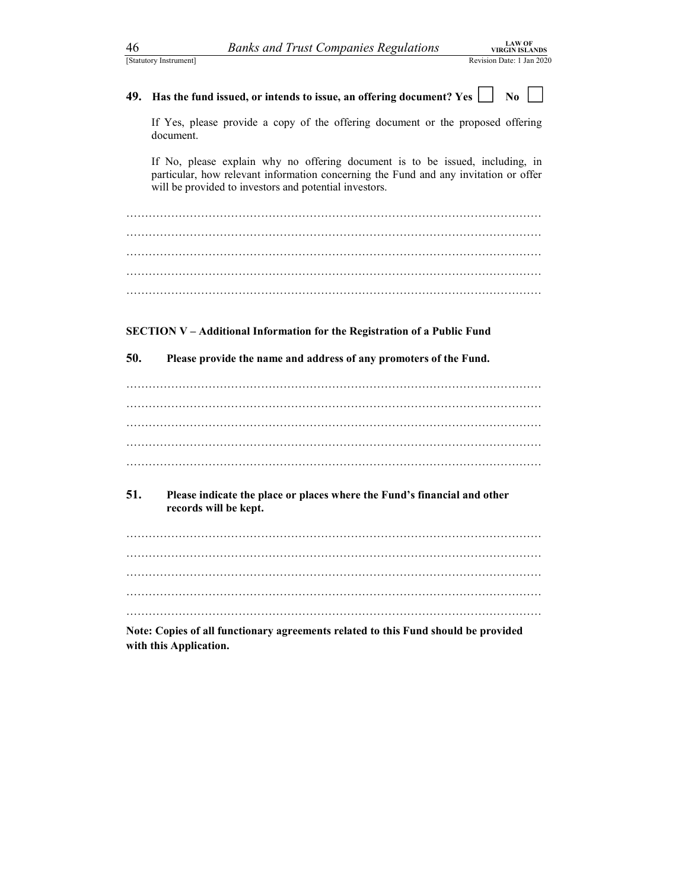| 46  | <b>LAW OF</b><br><b>Banks and Trust Companies Regulations</b><br><b>VIRGIN ISLANDS</b>                                                                                                                                          |
|-----|---------------------------------------------------------------------------------------------------------------------------------------------------------------------------------------------------------------------------------|
|     | [Statutory Instrument]<br>Revision Date: 1 Jan 2020                                                                                                                                                                             |
| 49. | Has the fund issued, or intends to issue, an offering document? Yes [<br>No                                                                                                                                                     |
|     | If Yes, please provide a copy of the offering document or the proposed offering<br>document.                                                                                                                                    |
|     | If No, please explain why no offering document is to be issued, including, in<br>particular, how relevant information concerning the Fund and any invitation or offer<br>will be provided to investors and potential investors. |
|     |                                                                                                                                                                                                                                 |
|     |                                                                                                                                                                                                                                 |
|     |                                                                                                                                                                                                                                 |
|     |                                                                                                                                                                                                                                 |
|     | <b>SECTION V-Additional Information for the Registration of a Public Fund</b>                                                                                                                                                   |
| 50. | Please provide the name and address of any promoters of the Fund.                                                                                                                                                               |
|     |                                                                                                                                                                                                                                 |
|     |                                                                                                                                                                                                                                 |
|     |                                                                                                                                                                                                                                 |
| 51. | Please indicate the place or places where the Fund's financial and other                                                                                                                                                        |
|     | records will be kept.                                                                                                                                                                                                           |
|     |                                                                                                                                                                                                                                 |
|     |                                                                                                                                                                                                                                 |
|     |                                                                                                                                                                                                                                 |
|     | Note: Copies of all functionary agreements related to this Fund should be provided<br>with this Application.                                                                                                                    |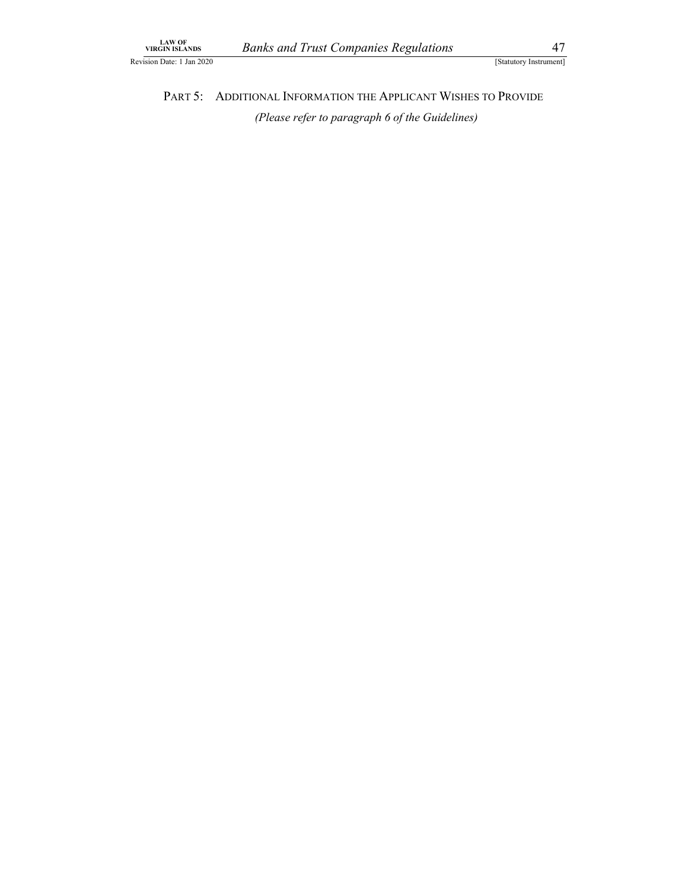LAW OF<br>
URGIN ISLANDS Banks and Trust Companies Regulations (Statutory Instrument)<br>
Exteriory Instrument)<br>
PART 5: ADDITIONAL INFORMATION THE APPLICANT WISHES TO PROVIDE<br>
(Please refer to paragraph 6 of the Guidelines) AW OF<br>
IN ISLANDS Banks and Trust Companies Regulations [Statutory Instrument]<br>
PART 5: ADDITIONAL INFORMATION THE APPLICANT WISHES TO PROVIDE<br>
(Please refer to paragraph 6 of the Guidelines) (Please refer to paragraph 6 of the Guidelines)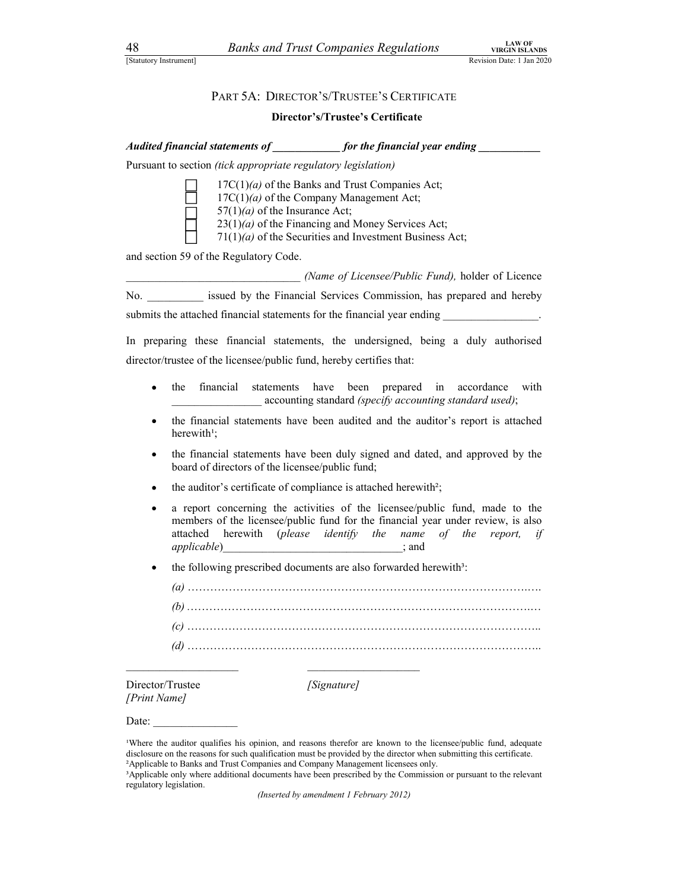# A8 Banks and Trust Companies Regulations<br>
Statutory Instrument]<br>
PART 5A: DIRECTOR'S/TRUSTEE'S CERTIFICATE<br>
Director's/Trustee's Certificate

### Director's/Trustee's Certificate

| 48<br>[Statutory Instrument]     | <b>Banks and Trust Companies Regulations</b><br>Revision Date: 1 Jan 2020                                                                                                                                                           | <b>LAW OF</b><br><b>VIRGIN ISLANDS</b> |
|----------------------------------|-------------------------------------------------------------------------------------------------------------------------------------------------------------------------------------------------------------------------------------|----------------------------------------|
|                                  |                                                                                                                                                                                                                                     |                                        |
|                                  | PART 5A: DIRECTOR'S/TRUSTEE'S CERTIFICATE                                                                                                                                                                                           |                                        |
|                                  | <b>Director's/Trustee's Certificate</b>                                                                                                                                                                                             |                                        |
|                                  | Audited financial statements of _____________ for the financial year ending _________                                                                                                                                               |                                        |
|                                  | Pursuant to section (tick appropriate regulatory legislation)                                                                                                                                                                       |                                        |
|                                  | $17C(1)(a)$ of the Banks and Trust Companies Act;<br>$17C(1)(a)$ of the Company Management Act;<br>$57(1)(a)$ of the Insurance Act;                                                                                                 |                                        |
|                                  | $23(1)(a)$ of the Financing and Money Services Act;<br>$71(1)(a)$ of the Securities and Investment Business Act;                                                                                                                    |                                        |
|                                  | and section 59 of the Regulatory Code.                                                                                                                                                                                              |                                        |
|                                  | (Name of Licensee/Public Fund), holder of Licence                                                                                                                                                                                   |                                        |
|                                  | No. _________ issued by the Financial Services Commission, has prepared and hereby                                                                                                                                                  |                                        |
|                                  | submits the attached financial statements for the financial year ending                                                                                                                                                             |                                        |
|                                  | In preparing these financial statements, the undersigned, being a duly authorised                                                                                                                                                   |                                        |
|                                  | director/trustee of the licensee/public fund, hereby certifies that:                                                                                                                                                                |                                        |
|                                  | financial<br>the<br>statements have been prepared in accordance<br>accounting standard (specify accounting standard used);                                                                                                          | with                                   |
| ٠                                | the financial statements have been audited and the auditor's report is attached<br>herewith <sup>1</sup> ;                                                                                                                          |                                        |
| $\bullet$                        | the financial statements have been duly signed and dated, and approved by the<br>board of directors of the licensee/public fund;                                                                                                    |                                        |
| ٠                                | the auditor's certificate of compliance is attached herewith?;                                                                                                                                                                      |                                        |
| ٠                                | a report concerning the activities of the licensee/public fund, made to the<br>members of the licensee/public fund for the financial year under review, is also<br>herewith (please identify the name of the report, if<br>attached |                                        |
| ٠                                | the following prescribed documents are also forwarded herewith <sup>3</sup> :                                                                                                                                                       |                                        |
|                                  |                                                                                                                                                                                                                                     |                                        |
|                                  |                                                                                                                                                                                                                                     |                                        |
|                                  |                                                                                                                                                                                                                                     |                                        |
|                                  |                                                                                                                                                                                                                                     |                                        |
| Director/Trustee<br>[Print Name] | [Signature]                                                                                                                                                                                                                         |                                        |
|                                  | Date: $\qquad \qquad$                                                                                                                                                                                                               |                                        |

²Applicable to Banks and Trust Companies and Company Management licensees only. ³Applicable only where additional documents have been prescribed by the Commission or pursuant to the relevant

regulatory legislation.

(Inserted by amendment 1 February 2012)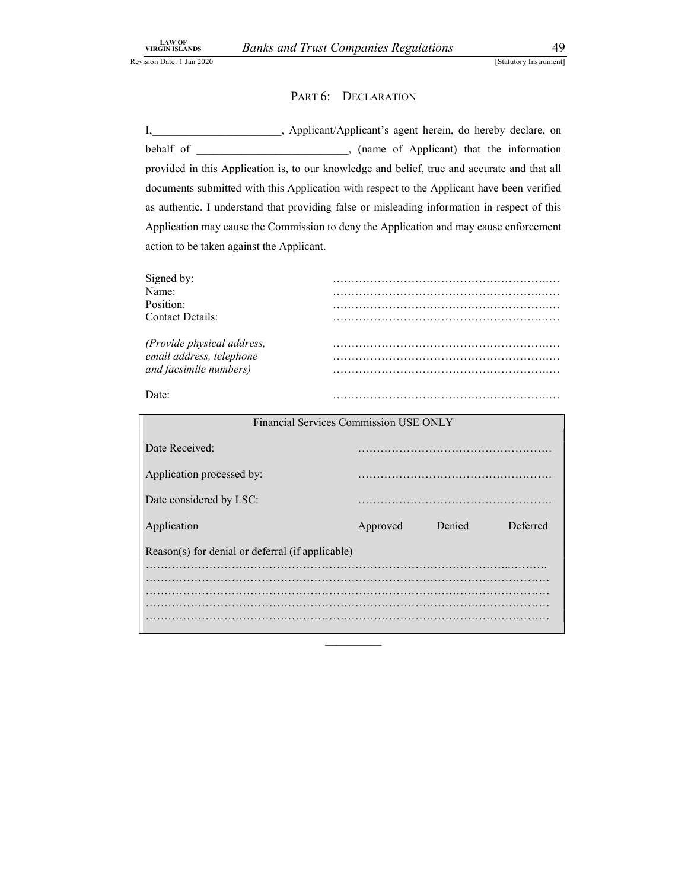*d Trust Companies Regulations* 49<br>
[Statutory Instrument]<br>
PART 6: DECLARATION<br>
Applicant/Applicant's agent herein, do hereby declare, on<br>
(name of Applicant) that the information<br>
to our knowledge and belief, true and ac I,\_\_\_\_\_\_\_\_\_\_\_\_\_\_\_\_\_\_\_\_\_\_\_, Applicant/Applicant's agent herein, do hereby declare, on behalf of \_\_\_\_\_\_\_\_\_\_\_\_\_\_\_\_\_\_\_, (name of Applicant) that the information provided in this Application is, to our knowledge and belief, true and accurate and that all documents submitted with this Application with respect to the Applicant have been verified as authentic. I understand that providing false or misleading information in respect of this Application may cause the Commission to deny the Application and may cause enforcement action to be taken against the Applicant.

| Signed b<br>Name:                            |  |
|----------------------------------------------|--|
|                                              |  |
| Position:                                    |  |
| <b>Contact Details:</b>                      |  |
|                                              |  |
| email address, telej<br>lephone <sup>.</sup> |  |
| <i>facsimile numbers</i> )                   |  |
|                                              |  |
| Date:                                        |  |

| Financial Services Commission USE ONLY           |          |        |          |  |
|--------------------------------------------------|----------|--------|----------|--|
| Date Received:                                   |          |        |          |  |
| Application processed by:                        |          |        |          |  |
| Date considered by LSC:                          |          |        |          |  |
| Application                                      | Approved | Denied | Deferred |  |
| Reason(s) for denial or deferral (if applicable) |          |        |          |  |
|                                                  |          |        | .        |  |
|                                                  |          |        |          |  |
|                                                  |          |        |          |  |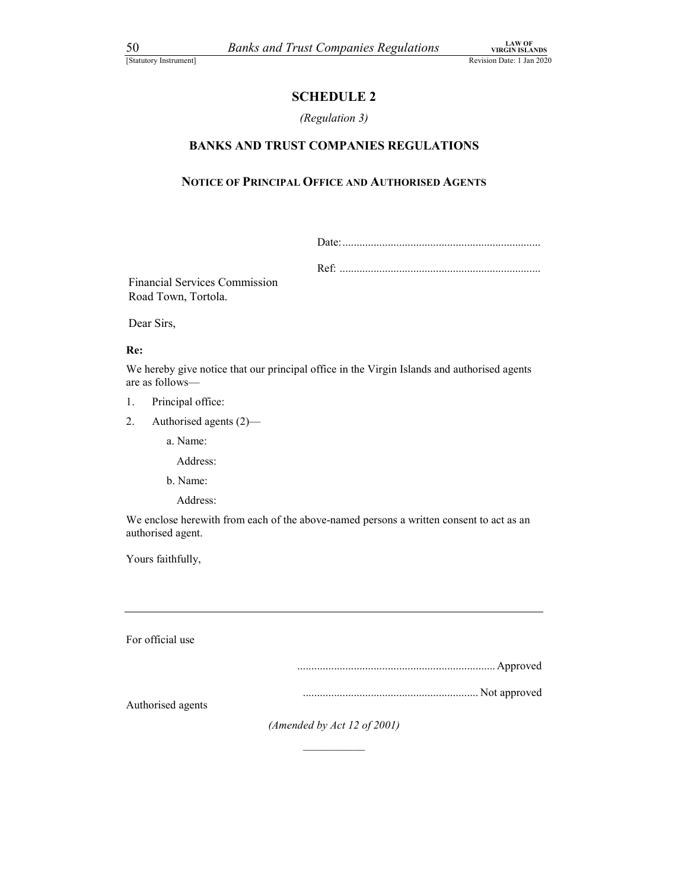### SCHEDULE 2

### (Regulation 3)

# *Banks and Trust Companies Regulations*<br>
<sup>Revision Date: 1 Jan 2020<br> **SCHEDULE 2**<br> *Regulation 3)*<br> **BANKS AND TRUST COMPANIES REGULATIONS**<br> **SCILE OF PRINCIPAL OFFICE AND AUTHORISED AGENTS**</sup> NOTICE OF PRINCIPAL OFFICE AND AUTHORISED AGENTS

Financial Services Commission Road Town, Tortola.

Dear Sirs,

### Re:

We hereby give notice that our principal office in the Virgin Islands and authorised agents are as follows—

- 1. Principal office:
- 2. Authorised agents (2)—

a. Name:

Address:

b. Name:

Address:

We enclose herewith from each of the above-named persons a written consent to act as an authorised agent. ...................................................................... Approved

Yours faithfully,

For official use

.............................................................. Not approved

Authorised agents

(Amended by Act 12 of 2001)  $\frac{1}{2}$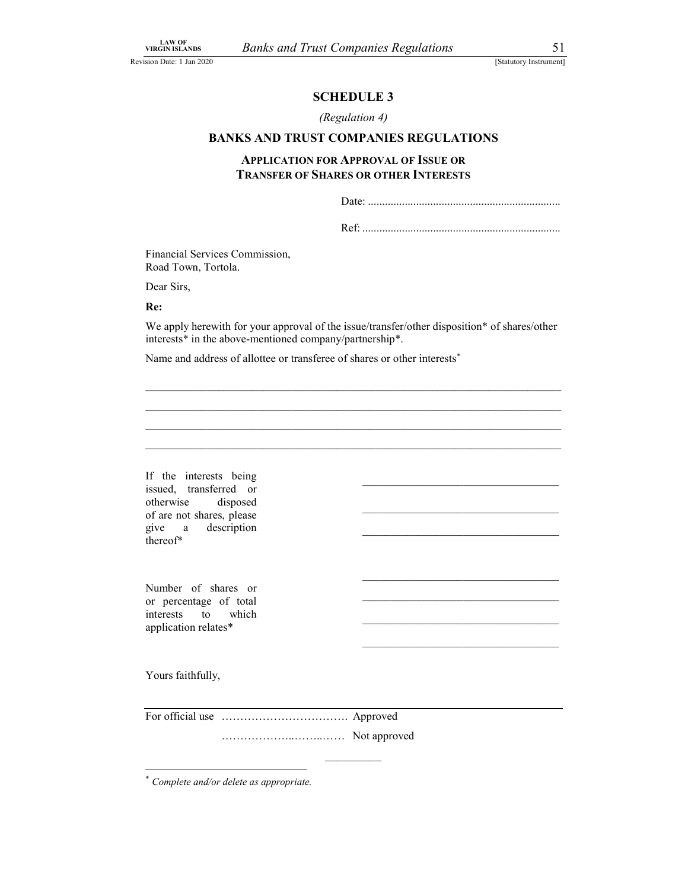$\mathcal{L}_\text{max}$  and  $\mathcal{L}_\text{max}$  and  $\mathcal{L}_\text{max}$  and  $\mathcal{L}_\text{max}$  and  $\mathcal{L}_\text{max}$ 

### (Regulation 4)

### BANKS AND TRUST COMPANIES REGULATIONS

### ust Companies Regulations<br>
[Statutory Instrument]<br>
SCHEDULE 3<br>
(Regulation 4)<br>
ST COMPANIES REGULATIONS<br>
FOR APPROVAL OF ISSUE OR APPLICATION FOR APPROVAL OF ISSUE OR TRANSFER OF SHARES OR OTHER INTERESTS Date: ....................................................................

Ref: ......................................................................

 $\mathcal{L}_\mathcal{L} = \{ \mathcal{L}_\mathcal{L} = \{ \mathcal{L}_\mathcal{L} = \{ \mathcal{L}_\mathcal{L} = \{ \mathcal{L}_\mathcal{L} = \{ \mathcal{L}_\mathcal{L} = \{ \mathcal{L}_\mathcal{L} = \{ \mathcal{L}_\mathcal{L} = \{ \mathcal{L}_\mathcal{L} = \{ \mathcal{L}_\mathcal{L} = \{ \mathcal{L}_\mathcal{L} = \{ \mathcal{L}_\mathcal{L} = \{ \mathcal{L}_\mathcal{L} = \{ \mathcal{L}_\mathcal{L} = \{ \mathcal{L}_\mathcal{$  $\mathcal{L}_\mathcal{L} = \{ \mathcal{L}_\mathcal{L} = \{ \mathcal{L}_\mathcal{L} = \{ \mathcal{L}_\mathcal{L} = \{ \mathcal{L}_\mathcal{L} = \{ \mathcal{L}_\mathcal{L} = \{ \mathcal{L}_\mathcal{L} = \{ \mathcal{L}_\mathcal{L} = \{ \mathcal{L}_\mathcal{L} = \{ \mathcal{L}_\mathcal{L} = \{ \mathcal{L}_\mathcal{L} = \{ \mathcal{L}_\mathcal{L} = \{ \mathcal{L}_\mathcal{L} = \{ \mathcal{L}_\mathcal{L} = \{ \mathcal{L}_\mathcal{$ 

Financial Services Commission, Road Town, Tortola.

Dear Sirs,

Re:

We apply herewith for your approval of the issue/transfer/other disposition\* of shares/other interests\* in the above-mentioned company/partnership\*.

Name and address of allottee or transferee of shares or other interests<sup>\*</sup>

If the interests being issued, transferred or otherwise disposed of are not shares, please give a description IT the interests being<br>issued, transferred or<br>otherwise disposed<br>of are not shares, please<br>give a description<br>thereof\*

Number of shares or or percentage of total interests to which Producted of states of<br>or percentage of total<br>interests to which<br>application relates\*<br>Yours faithfully,

For official use ……………………………. Approved

………………..……..…… Not approved \_\_\_\_\_\_\_\_\_\_

Complete and/or delete as appropriate.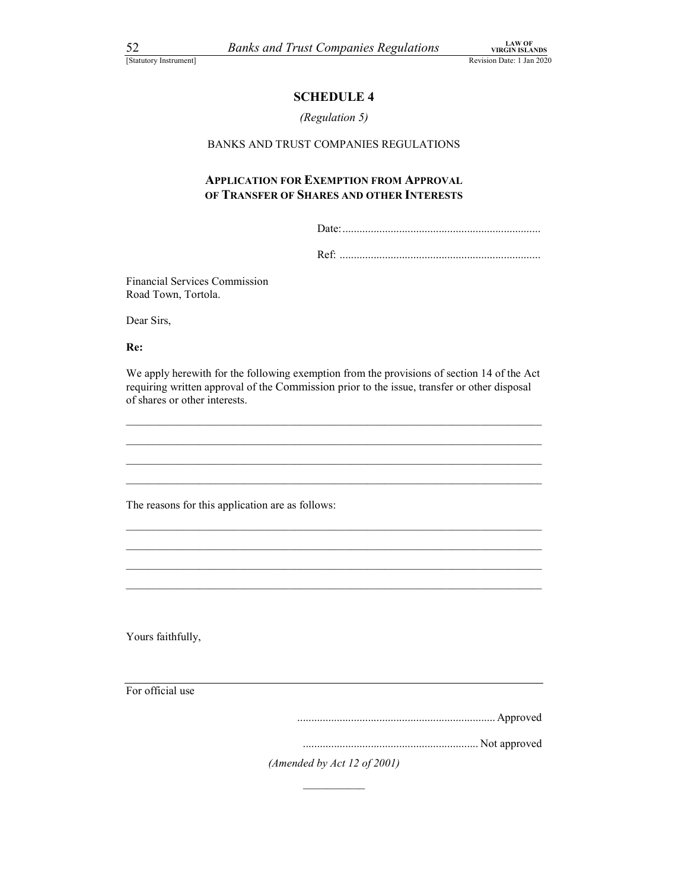### (Regulation 5)

## THE COMPANIES Regulations<br>
NET COMPANIES REGULATIONS<br>
SCHEDULE 4<br>
SCHEDULE 4<br>
SCHEDULE 4<br>
SCHEDULE 4<br>
SCHEDULE 4 BANKS AND TRUST COMPANIES REGULATIONS

### APPLICATION FOR EXEMPTION FROM APPROVAL OF TRANSFER OF SHARES AND OTHER INTERESTS

Date:......................................................................

Ref: .......................................................................

Financial Services Commission Road Town, Tortola.

Dear Sirs,

Re:

We apply herewith for the following exemption from the provisions of section 14 of the Act requiring written approval of the Commission prior to the issue, transfer or other disposal of shares or other interests.

The reasons for this application are as follows:<br>
The reasons for this application are as follows:<br>
Yours faithfully,

For official use

...................................................................... Approved

.............................................................. Not approved

(Amended by Act 12 of 2001)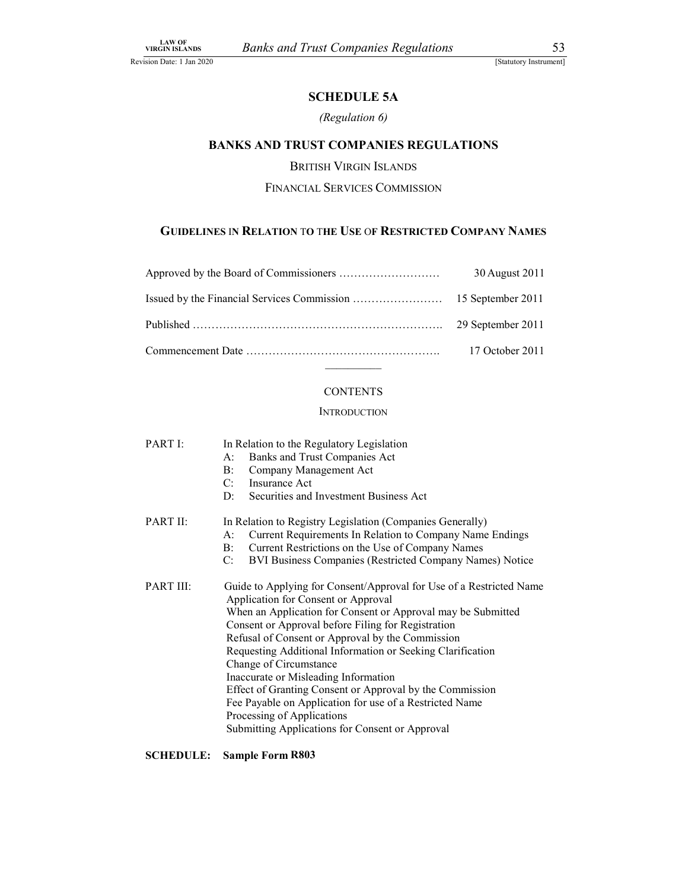### (Regulation 6)

## FUST Companies Regulations<br>
[Statutory Instrument]<br>
SCHEDULE 5A<br>
(Regulation 6)<br>
ST COMPANIES REGULATIONS<br>
TISH VIRGIN ISLANDS BANKS AND TRUST COMPANIES REGULATIONS

### FINANCIAL SERVICES COMMISSION

### GUIDELINES IN RELATION TO THE USE OF RESTRICTED COMPANY NAMES

| <b>LAW OF<br/>VIRGIN ISLANDS</b> | <b>Banks and Trust Companies Regulations</b>                         |                        |
|----------------------------------|----------------------------------------------------------------------|------------------------|
| ision Date: 1 Jan 2020           |                                                                      | [Statutory Instrument] |
|                                  | <b>SCHEDULE 5A</b>                                                   |                        |
|                                  | (Regulation 6)                                                       |                        |
|                                  | <b>BANKS AND TRUST COMPANIES REGULATIONS</b>                         |                        |
|                                  | <b>BRITISH VIRGIN ISLANDS</b>                                        |                        |
|                                  | FINANCIAL SERVICES COMMISSION                                        |                        |
|                                  |                                                                      |                        |
|                                  | <b>GUIDELINES IN RELATION TO THE USE OF RESTRICTED COMPANY NAMES</b> |                        |
|                                  |                                                                      | 30 August 2011         |
|                                  |                                                                      | 15 September 2011      |
|                                  |                                                                      | 29 September 2011      |
|                                  |                                                                      | 17 October 2011        |
|                                  |                                                                      |                        |
|                                  | <b>CONTENTS</b>                                                      |                        |

### **INTRODUCTION**

PART I: In Relation to the Regulatory Legislation

- A: Banks and Trust Companies Act
	- B: Company Management Act
- C: Insurance Act
- D: Securities and Investment Business Act

### PART II: In Relation to Registry Legislation (Companies Generally)

- A: Current Requirements In Relation to Company Name Endings
- B: Current Restrictions on the Use of Company Names
- C: BVI Business Companies (Restricted Company Names) Notice
- PART III: Guide to Applying for Consent/Approval for Use of a Restricted Name Application for Consent or Approval When an Application for Consent or Approval may be Submitted Consent or Approval before Filing for Registration Refusal of Consent or Approval by the Commission Requesting Additional Information or Seeking Clarification Change of Circumstance Inaccurate or Misleading Information Effect of Granting Consent or Approval by the Commission Fee Payable on Application for use of a Restricted Name Processing of Applications Submitting Applications for Consent or Approval

### SCHEDULE: Sample Form R803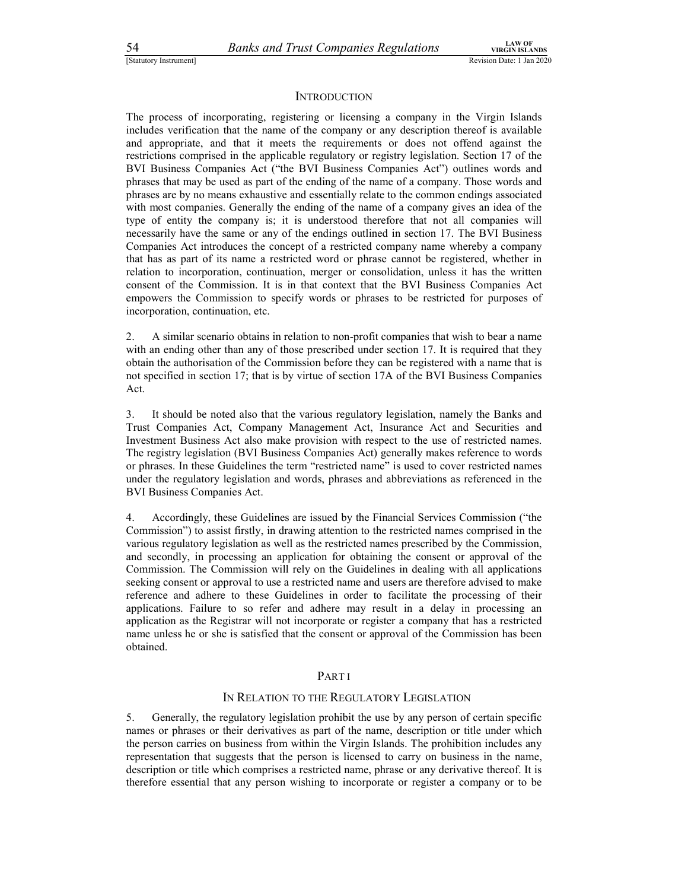### **INTRODUCTION**

54 Banks and Trust Companies Regulations<br>
Statutory Instrument]<br>
INTRODUCTION<br>
The process of incorporating, registering or licensing a company in the Virgin Islands The process of incorporating, registering or licensing a company in the Virgin Islands includes verification that the name of the company or any description thereof is available and appropriate, and that it meets the requirements or does not offend against the restrictions comprised in the applicable regulatory or registry legislation. Section 17 of the BVI Business Companies Act ("the BVI Business Companies Act") outlines words and phrases that may be used as part of the ending of the name of a company. Those words and phrases are by no means exhaustive and essentially relate to the common endings associated with most companies. Generally the ending of the name of a company gives an idea of the type of entity the company is; it is understood therefore that not all companies will necessarily have the same or any of the endings outlined in section 17. The BVI Business Companies Act introduces the concept of a restricted company name whereby a company that has as part of its name a restricted word or phrase cannot be registered, whether in relation to incorporation, continuation, merger or consolidation, unless it has the written consent of the Commission. It is in that context that the BVI Business Companies Act empowers the Commission to specify words or phrases to be restricted for purposes of incorporation, continuation, etc.

2. A similar scenario obtains in relation to non-profit companies that wish to bear a name with an ending other than any of those prescribed under section 17. It is required that they obtain the authorisation of the Commission before they can be registered with a name that is not specified in section 17; that is by virtue of section 17A of the BVI Business Companies Act.

3. It should be noted also that the various regulatory legislation, namely the Banks and Trust Companies Act, Company Management Act, Insurance Act and Securities and Investment Business Act also make provision with respect to the use of restricted names. The registry legislation (BVI Business Companies Act) generally makes reference to words or phrases. In these Guidelines the term "restricted name" is used to cover restricted names under the regulatory legislation and words, phrases and abbreviations as referenced in the BVI Business Companies Act.

4. Accordingly, these Guidelines are issued by the Financial Services Commission ("the Commission") to assist firstly, in drawing attention to the restricted names comprised in the various regulatory legislation as well as the restricted names prescribed by the Commission, and secondly, in processing an application for obtaining the consent or approval of the Commission. The Commission will rely on the Guidelines in dealing with all applications seeking consent or approval to use a restricted name and users are therefore advised to make reference and adhere to these Guidelines in order to facilitate the processing of their applications. Failure to so refer and adhere may result in a delay in processing an application as the Registrar will not incorporate or register a company that has a restricted name unless he or she is satisfied that the consent or approval of the Commission has been obtained.

### PART I

### IN RELATION TO THE REGULATORY LEGISLATION

5. Generally, the regulatory legislation prohibit the use by any person of certain specific names or phrases or their derivatives as part of the name, description or title under which the person carries on business from within the Virgin Islands. The prohibition includes any representation that suggests that the person is licensed to carry on business in the name, description or title which comprises a restricted name, phrase or any derivative thereof. It is therefore essential that any person wishing to incorporate or register a company or to be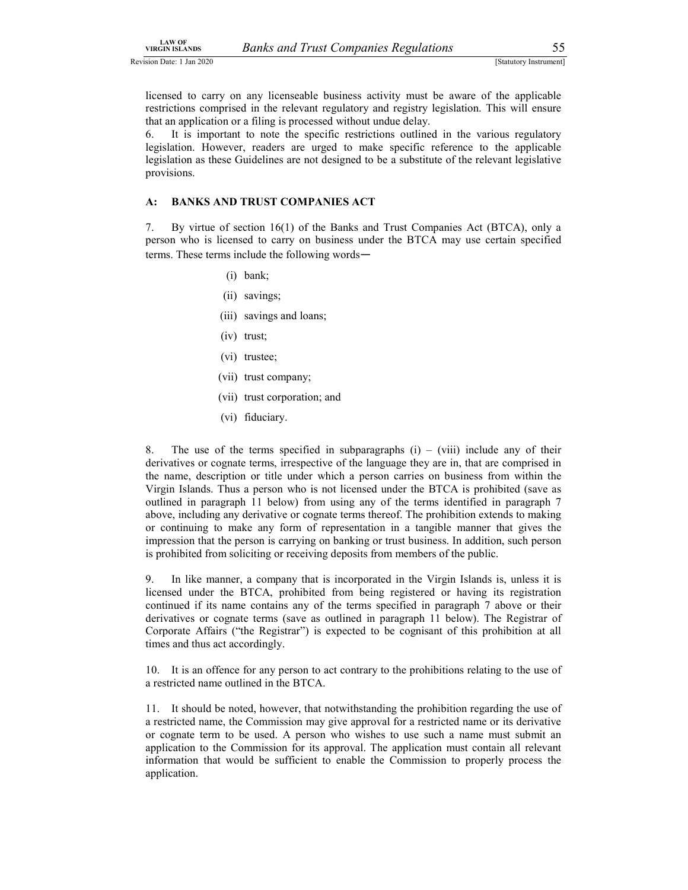Revision Date: 1 Jan 2020 [Statutory Instrument] [Statutory Instrument]

LAW OF<br>
SIGEN ISLANDS BANKS and Trust Companies Regulations 55<br>
Sion Date: 1 Jan 2020<br>
Statutory Instrument]<br>
Icensed to carry on any licenseable business activity must be aware of the applicable<br>
restrictions comprised in licensed to carry on any licenseable business activity must be aware of the applicable restrictions comprised in the relevant regulatory and registry legislation. This will ensure that an application or a filing is processed without undue delay.

6. It is important to note the specific restrictions outlined in the various regulatory legislation. However, readers are urged to make specific reference to the applicable legislation as these Guidelines are not designed to be a substitute of the relevant legislative provisions. VIRGIN BLAND **S**<br>
SURGIN BLANDS<br>
SIGN DAIR: A STANDS AND STANDS AND TRUST COMPANIES ACT<br>
(SIGNIFY) INSTANDS (SURVEY IN THE REVENITED SOMETIME TO A SURVEY IT IS WELL AND SURVEY AND TRUST CONFIRMED ACT<br>
A: BANKS AND TRUST C **THE EVALUAT SET SECTES AND TRUST COMPANIES** ACT<br>
16(1) order SEC actrises activity must be aware of the applicable<br>
idense of sections comprised in the relevant regulatory and registry legislation. This will ensure<br>
that **Banks and Trust Companies Regulations** (Statutory Instrument)<br>
on any licenseable business activity must be aware of the applicable<br>
trised in the relevant regulatory and registry legislation. This will ensure<br>
or a fili

person who is licensed to carry on business under the BTCA may use certain specified terms. These terms include the following words—

- 
- (ii) savings;
- (iii) savings and loans;
- (iv) trust;
- (vi) trustee;
- (vii) trust company;
- (vii) trust corporation; and
- (vi) fiduciary.

8. The use of the terms specified in subparagraphs  $(i) - (viii)$  include any of their derivatives or cognate terms, irrespective of the language they are in, that are comprised in the name, description or title under which a person carries on business from within the Virgin Islands. Thus a person who is not licensed under the BTCA is prohibited (save as outlined in paragraph 11 below) from using any of the terms identified in paragraph 7 above, including any derivative or cognate terms thereof. The prohibition extends to making or continuing to make any form of representation in a tangible manner that gives the impression that the person is carrying on banking or trust business. In addition, such person is prohibited from soliciting or receiving deposits from members of the public.

9. In like manner, a company that is incorporated in the Virgin Islands is, unless it is licensed under the BTCA, prohibited from being registered or having its registration continued if its name contains any of the terms specified in paragraph 7 above or their derivatives or cognate terms (save as outlined in paragraph 11 below). The Registrar of Corporate Affairs ("the Registrar") is expected to be cognisant of this prohibition at all times and thus act accordingly.

10. It is an offence for any person to act contrary to the prohibitions relating to the use of a restricted name outlined in the BTCA.

11. It should be noted, however, that notwithstanding the prohibition regarding the use of a restricted name, the Commission may give approval for a restricted name or its derivative or cognate term to be used. A person who wishes to use such a name must submit an application to the Commission for its approval. The application must contain all relevant information that would be sufficient to enable the Commission to properly process the application.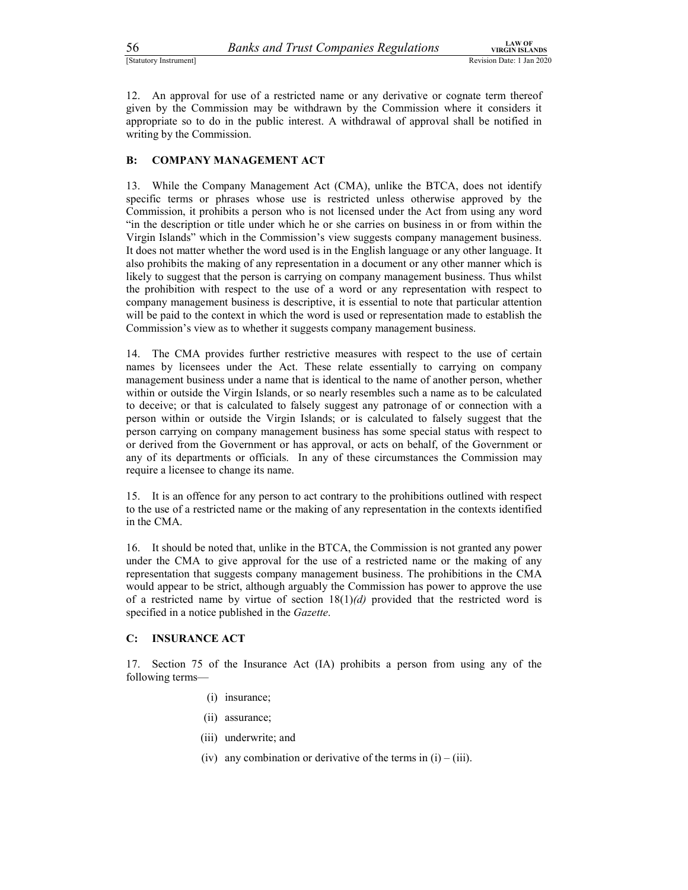56 Banks and Trust Companies Regulations<br>
Statutory Instrument]<br>
Statutory Instrument]<br>
12. An approval for use of a restricted name or any derivative or cognate term thereof<br>
given by the Commission may be withdrawn by th 12. An approval for use of a restricted name or any derivative or cognate term thereof given by the Commission may be withdrawn by the Commission where it considers it approval shall be notified in appropriate so to do in given by the Commission may be withdrawn by the Commission where it considers it appropriate so to do in the public interest. A withdrawal of approval shall be notified in writing by the Commission.

Satutory Instrument]<br>
Sanks and Trust Companies Regulations<br>
Revision Date:<br>
12. An approval for use of a restricted name or any derivative or cognate term the<br>
given by the Commission may be withdrawn by the Commission wh 13. While the Company Management Act (CMA), unlike the BTCA, does not identify specific terms or phrases whose use is restricted unless otherwise approved by the Commission, it prohibits a person who is not licensed under the Act from using any word "in the description or title under which he or she carries on business in or from within the Virgin Islands" which in the Commission's view suggests company management business. It does not matter whether the word used is in the English language or any other language. It also prohibits the making of any representation in a document or any other manner which is likely to suggest that the person is carrying on company management business. Thus whilst the prohibition with respect to the use of a word or any representation with respect to company management business is descriptive, it is essential to note that particular attention will be paid to the context in which the word is used or representation made to establish the Commission's view as to whether it suggests company management business.

14. The CMA provides further restrictive measures with respect to the use of certain names by licensees under the Act. These relate essentially to carrying on company management business under a name that is identical to the name of another person, whether within or outside the Virgin Islands, or so nearly resembles such a name as to be calculated to deceive; or that is calculated to falsely suggest any patronage of or connection with a person within or outside the Virgin Islands; or is calculated to falsely suggest that the person carrying on company management business has some special status with respect to or derived from the Government or has approval, or acts on behalf, of the Government or any of its departments or officials. In any of these circumstances the Commission may require a licensee to change its name.

15. It is an offence for any person to act contrary to the prohibitions outlined with respect to the use of a restricted name or the making of any representation in the contexts identified in the CMA.

16. It should be noted that, unlike in the BTCA, the Commission is not granted any power under the CMA to give approval for the use of a restricted name or the making of any representation that suggests company management business. The prohibitions in the CMA would appear to be strict, although arguably the Commission has power to approve the use of a restricted name by virtue of section  $18(1)(d)$  provided that the restricted word is specified in a notice published in the *Gazette*.

### C: INSURANCE ACT

17. Section 75 of the Insurance Act (IA) prohibits a person from using any of the following terms—

- (i) insurance;
- (ii) assurance;
- (iii) underwrite; and
- (iv) any combination or derivative of the terms in  $(i) (iii)$ .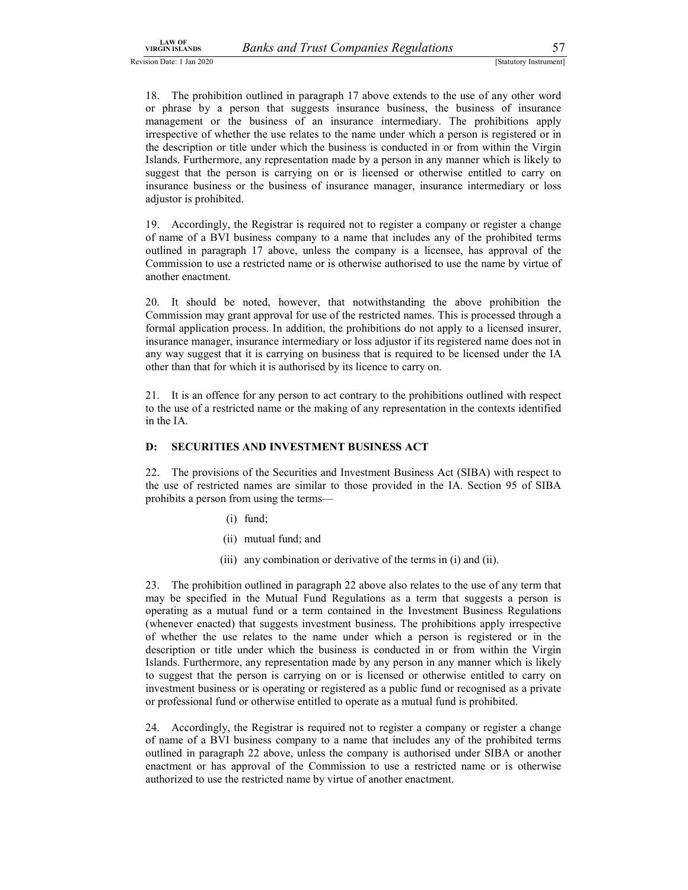LAW OF<br>
Sion Date: 1 Jan 2020<br>
Sion Date: 1 Jan 2020<br>
Sion Date: 1 Jan 2020<br>
18. The prohibition outlined in paragraph 17 above extends to the use of any other word<br>
or phrase by a person that suggests insurance business, 18. The prohibition outlined in paragraph 17 above extends to the use of any other word or phrase by a person that suggests insurance business, the business of insurance management or the business of an insurance intermediary. The prohibitions apply irrespective of whether the use relates to the name under which a person is registered or in the description or title under which the business is conducted in or from within the Virgin Islands. Furthermore, any representation made by a person in any manner which is likely to suggest that the person is carrying on or is licensed or otherwise entitled to carry on insurance business or the business of insurance manager, insurance intermediary or loss adjustor is prohibited.

19. Accordingly, the Registrar is required not to register a company or register a change of name of a BVI business company to a name that includes any of the prohibited terms outlined in paragraph 17 above, unless the company is a licensee, has approval of the Commission to use a restricted name or is otherwise authorised to use the name by virtue of another enactment.

20. It should be noted, however, that notwithstanding the above prohibition the Commission may grant approval for use of the restricted names. This is processed through a formal application process. In addition, the prohibitions do not apply to a licensed insurer, insurance manager, insurance intermediary or loss adjustor if its registered name does not in any way suggest that it is carrying on business that is required to be licensed under the IA other than that for which it is authorised by its licence to carry on.

21. It is an offence for any person to act contrary to the prohibitions outlined with respect to the use of a restricted name or the making of any representation in the contexts identified in the IA.

### D: SECURITIES AND INVESTMENT BUSINESS ACT

22. The provisions of the Securities and Investment Business Act (SIBA) with respect to the use of restricted names are similar to those provided in the IA. Section 95 of SIBA prohibits a person from using the terms—

- (i) fund;
- (ii) mutual fund; and
- (iii) any combination or derivative of the terms in (i) and (ii).

23. The prohibition outlined in paragraph 22 above also relates to the use of any term that may be specified in the Mutual Fund Regulations as a term that suggests a person is operating as a mutual fund or a term contained in the Investment Business Regulations (whenever enacted) that suggests investment business. The prohibitions apply irrespective of whether the use relates to the name under which a person is registered or in the description or title under which the business is conducted in or from within the Virgin Islands. Furthermore, any representation made by any person in any manner which is likely to suggest that the person is carrying on or is licensed or otherwise entitled to carry on investment business or is operating or registered as a public fund or recognised as a private or professional fund or otherwise entitled to operate as a mutual fund is prohibited.

24. Accordingly, the Registrar is required not to register a company or register a change of name of a BVI business company to a name that includes any of the prohibited terms outlined in paragraph 22 above, unless the company is authorised under SIBA or another enactment or has approval of the Commission to use a restricted name or is otherwise authorized to use the restricted name by virtue of another enactment.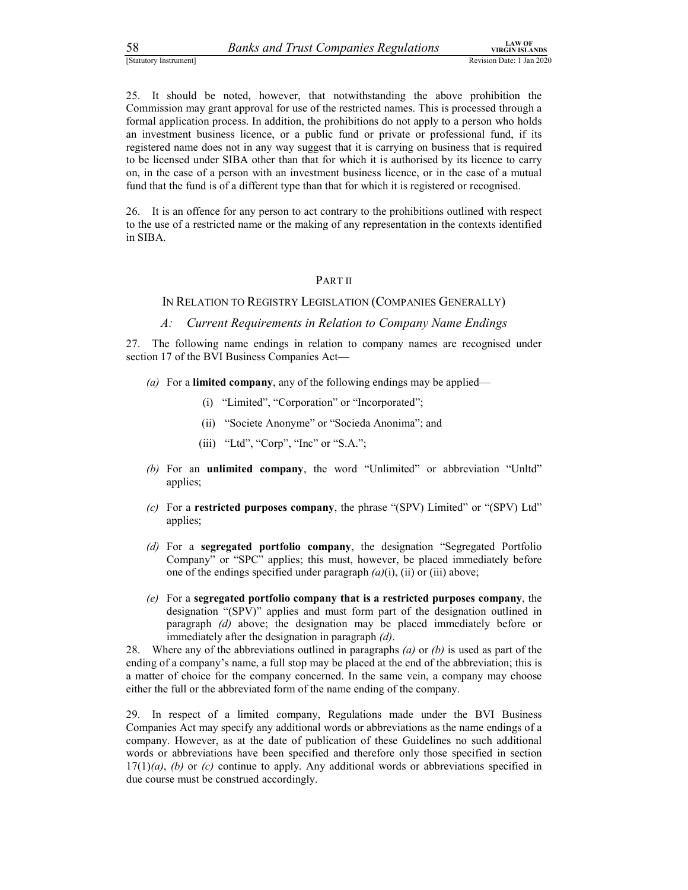58 Banks and Trust Companies Regulations<br>
Statutory Instrument]<br>
Statutory Instrument]<br>
25. It should be noted, however, that notwithstanding the above prohibition the<br>
Commission may grant approval for use of the restric <sup>258</sup><br><sup>25.</sup> It should be noted, however, that notwithstanding the above prohibition the<br><sup>25.</sup> It should be noted, however, that notwithstanding the above prohibition the<br>25. It should be noted, however, that notwithstandin Commission may grant approval for use of the restricted names. This is processed through a formal application process. In addition, the prohibitions do not apply to a person who holds an investment business licence, or a public fund or private or professional fund, if its registered name does not in any way suggest that it is carrying on business that is required to be licensed under SIBA other than that for which it is authorised by its licence to carry on, in the case of a person with an investment business licence, or in the case of a mutual fund that the fund is of a different type than that for which it is registered or recognised.

26. It is an offence for any person to act contrary to the prohibitions outlined with respect to the use of a restricted name or the making of any representation in the contexts identified in SIBA.

### PART II

### IN RELATION TO REGISTRY LEGISLATION (COMPANIES GENERALLY)

A: Current Requirements in Relation to Company Name Endings

27. The following name endings in relation to company names are recognised under section 17 of the BVI Business Companies Act—

- (a) For a **limited company**, any of the following endings may be applied—
	- (i) "Limited", "Corporation" or "Incorporated";
	- (ii) "Societe Anonyme" or "Socieda Anonima"; and
	- (iii) "Ltd", "Corp", "Inc" or "S.A.";
- (b) For an unlimited company, the word "Unlimited" or abbreviation "Unltd" applies;
- (c) For a **restricted purposes company**, the phrase "(SPV) Limited" or "(SPV) Ltd" applies;
- (d) For a segregated portfolio company, the designation "Segregated Portfolio Company" or "SPC" applies; this must, however, be placed immediately before one of the endings specified under paragraph  $(a)(i)$ ,  $(ii)$  or  $(iii)$  above;
- $(e)$  For a segregated portfolio company that is a restricted purposes company, the designation "(SPV)" applies and must form part of the designation outlined in paragraph (d) above; the designation may be placed immediately before or immediately after the designation in paragraph  $(d)$ .<br>28. Where any of the abbreviations outlined in paragraphs  $(a)$  or  $(b)$  is used as part of the

ending of a company's name, a full stop may be placed at the end of the abbreviation; this is a matter of choice for the company concerned. In the same vein, a company may choose either the full or the abbreviated form of the name ending of the company.

29. In respect of a limited company, Regulations made under the BVI Business Companies Act may specify any additional words or abbreviations as the name endings of a company. However, as at the date of publication of these Guidelines no such additional words or abbreviations have been specified and therefore only those specified in section  $17(1)(a)$ , (b) or (c) continue to apply. Any additional words or abbreviations specified in due course must be construed accordingly.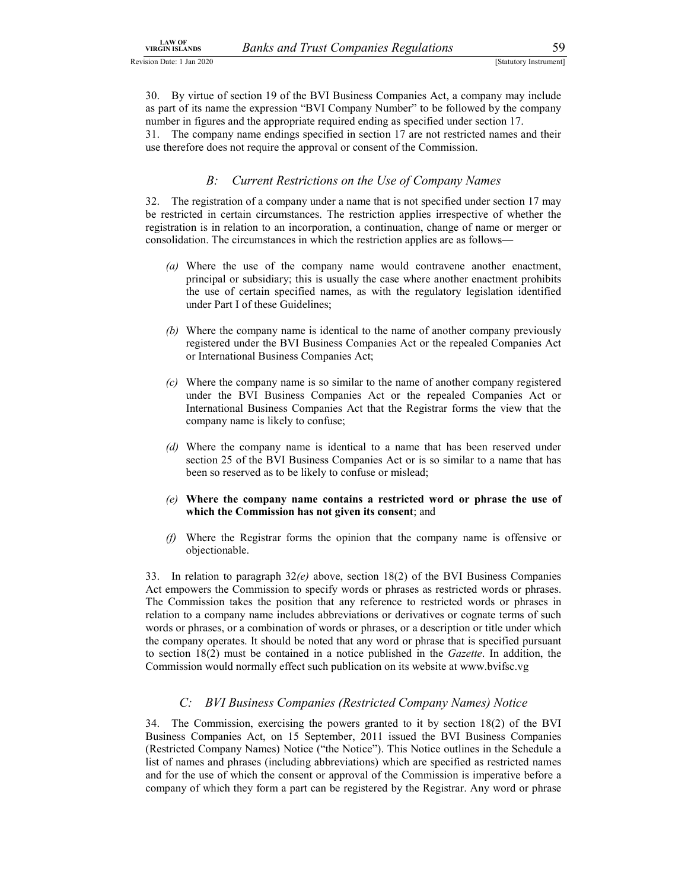LAW OF<br>
SIGN ISLANDS BANKS and Trust Companies Regulations 59<br>
SIGN UNITY ISLANDS SIGN UP AND TRISTANDS (Statutory Instrument)<br>
30. By virtue of section 19 of the BVI Business Companies Act, a company may include<br>
as part EXAN SEXANDS<br>
Sign Date: 1 Jan 2020<br>
Sign Date: 1 Jan 2020<br>
30. By virtue of section 19 of the BVI Business Companies Act, a company may include<br>
as part of its name the expression "BVI Company Number" to be followed by th as part of its name the expression "BVI Company Number" to be followed by the company number in figures and the appropriate required ending as specified under section 17.

31. The company name endings specified in section 17 are not restricted names and their use therefore does not require the approval or consent of the Commission.

Banks and Trust Companies Regulations<br>
Somewhere the SVI Business Companies Act, a company may include<br>
name the expression "BVI Company Number" to be followed by the company<br>
urres and the appropriate required ending as s **EXANDER CONDUMER COMPAIGES ACCOMPRIME COMPAIGES** (STARLOOY INSTEDUATED 130. By virtue of section 19 of the BVI Business Companies Act, a company may include as part of its name the expression "BVI Company Number" to be f be restricted in certain circumstances. The restriction applies irrespective of whether the registration is in relation to an incorporation, a continuation, change of name or merger or consolidation. The circumstances in which the restriction applies are as follows—

- (a) Where the use of the company name would contravene another enactment, principal or subsidiary; this is usually the case where another enactment prohibits the use of certain specified names, as with the regulatory legislation identified under Part I of these Guidelines;
- (b) Where the company name is identical to the name of another company previously registered under the BVI Business Companies Act or the repealed Companies Act or International Business Companies Act;
- (c) Where the company name is so similar to the name of another company registered under the BVI Business Companies Act or the repealed Companies Act or International Business Companies Act that the Registrar forms the view that the company name is likely to confuse;
- (d) Where the company name is identical to a name that has been reserved under section 25 of the BVI Business Companies Act or is so similar to a name that has been so reserved as to be likely to confuse or mislead;
- (e) Where the company name contains a restricted word or phrase the use of which the Commission has not given its consent; and
- (f) Where the Registrar forms the opinion that the company name is offensive or objectionable.

33. In relation to paragraph  $32(e)$  above, section 18(2) of the BVI Business Companies Act empowers the Commission to specify words or phrases as restricted words or phrases. The Commission takes the position that any reference to restricted words or phrases in relation to a company name includes abbreviations or derivatives or cognate terms of such words or phrases, or a combination of words or phrases, or a description or title under which the company operates. It should be noted that any word or phrase that is specified pursuant to section 18(2) must be contained in a notice published in the Gazette. In addition, the Commission would normally effect such publication on its website at www.bvifsc.vg Example 1.1 and 1.0 and 1.0 and 1.0 and 1.0 and 1.0 and 1.0 and 1.0 and 1.0 and 1.0 and 1.0 company name is identical to a name that has been reserved under section 25 of the BVI Business Companies Act or is so similar to

34. The Commission, exercising the powers granted to it by section 18(2) of the BVI Business Companies Act, on 15 September, 2011 issued the BVI Business Companies (Restricted Company Names) Notice ("the Notice"). This Notice outlines in the Schedule a list of names and phrases (including abbreviations) which are specified as restricted names and for the use of which the consent or approval of the Commission is imperative before a company of which they form a part can be registered by the Registrar. Any word or phrase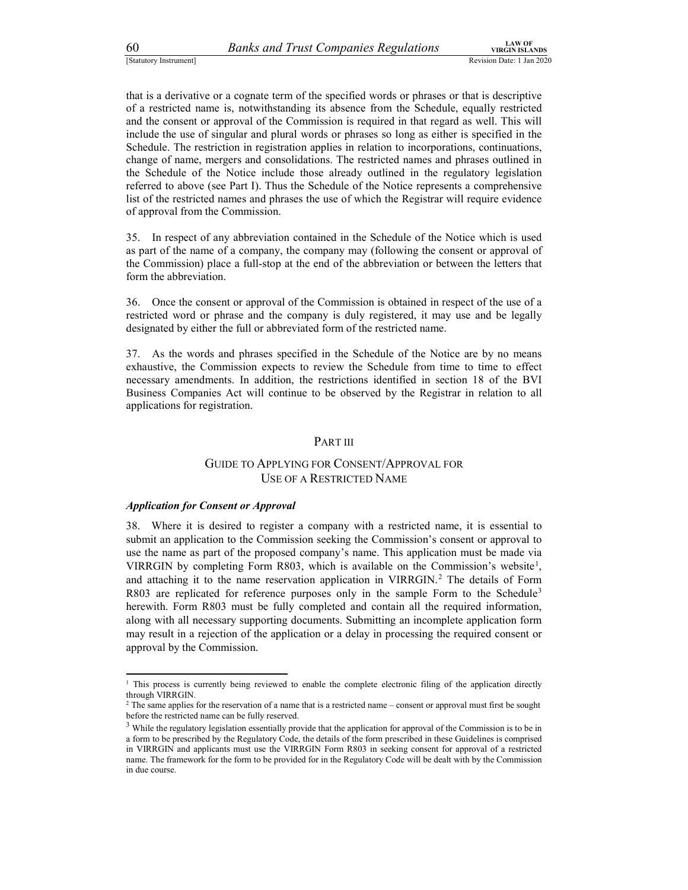$Banks and Trust Companies. Regularations  
\n(Statutory Instrument]  
\n(Statutory Instrument)  
\n(Statutory Instrument)  
\n(3) The  
\n**1.1** A W OF  
\n(3) Revision Date: 1 Jan 2020  
\n(4) Revision Date: 1 Jan 2020  
\n(5) The  
\n**2.1** The  
\n**3.2** The  
\n**4.2** The  
\n**4.2** The  
\n**5.2** The  
\n**5.2** The  
\n**6.2** The  
\n**6.2** The  
\n**6.2** The  
\n**6.2** The$ that is a derivative or a cognate term of the specified words or phrases or that is descriptive of a restricted name is, notwithstanding its absence from the Schedule, equally restricted and the consent or approval of the Commission is required in that regard as well. This will include the use of singular and plural words or phrases so long as either is specified in the Schedule. The restriction in registration applies in relation to incorporations, continuations, change of name, mergers and consolidations. The restricted names and phrases outlined in the Schedule of the Notice include those already outlined in the regulatory legislation referred to above (see Part I). Thus the Schedule of the Notice represents a comprehensive list of the restricted names and phrases the use of which the Registrar will require evidence of approval from the Commission.

35. In respect of any abbreviation contained in the Schedule of the Notice which is used as part of the name of a company, the company may (following the consent or approval of the Commission) place a full-stop at the end of the abbreviation or between the letters that form the abbreviation.

36. Once the consent or approval of the Commission is obtained in respect of the use of a restricted word or phrase and the company is duly registered, it may use and be legally designated by either the full or abbreviated form of the restricted name.

37. As the words and phrases specified in the Schedule of the Notice are by no means exhaustive, the Commission expects to review the Schedule from time to time to effect necessary amendments. In addition, the restrictions identified in section 18 of the BVI Business Companies Act will continue to be observed by the Registrar in relation to all applications for registration.

### PART III

### GUIDE TO APPLYING FOR CONSENT/APPROVAL FOR USE OF A RESTRICTED NAME

### Application for Consent or Approval

38. Where it is desired to register a company with a restricted name, it is essential to submit an application to the Commission seeking the Commission's consent or approval to use the name as part of the proposed company's name. This application must be made via VIRRGIN by completing Form R803, which is available on the Commission's website<sup>1</sup>, and attaching it to the name reservation application in VIRRGIN.<sup>2</sup> The details of Form R803 are replicated for reference purposes only in the sample Form to the Schedule<sup>3</sup> herewith. Form R803 must be fully completed and contain all the required information, along with all necessary supporting documents. Submitting an incomplete application form may result in a rejection of the application or a delay in processing the required consent or approval by the Commission.

<sup>&</sup>lt;sup>1</sup> This process is currently being reviewed to enable the complete electronic filing of the application directly through VIRRGIN.

<sup>2</sup> The same applies for the reservation of a name that is a restricted name – consent or approval must first be sought before the restricted name can be fully reserved.

 $3$  While the regulatory legislation essentially provide that the application for approval of the Commission is to be in a form to be prescribed by the Regulatory Code, the details of the form prescribed in these Guidelines is comprised in VIRRGIN and applicants must use the VIRRGIN Form R803 in seeking consent for approval of a restricted name. The framework for the form to be provided for in the Regulatory Code will be dealt with by the Commission in due course.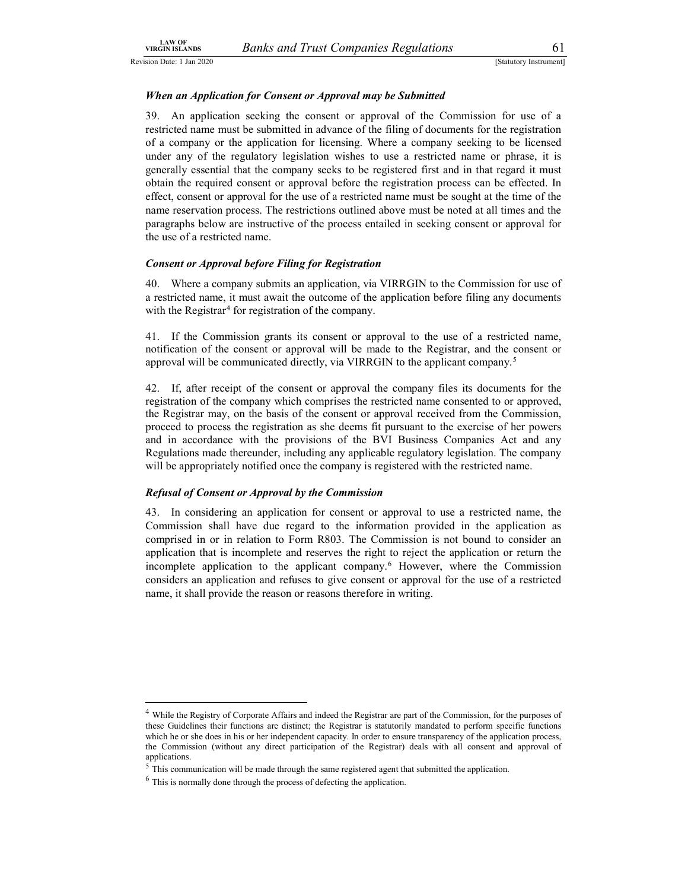### When an Application for Consent or Approval may be Submitted

LAW OF<br>
SIGEN ISLANDS Banks and Trust Companies Regulations 61<br>
Statutory Instrument]<br>
When an Application for Consent or Approval may be Submitted<br>
39. An application seeking the consent or approval of the Commission for 39. An application seeking the consent or approval of the Commission for use of a restricted name must be submitted in advance of the filing of documents for the registration of a company or the application for licensing. Where a company seeking to be licensed under any of the regulatory legislation wishes to use a restricted name or phrase, it is generally essential that the company seeks to be registered first and in that regard it must obtain the required consent or approval before the registration process can be effected. In effect, consent or approval for the use of a restricted name must be sought at the time of the name reservation process. The restrictions outlined above must be noted at all times and the paragraphs below are instructive of the process entailed in seeking consent or approval for the use of a restricted name.

### Consent or Approval before Filing for Registration

40. Where a company submits an application, via VIRRGIN to the Commission for use of a restricted name, it must await the outcome of the application before filing any documents with the Registrar<sup>4</sup> for registration of the company.

41. If the Commission grants its consent or approval to the use of a restricted name, notification of the consent or approval will be made to the Registrar, and the consent or approval will be communicated directly, via VIRRGIN to the applicant company.5

 42. If, after receipt of the consent or approval the company files its documents for the registration of the company which comprises the restricted name consented to or approved, the Registrar may, on the basis of the consent or approval received from the Commission, proceed to process the registration as she deems fit pursuant to the exercise of her powers and in accordance with the provisions of the BVI Business Companies Act and any Regulations made thereunder, including any applicable regulatory legislation. The company will be appropriately notified once the company is registered with the restricted name.

### Refusal of Consent or Approval by the Commission

43. In considering an application for consent or approval to use a restricted name, the Commission shall have due regard to the information provided in the application as comprised in or in relation to Form R803. The Commission is not bound to consider an application that is incomplete and reserves the right to reject the application or return the incomplete application to the applicant company.6 However, where the Commission considers an application and refuses to give consent or approval for the use of a restricted name, it shall provide the reason or reasons therefore in writing.

 <sup>4</sup> While the Registry of Corporate Affairs and indeed the Registrar are part of the Commission, for the purposes of these Guidelines their functions are distinct; the Registrar is statutorily mandated to perform specific functions which he or she does in his or her independent capacity. In order to ensure transparency of the application process, the Commission (without any direct participation of the Registrar) deals with all consent and approval of applications.<br><sup>5</sup> This communication will be made through the same registered agent that submitted the application.

<sup>6</sup> This is normally done through the process of defecting the application.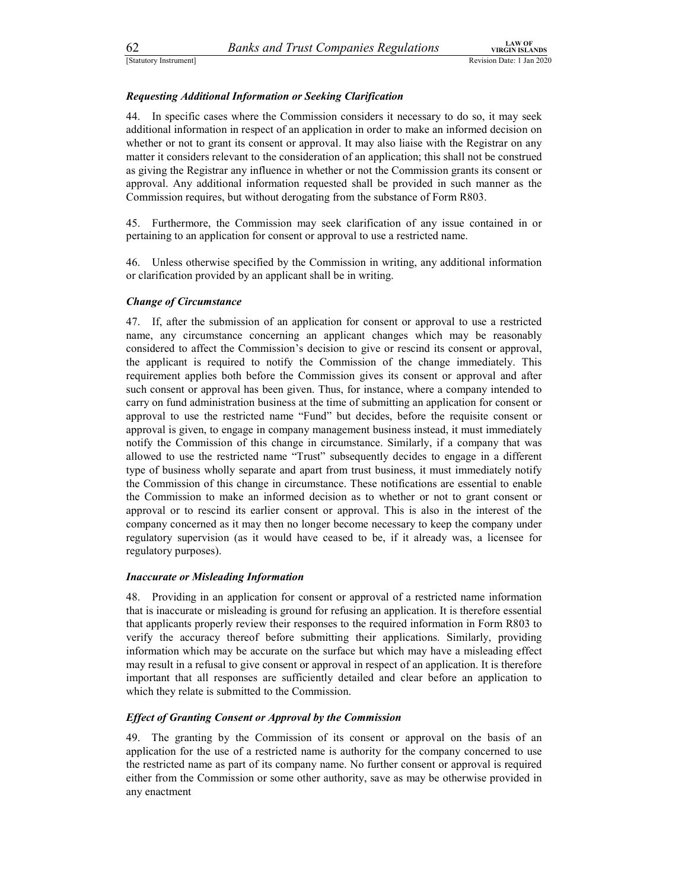### Requesting Additional Information or Seeking Clarification

Estatutory Instrument]<br>
Estatutory Instrument]<br>
Explores and Trust Companies Regulations<br>
Requesting Additional Information or Seeking Clarification<br>
44. In specific cases where the Commission considers it necessary to do 44. In specific cases where the Commission considers it necessary to do so, it may seek additional information in respect of an application in order to make an informed decision on whether or not to grant its consent or approval. It may also liaise with the Registrar on any matter it considers relevant to the consideration of an application; this shall not be construed as giving the Registrar any influence in whether or not the Commission grants its consent or approval. Any additional information requested shall be provided in such manner as the Commission requires, but without derogating from the substance of Form R803.

45. Furthermore, the Commission may seek clarification of any issue contained in or pertaining to an application for consent or approval to use a restricted name.

46. Unless otherwise specified by the Commission in writing, any additional information or clarification provided by an applicant shall be in writing.

### Change of Circumstance

47. If, after the submission of an application for consent or approval to use a restricted name, any circumstance concerning an applicant changes which may be reasonably considered to affect the Commission's decision to give or rescind its consent or approval, the applicant is required to notify the Commission of the change immediately. This requirement applies both before the Commission gives its consent or approval and after such consent or approval has been given. Thus, for instance, where a company intended to carry on fund administration business at the time of submitting an application for consent or approval to use the restricted name "Fund" but decides, before the requisite consent or approval is given, to engage in company management business instead, it must immediately notify the Commission of this change in circumstance. Similarly, if a company that was allowed to use the restricted name "Trust" subsequently decides to engage in a different type of business wholly separate and apart from trust business, it must immediately notify the Commission of this change in circumstance. These notifications are essential to enable the Commission to make an informed decision as to whether or not to grant consent or approval or to rescind its earlier consent or approval. This is also in the interest of the company concerned as it may then no longer become necessary to keep the company under regulatory supervision (as it would have ceased to be, if it already was, a licensee for regulatory purposes).

### Inaccurate or Misleading Information

48. Providing in an application for consent or approval of a restricted name information that is inaccurate or misleading is ground for refusing an application. It is therefore essential that applicants properly review their responses to the required information in Form R803 to verify the accuracy thereof before submitting their applications. Similarly, providing information which may be accurate on the surface but which may have a misleading effect may result in a refusal to give consent or approval in respect of an application. It is therefore important that all responses are sufficiently detailed and clear before an application to which they relate is submitted to the Commission.

### Effect of Granting Consent or Approval by the Commission

49. The granting by the Commission of its consent or approval on the basis of an application for the use of a restricted name is authority for the company concerned to use the restricted name as part of its company name. No further consent or approval is required either from the Commission or some other authority, save as may be otherwise provided in any enactment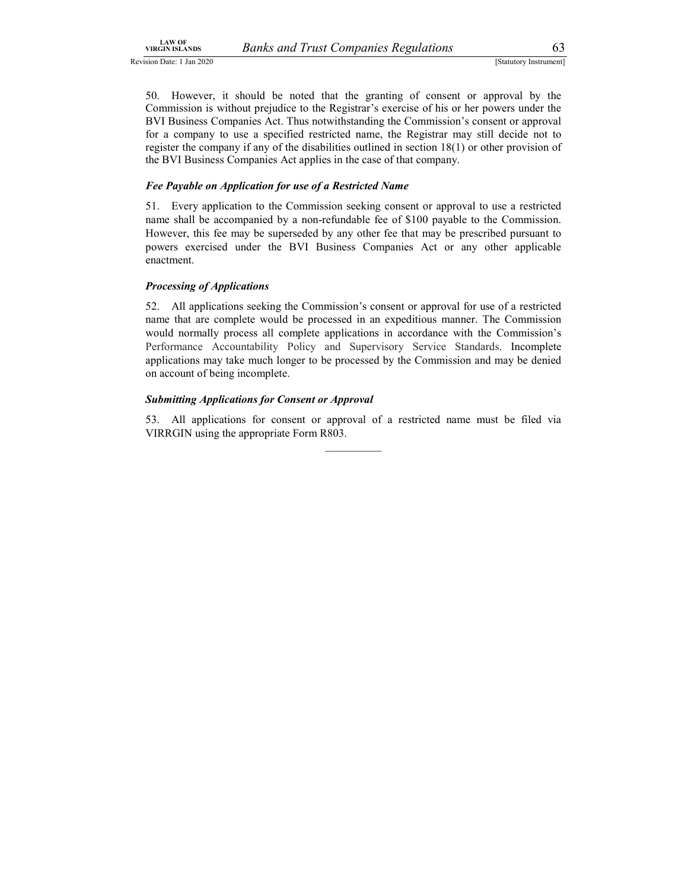LAW OF<br>
SIGNISLANDS BANKS and Trust Companies Regulations 63<br>
SIGNIVITY INSTRUMENT SONG THE SIGNISM (Statutory Instrument)<br>
50. However, it should be noted that the granting of consent or approval by the<br>
Commission is wit EAN SEANDSE<br>
Sign Date: 1 Jan 2020<br>
Sign Date: 1 Jan 2020<br>
50. However, it should be noted that the granting of consent or approval by the<br>
Commission is without prejudice to the Registrar's exercise of his or her powers u Commission is without prejudice to the Registrar's exercise of his or her powers under the BVI Business Companies Act. Thus notwithstanding the Commission's consent or approval for a company to use a specified restricted name, the Registrar may still decide not to register the company if any of the disabilities outlined in section 18(1) or other provision of the BVI Business Companies Act applies in the case of that company.

### Fee Payable on Application for use of a Restricted Name

51. Every application to the Commission seeking consent or approval to use a restricted name shall be accompanied by a non-refundable fee of \$100 payable to the Commission. However, this fee may be superseded by any other fee that may be prescribed pursuant to powers exercised under the BVI Business Companies Act or any other applicable enactment.

### Processing of Applications

52. All applications seeking the Commission's consent or approval for use of a restricted name that are complete would be processed in an expeditious manner. The Commission would normally process all complete applications in accordance with the Commission's Performance Accountability Policy and Supervisory Service Standards. Incomplete applications may take much longer to be processed by the Commission and may be denied on account of being incomplete.

### Submitting Applications for Consent or Approval

53. All applications for consent or approval of a restricted name must be filed via VIRRGIN using the appropriate Form R803.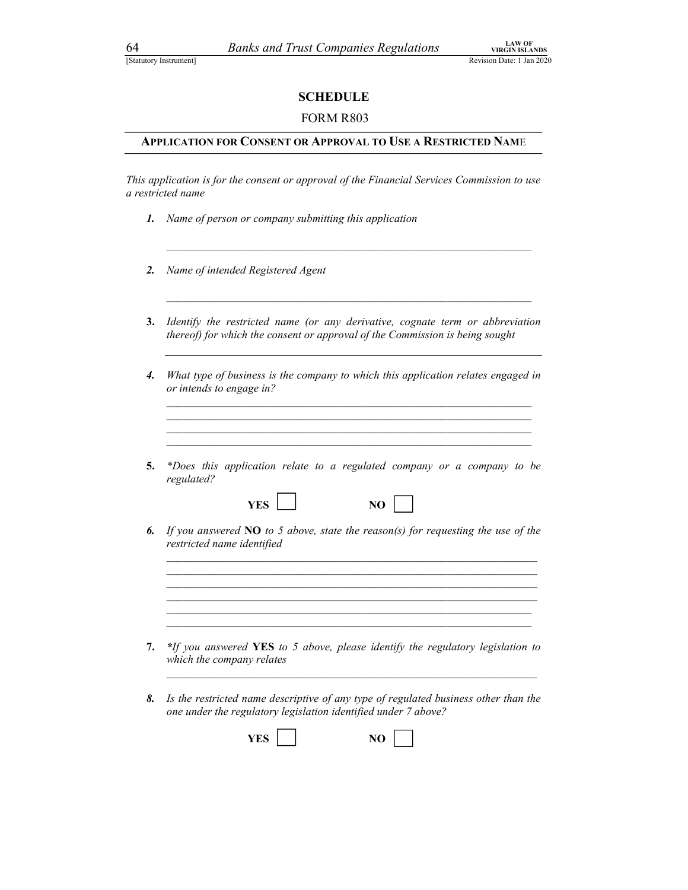### SCHEDULE

### FORM R803

### APPLICATION FOR CONSENT OR APPROVAL TO USE A RESTRICTED NAME

This application is for the consent or approval of the Financial Services Commission Due: 1 Jan 2020<br> **SCHEDULE**<br> **CONSENT OR APPROVAL TO USE A RESTRICTED NAME**<br>
This application is for the consent or approval of the Finan a restricted name

- 1. Name of person or company submitting this application
- 2. Name of intended Registered Agent
- 3. Identify the restricted name (or any derivative, cognate term or abbreviation thereof) for which the consent or approval of the Commission is being sought
- 4. What type of business is the company to which this application relates engaged in or intends to engage in? \_\_\_\_\_\_\_\_\_\_\_\_\_\_\_\_\_\_\_\_\_\_\_\_\_\_\_\_\_\_\_\_\_\_\_\_\_\_\_\_\_\_\_\_\_\_\_\_\_\_\_\_\_\_\_\_\_\_\_\_\_\_\_\_\_ \_\_\_\_\_\_\_\_\_\_\_\_\_\_\_\_\_\_\_\_\_\_\_\_\_\_\_\_\_\_\_\_\_\_\_\_\_\_\_\_\_\_\_\_\_\_\_\_\_\_\_\_\_\_\_\_\_\_\_\_\_\_\_\_\_ \_\_\_\_\_\_\_\_\_\_\_\_\_\_\_\_\_\_\_\_\_\_\_\_\_\_\_\_\_\_\_\_\_\_\_\_\_\_\_\_\_\_\_\_\_\_\_\_\_\_\_\_\_\_\_\_\_\_\_\_\_\_\_\_\_ \_\_\_\_\_\_\_\_\_\_\_\_\_\_\_\_\_\_\_\_\_\_\_\_\_\_\_\_\_\_\_\_\_\_\_\_\_\_\_\_\_\_\_\_\_\_\_\_\_\_\_\_\_\_\_\_\_\_\_\_\_\_\_\_\_
- 5. \*Does this application relate to a regulated company or a company to be regulated?
- 6. If you answered  $NO$  to 5 above, state the reason(s) for requesting the use of the restricted name identified<br>
and the state of the state of the state of the state of the state of the state of the state of the state of the state of the state of the state of the state of the state of the state of the stat

 $YES \Box$  NO  $\Box$ 

7. \*If you answered YES to 5 above, please identify the regulatory legislation to which the company relates

 $\mathcal{L}_\text{max} = \frac{1}{2} \sum_{i=1}^n \mathcal{L}_\text{max}(\mathbf{z}_i - \mathbf{z}_i)$ 

8. Is the restricted name descriptive of any type of regulated business other than the one under the regulatory legislation identified under 7 above?

| <b>YES</b> |  |  |  |
|------------|--|--|--|
|------------|--|--|--|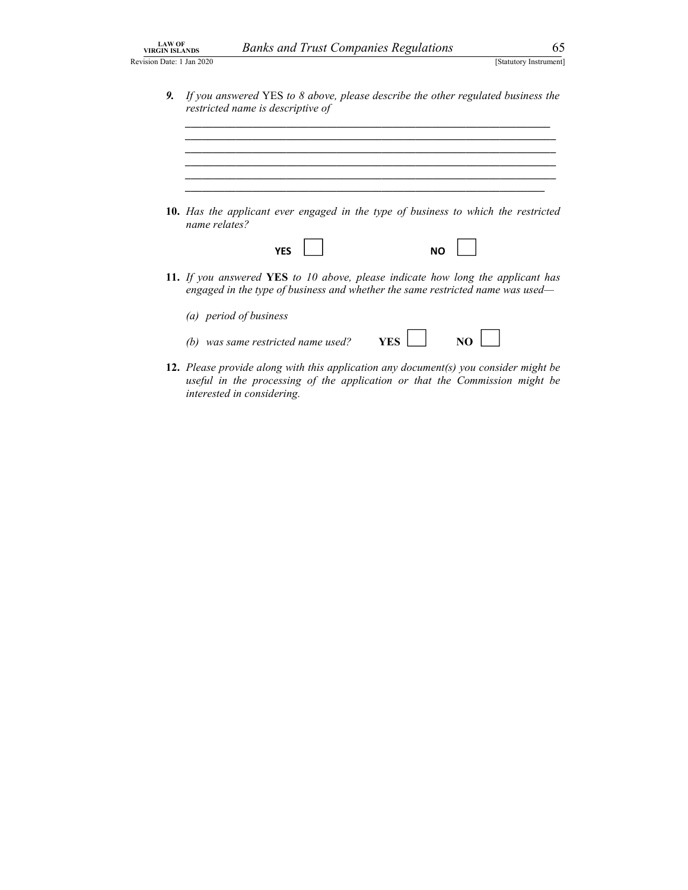$\frac{1}{\sqrt{2}}$  ,  $\frac{1}{\sqrt{2}}$  ,  $\frac{1}{\sqrt{2}}$  ,  $\frac{1}{\sqrt{2}}$  ,  $\frac{1}{\sqrt{2}}$  ,  $\frac{1}{\sqrt{2}}$  ,  $\frac{1}{\sqrt{2}}$  ,  $\frac{1}{\sqrt{2}}$  ,  $\frac{1}{\sqrt{2}}$  ,  $\frac{1}{\sqrt{2}}$  ,  $\frac{1}{\sqrt{2}}$  ,  $\frac{1}{\sqrt{2}}$  ,  $\frac{1}{\sqrt{2}}$  ,  $\frac{1}{\sqrt{2}}$  ,  $\frac{1}{\sqrt{2}}$  $\mathcal{L}_\mathcal{L} = \mathcal{L}_\mathcal{L} = \mathcal{L}_\mathcal{L} = \mathcal{L}_\mathcal{L} = \mathcal{L}_\mathcal{L} = \mathcal{L}_\mathcal{L} = \mathcal{L}_\mathcal{L} = \mathcal{L}_\mathcal{L} = \mathcal{L}_\mathcal{L} = \mathcal{L}_\mathcal{L} = \mathcal{L}_\mathcal{L} = \mathcal{L}_\mathcal{L} = \mathcal{L}_\mathcal{L} = \mathcal{L}_\mathcal{L} = \mathcal{L}_\mathcal{L} = \mathcal{L}_\mathcal{L} = \mathcal{L}_\mathcal{L}$ 

 $\mathcal{L}_\mathcal{L} = \mathcal{L}_\mathcal{L} = \mathcal{L}_\mathcal{L} = \mathcal{L}_\mathcal{L} = \mathcal{L}_\mathcal{L} = \mathcal{L}_\mathcal{L} = \mathcal{L}_\mathcal{L} = \mathcal{L}_\mathcal{L} = \mathcal{L}_\mathcal{L} = \mathcal{L}_\mathcal{L} = \mathcal{L}_\mathcal{L} = \mathcal{L}_\mathcal{L} = \mathcal{L}_\mathcal{L} = \mathcal{L}_\mathcal{L} = \mathcal{L}_\mathcal{L} = \mathcal{L}_\mathcal{L} = \mathcal{L}_\mathcal{L}$  $\mathcal{L}_\text{max}$ 

Banks and Trust Companies Regulations 65<br>
[Statutory Instrument]<br>
Statutory Instrument]<br>
Find YES to 8 above, please describe the other regulated business the<br>
me is descriptive of 9. If you answered YES to 8 above, please describe the other regulated business the restricted name is descriptive of

| 10. Has the applicant ever engaged in the type of business to which the restricted |  |  |  |  |
|------------------------------------------------------------------------------------|--|--|--|--|
| name relates?                                                                      |  |  |  |  |

| VFC<br>1 L.J | <b>NO</b> |
|--------------|-----------|
|--------------|-----------|

11. If you answered YES to 10 above, please indicate how long the applicant has engaged in the type of business and whether the same restricted name was used—

| (a) period of business             |     |                 |
|------------------------------------|-----|-----------------|
| (b) was same restricted name used? | YES | $\overline{NQ}$ |

12. Please provide along with this application any document(s) you consider might be useful in the processing of the application or that the Commission might be interested in considering.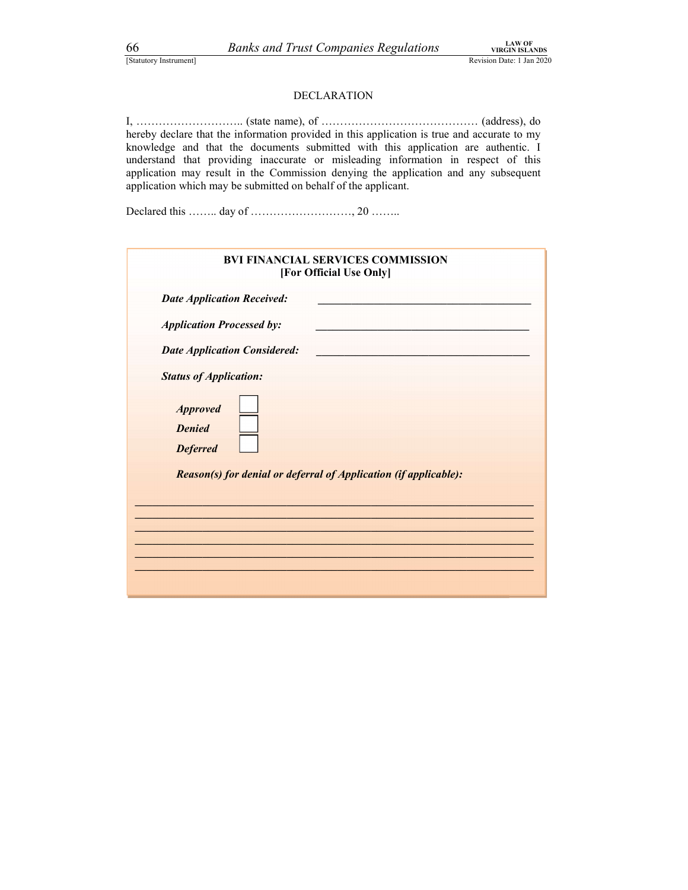Exactly Instrument]<br>
Exactly Instrument]<br>
Exactly Instrument]<br>
EXACTLON<br>
DECLARATION<br>
EXACTLON<br>
State name) of (address) do [Statutory Instrument] Revision Date: 1 Jan 2020 LAW OF VIRGIN ISLANDS DECLARATION *Banks and Trust Companies Regulations* **I.AN OF**<br>
IStatutory Instrument]<br> **I, ……………………** (state name), of ……………………………………………………… (address), do<br>
hereby declare that the information provided in this application is true and ac hereby declare that the information provided in this application is true and accurate to my knowledge and that the documents submitted with this application are authentic. I understand that providing inaccurate or misleading information in respect of this application may result in the Commission denying the application and any subsequent application which may be submitted on behalf of the applicant.

| 66<br>Statutory Instrument]                         | <b>Banks and Trust Companies Regulations</b>                                                                                                                                                                                                                                                                                                                                                                                   | <b>LAW OF</b><br><b>VIRGIN ISLANDS</b><br>Revision Date: 1 Jan 2020 |
|-----------------------------------------------------|--------------------------------------------------------------------------------------------------------------------------------------------------------------------------------------------------------------------------------------------------------------------------------------------------------------------------------------------------------------------------------------------------------------------------------|---------------------------------------------------------------------|
|                                                     | <b>DECLARATION</b>                                                                                                                                                                                                                                                                                                                                                                                                             |                                                                     |
|                                                     | hereby declare that the information provided in this application is true and accurate to my<br>knowledge and that the documents submitted with this application are authentic. I<br>understand that providing inaccurate or misleading information in respect of this<br>application may result in the Commission denying the application and any subsequent<br>application which may be submitted on behalf of the applicant. |                                                                     |
|                                                     |                                                                                                                                                                                                                                                                                                                                                                                                                                |                                                                     |
|                                                     | <b>BVI FINANCIAL SERVICES COMMISSION</b><br>[For Official Use Only]                                                                                                                                                                                                                                                                                                                                                            |                                                                     |
|                                                     | <b>Date Application Received:</b>                                                                                                                                                                                                                                                                                                                                                                                              |                                                                     |
|                                                     | <b>Application Processed by:</b>                                                                                                                                                                                                                                                                                                                                                                                               |                                                                     |
|                                                     | <b>Date Application Considered:</b>                                                                                                                                                                                                                                                                                                                                                                                            |                                                                     |
|                                                     | <b>Status of Application:</b>                                                                                                                                                                                                                                                                                                                                                                                                  |                                                                     |
| <b>Approved</b><br><b>Denied</b><br><b>Deferred</b> |                                                                                                                                                                                                                                                                                                                                                                                                                                |                                                                     |
|                                                     | Reason(s) for denial or deferral of Application (if applicable):                                                                                                                                                                                                                                                                                                                                                               |                                                                     |
|                                                     |                                                                                                                                                                                                                                                                                                                                                                                                                                |                                                                     |
|                                                     |                                                                                                                                                                                                                                                                                                                                                                                                                                |                                                                     |
|                                                     |                                                                                                                                                                                                                                                                                                                                                                                                                                |                                                                     |
|                                                     |                                                                                                                                                                                                                                                                                                                                                                                                                                |                                                                     |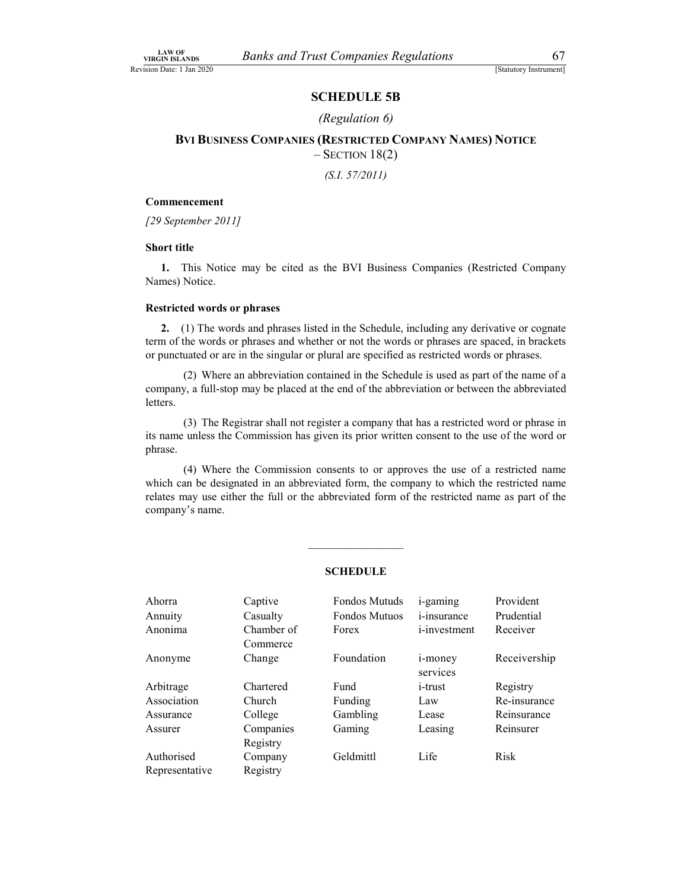### SCHEDULE 5B

### (Regulation 6)

VIRGIN ISLANDS *Banks and Trust Companies Regulations* 67<br>
[Statutory Instrument]<br> **SCHEDULE 5B**<br> *(Regulation 6)*<br> **BVI BUSINESS COMPANIES (RESTRICTED COMPANY NAMES) NOTICE**  $B_{\text{A} \rightarrow \text{M} \text{N}}^{\text{OR}}$ <br>  $B$  Examples **Companies Regulations**<br> **SCHEDULE 5B**<br>
(Regulation 6)<br> **BVI BUSINESS COMPANIES (RESTRICTED COMPANY NAMES) NOTICE**<br>  $-$  SECTION 18(2)<br>
(*S.I. 57/2011*)<br> **Examples**  $-$  SECTION 18(2)

(S.I. 57/2011)

### Commencement

[29 September 2011]

### Short title

1. This Notice may be cited as the BVI Business Companies (Restricted Company Names) Notice.

### Restricted words or phrases

### SCHEDULE

|                    | ixtsu ivitu worus of pin asts      |                                                                                                                                                                                                                                                                                               |                                             |                        |  |
|--------------------|------------------------------------|-----------------------------------------------------------------------------------------------------------------------------------------------------------------------------------------------------------------------------------------------------------------------------------------------|---------------------------------------------|------------------------|--|
|                    |                                    | 2. (1) The words and phrases listed in the Schedule, including any derivative or cognate<br>term of the words or phrases and whether or not the words or phrases are spaced, in brackets<br>or punctuated or are in the singular or plural are specified as restricted words or phrases.      |                                             |                        |  |
| letters.           |                                    | (2) Where an abbreviation contained in the Schedule is used as part of the name of a<br>company, a full-stop may be placed at the end of the abbreviation or between the abbreviated                                                                                                          |                                             |                        |  |
| phrase.            |                                    | (3) The Registrar shall not register a company that has a restricted word or phrase in<br>its name unless the Commission has given its prior written consent to the use of the word or                                                                                                        |                                             |                        |  |
| company's name.    |                                    | (4) Where the Commission consents to or approves the use of a restricted name<br>which can be designated in an abbreviated form, the company to which the restricted name<br>relates may use either the full or the abbreviated form of the restricted name as part of the<br><b>SCHEDULE</b> |                                             |                        |  |
|                    |                                    |                                                                                                                                                                                                                                                                                               |                                             |                        |  |
| Ahorra             | Captive                            | Fondos Mutuds                                                                                                                                                                                                                                                                                 | <i>i</i> -gaming                            | Provident              |  |
| Annuity<br>Anonima | Casualty<br>Chamber of<br>Commerce | Fondos Mutuos<br>Forex                                                                                                                                                                                                                                                                        | <i>i</i> -insurance<br><i>i</i> -investment | Prudential<br>Receiver |  |
| Anonyme            | Change                             | Foundation                                                                                                                                                                                                                                                                                    | i-money<br>services                         | Receivership           |  |
| Arbitrage          | Chartered                          | Fund                                                                                                                                                                                                                                                                                          | <i>i</i> -trust                             | Registry               |  |
| Association        | Church                             | Funding                                                                                                                                                                                                                                                                                       | Law                                         | Re-insurance           |  |
| Assurance          | College                            | Gambling                                                                                                                                                                                                                                                                                      | Lease                                       | Reinsurance            |  |
| Assurer            | Companies<br>Registry              | Gaming                                                                                                                                                                                                                                                                                        | Leasing                                     | Reinsurer              |  |
|                    | Company                            | Geldmittl                                                                                                                                                                                                                                                                                     | Life                                        | Risk                   |  |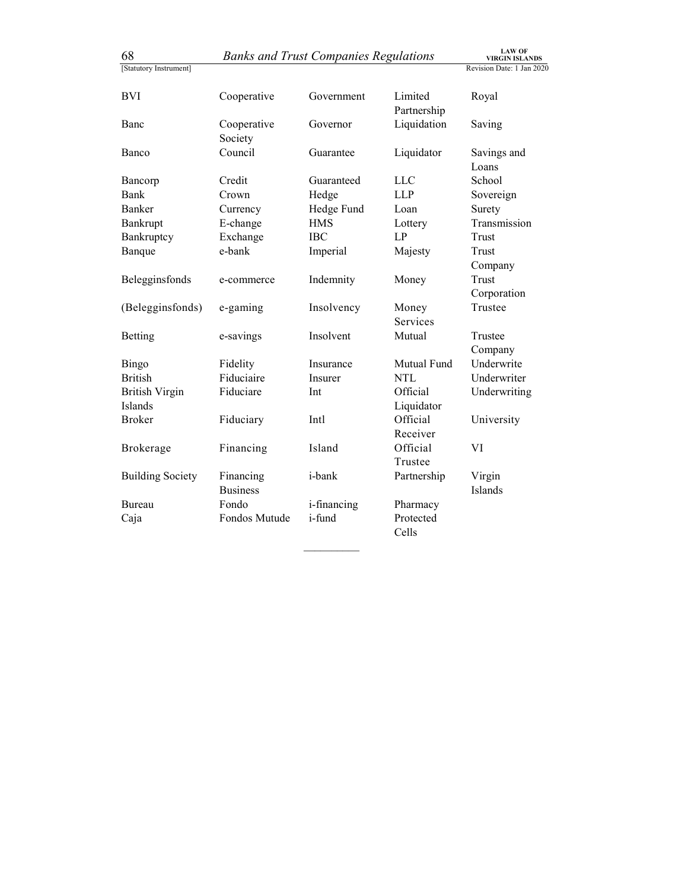| 68                      |                              | <b>Banks and Trust Companies Regulations</b> |                            | <b>LAW OF</b><br><b>VIRGIN ISLANDS</b> |
|-------------------------|------------------------------|----------------------------------------------|----------------------------|----------------------------------------|
| [Statutory Instrument]  |                              |                                              |                            | Revision Date: 1 Jan 2020              |
|                         |                              |                                              |                            |                                        |
| <b>BVI</b>              | Cooperative                  | Government                                   | Limited                    | Royal                                  |
| Banc                    | Cooperative                  | Governor                                     | Partnership<br>Liquidation | Saving                                 |
|                         | Society                      |                                              |                            |                                        |
| Banco                   | Council                      | Guarantee                                    | Liquidator                 | Savings and                            |
|                         |                              |                                              |                            | Loans                                  |
| Bancorp                 | Credit                       | Guaranteed                                   | <b>LLC</b>                 | School                                 |
| <b>Bank</b>             | Crown                        | Hedge                                        | <b>LLP</b>                 | Sovereign                              |
| Banker                  | Currency                     | Hedge Fund                                   | Loan                       | Surety                                 |
| Bankrupt                | E-change                     | <b>HMS</b>                                   | Lottery                    | Transmission                           |
| Bankruptcy              | Exchange                     | <b>IBC</b>                                   | LP                         | Trust                                  |
| Banque                  | e-bank                       | Imperial                                     | Majesty                    | Trust                                  |
|                         |                              |                                              |                            | $\operatorname{Company}$               |
| Belegginsfonds          | e-commerce                   | Indemnity                                    | Money                      | Trust                                  |
|                         |                              |                                              |                            | Corporation                            |
| (Belegginsfonds)        | e-gaming                     | Insolvency                                   | Money                      | Trustee                                |
|                         |                              |                                              | Services                   |                                        |
| Betting                 | e-savings                    | Insolvent                                    | Mutual                     | Trustee                                |
|                         |                              |                                              |                            | Company                                |
| Bingo                   | Fidelity                     | Insurance                                    | Mutual Fund                | Underwrite                             |
| <b>British</b>          | Fiduciaire                   | Insurer                                      | $\rm NTL$                  | Underwriter                            |
| <b>British Virgin</b>   | Fiduciare                    | Int                                          | Official                   | Underwriting                           |
| Islands                 |                              |                                              | Liquidator                 |                                        |
| <b>Broker</b>           | Fiduciary                    | Intl                                         | Official                   | University                             |
|                         |                              |                                              | Receiver                   |                                        |
| Brokerage               | Financing                    | Island                                       | Official                   | VI                                     |
|                         |                              |                                              | Trustee                    |                                        |
| <b>Building Society</b> | Financing<br><b>Business</b> | i-bank                                       | Partnership                | Virgin                                 |
| Bureau                  | Fondo                        |                                              | Pharmacy                   | Islands                                |
|                         | Fondos Mutude                | i-financing<br>i-fund                        | Protected                  |                                        |
|                         |                              |                                              | Cells                      |                                        |
| Caja                    |                              |                                              |                            |                                        |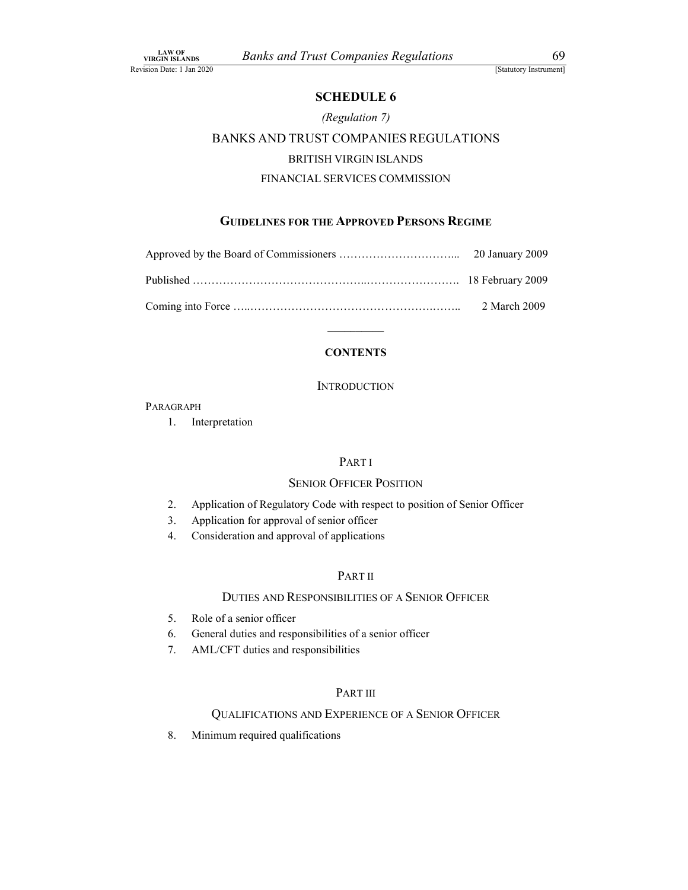### SCHEDULE 6

### (Regulation 7)

### VIRGIN ISLANDS *Banks and Trust Companies Regulations* 69<br>
[Statutory Instrument]<br>
SCHEDULE 6<br> *(Regulation 7)*<br>
BANKS AND TRUST COMPANIES REGULATIONS Banks and Trust Companies Regulations<br>
SCHEDULE 6<br>
(Regulation 7)<br>
BANKS AND TRUST COMPANIES REGULATIONS<br>
BRITISH VIRGIN ISLANDS<br>
FINANCIAL SERVICES COMMISSION Manuscript Companies Regulations<br>
SCHEDULE 6<br>
(Regulation 7)<br>
TRUST COMPANIES REGULATIONS<br>
BRITISH VIRGIN ISLANDS<br>
NCIAL SERVICES COMMISSION<br>
FOR THE APPROVED PERSONS REGIME *SCHEDULE 6*<br>
FINANCIAL SCHEDULE 6<br> *FINANCIAL SERVICES REGULATIONS*<br>
FINANCIAL SERVICES COMMISSION<br>
FINANCIAL SERVICES COMMISSION<br>
FINANCIAL SERVICES COMMISSION<br> **FINANCIAL SERVICES COMMISSION**

### GUIDELINES FOR THE APPROVED PERSONS REGIME

| 2 March 2009 |  |
|--------------|--|

### **CONTENTS**

### INTRODUCTION<br>Paragraph

1. Interpretation

### PART I

### SENIOR OFFICER POSITION

- 2. Application of Regulatory Code with respect to position of Senior Officer
- 3. Application for approval of senior officer
- 4. Consideration and approval of applications

### PART II

### DUTIES AND RESPONSIBILITIES OF A SENIOR OFFICER

- 5. Role of a senior officer
- 6. General duties and responsibilities of a senior officer
- 7. AML/CFT duties and responsibilities

### PART III

### QUALIFICATIONS AND EXPERIENCE OF A SENIOR OFFICER

8. Minimum required qualifications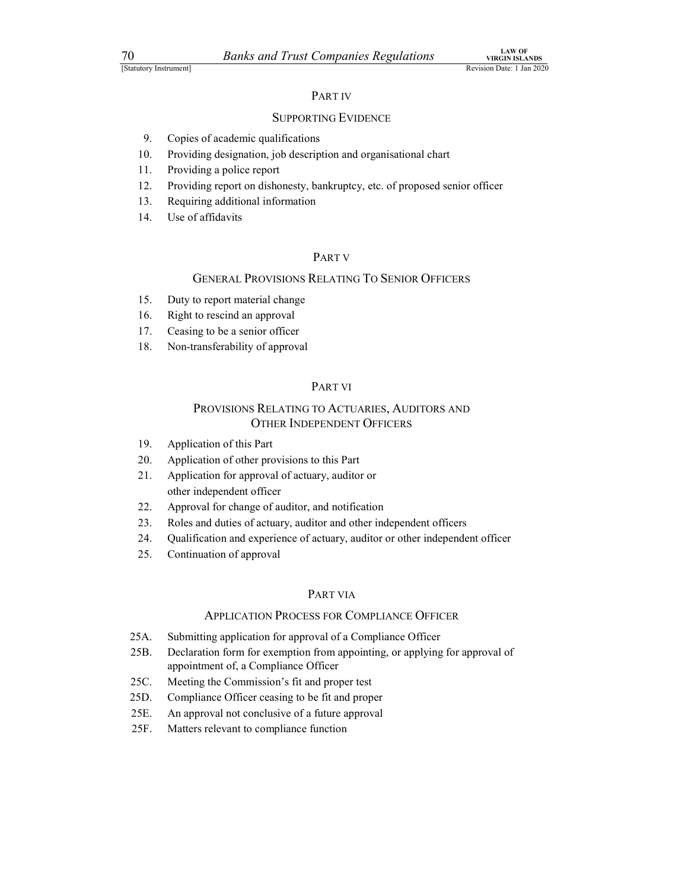### PART IV

### SUPPORTING EVIDENCE

- 9. Copies of academic qualifications
- 10. Providing designation, job description and organisational chart
- 11. Providing a police report
- 12. Providing report on dishonesty, bankruptcy, etc. of proposed senior officer
- 13. Requiring additional information
- 14. Use of affidavits

### PART V

### GENERAL PROVISIONS RELATING TO SENIOR OFFICERS

- 15. Duty to report material change
- 16. Right to rescind an approval
- 17. Ceasing to be a senior officer
- 18. Non-transferability of approval

### PART VI

## SUPPORTING EVIDENCE:<br>
SUPPORTING IS and comparational chart<br>
ding designation, job description and organisational chart<br>
ding report on dishonesty, bankruptcy, etc. of proposed senior officer<br>
ring additional information<br> OTHER INDEPENDENT OFFICERS

- 19. Application of this Part
- 20. Application of other provisions to this Part
- 21. Application for approval of actuary, auditor or other independent officer
- 22. Approval for change of auditor, and notification
- 23. Roles and duties of actuary, auditor and other independent officers
- 24. Qualification and experience of actuary, auditor or other independent officer
- 25. Continuation of approval

### PART VIA

### APPLICATION PROCESS FOR COMPLIANCE OFFICER

- 25A. Submitting application for approval of a Compliance Officer
- 25B. Declaration form for exemption from appointing, or applying for approval of appointment of, a Compliance Officer
- 25C. Meeting the Commission's fit and proper test
- 25D. Compliance Officer ceasing to be fit and proper
- 25E. An approval not conclusive of a future approval
- 25F. Matters relevant to compliance function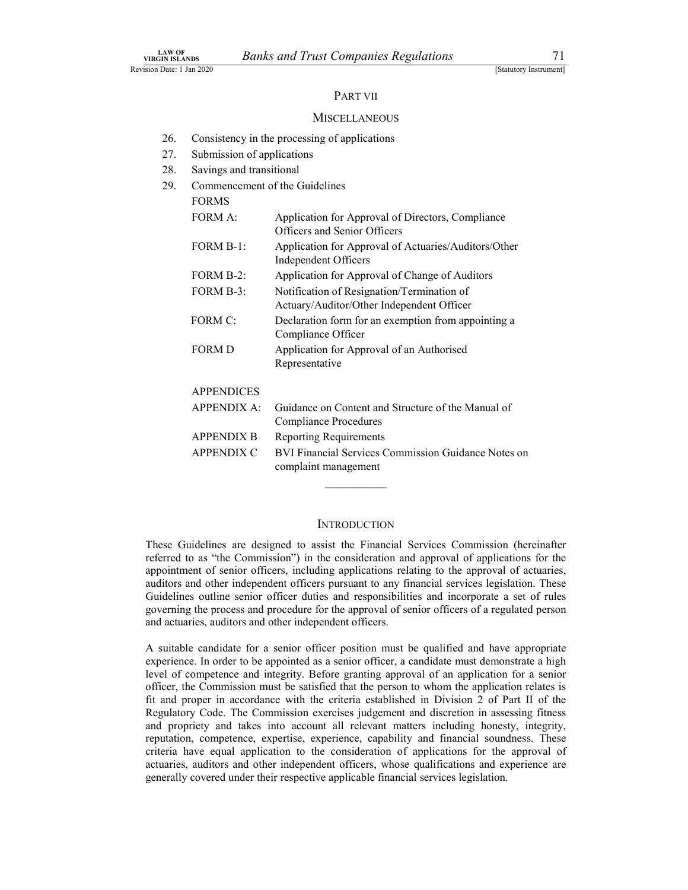### PART VII

### **MISCELLANEOUS**

- 26. Consistency in the processing of applications
- 27. Submission of applications
- 28. Savings and transitional
- 29. Commencement of the Guidelines

| <b>FORMS</b>       |                                                                                         |
|--------------------|-----------------------------------------------------------------------------------------|
| FORM A:            | Application for Approval of Directors, Compliance<br>Officers and Senior Officers       |
| FORM B-1:          | Application for Approval of Actuaries/Auditors/Other<br><b>Independent Officers</b>     |
| FORM B-2:          | Application for Approval of Change of Auditors                                          |
| FORM B-3:          | Notification of Resignation/Termination of<br>Actuary/Auditor/Other Independent Officer |
| FORM C:            | Declaration form for an exemption from appointing a<br>Compliance Officer               |
| <b>FORM D</b>      | Application for Approval of an Authorised<br>Representative                             |
| <b>APPENDICES</b>  |                                                                                         |
| <b>APPENDIX A:</b> | Guidance on Content and Structure of the Manual of<br>Compliance Procedures             |
| <b>APPENDIX B</b>  | <b>Reporting Requirements</b>                                                           |
| <b>APPENDIX C</b>  | BVI Financial Services Commission Guidance Notes on<br>complaint management             |
|                    |                                                                                         |
|                    | <b>INTRODUCTION</b>                                                                     |

These Guidelines are designed to assist the Financial Services Commission (hereinafter referred to as "the Commission") in the consideration and approval of applications for the appointment of senior officers, including applications relating to the approval of actuaries, auditors and other independent officers pursuant to any financial services legislation. These Guidelines outline senior officer duties and responsibilities and incorporate a set of rules governing the process and procedure for the approval of senior officers of a regulated person and actuaries, auditors and other independent officers.

A suitable candidate for a senior officer position must be qualified and have appropriate experience. In order to be appointed as a senior officer, a candidate must demonstrate a high level of competence and integrity. Before granting approval of an application for a senior officer, the Commission must be satisfied that the person to whom the application relates is fit and proper in accordance with the criteria established in Division 2 of Part II of the Regulatory Code. The Commission exercises judgement and discretion in assessing fitness and propriety and takes into account all relevant matters including honesty, integrity, reputation, competence, expertise, experience, capability and financial soundness. These criteria have equal application to the consideration of applications for the approval of actuaries, auditors and other independent officers, whose qualifications and experience are generally covered under their respective applicable financial services legislation.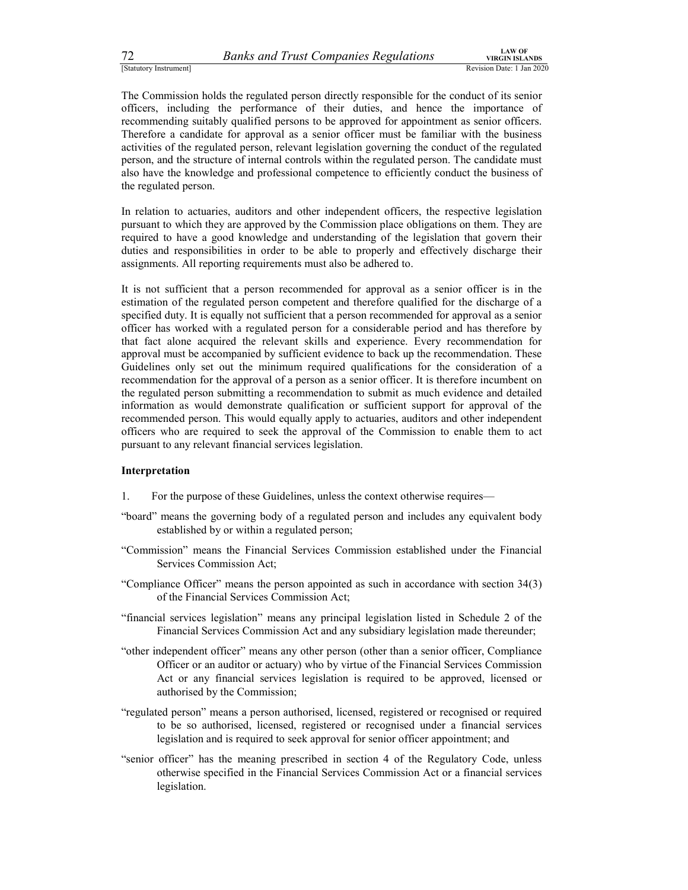<sup>72</sup><br><sup>[Statutory Instrument]<br><sup>[Statutory Instrument]<br>The Commission holds the regulated person directly responsible for the conduct of its senior<br>officers, including the performance of their duties, and hence the importanc</sup></sup> The Commission holds the regulated person directly responsible for the conduct of its senior officers, including the performance of their duties, and hence the importance of recommending suitably qualified persons to be approved for appointment as senior officers. Therefore a candidate for approval as a senior officer must be familiar with the business activities of the regulated person, relevant legislation governing the conduct of the regulated person, and the structure of internal controls within the regulated person. The candidate must also have the knowledge and professional competence to efficiently conduct the business of the regulated person.

In relation to actuaries, auditors and other independent officers, the respective legislation pursuant to which they are approved by the Commission place obligations on them. They are required to have a good knowledge and understanding of the legislation that govern their duties and responsibilities in order to be able to properly and effectively discharge their assignments. All reporting requirements must also be adhered to.

It is not sufficient that a person recommended for approval as a senior officer is in the estimation of the regulated person competent and therefore qualified for the discharge of a specified duty. It is equally not sufficient that a person recommended for approval as a senior officer has worked with a regulated person for a considerable period and has therefore by that fact alone acquired the relevant skills and experience. Every recommendation for approval must be accompanied by sufficient evidence to back up the recommendation. These Guidelines only set out the minimum required qualifications for the consideration of a recommendation for the approval of a person as a senior officer. It is therefore incumbent on the regulated person submitting a recommendation to submit as much evidence and detailed information as would demonstrate qualification or sufficient support for approval of the recommended person. This would equally apply to actuaries, auditors and other independent officers who are required to seek the approval of the Commission to enable them to act pursuant to any relevant financial services legislation.

### Interpretation

- 1. For the purpose of these Guidelines, unless the context otherwise requires—
- "board" means the governing body of a regulated person and includes any equivalent body established by or within a regulated person;
- "Commission" means the Financial Services Commission established under the Financial Services Commission Act;
- "Compliance Officer" means the person appointed as such in accordance with section 34(3) of the Financial Services Commission Act;
- "financial services legislation" means any principal legislation listed in Schedule 2 of the Financial Services Commission Act and any subsidiary legislation made thereunder;
- "other independent officer" means any other person (other than a senior officer, Compliance Officer or an auditor or actuary) who by virtue of the Financial Services Commission Act or any financial services legislation is required to be approved, licensed or authorised by the Commission;
- "regulated person" means a person authorised, licensed, registered or recognised or required to be so authorised, licensed, registered or recognised under a financial services legislation and is required to seek approval for senior officer appointment; and
- "senior officer" has the meaning prescribed in section 4 of the Regulatory Code, unless otherwise specified in the Financial Services Commission Act or a financial services legislation.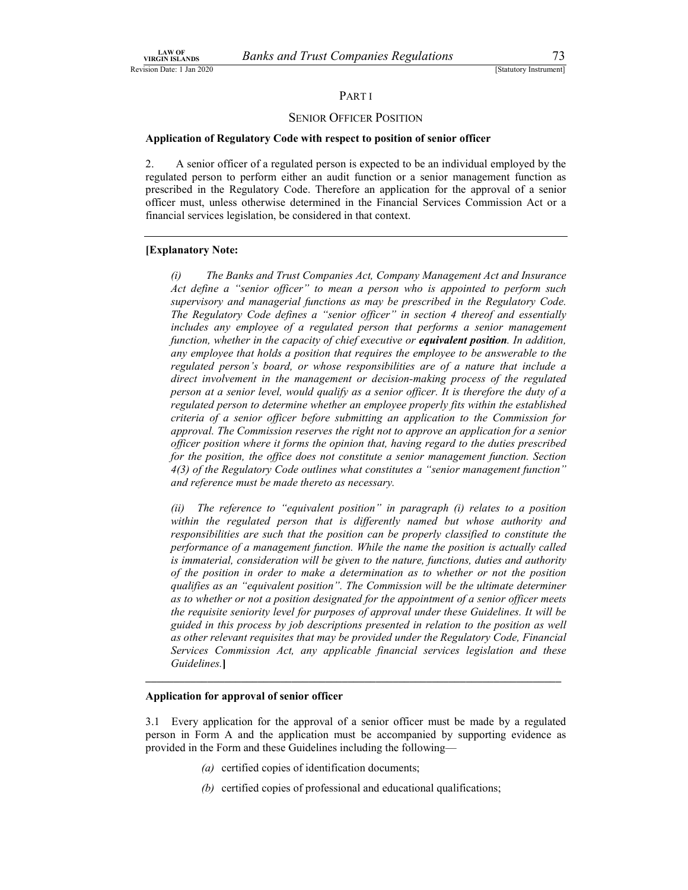### PART I

### SENIOR OFFICER POSITION

## LAW OF<br>
VIRGIN ISLANDS BANKS and Trust Companies Regulations<br>
[Statutory Instrument]<br>
PART I<br>
SENIOR OFFICER POSITION<br>
Application of Regulatory Code with respect to position of senior officer Application of Regulatory Code with respect to position of senior officer

2. A senior officer of a regulated person is expected to be an individual employed by the regulated person to perform either an audit function or a senior management function as prescribed in the Regulatory Code. Therefore an application for the approval of a senior officer must, unless otherwise determined in the Financial Services Commission Act or a financial services legislation, be considered in that context.

### [Explanatory Note:

(i) The Banks and Trust Companies Act, Company Management Act and Insurance Act define a "senior officer" to mean a person who is appointed to perform such supervisory and managerial functions as may be prescribed in the Regulatory Code. The Regulatory Code defines a "senior officer" in section 4 thereof and essentially includes any employee of a regulated person that performs a senior management function, whether in the capacity of chief executive or **equivalent position**. In addition, any employee that holds a position that requires the employee to be answerable to the regulated person's board, or whose responsibilities are of a nature that include a direct involvement in the management or decision-making process of the regulated person at a senior level, would qualify as a senior officer. It is therefore the duty of a regulated person to determine whether an employee properly fits within the established criteria of a senior officer before submitting an application to the Commission for approval. The Commission reserves the right not to approve an application for a senior officer position where it forms the opinion that, having regard to the duties prescribed for the position, the office does not constitute a senior management function. Section 4(3) of the Regulatory Code outlines what constitutes a "senior management function" and reference must be made thereto as necessary.<br>(ii) The reference to "equivalent position" in paragraph (i) relates to a position

within the regulated person that is differently named but whose authority and responsibilities are such that the position can be properly classified to constitute the performance of a management function. While the name the position is actually called is immaterial, consideration will be given to the nature, functions, duties and authority of the position in order to make a determination as to whether or not the position qualifies as an "equivalent position". The Commission will be the ultimate determiner as to whether or not a position designated for the appointment of a senior officer meets the requisite seniority level for purposes of approval under these Guidelines. It will be guided in this process by job descriptions presented in relation to the position as well as other relevant requisites that may be provided under the Regulatory Code, Financial Services Commission Act, any applicable financial services legislation and these Guidelines.]

### Application for approval of senior officer

3.1 Every application for the approval of a senior officer must be made by a regulated person in Form A and the application must be accompanied by supporting evidence as provided in the Form and these Guidelines including the following—

- (a) certified copies of identification documents;
- (b) certified copies of professional and educational qualifications;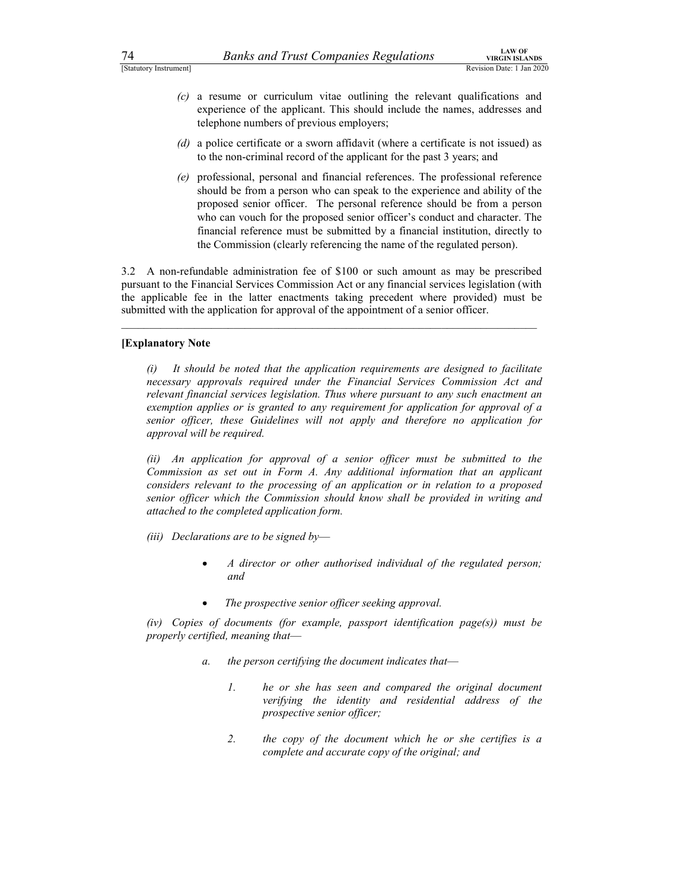- <sup>74</sup> Banks and Trust Companies Regulations<br>
<sup>14</sup> Estatutory Instrument]<br>
(c) a resume or curriculum vitae outlining the relevant qualifications and<br>
experience of the applicant. This should include the names, addresses and (c) a resume or curriculum vitae outlining the relevant qualifications and experience of the applicant. This should include the names, addresses and telephone numbers of previous employers;
	- (d) a police certificate or a sworn affidavit (where a certificate is not issued) as to the non-criminal record of the applicant for the past 3 years; and
	- (e) professional, personal and financial references. The professional reference should be from a person who can speak to the experience and ability of the proposed senior officer. The personal reference should be from a person who can vouch for the proposed senior officer's conduct and character. The financial reference must be submitted by a financial institution, directly to the Commission (clearly referencing the name of the regulated person).

3.2 A non-refundable administration fee of \$100 or such amount as may be prescribed pursuant to the Financial Services Commission Act or any financial services legislation (with the applicable fee in the latter enactments taking precedent where provided) must be submitted with the application for approval of the appointment of a senior officer.

### [Explanatory Note

(i) It should be noted that the application requirements are designed to facilitate necessary approvals required under the Financial Services Commission Act and relevant financial services legislation. Thus where pursuant to any such enactment an exemption applies or is granted to any requirement for application for approval of a senior officer, these Guidelines will not apply and therefore no application for approval will be required.

(ii) An application for approval of a senior officer must be submitted to the Commission as set out in Form A. Any additional information that an applicant considers relevant to the processing of an application or in relation to a proposed senior officer which the Commission should know shall be provided in writing and attached to the completed application form.

- (iii) Declarations are to be signed by-
	- A director or other authorised individual of the regulated person; and
	- The prospective senior officer seeking approval.

(iv) Copies of documents (for example, passport identification page(s)) must be properly certified, meaning that—

- a. the person certifying the document indicates that—
	- 1. he or she has seen and compared the original document verifying the identity and residential address of the prospective senior officer;
	- 2. the copy of the document which he or she certifies is a complete and accurate copy of the original; and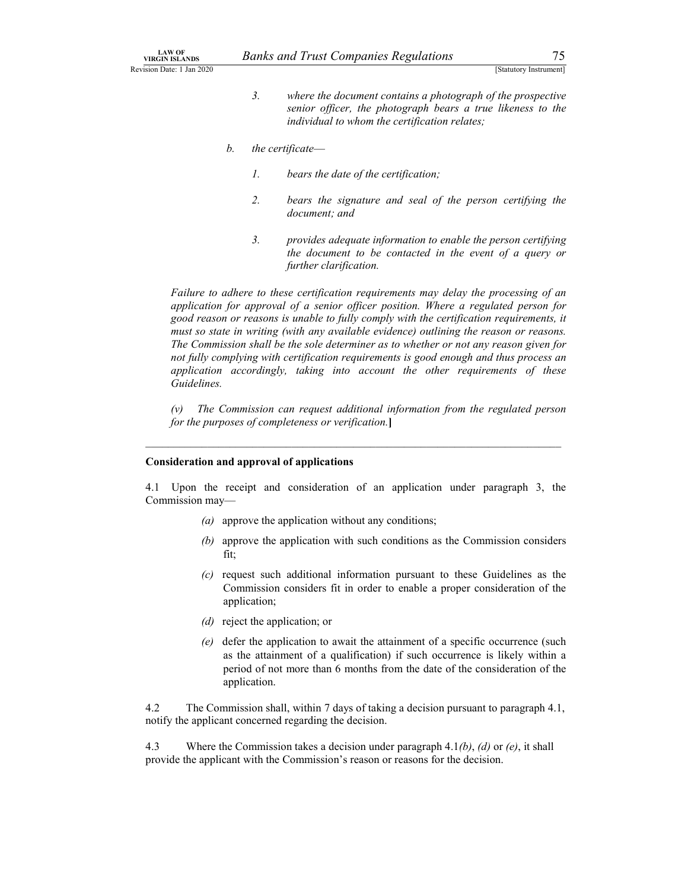- Banks and Trust Companies Regulations<br>
[Statutory Instrument]<br>
3. where the document contains a photograph of the prospective<br>
senior officer, the photograph bears a true likeness to the<br>
individual to whom the certificati LAW OF<br>
NIRGIN ISLANDS<br>
Revision Date: 1 Jan 2020<br>
3. Where the document contains a photograph of the prospective<br>
senior officer, the photograph bears a true likeness to the<br>
individual to whom the certification relates; 2. and *S* and *Trust Companies Regulations*<br>
[Statutory Instrument]<br>
3. where the document contains a photograph of the prospective<br>
senior officer, the photograph bears a true likeness to the<br>
individual to whom the cert senior officer, the photograph bears a true likeness to the individual to whom the certification relates;
	- b. the certificate—
		- 1. bears the date of the certification;
		- 2. bears the signature and seal of the person certifying the document; and
		- 3. provides adequate information to enable the person certifying the document to be contacted in the event of a query or further clarification.

Failure to adhere to these certification requirements may delay the processing of an application for approval of a senior officer position. Where a regulated person for good reason or reasons is unable to fully comply with the certification requirements, it must so state in writing (with any available evidence) outlining the reason or reasons. The Commission shall be the sole determiner as to whether or not any reason given for not fully complying with certification requirements is good enough and thus process an application accordingly, taking into account the other requirements of these Guidelines.

(v) The Commission can request additional information from the regulated person for the purposes of completeness or verification.]

### Consideration and approval of applications

4.1 Upon the receipt and consideration of an application under paragraph 3, the Commission may—

 $\mathcal{L}_\text{max}$ 

- (a) approve the application without any conditions;
- (b) approve the application with such conditions as the Commission considers fit;
- (c) request such additional information pursuant to these Guidelines as the Commission considers fit in order to enable a proper consideration of the application;
- (d) reject the application; or
- (e) defer the application to await the attainment of a specific occurrence (such as the attainment of a qualification) if such occurrence is likely within a period of not more than 6 months from the date of the consideration of the application.

4.2 The Commission shall, within 7 days of taking a decision pursuant to paragraph 4.1, notify the applicant concerned regarding the decision.

4.3 Where the Commission takes a decision under paragraph 4.1(b), (d) or (e), it shall provide the applicant with the Commission's reason or reasons for the decision.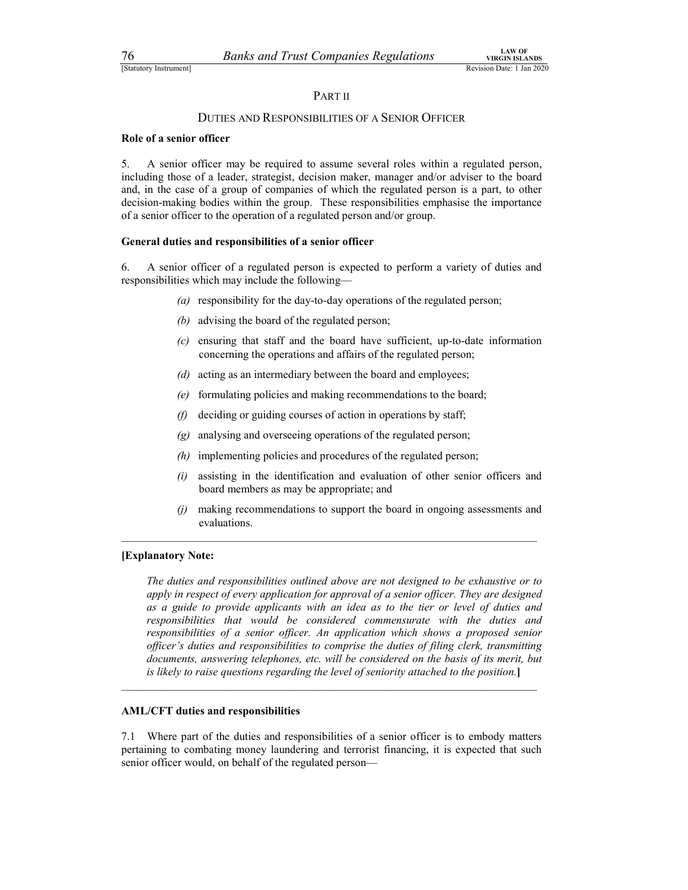### PART II

## 76 Banks and Trust Companies Regulations TRENS VIRGIN ISLANDS<br>
TStatutory Instrument<br>
PART II<br>
DUTIES AND RESPONSIBILITIES OF A SENIOR OFFICER DUTIES AND RESPONSIBILITIES OF A SENIOR OFFICER

### Role of a senior officer

5. A senior officer may be required to assume several roles within a regulated person, including those of a leader, strategist, decision maker, manager and/or adviser to the board and, in the case of a group of companies of which the regulated person is a part, to other decision-making bodies within the group. These responsibilities emphasise the importance of a senior officer to the operation of a regulated person and/or group.

### General duties and responsibilities of a senior officer

6. A senior officer of a regulated person is expected to perform a variety of duties and responsibilities which may include the following—

- (a) responsibility for the day-to-day operations of the regulated person;
- (b) advising the board of the regulated person;
- (c) ensuring that staff and the board have sufficient, up-to-date information concerning the operations and affairs of the regulated person;
- (d) acting as an intermediary between the board and employees;
- (e) formulating policies and making recommendations to the board;
- (f) deciding or guiding courses of action in operations by staff;
- (g) analysing and overseeing operations of the regulated person;
- (h) implementing policies and procedures of the regulated person;
- (i) assisting in the identification and evaluation of other senior officers and board members as may be appropriate; and
- (j) making recommendations to support the board in ongoing assessments and evaluations.

### [Explanatory Note:

The duties and responsibilities outlined above are not designed to be exhaustive or to apply in respect of every application for approval of a senior officer. They are designed as a guide to provide applicants with an idea as to the tier or level of duties and responsibilities that would be considered commensurate with the duties and responsibilities of a senior officer. An application which shows a proposed senior officer's duties and responsibilities to comprise the duties of filing clerk, transmitting documents, answering telephones, etc. will be considered on the basis of its merit, but is likely to raise questions regarding the level of seniority attached to the position.]

AML/CFT duties and responsibilities<br>7.1 Where part of the duties and responsibilities of a senior officer is to embody matters pertaining to combating money laundering and terrorist financing, it is expected that such senior officer would, on behalf of the regulated person—

 $\mathcal{L}_\text{max}$  and the contribution of the contribution of the contribution of the contribution of the contribution of the contribution of the contribution of the contribution of the contribution of the contribution of the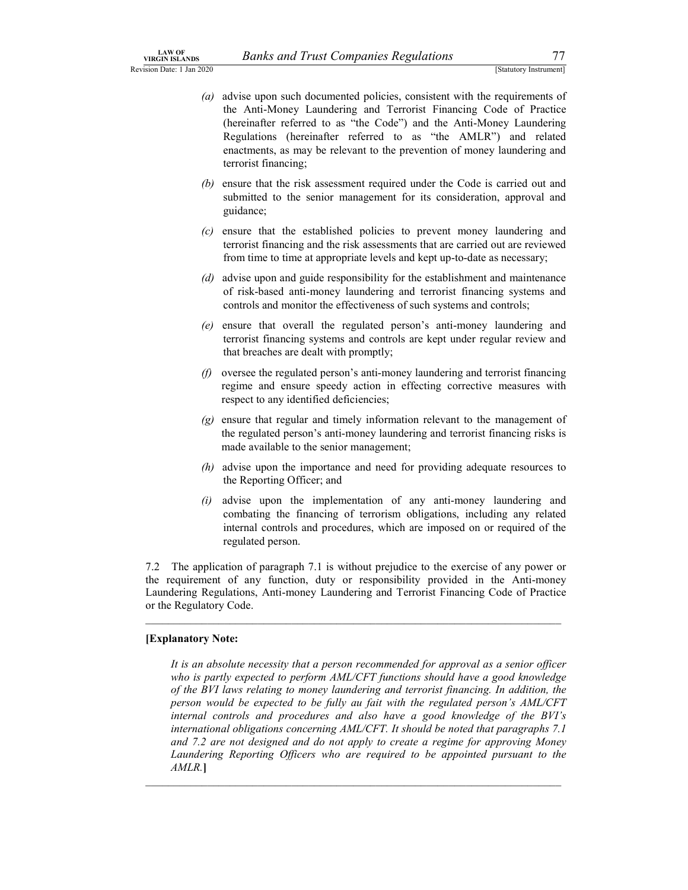- Banks and Trust Companies Regulations<br>
[Statutory Instrument]<br>
See upon such documented policies, consistent with the requirements of<br>
Anti-Money Laundering and Terrorist Financing Code of Practice<br>
einafter referred to as LAW OF<br>
Revision Date: 1 Jan 2020<br>
(a) advise upon such documented policies, consistent with the requirements of<br>
the Anti-Money Laundering and Terrorist Financing Code of Practice<br>
(hereinafter referred to as "the Code") (a) advise upon such documented policies, consistent with the requirements of the Anti-Money Laundering and Terrorist Financing Code of Practice (hereinafter referred to as "the Code") and the Anti-Money Laundering Regulations (hereinafter referred to as "the AMLR") and related enactments, as may be relevant to the prevention of money laundering and terrorist financing;
	- (b) ensure that the risk assessment required under the Code is carried out and submitted to the senior management for its consideration, approval and guidance;
	- (c) ensure that the established policies to prevent money laundering and terrorist financing and the risk assessments that are carried out are reviewed from time to time at appropriate levels and kept up-to-date as necessary;
	- (d) advise upon and guide responsibility for the establishment and maintenance of risk-based anti-money laundering and terrorist financing systems and controls and monitor the effectiveness of such systems and controls;
	- (e) ensure that overall the regulated person's anti-money laundering and terrorist financing systems and controls are kept under regular review and that breaches are dealt with promptly;
	- (f) oversee the regulated person's anti-money laundering and terrorist financing regime and ensure speedy action in effecting corrective measures with respect to any identified deficiencies;
	- (g) ensure that regular and timely information relevant to the management of the regulated person's anti-money laundering and terrorist financing risks is made available to the senior management;
	- (h) advise upon the importance and need for providing adequate resources to the Reporting Officer; and
	- $(i)$  advise upon the implementation of any anti-money laundering and combating the financing of terrorism obligations, including any related internal controls and procedures, which are imposed on or required of the regulated person.

7.2 The application of paragraph 7.1 is without prejudice to the exercise of any power or the requirement of any function, duty or responsibility provided in the Anti-money Laundering Regulations, Anti-money Laundering and Terrorist Financing Code of Practice or the Regulatory Code.

### [Explanatory Note:

It is an absolute necessity that a person recommended for approval as a senior officer who is partly expected to perform AML/CFT functions should have a good knowledge of the BVI laws relating to money laundering and terrorist financing. In addition, the person would be expected to be fully au fait with the regulated person's AML/CFT internal controls and procedures and also have a good knowledge of the BVI's international obligations concerning AML/CFT. It should be noted that paragraphs 7.1 and 7.2 are not designed and do not apply to create a regime for approving Money Laundering Reporting Officers who are required to be appointed pursuant to the AMLR.]

 $\mathcal{L}_\text{max}$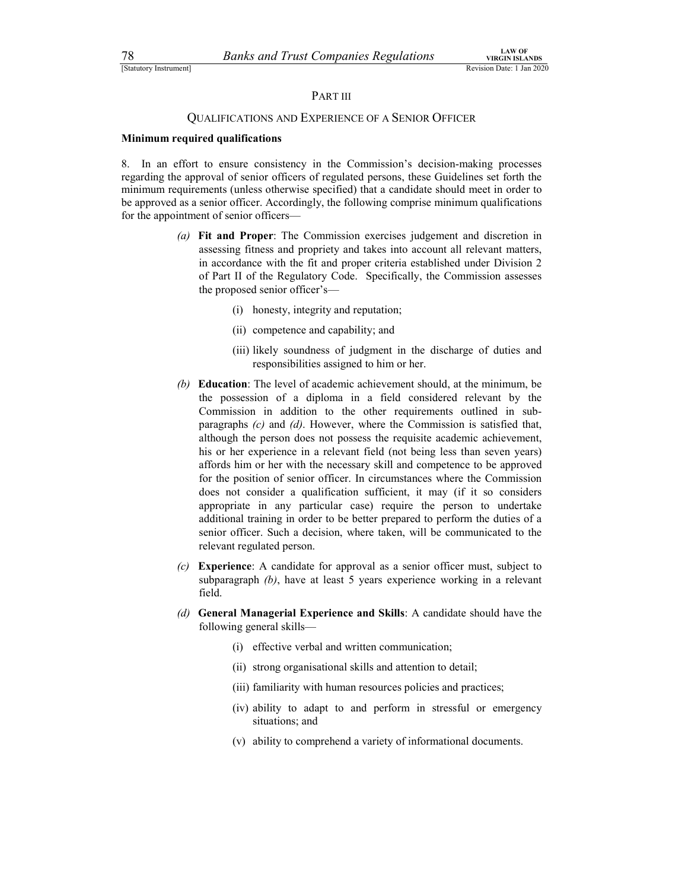### PART III

## 78 Banks and Trust Companies Regulations virtual terms of the Companies Regulations (Statutory Instrument)<br>
PART III<br>
QUALIFICATIONS AND EXPERIENCE OF A SENIOR OFFICER QUALIFICATIONS AND EXPERIENCE OF A SENIOR OFFICER

### Minimum required qualifications

8. In an effort to ensure consistency in the Commission's decision-making processes regarding the approval of senior officers of regulated persons, these Guidelines set forth the minimum requirements (unless otherwise specified) that a candidate should meet in order to be approved as a senior officer. Accordingly, the following comprise minimum qualifications for the appointment of senior officers—

- (a) Fit and Proper: The Commission exercises judgement and discretion in assessing fitness and propriety and takes into account all relevant matters, in accordance with the fit and proper criteria established under Division 2 of Part II of the Regulatory Code. Specifically, the Commission assesses the proposed senior officer's—
	- (i) honesty, integrity and reputation;
	- (ii) competence and capability; and
	- (iii) likely soundness of judgment in the discharge of duties and responsibilities assigned to him or her.
- (b) Education: The level of academic achievement should, at the minimum, be the possession of a diploma in a field considered relevant by the Commission in addition to the other requirements outlined in subparagraphs (c) and (d). However, where the Commission is satisfied that, although the person does not possess the requisite academic achievement, his or her experience in a relevant field (not being less than seven years) affords him or her with the necessary skill and competence to be approved for the position of senior officer. In circumstances where the Commission does not consider a qualification sufficient, it may (if it so considers appropriate in any particular case) require the person to undertake additional training in order to be better prepared to perform the duties of a senior officer. Such a decision, where taken, will be communicated to the relevant regulated person.
- (c) Experience: A candidate for approval as a senior officer must, subject to subparagraph (b), have at least 5 years experience working in a relevant field.
- (d) General Managerial Experience and Skills: A candidate should have the following general skills—
	- (i) effective verbal and written communication;
	- (ii) strong organisational skills and attention to detail;
	- (iii) familiarity with human resources policies and practices;
	- (iv) ability to adapt to and perform in stressful or emergency situations; and
	- (v) ability to comprehend a variety of informational documents.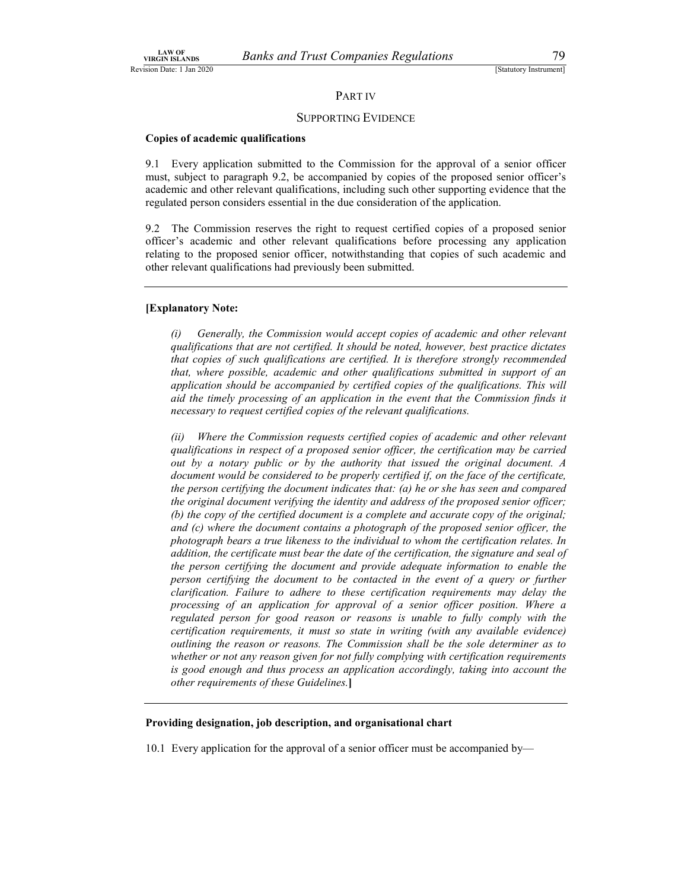### PART IV

### SUPPORTING EVIDENCE

### Copies of academic qualifications

9.1 Every application submitted to the Commission for the approval of a senior officer must, subject to paragraph 9.2, be accompanied by copies of the proposed senior officer's academic and other relevant qualifications, including such other supporting evidence that the regulated person considers essential in the due consideration of the application.

9.2 The Commission reserves the right to request certified copies of a proposed senior officer's academic and other relevant qualifications before processing any application relating to the proposed senior officer, notwithstanding that copies of such academic and other relevant qualifications had previously been submitted.

### [Explanatory Note:

(i) Generally, the Commission would accept copies of academic and other relevant qualifications that are not certified. It should be noted, however, best practice dictates that copies of such qualifications are certified. It is therefore strongly recommended that, where possible, academic and other qualifications submitted in support of an application should be accompanied by certified copies of the qualifications. This will aid the timely processing of an application in the event that the Commission finds it necessary to request certified copies of the relevant qualifications.

(ii) Where the Commission requests certified copies of academic and other relevant qualifications in respect of a proposed senior officer, the certification may be carried out by a notary public or by the authority that issued the original document. A document would be considered to be properly certified if, on the face of the certificate, the person certifying the document indicates that: (a) he or she has seen and compared the original document verifying the identity and address of the proposed senior officer; (b) the copy of the certified document is a complete and accurate copy of the original; and (c) where the document contains a photograph of the proposed senior officer, the photograph bears a true likeness to the individual to whom the certification relates. In addition, the certificate must bear the date of the certification, the signature and seal of the person certifying the document and provide adequate information to enable the person certifying the document to be contacted in the event of a query or further clarification. Failure to adhere to these certification requirements may delay the processing of an application for approval of a senior officer position. Where a regulated person for good reason or reasons is unable to fully comply with the certification requirements, it must so state in writing (with any available evidence) outlining the reason or reasons. The Commission shall be the sole determiner as to whether or not any reason given for not fully complying with certification requirements is good enough and thus process an application accordingly, taking into account the other requirements of these Guidelines.]

### Providing designation, job description, and organisational chart

10.1 Every application for the approval of a senior officer must be accompanied by—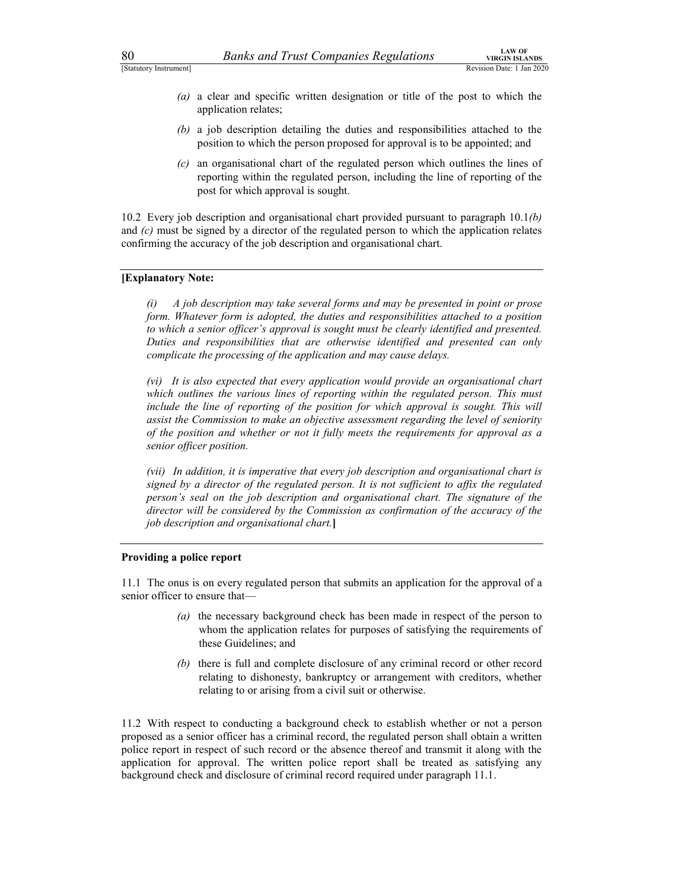- 80 Banks and Trust Companies Regulations  $\frac{L_{\text{AWOF}}}{R_{\text{evision Date}} + 1 \text{tan } 2020}$ <br>
(a) a clear and specific written designation or title of the post to which the application relates;<br>
(b) a job description detailing the duti (a) a clear and specific written designation or title of the post to which the application relates;
	- (b) a job description detailing the duties and responsibilities attached to the position to which the person proposed for approval is to be appointed; and
	- (c) an organisational chart of the regulated person which outlines the lines of reporting within the regulated person, including the line of reporting of the post for which approval is sought.

10.2 Every job description and organisational chart provided pursuant to paragraph  $10.1(b)$ and  $(c)$  must be signed by a director of the regulated person to which the application relates confirming the accuracy of the job description and organisational chart.

### [Explanatory Note:

(i) A job description may take several forms and may be presented in point or prose form. Whatever form is adopted, the duties and responsibilities attached to a position to which a senior officer's approval is sought must be clearly identified and presented. Duties and responsibilities that are otherwise identified and presented can only complicate the processing of the application and may cause delays.

(vi) It is also expected that every application would provide an organisational chart which outlines the various lines of reporting within the regulated person. This must include the line of reporting of the position for which approval is sought. This will assist the Commission to make an objective assessment regarding the level of seniority of the position and whether or not it fully meets the requirements for approval as a senior officer position.

(vii) In addition, it is imperative that every job description and organisational chart is signed by a director of the regulated person. It is not sufficient to affix the regulated person's seal on the job description and organisational chart. The signature of the director will be considered by the Commission as confirmation of the accuracy of the job description and organisational chart.]

### Providing a police report

11.1 The onus is on every regulated person that submits an application for the approval of a senior officer to ensure that—

- (a) the necessary background check has been made in respect of the person to whom the application relates for purposes of satisfying the requirements of these Guidelines; and
- (b) there is full and complete disclosure of any criminal record or other record relating to dishonesty, bankruptcy or arrangement with creditors, whether relating to or arising from a civil suit or otherwise.

11.2 With respect to conducting a background check to establish whether or not a person proposed as a senior officer has a criminal record, the regulated person shall obtain a written police report in respect of such record or the absence thereof and transmit it along with the application for approval. The written police report shall be treated as satisfying any background check and disclosure of criminal record required under paragraph 11.1.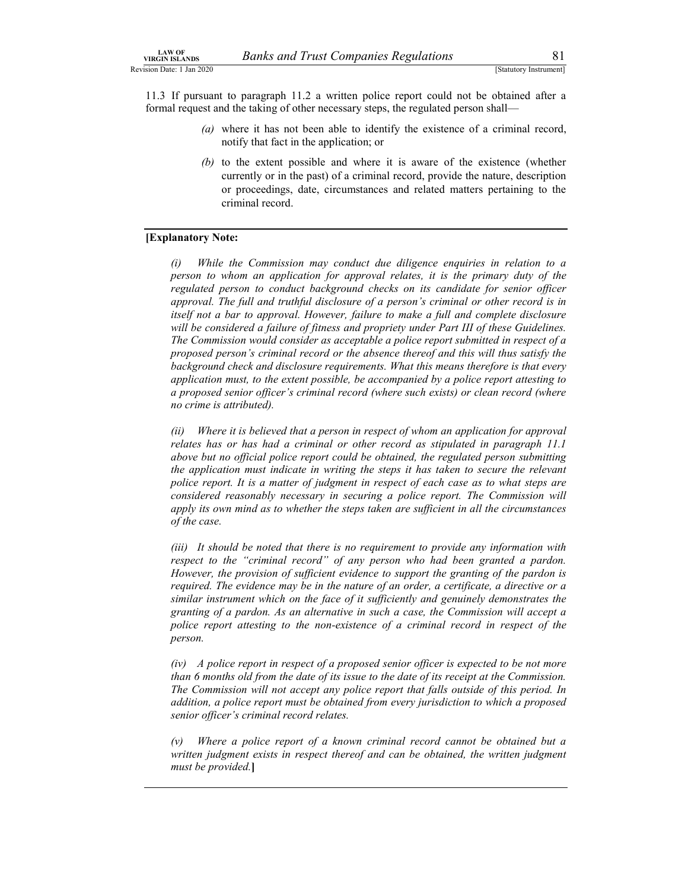Banks and Trust Companies Regulations 81<br>
[Statutory Instrument]<br>
paragraph 11.2 a written police report could not be obtained after a<br>
e taking of other necessary steps, the regulated person shall—<br>
e it has not been able LAW OF<br>
Revision Date: 1 Jan 2020<br>
Revision Date: 1 Jan 2020<br>
11.3 If pursuant to paragraph 11.2 a written police report could not be obtained after a<br>
formal request and the taking of other necessary steps, the regulated <sup>14NV</sup>OF<br>
<sup>14NV</sup>OF<br>
<sup>13</sup> ISON Date: 1 Jan 2020<br>
<sup>11.3</sup> If pursuant to paragraph 11.2 a written police report could not be obtained after a<br>
formal request and the taking of other necessary steps, the regulated person shall formal request and the taking of other necessary steps, the regulated person shall—

- (a) where it has not been able to identify the existence of a criminal record, notify that fact in the application; or
- (b) to the extent possible and where it is aware of the existence (whether currently or in the past) of a criminal record, provide the nature, description or proceedings, date, circumstances and related matters pertaining to the criminal record.

### [Explanatory Note:

(i) While the Commission may conduct due diligence enquiries in relation to a person to whom an application for approval relates, it is the primary duty of the regulated person to conduct background checks on its candidate for senior officer approval. The full and truthful disclosure of a person's criminal or other record is in itself not a bar to approval. However, failure to make a full and complete disclosure will be considered a failure of fitness and propriety under Part III of these Guidelines. The Commission would consider as acceptable a police report submitted in respect of a proposed person's criminal record or the absence thereof and this will thus satisfy the background check and disclosure requirements. What this means therefore is that every application must, to the extent possible, be accompanied by a police report attesting to a proposed senior officer's criminal record (where such exists) or clean record (where no crime is attributed).

(ii) Where it is believed that a person in respect of whom an application for approval relates has or has had a criminal or other record as stipulated in paragraph 11.1 above but no official police report could be obtained, the regulated person submitting the application must indicate in writing the steps it has taken to secure the relevant police report. It is a matter of judgment in respect of each case as to what steps are considered reasonably necessary in securing a police report. The Commission will apply its own mind as to whether the steps taken are sufficient in all the circumstances of the case.

(iii) It should be noted that there is no requirement to provide any information with respect to the "criminal record" of any person who had been granted a pardon. However, the provision of sufficient evidence to support the granting of the pardon is required. The evidence may be in the nature of an order, a certificate, a directive or a similar instrument which on the face of it sufficiently and genuinely demonstrates the granting of a pardon. As an alternative in such a case, the Commission will accept a police report attesting to the non-existence of a criminal record in respect of the person.

(iv) A police report in respect of a proposed senior officer is expected to be not more than 6 months old from the date of its issue to the date of its receipt at the Commission. The Commission will not accept any police report that falls outside of this period. In addition, a police report must be obtained from every jurisdiction to which a proposed senior officer's criminal record relates.

 (v) Where a police report of a known criminal record cannot be obtained but a written judgment exists in respect thereof and can be obtained, the written judgment must be provided.]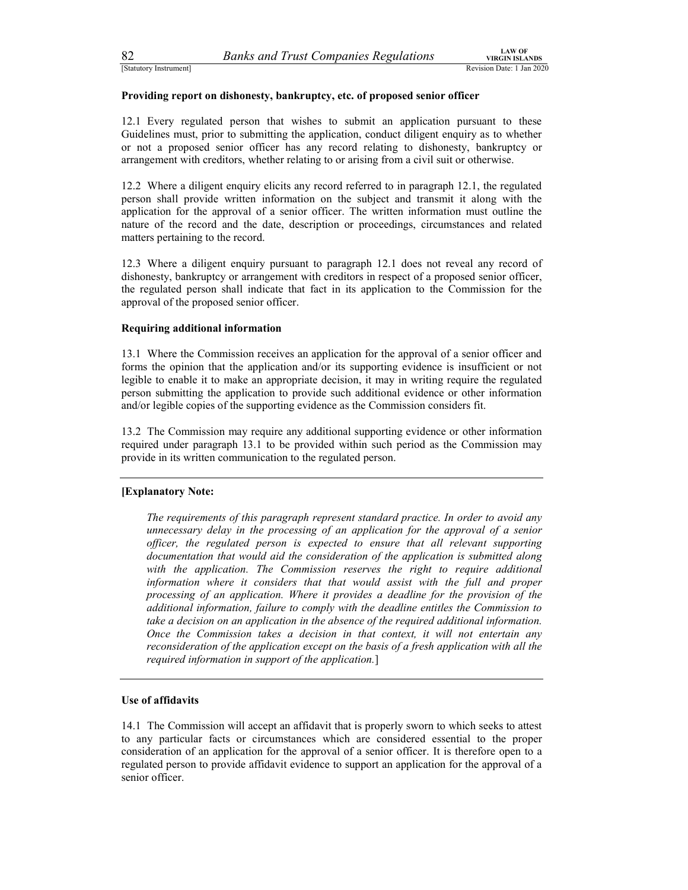### Providing report on dishonesty, bankruptcy, etc. of proposed senior officer

82 Banks and Trust Companies Regulations<br>
Statutory Instrument]<br>
Providing report on dishonesty, bankruptcy, etc. of proposed senior officer<br>
12.1 Every regulated person that wishes to submit an application pursuant to the 12.1 Every regulated person that wishes to submit an application pursuant to these Guidelines must, prior to submitting the application, conduct diligent enquiry as to whether or not a proposed senior officer has any record relating to dishonesty, bankruptcy or arrangement with creditors, whether relating to or arising from a civil suit or otherwise.

12.2 Where a diligent enquiry elicits any record referred to in paragraph 12.1, the regulated person shall provide written information on the subject and transmit it along with the application for the approval of a senior officer. The written information must outline the nature of the record and the date, description or proceedings, circumstances and related matters pertaining to the record.

12.3 Where a diligent enquiry pursuant to paragraph 12.1 does not reveal any record of dishonesty, bankruptcy or arrangement with creditors in respect of a proposed senior officer, the regulated person shall indicate that fact in its application to the Commission for the approval of the proposed senior officer.

### Requiring additional information

13.1 Where the Commission receives an application for the approval of a senior officer and forms the opinion that the application and/or its supporting evidence is insufficient or not legible to enable it to make an appropriate decision, it may in writing require the regulated person submitting the application to provide such additional evidence or other information and/or legible copies of the supporting evidence as the Commission considers fit.

13.2 The Commission may require any additional supporting evidence or other information required under paragraph 13.1 to be provided within such period as the Commission may provide in its written communication to the regulated person.

### [Explanatory Note:

The requirements of this paragraph represent standard practice. In order to avoid any unnecessary delay in the processing of an application for the approval of a senior officer, the regulated person is expected to ensure that all relevant supporting documentation that would aid the consideration of the application is submitted along with the application. The Commission reserves the right to require additional information where it considers that that would assist with the full and proper processing of an application. Where it provides a deadline for the provision of the additional information, failure to comply with the deadline entitles the Commission to take a decision on an application in the absence of the required additional information. Once the Commission takes a decision in that context, it will not entertain any reconsideration of the application except on the basis of a fresh application with all the required information in support of the application.]

### Use of affidavits

14.1 The Commission will accept an affidavit that is properly sworn to which seeks to attest to any particular facts or circumstances which are considered essential to the proper consideration of an application for the approval of a senior officer. It is therefore open to a regulated person to provide affidavit evidence to support an application for the approval of a senior officer.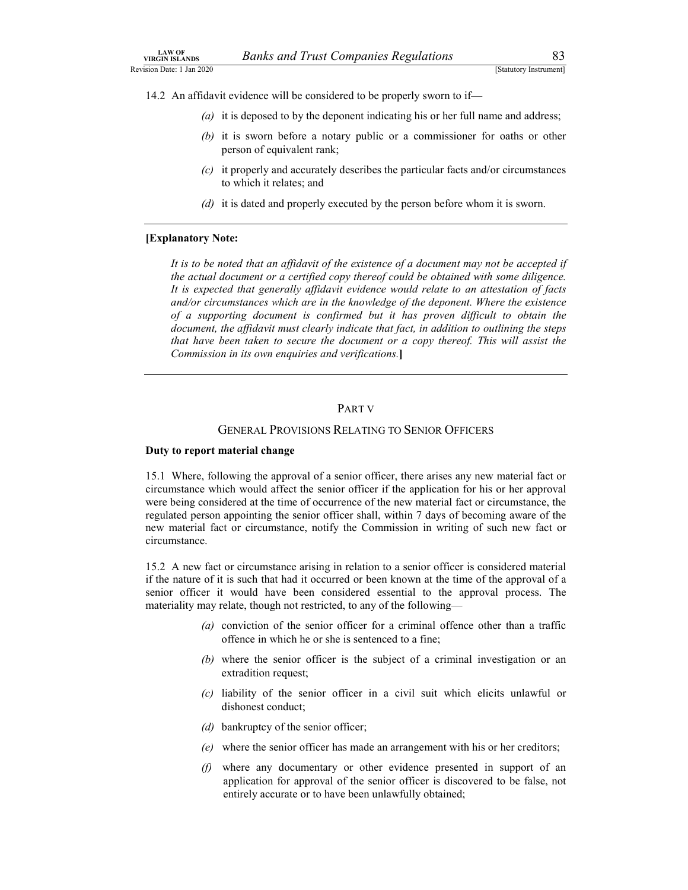- Banks and Trust Companies Regulations 83<br>
[Statutory Instrument]<br>
dence will be considered to be properly sworn to if—<br>
deposed to by the deponent indicating his or her full name and address; (a) it is deposed to by the deponent indicating his or her full name and address;
- LAW OF<br>
Revision Date: 1 Jan 2020<br>
Revision Date: 1 Jan 2020<br>
14.2 An affidavit evidence will be considered to be properly sworn to if—<br>
(a) it is deposed to by the deponent indicating his or her full name and address;<br>
(b  $14.2$  An affidavit evidence will be considered to be properly sworn to if—<br>
14.2 An affidavit evidence will be considered to be properly sworn to if—<br>
(a) it is deposed to by the deponent indicating his or her full name (b) it is sworn before a notary public or a commissioner for oaths or other person of equivalent rank;
	- (c) it properly and accurately describes the particular facts and/or circumstances to which it relates; and
	- (d) it is dated and properly executed by the person before whom it is sworn.

### [Explanatory Note:

It is to be noted that an affidavit of the existence of a document may not be accepted if the actual document or a certified copy thereof could be obtained with some diligence. It is expected that generally affidavit evidence would relate to an attestation of facts and/or circumstances which are in the knowledge of the deponent. Where the existence of a supporting document is confirmed but it has proven difficult to obtain the document, the affidavit must clearly indicate that fact, in addition to outlining the steps that have been taken to secure the document or a copy thereof. This will assist the Commission in its own enquiries and verifications.]

### PART V

### GENERAL PROVISIONS RELATING TO SENIOR OFFICERS

### Duty to report material change

15.1 Where, following the approval of a senior officer, there arises any new material fact or circumstance which would affect the senior officer if the application for his or her approval were being considered at the time of occurrence of the new material fact or circumstance, the regulated person appointing the senior officer shall, within 7 days of becoming aware of the new material fact or circumstance, notify the Commission in writing of such new fact or circumstance.

15.2 A new fact or circumstance arising in relation to a senior officer is considered material if the nature of it is such that had it occurred or been known at the time of the approval of a senior officer it would have been considered essential to the approval process. The materiality may relate, though not restricted, to any of the following—

- (a) conviction of the senior officer for a criminal offence other than a traffic offence in which he or she is sentenced to a fine;
- (b) where the senior officer is the subject of a criminal investigation or an extradition request;
- (c) liability of the senior officer in a civil suit which elicits unlawful or dishonest conduct;
- (d) bankruptcy of the senior officer;
- (e) where the senior officer has made an arrangement with his or her creditors;
- (f) where any documentary or other evidence presented in support of an application for approval of the senior officer is discovered to be false, not entirely accurate or to have been unlawfully obtained;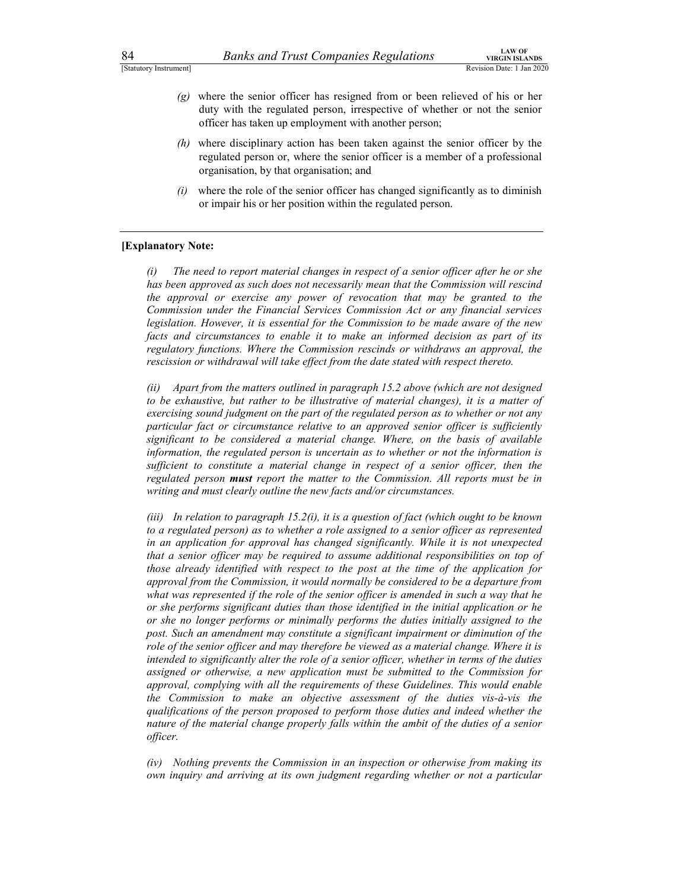- 84 Banks and Trust Companies Regulations<br>
Statutory Instrument]<br>
(g) where the senior officer has resigned from or been relieved of his or her<br>
duty with the regulated person, irrespective of whether or not the senior<br>
off (g) where the senior officer has resigned from or been relieved of his or her duty with the regulated person, irrespective of whether or not the senior officer has taken up employment with another person;
	- (h) where disciplinary action has been taken against the senior officer by the regulated person or, where the senior officer is a member of a professional organisation, by that organisation; and
	- $(i)$  where the role of the senior officer has changed significantly as to diminish or impair his or her position within the regulated person.

### [Explanatory Note:

(i) The need to report material changes in respect of a senior officer after he or she has been approved as such does not necessarily mean that the Commission will rescind the approval or exercise any power of revocation that may be granted to the Commission under the Financial Services Commission Act or any financial services legislation. However, it is essential for the Commission to be made aware of the new facts and circumstances to enable it to make an informed decision as part of its regulatory functions. Where the Commission rescinds or withdraws an approval, the rescission or withdrawal will take effect from the date stated with respect thereto.

(ii) Apart from the matters outlined in paragraph 15.2 above (which are not designed to be exhaustive, but rather to be illustrative of material changes), it is a matter of exercising sound judgment on the part of the regulated person as to whether or not any particular fact or circumstance relative to an approved senior officer is sufficiently significant to be considered a material change. Where, on the basis of available information, the regulated person is uncertain as to whether or not the information is sufficient to constitute a material change in respect of a senior officer, then the regulated person **must** report the matter to the Commission. All reports must be in writing and must clearly outline the new facts and/or circumstances.

(iii) In relation to paragraph  $15.2(i)$ , it is a question of fact (which ought to be known to a regulated person) as to whether a role assigned to a senior officer as represented in an application for approval has changed significantly. While it is not unexpected that a senior officer may be required to assume additional responsibilities on top of those already identified with respect to the post at the time of the application for approval from the Commission, it would normally be considered to be a departure from what was represented if the role of the senior officer is amended in such a way that he or she performs significant duties than those identified in the initial application or he or she no longer performs or minimally performs the duties initially assigned to the post. Such an amendment may constitute a significant impairment or diminution of the role of the senior officer and may therefore be viewed as a material change. Where it is intended to significantly alter the role of a senior officer, whether in terms of the duties assigned or otherwise, a new application must be submitted to the Commission for approval, complying with all the requirements of these Guidelines. This would enable the Commission to make an objective assessment of the duties vis-à-vis the qualifications of the person proposed to perform those duties and indeed whether the nature of the material change properly falls within the ambit of the duties of a senior officer.

(iv) Nothing prevents the Commission in an inspection or otherwise from making its own inquiry and arriving at its own judgment regarding whether or not a particular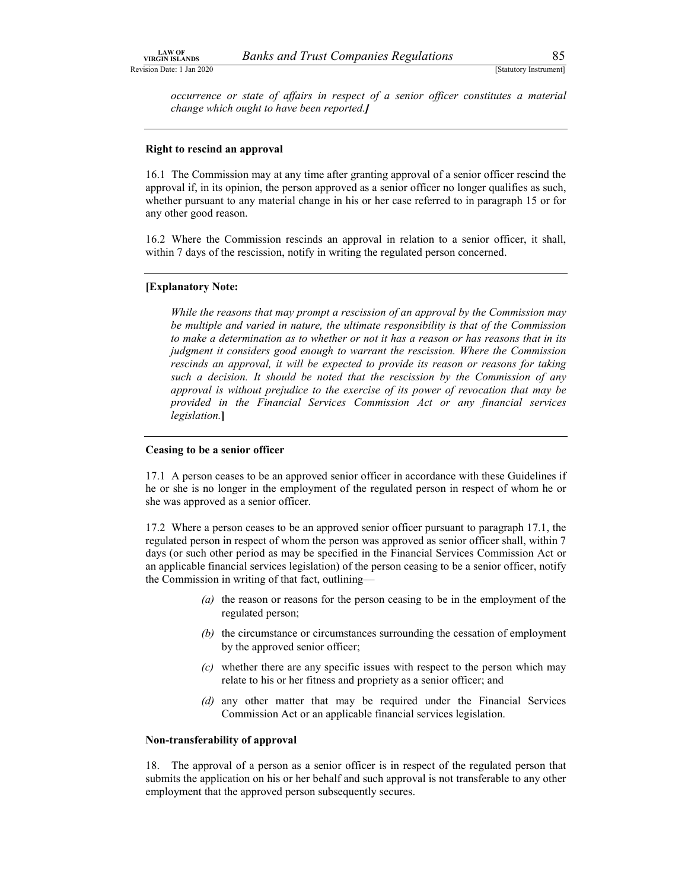Banks and Trust Companies Regulations<br>
[Statutory Instrument]<br>
state of affairs in respect of a senior officer constitutes a material<br>
ught to have been reported.] LAW OF<br>
Revision Date: 1 Jan 2020<br>
Revision Date: 1 Jan 2020<br>
Cocurrence or state of affairs in respect of a senior officer constitutes a material<br>
change which ought to have been reported.] occurrence or state of affairs in respect of a senior officer constitutes a material change which ought to have been reported.]

### Right to rescind an approval

16.1 The Commission may at any time after granting approval of a senior officer rescind the approval if, in its opinion, the person approved as a senior officer no longer qualifies as such, whether pursuant to any material change in his or her case referred to in paragraph 15 or for any other good reason.

16.2 Where the Commission rescinds an approval in relation to a senior officer, it shall, within 7 days of the rescission, notify in writing the regulated person concerned.

### [Explanatory Note:

While the reasons that may prompt a rescission of an approval by the Commission may be multiple and varied in nature, the ultimate responsibility is that of the Commission to make a determination as to whether or not it has a reason or has reasons that in its judgment it considers good enough to warrant the rescission. Where the Commission rescinds an approval, it will be expected to provide its reason or reasons for taking such a decision. It should be noted that the rescission by the Commission of any approval is without prejudice to the exercise of its power of revocation that may be provided in the Financial Services Commission Act or any financial services legislation.]

### Ceasing to be a senior officer

17.1 A person ceases to be an approved senior officer in accordance with these Guidelines if he or she is no longer in the employment of the regulated person in respect of whom he or she was approved as a senior officer.

17.2 Where a person ceases to be an approved senior officer pursuant to paragraph 17.1, the regulated person in respect of whom the person was approved as senior officer shall, within 7 days (or such other period as may be specified in the Financial Services Commission Act or an applicable financial services legislation) of the person ceasing to be a senior officer, notify the Commission in writing of that fact, outlining—

- (a) the reason or reasons for the person ceasing to be in the employment of the regulated person;
- (b) the circumstance or circumstances surrounding the cessation of employment by the approved senior officer;
- $(c)$  whether there are any specific issues with respect to the person which may relate to his or her fitness and propriety as a senior officer; and
- (d) any other matter that may be required under the Financial Services Commission Act or an applicable financial services legislation.

### Non-transferability of approval

18. The approval of a person as a senior officer is in respect of the regulated person that submits the application on his or her behalf and such approval is not transferable to any other employment that the approved person subsequently secures.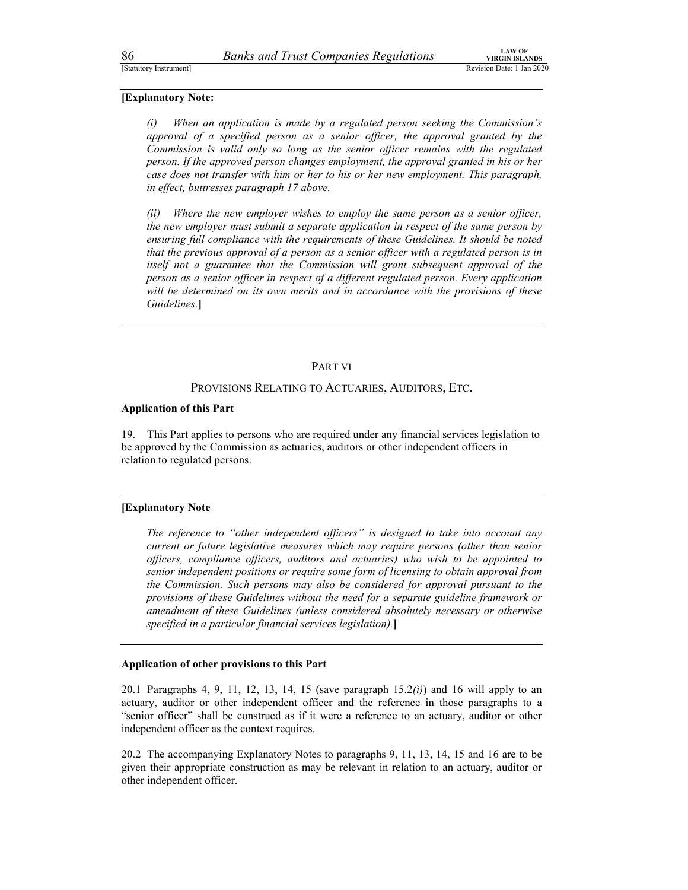### [Explanatory Note:

86 Banks and Trust Companies Regulations<br>
Statutory Instrument]<br> **Explanatory Note:**<br>
(i) When an application is made by a regulated person seeking the Commission's (i) When an application is made by a regulated person seeking the Commission's approval of a specified person as a senior officer, the approval granted by the Commission is valid only so long as the senior officer remains with the regulated person. If the approved person changes employment, the approval granted in his or her case does not transfer with him or her to his or her new employment. This paragraph, in effect, buttresses paragraph 17 above.

(ii) Where the new employer wishes to employ the same person as a senior officer, the new employer must submit a separate application in respect of the same person by ensuring full compliance with the requirements of these Guidelines. It should be noted that the previous approval of a person as a senior officer with a regulated person is in itself not a guarantee that the Commission will grant subsequent approval of the person as a senior officer in respect of a different regulated person. Every application will be determined on its own merits and in accordance with the provisions of these Guidelines.]

### PART VI

### PROVISIONS RELATING TO ACTUARIES, AUDITORS, ETC.

### Application of this Part

19. This Part applies to persons who are required under any financial services legislation to be approved by the Commission as actuaries, auditors or other independent officers in relation to regulated persons.

### [Explanatory Note

The reference to "other independent officers" is designed to take into account any current or future legislative measures which may require persons (other than senior officers, compliance officers, auditors and actuaries) who wish to be appointed to senior independent positions or require some form of licensing to obtain approval from the Commission. Such persons may also be considered for approval pursuant to the provisions of these Guidelines without the need for a separate guideline framework or amendment of these Guidelines (unless considered absolutely necessary or otherwise specified in a particular financial services legislation).]

### Application of other provisions to this Part

20.1 Paragraphs 4, 9, 11, 12, 13, 14, 15 (save paragraph  $15.2(i)$ ) and 16 will apply to an actuary, auditor or other independent officer and the reference in those paragraphs to a "senior officer" shall be construed as if it were a reference to an actuary, auditor or other independent officer as the context requires.

20.2 The accompanying Explanatory Notes to paragraphs 9, 11, 13, 14, 15 and 16 are to be given their appropriate construction as may be relevant in relation to an actuary, auditor or other independent officer.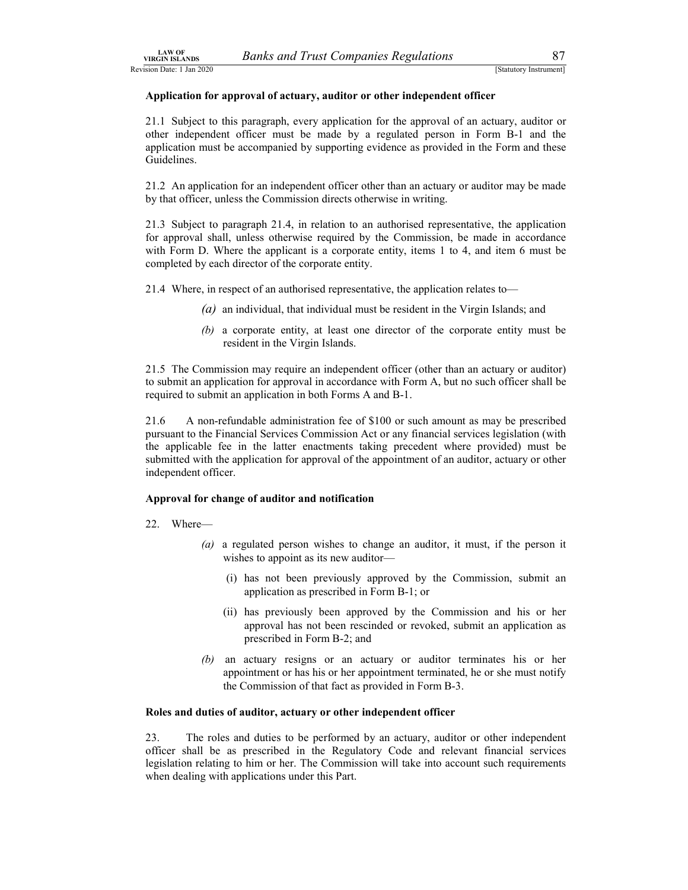Banks and Trust Companies Regulations<br>
[Statutory Instrument]<br> **Exactled Strain Coval of actuary, auditor or other independent officer**<br>
paragraph, every application for the approval of an actuary, auditor or LAW OF<br>Revision Date: 1 Jan 2020<br>Application for approval of actuary, auditor or other independent officer<br>21.1 Subject to this paragraph, every application for the approval of an actuary, auditor or<br>other independent offi 21.1 Subject to this paragraph, every application for the approval of an actuary, auditor or other independent officer must be made by a regulated person in Form B-1 and the application must be accompanied by supporting evidence as provided in the Form and these Guidelines.

21.2 An application for an independent officer other than an actuary or auditor may be made by that officer, unless the Commission directs otherwise in writing.

21.3 Subject to paragraph 21.4, in relation to an authorised representative, the application for approval shall, unless otherwise required by the Commission, be made in accordance with Form D. Where the applicant is a corporate entity, items 1 to 4, and item 6 must be completed by each director of the corporate entity. **EXECUTE:** Banks and Trust Companies Regulations<br>
(S20)<br>
(Bandway howevers)<br>
for approval of actuary, auditor or other independent officer<br>
to this paragraph, every application for the approval of an actuary, auditor or<br>

21.4 Where, in respect of an authorised representative, the application relates to—

- 
- (b) a corporate entity, at least one director of the corporate entity must be resident in the Virgin Islands.

21.5 The Commission may require an independent officer (other than an actuary or auditor) to submit an application for approval in accordance with Form A, but no such officer shall be required to submit an application in both Forms A and B-1.

21.6 A non-refundable administration fee of \$100 or such amount as may be prescribed pursuant to the Financial Services Commission Act or any financial services legislation (with the applicable fee in the latter enactments taking precedent where provided) must be submitted with the application for approval of the appointment of an auditor, actuary or other independent officer.

### Approval for change of auditor and notification

- 22. Where—
	- (a) a regulated person wishes to change an auditor, it must, if the person it wishes to appoint as its new auditor—
		- (i) has not been previously approved by the Commission, submit an application as prescribed in Form B-1; or
		- (ii) has previously been approved by the Commission and his or her approval has not been rescinded or revoked, submit an application as prescribed in Form B-2; and
	- (b) an actuary resigns or an actuary or auditor terminates his or her appointment or has his or her appointment terminated, he or she must notify the Commission of that fact as provided in Form B-3.

### Roles and duties of auditor, actuary or other independent officer

23. The roles and duties to be performed by an actuary, auditor or other independent officer shall be as prescribed in the Regulatory Code and relevant financial services legislation relating to him or her. The Commission will take into account such requirements when dealing with applications under this Part.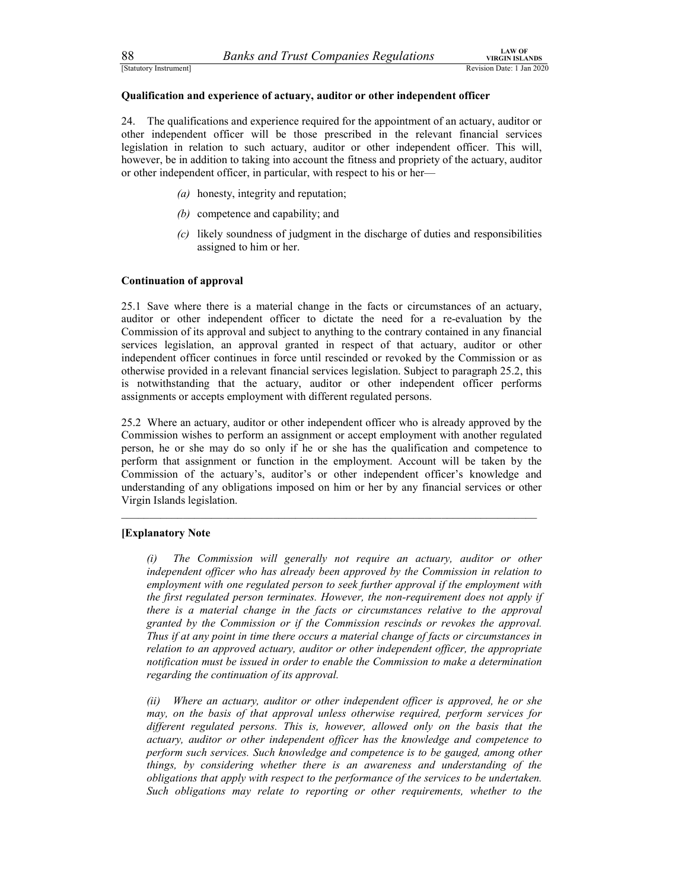### Qualification and experience of actuary, auditor or other independent officer

<sup>28</sup> Banks and Trust Companies Regulations<br>
<sup>1</sup> Revision Date: 1 Jan 2020<br> **24.** The qualifications and experience of actuary, auditor or other independent officer<br>
24. The qualifications and experience required for the ap 24. The qualifications and experience required for the appointment of an actuary, auditor or other independent officer will be those prescribed in the relevant financial services legislation in relation to such actuary, auditor or other independent officer. This will, however, be in addition to taking into account the fitness and propriety of the actuary, auditor or other independent officer, in particular, with respect to his or her—

- (a) honesty, integrity and reputation;
- (b) competence and capability; and
- (c) likely soundness of judgment in the discharge of duties and responsibilities assigned to him or her.

### Continuation of approval

25.1 Save where there is a material change in the facts or circumstances of an actuary, auditor or other independent officer to dictate the need for a re-evaluation by the Commission of its approval and subject to anything to the contrary contained in any financial services legislation, an approval granted in respect of that actuary, auditor or other independent officer continues in force until rescinded or revoked by the Commission or as otherwise provided in a relevant financial services legislation. Subject to paragraph 25.2, this is notwithstanding that the actuary, auditor or other independent officer performs assignments or accepts employment with different regulated persons.

25.2 Where an actuary, auditor or other independent officer who is already approved by the Commission wishes to perform an assignment or accept employment with another regulated person, he or she may do so only if he or she has the qualification and competence to perform that assignment or function in the employment. Account will be taken by the Commission of the actuary's, auditor's or other independent officer's knowledge and understanding of any obligations imposed on him or her by any financial services or other Virgin Islands legislation.

### [Explanatory Note

(i) The Commission will generally not require an actuary, auditor or other independent officer who has already been approved by the Commission in relation to employment with one regulated person to seek further approval if the employment with the first regulated person terminates. However, the non-requirement does not apply if there is a material change in the facts or circumstances relative to the approval granted by the Commission or if the Commission rescinds or revokes the approval. Thus if at any point in time there occurs a material change of facts or circumstances in relation to an approved actuary, auditor or other independent officer, the appropriate notification must be issued in order to enable the Commission to make a determination regarding the continuation of its approval.

(ii) Where an actuary, auditor or other independent officer is approved, he or she may, on the basis of that approval unless otherwise required, perform services for different regulated persons. This is, however, allowed only on the basis that the actuary, auditor or other independent officer has the knowledge and competence to perform such services. Such knowledge and competence is to be gauged, among other things, by considering whether there is an awareness and understanding of the obligations that apply with respect to the performance of the services to be undertaken. Such obligations may relate to reporting or other requirements, whether to the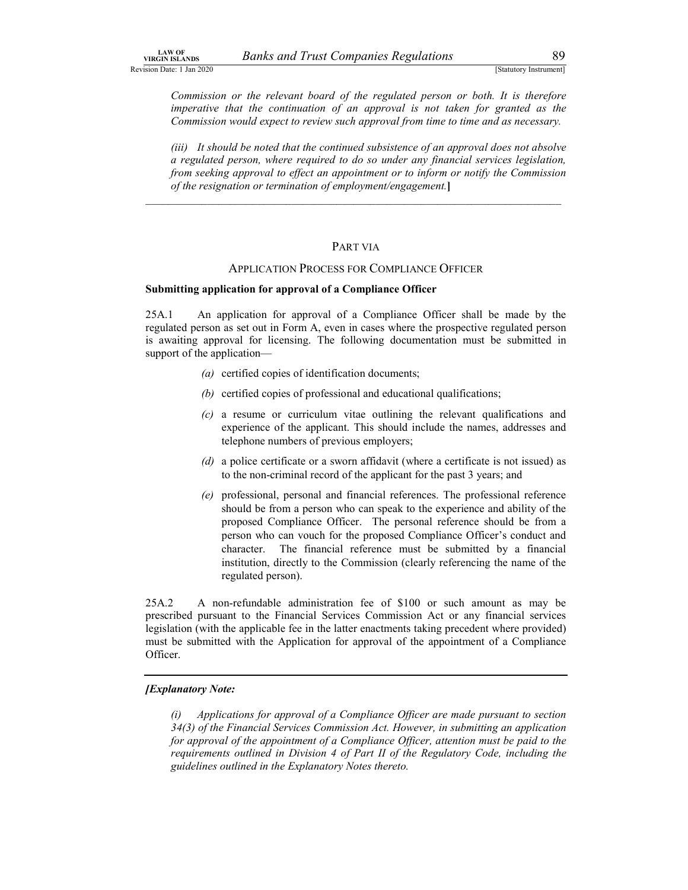Banks and Trust Companies Regulations<br>
[Statutory Instrument]<br>
the relevant board of the regulated person or both. It is therefore<br>
the continuation of an approval is not taken for granted as the<br>
uld expect to review such LAW OF<br>Revision Date: 1 Jan 2020<br>
Revision Date: 1 Jan 2020<br>
Commission or the relevant board of the regulated person or both. It is therefore<br>
imperative that the continuation of an approval is not taken for granted as th imperative that the continuation of an approval is not taken for granted as the Commission would expect to review such approval from time to time and as necessary.

(iii) It should be noted that the continued subsistence of an approval does not absolve a regulated person, where required to do so under any financial services legislation, from seeking approval to effect an appointment or to inform or notify the Commission of the resignation or termination of employment/engagement.]

### \_\_\_\_\_\_\_\_\_\_\_\_\_\_\_\_\_\_\_\_\_\_\_\_\_\_\_\_\_\_\_\_\_\_\_\_\_\_\_\_\_\_\_\_\_\_\_\_\_\_\_\_\_\_\_\_\_\_\_\_\_\_\_\_\_\_\_\_\_\_\_\_\_\_ PART VIA

### APPLICATION PROCESS FOR COMPLIANCE OFFICER

### Submitting application for approval of a Compliance Officer

25A.1 An application for approval of a Compliance Officer shall be made by the regulated person as set out in Form A, even in cases where the prospective regulated person is awaiting approval for licensing. The following documentation must be submitted in support of the application—

- (a) certified copies of identification documents;
- (b) certified copies of professional and educational qualifications;
- (c) a resume or curriculum vitae outlining the relevant qualifications and experience of the applicant. This should include the names, addresses and telephone numbers of previous employers;
- (d) a police certificate or a sworn affidavit (where a certificate is not issued) as to the non-criminal record of the applicant for the past 3 years; and
- (e) professional, personal and financial references. The professional reference should be from a person who can speak to the experience and ability of the proposed Compliance Officer. The personal reference should be from a person who can vouch for the proposed Compliance Officer's conduct and character. The financial reference must be submitted by a financial institution, directly to the Commission (clearly referencing the name of the regulated person).

25A.2 A non-refundable administration fee of \$100 or such amount as may be prescribed pursuant to the Financial Services Commission Act or any financial services legislation (with the applicable fee in the latter enactments taking precedent where provided) must be submitted with the Application for approval of the appointment of a Compliance Officer.

### [Explanatory Note:

(i) Applications for approval of a Compliance Officer are made pursuant to section 34(3) of the Financial Services Commission Act. However, in submitting an application for approval of the appointment of a Compliance Officer, attention must be paid to the requirements outlined in Division 4 of Part II of the Regulatory Code, including the guidelines outlined in the Explanatory Notes thereto.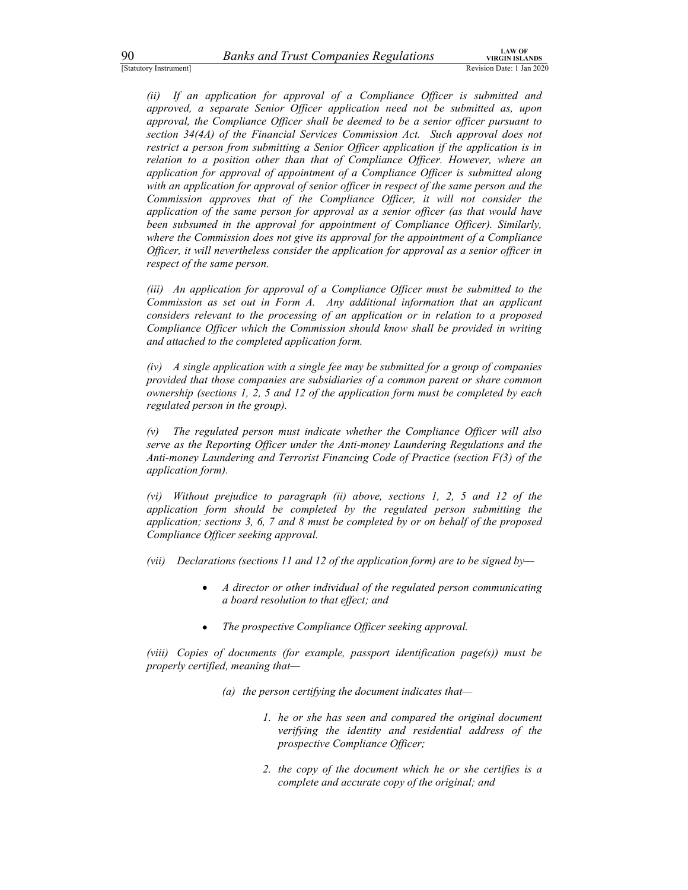90 Banks and Trust Companies Regulations<br>
Statutory Instrument]<br>
(ii) If an application for approval of a Compliance Officer is submitted and<br>
approved, a separate Senior Officer application need not be submitted as, upon<br> EXECUTE: However, and a meta-booking the meta-booking the system of a compliance Officer is submitted and (ii) If an application for approval of a Compliance Officer is submitted and approved, a separate Senior Officer ap approved, a separate Senior Officer application need not be submitted as, upon approval, the Compliance Officer shall be deemed to be a senior officer pursuant to section 34(4A) of the Financial Services Commission Act. Such approval does not restrict a person from submitting a Senior Officer application if the application is in relation to a position other than that of Compliance Officer. However, where an application for approval of appointment of a Compliance Officer is submitted along with an application for approval of senior officer in respect of the same person and the Commission approves that of the Compliance Officer, it will not consider the application of the same person for approval as a senior officer (as that would have been subsumed in the approval for appointment of Compliance Officer). Similarly, where the Commission does not give its approval for the appointment of a Compliance Officer, it will nevertheless consider the application for approval as a senior officer in respect of the same person.

(iii) An application for approval of a Compliance Officer must be submitted to the Commission as set out in Form A. Any additional information that an applicant considers relevant to the processing of an application or in relation to a proposed Compliance Officer which the Commission should know shall be provided in writing and attached to the completed application form.

(iv) A single application with a single fee may be submitted for a group of companies provided that those companies are subsidiaries of a common parent or share common ownership (sections 1, 2, 5 and 12 of the application form must be completed by each regulated person in the group).

(v) The regulated person must indicate whether the Compliance Officer will also serve as the Reporting Officer under the Anti-money Laundering Regulations and the Anti-money Laundering and Terrorist Financing Code of Practice (section F(3) of the application form).

(vi) Without prejudice to paragraph (ii) above, sections 1, 2, 5 and 12 of the application form should be completed by the regulated person submitting the application; sections 3, 6, 7 and 8 must be completed by or on behalf of the proposed Compliance Officer seeking approval.

- (vii) Declarations (sections 11 and 12 of the application form) are to be signed by-
	- A director or other individual of the regulated person communicating  $\bullet$ a board resolution to that effect; and
	- The prospective Compliance Officer seeking approval.

(viii) Copies of documents (for example, passport identification page(s)) must be properly certified, meaning that—

- (a) the person certifying the document indicates that-
	- 1. he or she has seen and compared the original document verifying the identity and residential address of the prospective Compliance Officer;
	- 2. the copy of the document which he or she certifies is a complete and accurate copy of the original; and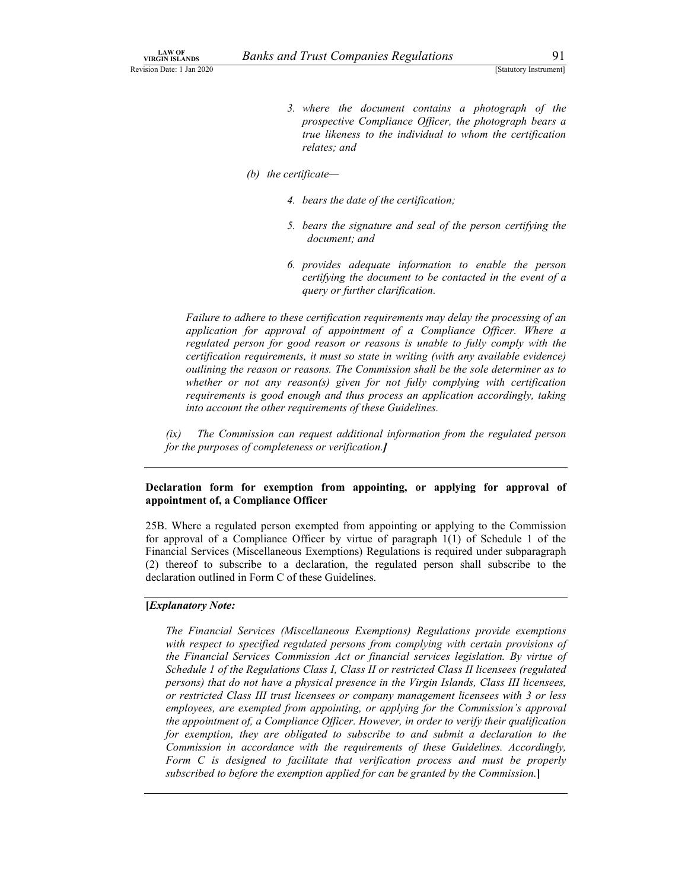- Banks and Trust Companies Regulations<br>
[Statutory Instrument]<br>
3. where the document contains a photograph of the<br>
prospective Compliance Officer, the photograph bears a LAW OF<br>
NIRGIN ISLANDS<br>
Revision Date: 1 Jan 2020<br>
3. where the document contains a photograph of the<br>
prospective Compliance Officer, the photograph bears a<br>
true likeness to the individual to whom the certification 3. where the document contains a photograph of the prospective Compliance Officer, the photograph bears a true likeness to the individual to whom the certification relates; and
	- (b) the certificate—
		- 4. bears the date of the certification;
		- 5. bears the signature and seal of the person certifying the document; and
		- 6. provides adequate information to enable the person certifying the document to be contacted in the event of a query or further clarification.

Failure to adhere to these certification requirements may delay the processing of an application for approval of appointment of a Compliance Officer. Where a regulated person for good reason or reasons is unable to fully comply with the certification requirements, it must so state in writing (with any available evidence) outlining the reason or reasons. The Commission shall be the sole determiner as to whether or not any reason(s) given for not fully complying with certification requirements is good enough and thus process an application accordingly, taking into account the other requirements of these Guidelines.

(ix) The Commission can request additional information from the regulated person for the purposes of completeness or verification.]

### Declaration form for exemption from appointing, or applying for approval of appointment of, a Compliance Officer

25B. Where a regulated person exempted from appointing or applying to the Commission for approval of a Compliance Officer by virtue of paragraph 1(1) of Schedule 1 of the Financial Services (Miscellaneous Exemptions) Regulations is required under subparagraph (2) thereof to subscribe to a declaration, the regulated person shall subscribe to the declaration outlined in Form C of these Guidelines.

### [Explanatory Note:

The Financial Services (Miscellaneous Exemptions) Regulations provide exemptions with respect to specified regulated persons from complying with certain provisions of the Financial Services Commission Act or financial services legislation. By virtue of Schedule 1 of the Regulations Class I, Class II or restricted Class II licensees (regulated persons) that do not have a physical presence in the Virgin Islands, Class III licensees, or restricted Class III trust licensees or company management licensees with 3 or less employees, are exempted from appointing, or applying for the Commission's approval the appointment of, a Compliance Officer. However, in order to verify their qualification for exemption, they are obligated to subscribe to and submit a declaration to the Commission in accordance with the requirements of these Guidelines. Accordingly, Form C is designed to facilitate that verification process and must be properly subscribed to before the exemption applied for can be granted by the Commission.]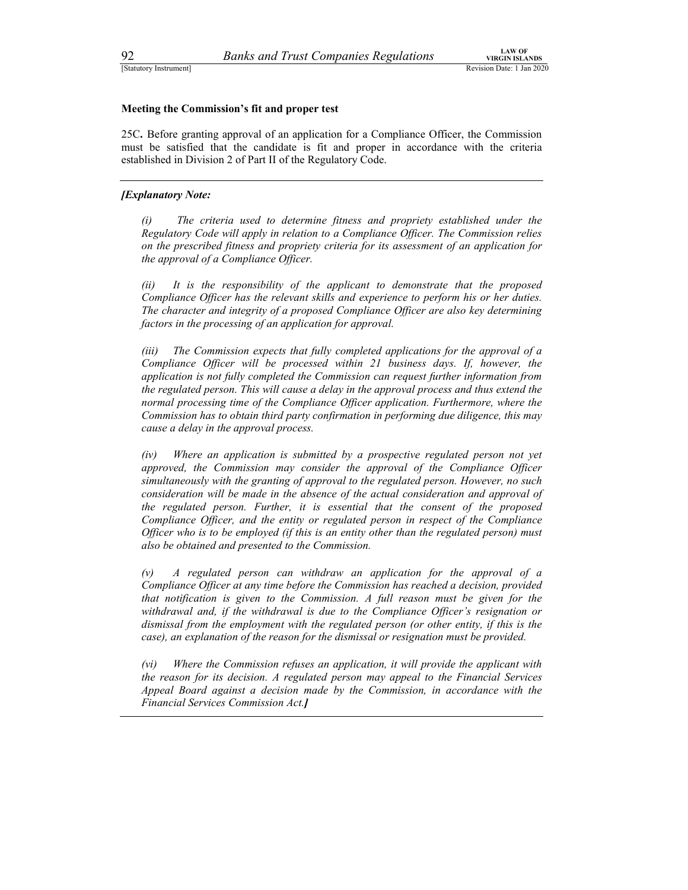### Meeting the Commission's fit and proper test

25C. Before granting approval of an application for a Compliance Officer, the Commission must be satisfied that the candidate is fit and proper in accordance with the criteria established in Division 2 of Part II of the Regulatory Code.

### **[Explanatory Note:**

(i) The criteria used to determine fitness and propriety established under the Regulatory Code will apply in relation to a Compliance Officer. The Commission relies on the prescribed fitness and propriety criteria for its assessment of an application for the approval of a Compliance Officer.

(ii) It is the responsibility of the applicant to demonstrate that the proposed Compliance Officer has the relevant skills and experience to perform his or her duties. The character and integrity of a proposed Compliance Officer are also key determining factors in the processing of an application for approval.

(iii) The Commission expects that fully completed applications for the approval of a Compliance Officer will be processed within 21 business days. If, however, the application is not fully completed the Commission can request further information from the regulated person. This will cause a delay in the approval process and thus extend the normal processing time of the Compliance Officer application. Furthermore, where the Commission has to obtain third party confirmation in performing due diligence, this may cause a delay in the approval process.

(iv) Where an application is submitted by a prospective regulated person not yet approved, the Commission may consider the approval of the Compliance Officer simultaneously with the granting of approval to the regulated person. However, no such consideration will be made in the absence of the actual consideration and approval of the regulated person. Further, it is essential that the consent of the proposed Compliance Officer, and the entity or regulated person in respect of the Compliance Officer who is to be employed (if this is an entity other than the regulated person) must also be obtained and presented to the Commission.

(v) A regulated person can withdraw an application for the approval of a Compliance Officer at any time before the Commission has reached a decision, provided that notification is given to the Commission. A full reason must be given for the withdrawal and, if the withdrawal is due to the Compliance Officer's resignation or dismissal from the employment with the regulated person (or other entity, if this is the case), an explanation of the reason for the dismissal or resignation must be provided.

(vi) Where the Commission refuses an application, it will provide the applicant with the reason for its decision. A regulated person may appeal to the Financial Services Appeal Board against a decision made by the Commission, in accordance with the Financial Services Commission Act.]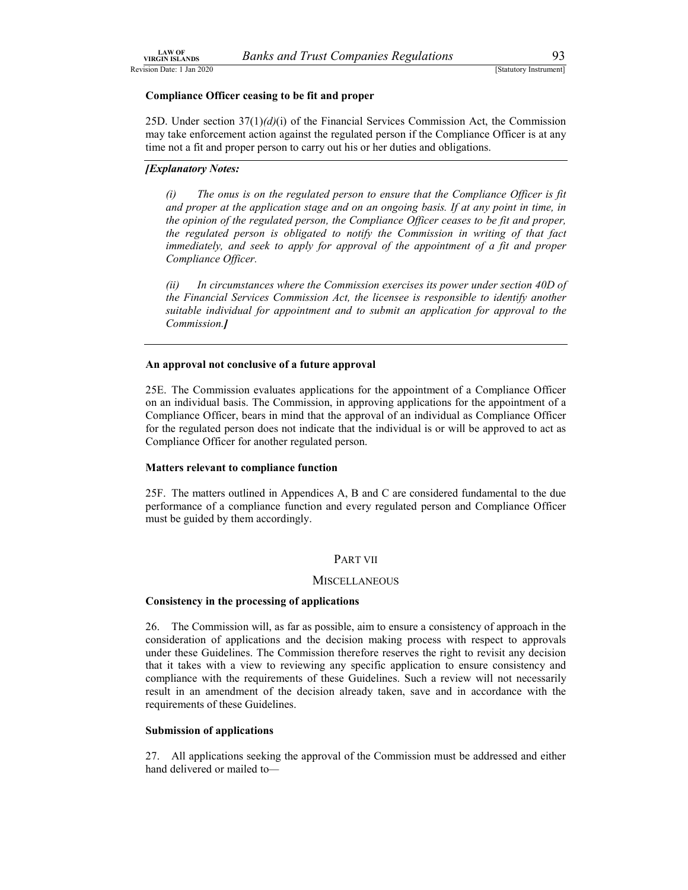Banks and Trust Companies Regulations 93<br>
[Statutory Instrument]<br>
ceasing to be fit and proper<br>  $(57(1)(d)(i))$  of the Financial Services Commission Act, the Commission EAW OF<br>Revision Date: 1 Jan 2020<br>
Revision Date: 1 Jan 2020<br> **Compliance Officer ceasing to be fit and proper**<br>
25D. Under section 37(1)(*d*)(i) of the Financial Services Commission Act, the Commission<br>
may take enforceme 25D. Under section  $37(1)(d)(i)$  of the Financial Services Commission Act, the Commission may take enforcement action against the regulated person if the Compliance Officer is at any time not a fit and proper person to carry out his or her duties and obligations.

### [Explanatory Notes:

(i) The onus is on the regulated person to ensure that the Compliance Officer is fit and proper at the application stage and on an ongoing basis. If at any point in time, in the opinion of the regulated person, the Compliance Officer ceases to be fit and proper, the regulated person is obligated to notify the Commission in writing of that fact immediately, and seek to apply for approval of the appointment of a fit and proper Compliance Officer.

(ii) In circumstances where the Commission exercises its power under section 40D of the Financial Services Commission Act, the licensee is responsible to identify another suitable individual for appointment and to submit an application for approval to the Commission.]

### An approval not conclusive of a future approval

25E. The Commission evaluates applications for the appointment of a Compliance Officer on an individual basis. The Commission, in approving applications for the appointment of a Compliance Officer, bears in mind that the approval of an individual as Compliance Officer for the regulated person does not indicate that the individual is or will be approved to act as Compliance Officer for another regulated person.

### Matters relevant to compliance function

25F. The matters outlined in Appendices A, B and C are considered fundamental to the due performance of a compliance function and every regulated person and Compliance Officer must be guided by them accordingly.

### PART VII

### **MISCELLANEOUS**

### Consistency in the processing of applications

26. The Commission will, as far as possible, aim to ensure a consistency of approach in the consideration of applications and the decision making process with respect to approvals under these Guidelines. The Commission therefore reserves the right to revisit any decision that it takes with a view to reviewing any specific application to ensure consistency and compliance with the requirements of these Guidelines. Such a review will not necessarily result in an amendment of the decision already taken, save and in accordance with the requirements of these Guidelines.

### Submission of applications

27. All applications seeking the approval of the Commission must be addressed and either hand delivered or mailed to-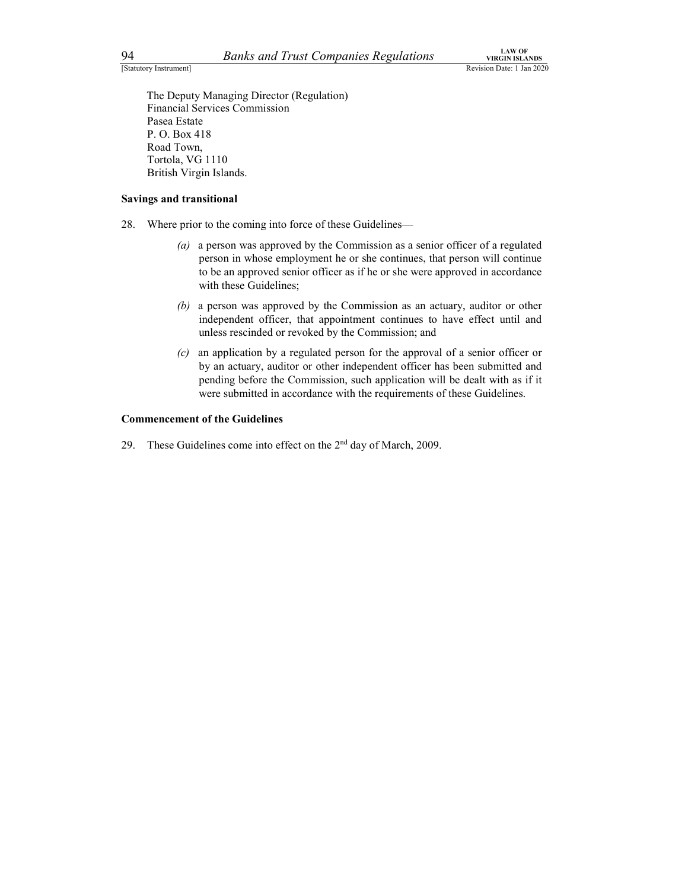94 Banks and Trust Companies Regulations<br>
Statutory Instrument]<br>
The Deputy Managing Director (Regulation)<br>
Financial Services Commission<br>
Pasea Estate The Deputy Managing Director (Regulation) Financial Services Commission Pasea Estate P. O. Box 418 Road Town, Tortola, VG 1110 British Virgin Islands.

### Savings and transitional

- 28. Where prior to the coming into force of these Guidelines—
	- (a) a person was approved by the Commission as a senior officer of a regulated person in whose employment he or she continues, that person will continue to be an approved senior officer as if he or she were approved in accordance with these Guidelines;
	- (b) a person was approved by the Commission as an actuary, auditor or other independent officer, that appointment continues to have effect until and unless rescinded or revoked by the Commission; and
	- (c) an application by a regulated person for the approval of a senior officer or by an actuary, auditor or other independent officer has been submitted and pending before the Commission, such application will be dealt with as if it were submitted in accordance with the requirements of these Guidelines.

### Commencement of the Guidelines

29. These Guidelines come into effect on the  $2<sup>nd</sup>$  day of March, 2009.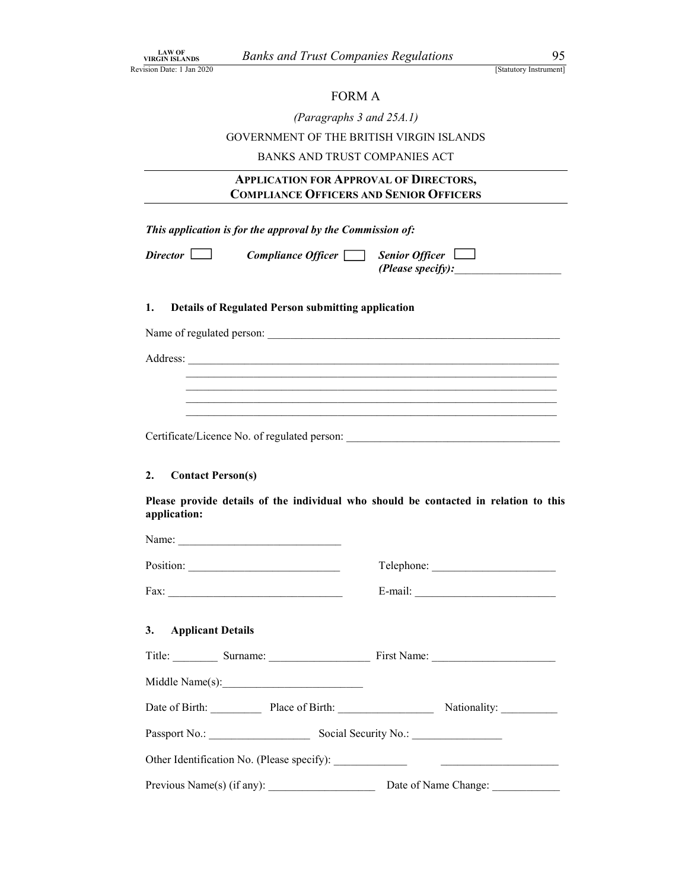### FORM A

|  |  |  |  |  | (Paragraphs 3 and $25A.1$ ) |
|--|--|--|--|--|-----------------------------|
|--|--|--|--|--|-----------------------------|

LAW OF URGIN ISLANDS Banks and Trust Companies Regulations 95<br>
Revision Date: 1 Jan 2020<br>
[Statutory Instrument]<br>
FORM A<br> *(Paragraphs 3 and 25A.1)*<br>
GOVERNMENT OF THE BRITISH VIRGIN ISLANDS GOVERNMENT OF THE BRITISH VIRGIN ISLANDS

BANKS AND TRUST COMPANIES ACT

# Banks and Trust Companies Regulations<br>
FORM A<br>
(Paragraphs 3 and 25A.1)<br>
SOVERNMENT OF THE BRITISH VIRGIN ISLANDS<br>
BANKS AND TRUST COMPANIES ACT<br> **APPLICATION FOR APPROVAL OF DIRECTORS,**<br>
COMPLIANCE OFFICERS AND SENIOR OFF

This application is for the approval by the Commission of:

 $Compliance$  Officer  $\Box$  Senior Officer  $\Box$ (Please specify):

### 1. Details of Regulated Person submitting application

Name of regulated person: \_\_\_\_\_\_\_\_\_\_\_\_\_\_\_\_\_\_\_\_\_\_\_\_\_\_\_\_\_\_\_\_\_\_\_\_\_\_\_\_\_\_\_\_\_\_\_\_\_\_\_\_

Address:<br>
<u>Interventional Contract Contract Contract Contract Contract Contract Contract Contract Contract Contract Contract Contract Contract Contract Contract Contract Contract Contract Contract Contract Contract Contrac</u>

### 2. Contact Person(s)

Please provide details of the individual who should be contacted in relation to this application:

| Name:                                       |                      |
|---------------------------------------------|----------------------|
|                                             |                      |
|                                             |                      |
| 3. Applicant Details                        |                      |
|                                             |                      |
|                                             |                      |
| Date of Birth: Place of Birth: Nationality: |                      |
| Passport No.: Social Security No.:          |                      |
|                                             |                      |
| Previous Name(s) (if any):                  | Date of Name Change: |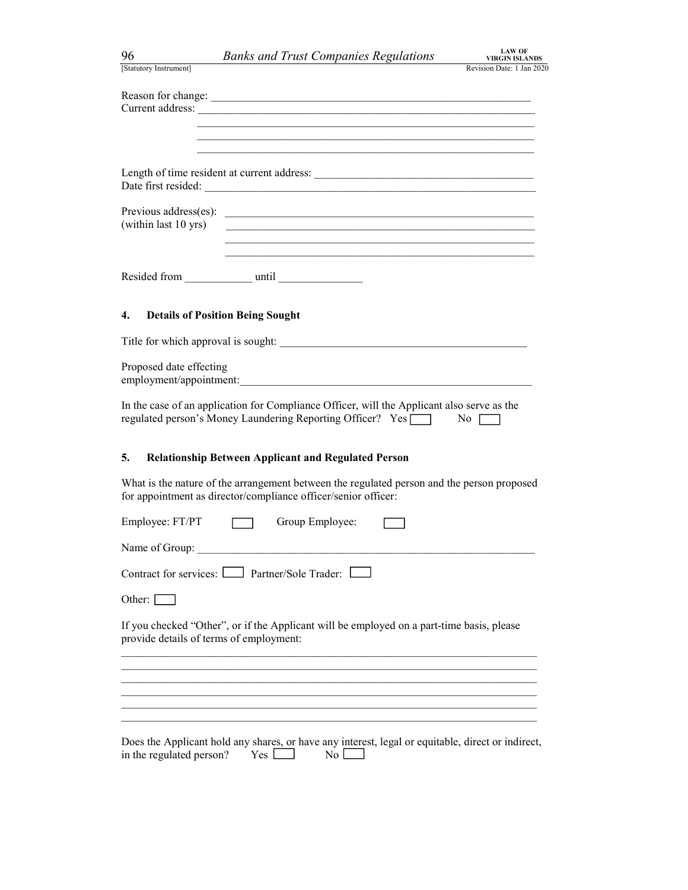| 96                                            | <b>LAW OF</b><br><b>Banks and Trust Companies Regulations</b><br><b>VIRGIN ISLANDS</b>                                                                                                                                                        |
|-----------------------------------------------|-----------------------------------------------------------------------------------------------------------------------------------------------------------------------------------------------------------------------------------------------|
| [Statutory Instrument]                        | Revision Date: 1 Jan 2020                                                                                                                                                                                                                     |
|                                               | Reason for change: <u>contract the contract of the contract of the contract of the contract of the contract of the contract of the contract of the contract of the contract of the contract of the contract of the contract of t</u>          |
|                                               | <u> 1989 - Johann John Stoff, deutscher Stoffen und der Stoffen und der Stoffen und der Stoffen und der Stoffen u</u>                                                                                                                         |
|                                               |                                                                                                                                                                                                                                               |
|                                               |                                                                                                                                                                                                                                               |
| Previous address(es):<br>(within last 10 yrs) | <u> 1989 - Johann John Stein, mars an deutscher Stein und der Stein und der Stein und der Stein und der Stein und</u><br><u> 1980 - Jan James James James James James James James James James James James James James James James James J</u> |
|                                               |                                                                                                                                                                                                                                               |
| Resided from until                            | <u> 1990 - Jan Barbara III, martx</u>                                                                                                                                                                                                         |
| 4.                                            | <b>Details of Position Being Sought</b>                                                                                                                                                                                                       |
|                                               |                                                                                                                                                                                                                                               |
| Proposed date effecting                       |                                                                                                                                                                                                                                               |
|                                               | In the case of an application for Compliance Officer, will the Applicant also serve as the<br>regulated person's Money Laundering Reporting Officer? Yes   No                                                                                 |
| 5.                                            | <b>Relationship Between Applicant and Regulated Person</b>                                                                                                                                                                                    |
|                                               | What is the nature of the arrangement between the regulated person and the person proposed<br>for appointment as director/compliance officer/senior officer:                                                                                  |
| Employee: FT/PT                               | Group Employee:                                                                                                                                                                                                                               |
|                                               |                                                                                                                                                                                                                                               |
|                                               | Contract for services: <u>Due Partner</u> /Sole Trader: <u>Due</u>                                                                                                                                                                            |
| Other: [                                      |                                                                                                                                                                                                                                               |
| provide details of terms of employment:       | If you checked "Other", or if the Applicant will be employed on a part-time basis, please                                                                                                                                                     |
|                                               | <u> 1989 - Johann Stoff, amerikansk politiker (* 1908)</u>                                                                                                                                                                                    |
|                                               |                                                                                                                                                                                                                                               |
|                                               |                                                                                                                                                                                                                                               |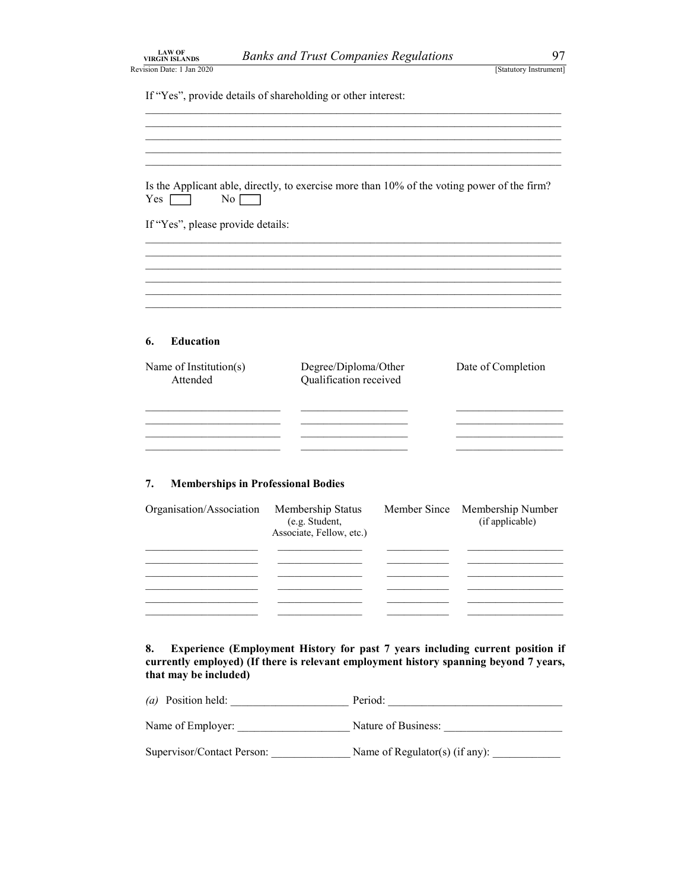|  | <b>LAW OF</b><br><b>VIRGIN ISLANDS</b> |  |  |
|--|----------------------------------------|--|--|
|  | 2009 - ممال المعمول مصنعتين            |  |  |

LAW OF<br>
VIRGIN ISLANDS<br>
Revision Date: 1 Jan 2020<br>
[Statutory Instrument]<br>
If "Yes", provide details of shareholding or other interest:

If "Yes", provide details of shareholding or other interest:<br>
<br>
Is the Applicant able, directly, to exercise more than 10% of the voting power of the firm?  $Yes \frown \qquad No \frown$ 

If "Yes", please provide details: \_\_\_\_\_\_\_\_\_\_\_\_\_\_\_\_\_\_\_\_\_\_\_\_\_\_\_\_\_\_\_\_\_\_\_\_\_\_\_\_\_\_\_\_\_\_\_\_\_\_\_\_\_\_\_\_\_\_\_\_\_\_\_\_\_\_\_\_\_\_\_\_\_\_ \_\_\_\_\_\_\_\_\_\_\_\_\_\_\_\_\_\_\_\_\_\_\_\_\_\_\_\_\_\_\_\_\_\_\_\_\_\_\_\_\_\_\_\_\_\_\_\_\_\_\_\_\_\_\_\_\_\_\_\_\_\_\_\_\_\_\_\_\_\_\_\_\_\_ \_\_\_\_\_\_\_\_\_\_\_\_\_\_\_\_\_\_\_\_\_\_\_\_\_\_\_\_\_\_\_\_\_\_\_\_\_\_\_\_\_\_\_\_\_\_\_\_\_\_\_\_\_\_\_\_\_\_\_\_\_\_\_\_\_\_\_\_\_\_\_\_\_\_ \_\_\_\_\_\_\_\_\_\_\_\_\_\_\_\_\_\_\_\_\_\_\_\_\_\_\_\_\_\_\_\_\_\_\_\_\_\_\_\_\_\_\_\_\_\_\_\_\_\_\_\_\_\_\_\_\_\_\_\_\_\_\_\_\_\_\_\_\_\_\_\_\_\_ \_\_\_\_\_\_\_\_\_\_\_\_\_\_\_\_\_\_\_\_\_\_\_\_\_\_\_\_\_\_\_\_\_\_\_\_\_\_\_\_\_\_\_\_\_\_\_\_\_\_\_\_\_\_\_\_\_\_\_\_\_\_\_\_\_\_\_\_\_\_\_\_\_\_ \_\_\_\_\_\_\_\_\_\_\_\_\_\_\_\_\_\_\_\_\_\_\_\_\_\_\_\_\_\_\_\_\_\_\_\_\_\_\_\_\_\_\_\_\_\_\_\_\_\_\_\_\_\_\_\_\_\_\_\_\_\_\_\_\_\_\_\_\_\_\_\_\_\_

### 6. Education

| Name of Institution(s)<br>Attended | Degree/Diploma/Other<br>Qualification received | Date of Completion |
|------------------------------------|------------------------------------------------|--------------------|
|                                    |                                                |                    |
|                                    |                                                |                    |
|                                    |                                                |                    |
|                                    |                                                |                    |

### 7. Memberships in Professional Bodies

| Organisation/Association | Membership Status<br>(e.g. Student,<br>Associate, Fellow, etc.) | Member Since Membership Number<br>(if applicable) |  |
|--------------------------|-----------------------------------------------------------------|---------------------------------------------------|--|
|                          |                                                                 |                                                   |  |
|                          |                                                                 |                                                   |  |
|                          |                                                                 |                                                   |  |
|                          |                                                                 |                                                   |  |

8. Experience (Employment History for past 7 years including current position if currently employed) (If there is relevant employment history spanning beyond 7 years, that may be included)

| $(a)$ Position held:       | Period:                        |  |
|----------------------------|--------------------------------|--|
| Name of Employer:          | Nature of Business:            |  |
| Supervisor/Contact Person: | Name of Regulator(s) (if any): |  |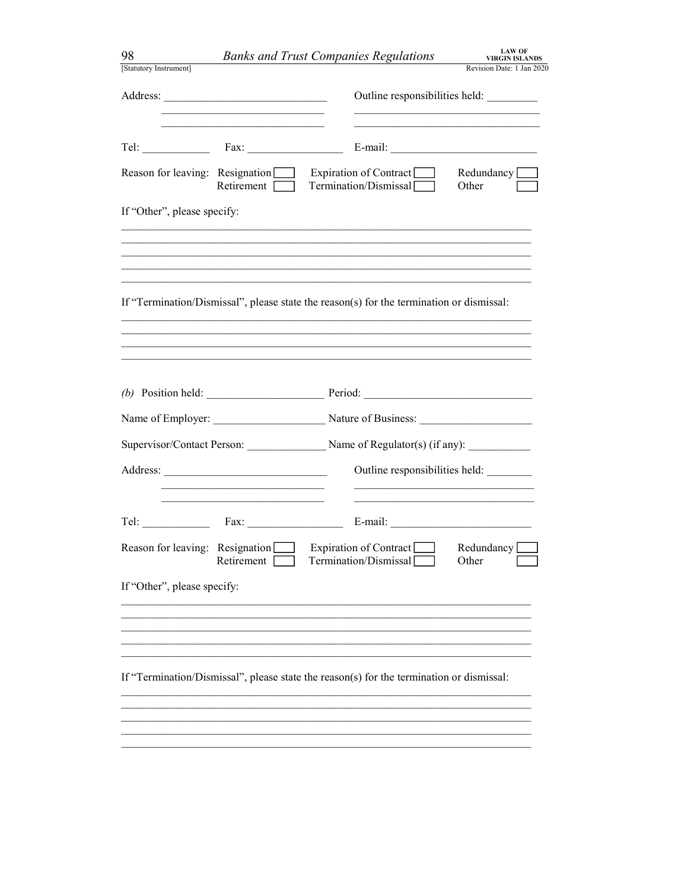| 98                              |                                                                            | <b>Banks and Trust Companies Regulations</b>                                             | <b>LAW OF</b><br><b>VIRGIN ISLANDS</b> |
|---------------------------------|----------------------------------------------------------------------------|------------------------------------------------------------------------------------------|----------------------------------------|
| [Statutory Instrument]          |                                                                            |                                                                                          | Revision Date: 1 Jan 2020              |
|                                 |                                                                            | Outline responsibilities held: _________                                                 |                                        |
|                                 | the control of the control of the control of the control of the control of |                                                                                          |                                        |
| Reason for leaving: Resignation | Retirement $\Box$                                                          | Expiration of Contract<br>Termination/Dismissal                                          | Redundancy <sub>[100]</sub><br>Other   |
| If "Other", please specify:     |                                                                            |                                                                                          |                                        |
|                                 |                                                                            | ,我们也不能在这里的时候,我们也不能在这里的时候,我们也不能会在这里,我们也不能会不能会不能会不能会。""我们的人,我们也不能会不能会不能会不能会不能会不能会不         |                                        |
|                                 |                                                                            | If "Termination/Dismissal", please state the reason(s) for the termination or dismissal: |                                        |
|                                 |                                                                            |                                                                                          |                                        |
|                                 |                                                                            |                                                                                          |                                        |
|                                 |                                                                            |                                                                                          |                                        |
|                                 |                                                                            |                                                                                          |                                        |
|                                 |                                                                            | Supervisor/Contact Person: Name of Regulator(s) (if any):                                |                                        |
|                                 |                                                                            | Outline responsibilities held:                                                           |                                        |
|                                 |                                                                            |                                                                                          |                                        |
|                                 | Reason for leaving: Resignation Expiration of Contract<br>Retirement       | Termination/Dismissal                                                                    | Redundancy [<br>Other                  |
| If "Other", please specify:     |                                                                            |                                                                                          |                                        |
|                                 |                                                                            |                                                                                          |                                        |
|                                 |                                                                            |                                                                                          |                                        |
|                                 |                                                                            | If "Termination/Dismissal", please state the reason(s) for the termination or dismissal: |                                        |
|                                 |                                                                            |                                                                                          |                                        |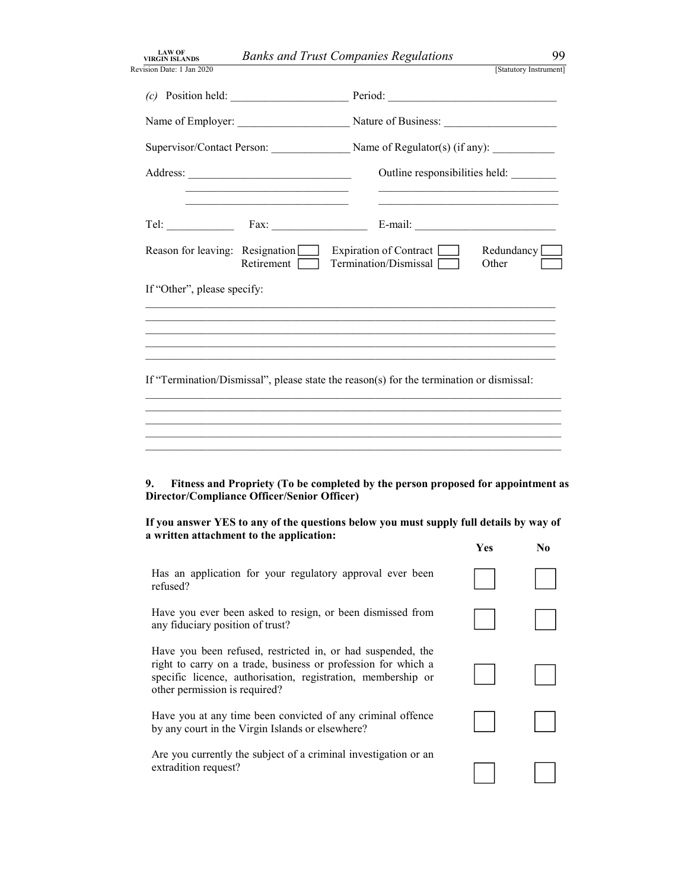| <b>LAW OF</b><br><b>VIRGIN ISLANDS</b>                                                                                                                                                                                                 | <b>Banks and Trust Companies Regulations</b>      |                     | 99                     |
|----------------------------------------------------------------------------------------------------------------------------------------------------------------------------------------------------------------------------------------|---------------------------------------------------|---------------------|------------------------|
| Revision Date: 1 Jan 2020                                                                                                                                                                                                              | Period:                                           |                     | [Statutory Instrument] |
|                                                                                                                                                                                                                                        |                                                   |                     |                        |
| Supervisor/Contact Person: Name of Regulator(s) (if any):                                                                                                                                                                              |                                                   |                     |                        |
| <u> 1989 - Johann Barn, fransk politik forhat (d. 1989)</u>                                                                                                                                                                            | Outline responsibilities held:                    |                     |                        |
| Fax:<br>Tel: The contract of the contract of the contract of the contract of the contract of the contract of the contract of the contract of the contract of the contract of the contract of the contract of the contract of the contr | E-mail: $\qquad \qquad$                           |                     |                        |
| Reason for leaving: Resignation<br>Retirement                                                                                                                                                                                          | Expiration of Contract [<br>Termination/Dismissal | Redundancy<br>Other |                        |
| If "Other", please specify:                                                                                                                                                                                                            |                                                   |                     |                        |
|                                                                                                                                                                                                                                        |                                                   |                     |                        |
| If "Termination/Dismissal", please state the reason(s) for the termination or dismissal:                                                                                                                                               |                                                   |                     |                        |
|                                                                                                                                                                                                                                        |                                                   |                     |                        |
| Fitness and Propriety (To be completed by the person proposed for appointment as<br>9.<br>Director/Compliance Officer/Senior Officer)                                                                                                  |                                                   |                     |                        |
| If you answer YES to any of the questions below you must supply full details by way of<br>a written attachment to the application:                                                                                                     |                                                   |                     |                        |
| Has an application for your regulatory approval ever been<br>refused?                                                                                                                                                                  |                                                   | Yes                 | N <sub>0</sub>         |
| Have you ever been asked to resign, or been dismissed from<br>any fiduciary position of trust?                                                                                                                                         |                                                   |                     |                        |
| Have you been refused, restricted in, or had suspended, the<br>right to carry on a trade, business or profession for which a<br>specific licence, authorisation, registration, membership or<br>other permission is required?          |                                                   |                     |                        |
| Have you at any time been convicted of any criminal offence<br>by any court in the Virgin Islands or elsewhere?                                                                                                                        |                                                   |                     |                        |
| Are you currently the subject of a criminal investigation or an<br>extradition request?                                                                                                                                                |                                                   |                     |                        |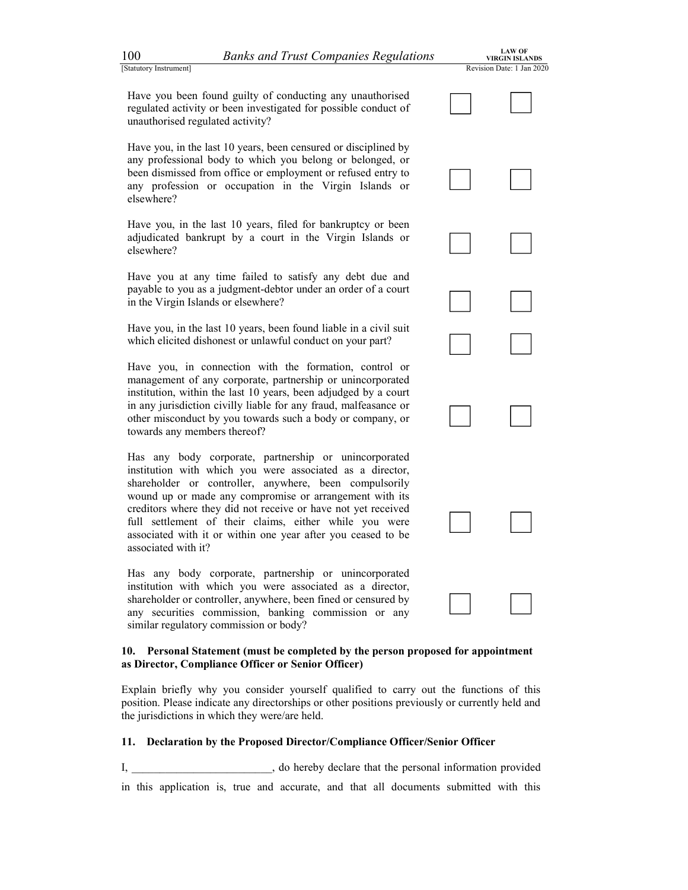100 Banks and Trust Companies Regulations<br>
Statutory Instrument]<br>
Have you been found guilty of conducting any unauthorised<br>
regulated activity or been investigated for possible conduct of<br>
unauthorised regulated activity? Have you been found guilty of conducting any unauthorised regulated activity or been investigated for possible conduct of unauthorised regulated activity?

Have you been found guilty of conducting any unauthorised<br>
Have you been found guilty of conducting any unauthorised<br>
regulated activity or been investigated for possible conduct of<br>
unauthorised regulated activity?<br>
Have any professional body to which you belong or belonged, or been dismissed from office or employment or refused entry to any profession or occupation in the Virgin Islands or elsewhere? any professional body to which you belong or belonged, or<br>been dismissed from office or employment or refused entry to<br>any profession or occupation in the Virgin Islands or<br>elsewhere?<br>Have you, in the last 10 years, filed

institution with which you were associated as a director, shareholder or controller, anywhere, been fined or censured by any securities commission, banking commission or any similar regulatory commission or body?

### 10. Personal Statement (must be completed by the person proposed for appointment as Director, Compliance Officer or Senior Officer)

Explain briefly why you consider yourself qualified to carry out the functions of this position. Please indicate any directorships or other positions previously or currently held and the jurisdictions in which they were/are held.

### 11. Declaration by the Proposed Director/Compliance Officer/Senior Officer

I, and information provided information provided information provided in this application is, true and accurate, and that all documents submitted with this

| $00\,$               | <b>Banks and Trust Companies Regulations</b>                                                                                                                                                                                                                                                                                                                                                                                       | <b>LAW OF</b><br><b>VIRGIN ISLANDS</b> |
|----------------------|------------------------------------------------------------------------------------------------------------------------------------------------------------------------------------------------------------------------------------------------------------------------------------------------------------------------------------------------------------------------------------------------------------------------------------|----------------------------------------|
| tatutory Instrument] |                                                                                                                                                                                                                                                                                                                                                                                                                                    | Revision Date: 1 Jan 2020              |
|                      | Have you been found guilty of conducting any unauthorised<br>regulated activity or been investigated for possible conduct of<br>unauthorised regulated activity?                                                                                                                                                                                                                                                                   |                                        |
| elsewhere?           | Have you, in the last 10 years, been censured or disciplined by<br>any professional body to which you belong or belonged, or<br>been dismissed from office or employment or refused entry to<br>any profession or occupation in the Virgin Islands or                                                                                                                                                                              |                                        |
| elsewhere?           | Have you, in the last 10 years, filed for bankruptcy or been<br>adjudicated bankrupt by a court in the Virgin Islands or                                                                                                                                                                                                                                                                                                           |                                        |
|                      | Have you at any time failed to satisfy any debt due and<br>payable to you as a judgment-debtor under an order of a court<br>in the Virgin Islands or elsewhere?                                                                                                                                                                                                                                                                    |                                        |
|                      | Have you, in the last 10 years, been found liable in a civil suit<br>which elicited dishonest or unlawful conduct on your part?                                                                                                                                                                                                                                                                                                    |                                        |
|                      | Have you, in connection with the formation, control or<br>management of any corporate, partnership or unincorporated<br>institution, within the last 10 years, been adjudged by a court<br>in any jurisdiction civilly liable for any fraud, malfeasance or<br>other misconduct by you towards such a body or company, or<br>towards any members thereof?                                                                          |                                        |
| associated with it?  | Has any body corporate, partnership or unincorporated<br>institution with which you were associated as a director,<br>shareholder or controller, anywhere, been compulsorily<br>wound up or made any compromise or arrangement with its<br>creditors where they did not receive or have not yet received<br>full settlement of their claims, either while you were<br>associated with it or within one year after you ceased to be |                                        |
|                      | Has any body corporate, partnership or unincorporated<br>institution with which you were associated as a director,<br>shareholder or controller, anywhere, been fined or censured by<br>any securities commission, banking commission or any                                                                                                                                                                                       |                                        |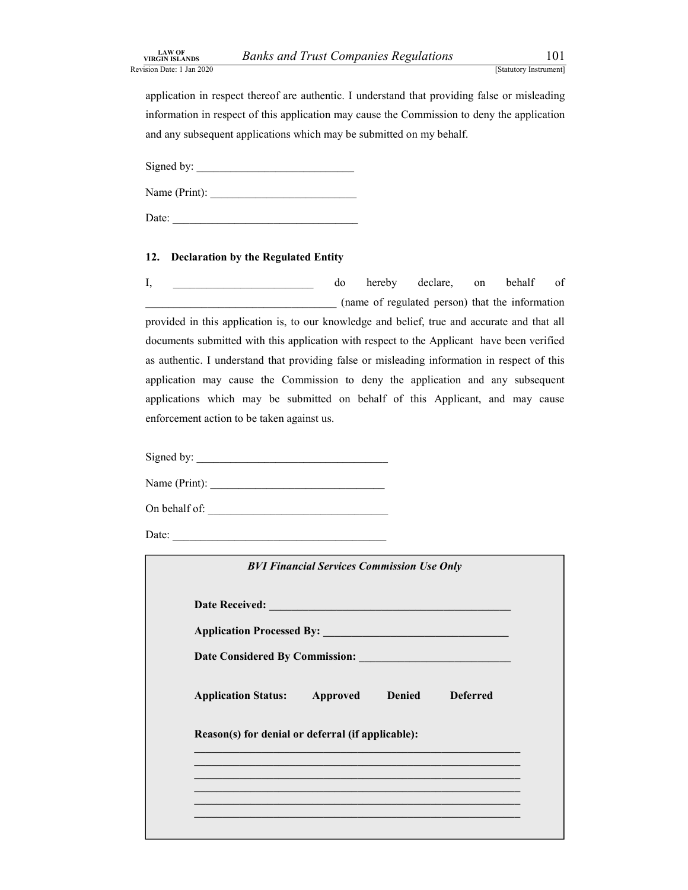Banks and Trust Companies Regulations 101<br>
[Statutory Instrument]<br>
thereof are authentic. I understand that providing false or misleading<br>
t of this application may cause the Commission to deny the application LAW OF<br>
Revision Date: 1 Jan 2020<br>
Revision Date: 1 Jan 2020<br>
application in respect thereof are authentic. I understand that providing false or misleading<br>
information in respect of this application may cause the Commissi application in respect thereof are authentic. I understand that providing false or misleading information in respect of this application may cause the Commission to deny the application and any subsequent applications which may be submitted on my behalf.

Signed by: \_\_\_\_\_\_\_\_\_\_\_\_\_\_\_\_\_\_\_\_\_\_\_\_\_\_\_\_

Name (Print): \_\_\_\_\_\_\_\_\_\_\_\_\_\_\_\_\_\_\_\_\_\_\_\_\_\_

Date:

EXAN BLAND BY THE COMPUTE COMPARIES REGULATIONS ISSISTON EXAMPLE (STATURES) (STATURES) (STATURES) (STATURES) (STATURES) (STATURES) (STATURES) (STATURES) (STATURES) (STATURES) (DETITY ISSISTON DRIVER COMPUTERS) (SUPPOSE) ( I, and the original domestic domestic domestic declare, on behalf of \_\_\_\_\_\_\_\_\_\_\_\_\_\_\_\_\_\_\_\_\_\_\_\_\_\_\_\_\_\_\_\_\_\_ (name of regulated person) that the information provided in this application is, to our knowledge and belief, true and accurate and that all documents submitted with this application with respect to the Applicant have been verified as authentic. I understand that providing false or misleading information in respect of this application may cause the Commission to deny the application and any subsequent information in respect of this application may cause the Commission to deny the application<br>and any subsequent applications which may be submitted on my behalf.<br>
Signed by:<br>
Name (Print):<br>
Date:<br>
Date:<br>
Date:<br>
Date:<br>  $\frac{1$ enforcement action to be taken against us.

| enforcement action to be taken against us.                                                                                                                                                                                                                                                                                                                                                                  |                 |  |
|-------------------------------------------------------------------------------------------------------------------------------------------------------------------------------------------------------------------------------------------------------------------------------------------------------------------------------------------------------------------------------------------------------------|-----------------|--|
|                                                                                                                                                                                                                                                                                                                                                                                                             |                 |  |
| Signed by: $\frac{1}{\sqrt{1-\frac{1}{2}}\sqrt{1-\frac{1}{2}}\sqrt{1-\frac{1}{2}}\sqrt{1-\frac{1}{2}}\sqrt{1-\frac{1}{2}}\sqrt{1-\frac{1}{2}}\sqrt{1-\frac{1}{2}}\sqrt{1-\frac{1}{2}}\sqrt{1-\frac{1}{2}}\sqrt{1-\frac{1}{2}}\sqrt{1-\frac{1}{2}}\sqrt{1-\frac{1}{2}}\sqrt{1-\frac{1}{2}}\sqrt{1-\frac{1}{2}}\sqrt{1-\frac{1}{2}}\sqrt{1-\frac{1}{2}}\sqrt{1-\frac{1}{2}}\sqrt{1-\frac{1}{2}}\sqrt{1-\frac$ |                 |  |
| Name (Print): $\frac{1}{\sqrt{1-\frac{1}{2}} \cdot \frac{1}{2}}$                                                                                                                                                                                                                                                                                                                                            |                 |  |
| On behalf of: $\qquad \qquad$                                                                                                                                                                                                                                                                                                                                                                               |                 |  |
| Date: $\frac{1}{\sqrt{1-\frac{1}{2}} \cdot \frac{1}{2}}$                                                                                                                                                                                                                                                                                                                                                    |                 |  |
| <b>BVI Financial Services Commission Use Only</b>                                                                                                                                                                                                                                                                                                                                                           |                 |  |
|                                                                                                                                                                                                                                                                                                                                                                                                             |                 |  |
|                                                                                                                                                                                                                                                                                                                                                                                                             |                 |  |
|                                                                                                                                                                                                                                                                                                                                                                                                             |                 |  |
| <b>Application Status:</b> Approved Denied                                                                                                                                                                                                                                                                                                                                                                  | <b>Deferred</b> |  |
| Reason(s) for denial or deferral (if applicable):                                                                                                                                                                                                                                                                                                                                                           |                 |  |
| <u> 1989 - Johann John Stoff, deutscher Stoff, der Stoff, der Stoff, der Stoff, der Stoff, der Stoff, der Stoff, </u>                                                                                                                                                                                                                                                                                       |                 |  |
| <u> 1989 - Johann Stoff, amerikansk politiker (d. 1989)</u>                                                                                                                                                                                                                                                                                                                                                 |                 |  |
| <u> 1989 - Johann Harry Harry Harry Harry Harry Harry Harry Harry Harry Harry Harry Harry Harry Harry Harry Harry</u>                                                                                                                                                                                                                                                                                       |                 |  |
|                                                                                                                                                                                                                                                                                                                                                                                                             |                 |  |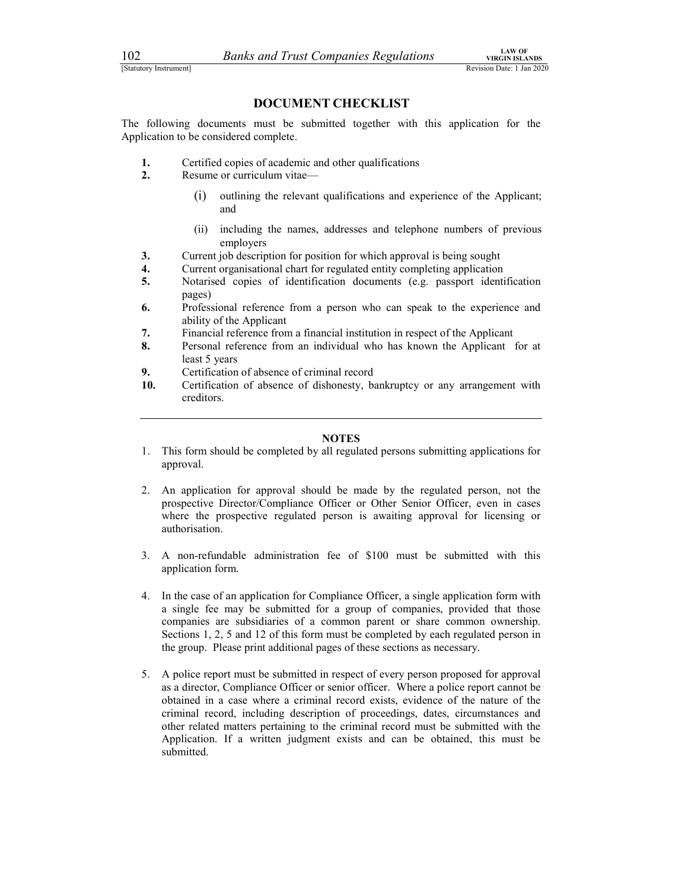102 Banks and Trust Companies Regulations<br>
Estatutory Instrument<br> **DOCUMENT CHECKLIST**<br>
The following documents must be submitted together with this application for the Exatutory Instrument<br>
[Statutory Instrument]<br> **Exacts SEANDS**<br> **Exacts SEANDS**<br> **EXECUMENT CHECKLIST**<br>
The following documents must be submitted together with this application for the<br>
Application to be considered complete The following documents must be submitted together with this application for the Application to be considered complete.

- 1. Certified copies of academic and other qualifications
- 2. Resume or curriculum vitae—
	- (i) outlining the relevant qualifications and experience of the Applicant; and
	- (ii) including the names, addresses and telephone numbers of previous employers
- 3. Current job description for position for which approval is being sought
- 4. Current organisational chart for regulated entity completing application
- 5. Notarised copies of identification documents (e.g. passport identification pages)
- 6. Professional reference from a person who can speak to the experience and ability of the Applicant
- 7. Financial reference from a financial institution in respect of the Applicant
- 8. Personal reference from an individual who has known the Applicant for at least 5 years
- 9. Certification of absence of criminal record
- 10. Certification of absence of dishonesty, bankruptcy or any arrangement with creditors.

### **NOTES**

- 1. This form should be completed by all regulated persons submitting applications for approval.
- 2. An application for approval should be made by the regulated person, not the prospective Director/Compliance Officer or Other Senior Officer, even in cases where the prospective regulated person is awaiting approval for licensing or authorisation.
- 3. A non-refundable administration fee of \$100 must be submitted with this application form.
- 4. In the case of an application for Compliance Officer, a single application form with a single fee may be submitted for a group of companies, provided that those companies are subsidiaries of a common parent or share common ownership. Sections 1, 2, 5 and 12 of this form must be completed by each regulated person in the group. Please print additional pages of these sections as necessary.
- 5. A police report must be submitted in respect of every person proposed for approval as a director, Compliance Officer or senior officer. Where a police report cannot be obtained in a case where a criminal record exists, evidence of the nature of the criminal record, including description of proceedings, dates, circumstances and other related matters pertaining to the criminal record must be submitted with the Application. If a written judgment exists and can be obtained, this must be submitted.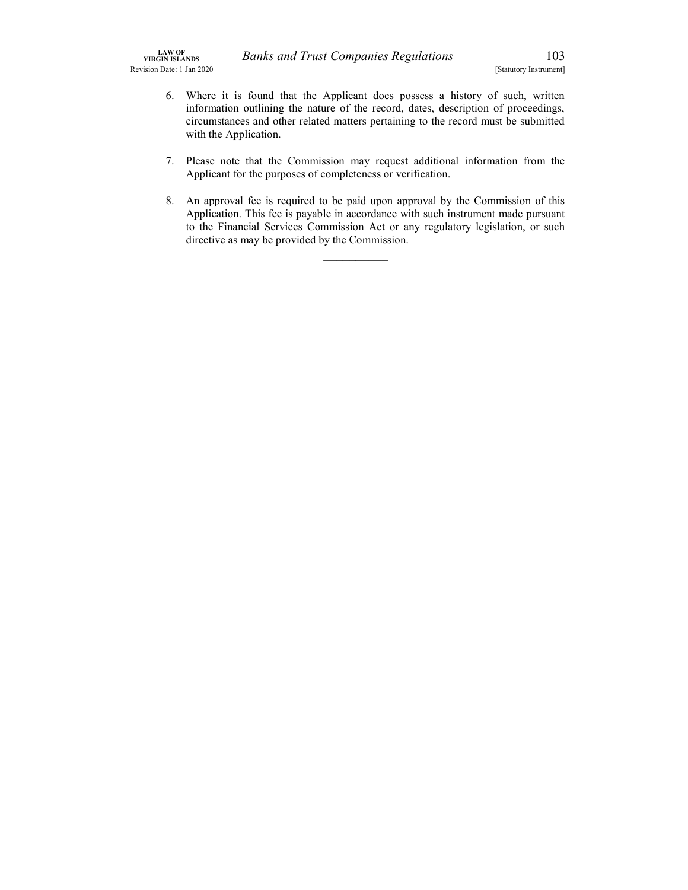- Banks and Trust Companies Regulations 103<br>
[Statutory Instrument]<br>
found that the Applicant does possess a history of such, written<br>
outlining the nature of the record, dates, description of proceedings,<br>
se and other rela LAW OF<br>
Revision Date: 1 Jan 2020<br>
Revision Date: 1 Jan 2020<br>
Sevision Date: 1 Jan 2020<br>
(Statutory Instrument]<br>
6. Where it is found that the Applicant does possess a history of such, written<br>
information outlining the na <sup>(N OF</sup><br>
<sup>8. ISLANDS</sup><br>
<sup>103</sup><br>
<sup>[Slatutory Instrument]<br>
6. Where it is found that the Applicant does possess a history of such, written<br>
information outlining the nature of the record, dates, description of proceedings,<br>
ci</sup> information outlining the nature of the record, dates, description of proceedings, circumstances and other related matters pertaining to the record must be submitted with the Application.
	- 7. Please note that the Commission may request additional information from the Applicant for the purposes of completeness or verification.
	- 8. An approval fee is required to be paid upon approval by the Commission of this Application. This fee is payable in accordance with such instrument made pursuant to the Financial Services Commission Act or any regulatory legislation, or such directive as may be provided by the Commission.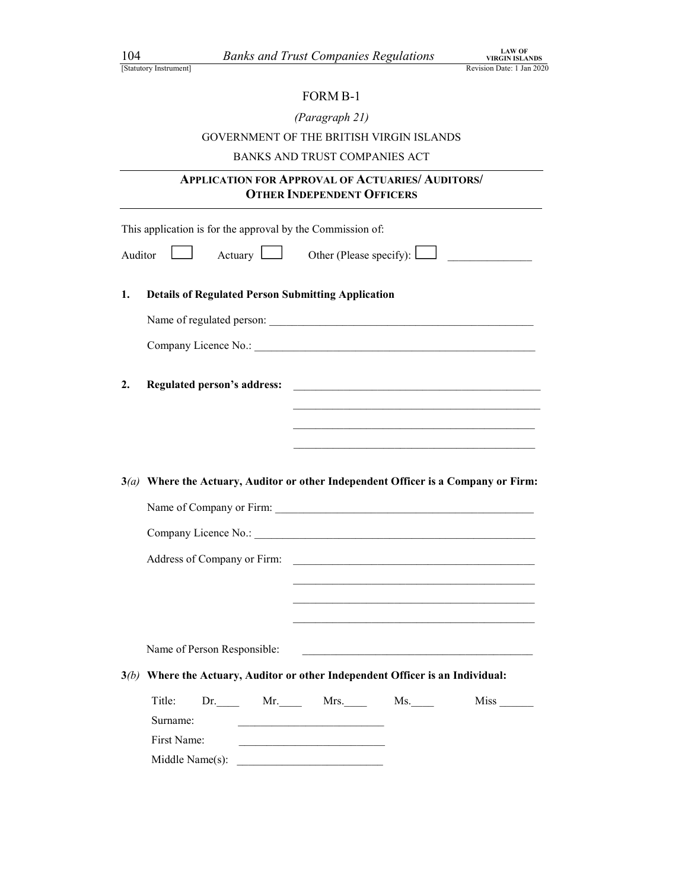| (Paragraph 21) |  |
|----------------|--|
|----------------|--|

## of Companies Regulations<br>
FORM B-1<br>
FORM B-1<br>
Paragraph 21)<br>
FIE BRITISH VIRGIN ISLANDS<br>
TRUST COMPANIES ACT GOVERNMENT OF THE BRITISH VIRGIN ISLANDS

### BANKS AND TRUST COMPANIES ACT

### APPLICATION FOR APPROVAL OF ACTUARIES/ AUDITORS/ OTHER INDEPENDENT OFFICERS

|         | This application is for the approval by the Commission of:                                                                            |                                                                                                                        |  |  |
|---------|---------------------------------------------------------------------------------------------------------------------------------------|------------------------------------------------------------------------------------------------------------------------|--|--|
| Auditor |                                                                                                                                       | Other (Please specify): $\Box$                                                                                         |  |  |
| 1.      | <b>Details of Regulated Person Submitting Application</b>                                                                             |                                                                                                                        |  |  |
|         |                                                                                                                                       |                                                                                                                        |  |  |
|         |                                                                                                                                       |                                                                                                                        |  |  |
| 2.      |                                                                                                                                       |                                                                                                                        |  |  |
|         |                                                                                                                                       | <u> 1989 - Johann John Stoff, deutscher Stoffen und der Stoffen und der Stoffen und der Stoffen und der Stoffen</u>    |  |  |
|         |                                                                                                                                       |                                                                                                                        |  |  |
|         |                                                                                                                                       |                                                                                                                        |  |  |
|         | $3(a)$ Where the Actuary, Auditor or other Independent Officer is a Company or Firm:                                                  |                                                                                                                        |  |  |
|         |                                                                                                                                       |                                                                                                                        |  |  |
|         |                                                                                                                                       |                                                                                                                        |  |  |
|         |                                                                                                                                       |                                                                                                                        |  |  |
|         |                                                                                                                                       | <u> 1989 - Johann John Stoff, deutscher Stoffen und der Stoffen und der Stoffen und der Stoffen und der Stoffen u</u>  |  |  |
|         |                                                                                                                                       |                                                                                                                        |  |  |
|         | Name of Person Responsible:                                                                                                           | <u> 1989 - Johann John Harry Harry Harry Harry Harry Harry Harry Harry Harry Harry Harry Harry Harry Harry Harry H</u> |  |  |
|         | $3(b)$ Where the Actuary, Auditor or other Independent Officer is an Individual:                                                      |                                                                                                                        |  |  |
|         | Title:<br>Dr. Mr. Mrs. Ms. Ms.                                                                                                        |                                                                                                                        |  |  |
|         | Surname:<br><u> 1989 - Johann Barbara, martin amerikan ba</u>                                                                         |                                                                                                                        |  |  |
|         | First Name:<br><u> 1989 - Johann John Harry Harry Harry Harry Harry Harry Harry Harry Harry Harry Harry Harry Harry Harry Harry H</u> |                                                                                                                        |  |  |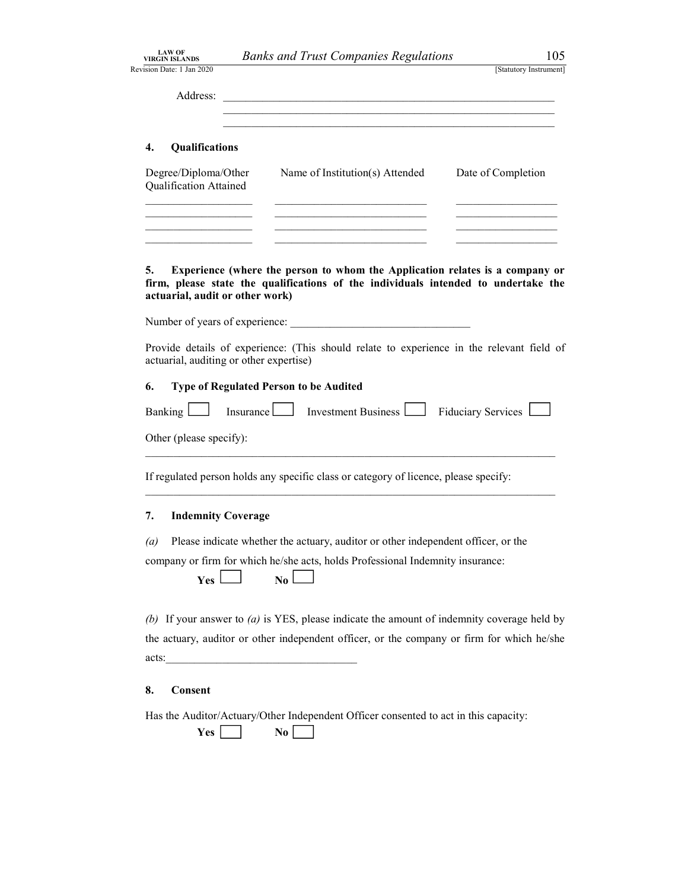| <b>LAW OF</b><br><b>VIRGIN ISLANDS</b> | <b>Banks and Trust Companies Regulations</b>                                                                                                                                                                                                                                                        | 105                    |  |
|----------------------------------------|-----------------------------------------------------------------------------------------------------------------------------------------------------------------------------------------------------------------------------------------------------------------------------------------------------|------------------------|--|
| Revision Date: 1 Jan 2020              |                                                                                                                                                                                                                                                                                                     | [Statutory Instrument] |  |
| Address:                               | <u> 1989 - Johann John Stein, mars ar yw i brenin y cynnwys y cynnwys y cynnwys y cynnwys y cynnwys y cynnwys y c</u>                                                                                                                                                                               |                        |  |
|                                        | <u> 1989 - Johann John Stoff, deutscher Stoff und der Stoff und der Stoff und der Stoff und der Stoff und der Stoff</u>                                                                                                                                                                             |                        |  |
| Qualifications<br>4.                   |                                                                                                                                                                                                                                                                                                     |                        |  |
| $\mathbf{r}$                           | $\mathbb{R}^{n+1}$ for $\mathbb{R}^{n}$ for $\mathbb{R}^{n}$ for $\mathbb{R}^{n}$ for $\mathbb{R}^{n}$ for $\mathbb{R}^{n}$ for $\mathbb{R}^{n}$ for $\mathbb{R}^{n}$ for $\mathbb{R}^{n}$ for $\mathbb{R}^{n}$ for $\mathbb{R}^{n}$ for $\mathbb{R}^{n}$ for $\mathbb{R}^{n}$ for $\mathbb{R}^{n}$ |                        |  |

| Degree/Diploma/Other<br>Qualification Attained | Name of Institution(s) Attended | Date of Completion |
|------------------------------------------------|---------------------------------|--------------------|
|                                                |                                 |                    |
|                                                |                                 |                    |
|                                                |                                 |                    |

5. Experience (where the person to whom the Application relates is a company or firm, please state the qualifications of the individuals intended to undertake the actuarial, audit or other work)

Number of years of experience:

Provide details of experience: (This should relate to experience in the relevant field of actuarial, auditing or other expertise)

### 6. Type of Regulated Person to be Audited

| Banking |  | Investment Business | $-H1$ ductary.<br>$-$ |  |
|---------|--|---------------------|-----------------------|--|
|---------|--|---------------------|-----------------------|--|

Other (please specify):<br>
If regulated person holds any specific class or category of licence, please specify:

### 7. Indemnity Coverage

(a) Please indicate whether the actuary, auditor or other independent officer, or the

company or firm for which he/she acts, holds Professional Indemnity insurance:

| <b>Yes</b> | No |
|------------|----|
|            |    |

(b) If your answer to  $(a)$  is YES, please indicate the amount of indemnity coverage held by the actuary, auditor or other independent officer, or the company or firm for which he/she acts:

### 8. Consent

Has the Auditor/Actuary/Other Independent Officer consented to act in this capacity:

| <b>Yes</b> |  | No |  |
|------------|--|----|--|
|------------|--|----|--|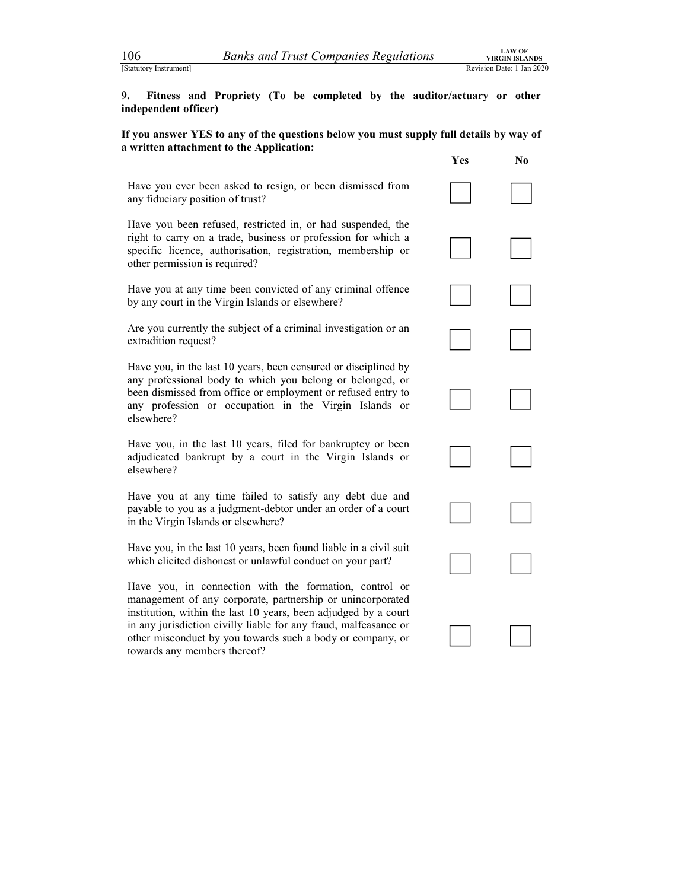106 *Banks and Trust Companies Regulations VIRGIN ISLANDS*<br>
Estatutory Instrument]<br> **19.** Fitness and Propriety (To be completed by the auditor/actuary or other independent officer) 9. Fitness and Propriety (To be completed by the auditor/actuary or other independent officer)

If you answer YES to any of the questions below you must supply full details by way of a written attachment to the Application:

Have you ever been asked to resign, or been dismissed from any fiduciary position of trust?

Have you been refused, restricted in, or had suspended, the right to carry on a trade, business or profession for which a specific licence, authorisation, registration, membership or other permission is required?

Have you at any time been convicted of any criminal offence by any court in the Virgin Islands or elsewhere?

Are you currently the subject of a criminal investigation or an extradition request?

any professional body to which you belong or belonged, or been dismissed from office or employment or refused entry to any profession or occupation in the Virgin Islands or elsewhere? any professional body to which you belong or belonged, or<br>been dismissed from office or employment or refused entry to<br>any profession or occupation in the Virgin Islands or<br>elsewhere?<br>Have you, in the last 10 years, filed

adjudicated bankrupt by a court in the Virgin Islands or elsewhere? Have you, in the last 10 years, filed for bankruptcy or been<br>adjudicated bankrupt by a court in the Virgin Islands or<br>elsewhere?<br>Have you at any time failed to satisfy any debt due and

payable to you as a judgment-debtor under an order of a court in the Virgin Islands or elsewhere? Have you at any time failed to satisfy any debt due and payable to you as a judgment-debtor under an order of a court in the Virgin Islands or elsewhere?<br>Have you, in the last 10 years, been found liable in a civil suit

which elicited dishonest or unlawful conduct on your part?

Have you, in connection with the formation, control or management of any corporate, partnership or unincorporated institution, within the last 10 years, been adjudged by a court in any jurisdiction civilly liable for any fraud, malfeasance or other misconduct by you towards such a body or company, or towards any members thereof?

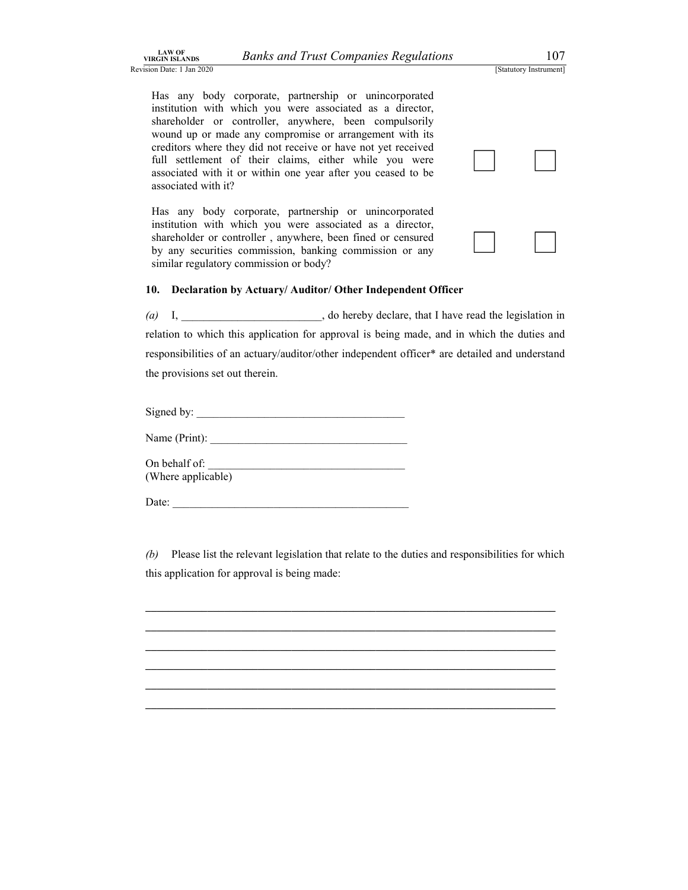|  |  |  |  |  |  |  | anks and Trust Companies Regulations |
|--|--|--|--|--|--|--|--------------------------------------|
|--|--|--|--|--|--|--|--------------------------------------|

Banks and Trust Companies Regulations<br>
[Statutory Instrument]<br>
prporate, partnership or unincorporated<br>
uch you were associated as a director,<br>
ntroller, anywhere, been compulsorily LAW OF<br>Revision Date: 1 Jan 2020<br>Revision Date: 1 Jan 2020<br>Has any body corporate, partnership or unincorporated<br>institution with which you were associated as a director,<br>shareholder or controller, anywhere, been compulsor institution with which you were associated as a director, shareholder or controller, anywhere, been compulsorily wound up or made any compromise or arrangement with its creditors where they did not receive or have not yet received full settlement of their claims, either while you were associated with it or within one year after you ceased to be associated with it? Materiorcal of bondship, any mater, body comparisonly<br>wound up or made any compromise or arrangement with its<br>creditors where they did not receive or have not yet received<br>full settlement of their claims, either while you

institution with which you were associated as a director, shareholder or controller , anywhere, been fined or censured by any securities commission, banking commission or any similar regulatory commission or body?

### 10. Declaration by Actuary/ Auditor/ Other Independent Officer

(a) I,  $\qquad \qquad$  1,  $\qquad \qquad$  1,  $\qquad \qquad$  1,  $\qquad \qquad$  1,  $\qquad \qquad$  1,  $\qquad \qquad$  1,  $\qquad \qquad$  1,  $\qquad \qquad$  1,  $\qquad \qquad$  1,  $\qquad \qquad$  1,  $\qquad \qquad$  1,  $\qquad \qquad$  1,  $\qquad \qquad$  1,  $\qquad \qquad$  1,  $\qquad \qquad$  1,  $\qquad \qquad$  1,  $\qquad \qquad$  1,  $\qquad \qquad$  1 relation to which this application for approval is being made, and in which the duties and responsibilities of an actuary/auditor/other independent officer\* are detailed and understand the provisions set out therein.

Signed by: \_\_\_\_\_\_\_\_\_\_\_\_\_\_\_\_\_\_\_\_\_\_\_\_\_\_\_\_\_\_\_\_\_\_\_\_\_

Name  $(Print):$ 

On behalf of: (Where applicable)

Date:

(b) Please list the relevant legislation that relate to the duties and responsibilities for which this application for approval is being made:

\_\_\_\_\_\_\_\_\_\_\_\_\_\_\_\_\_\_\_\_\_\_\_\_\_\_\_\_\_\_\_\_\_\_\_\_\_\_\_\_\_\_\_\_\_\_\_\_\_\_\_\_\_\_\_\_\_\_\_\_\_\_\_\_\_\_\_\_\_\_\_\_\_ \_\_\_\_\_\_\_\_\_\_\_\_\_\_\_\_\_\_\_\_\_\_\_\_\_\_\_\_\_\_\_\_\_\_\_\_\_\_\_\_\_\_\_\_\_\_\_\_\_\_\_\_\_\_\_\_\_\_\_\_\_\_\_\_\_\_\_\_\_\_\_\_\_ \_\_\_\_\_\_\_\_\_\_\_\_\_\_\_\_\_\_\_\_\_\_\_\_\_\_\_\_\_\_\_\_\_\_\_\_\_\_\_\_\_\_\_\_\_\_\_\_\_\_\_\_\_\_\_\_\_\_\_\_\_\_\_\_\_\_\_\_\_\_\_\_\_ \_\_\_\_\_\_\_\_\_\_\_\_\_\_\_\_\_\_\_\_\_\_\_\_\_\_\_\_\_\_\_\_\_\_\_\_\_\_\_\_\_\_\_\_\_\_\_\_\_\_\_\_\_\_\_\_\_\_\_\_\_\_\_\_\_\_\_\_\_\_\_\_\_ \_\_\_\_\_\_\_\_\_\_\_\_\_\_\_\_\_\_\_\_\_\_\_\_\_\_\_\_\_\_\_\_\_\_\_\_\_\_\_\_\_\_\_\_\_\_\_\_\_\_\_\_\_\_\_\_\_\_\_\_\_\_\_\_\_\_\_\_\_\_\_\_\_ \_\_\_\_\_\_\_\_\_\_\_\_\_\_\_\_\_\_\_\_\_\_\_\_\_\_\_\_\_\_\_\_\_\_\_\_\_\_\_\_\_\_\_\_\_\_\_\_\_\_\_\_\_\_\_\_\_\_\_\_\_\_\_\_\_\_\_\_\_\_\_\_\_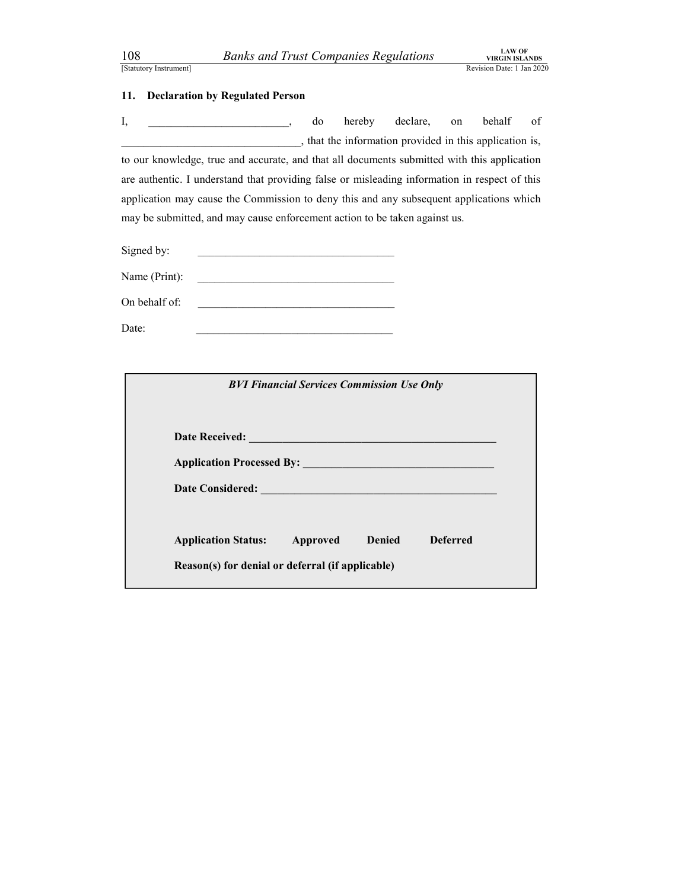108 Banks and Trust Companies Regulations TRECIN ISLANDS<br>
Estatutory Instrument]<br>
11. Declaration by Regulated Person<br>
15. Jonathannel States, and thereby declare, on behalf of EXAM THE STATUTE COMPANIES Regulations<br>
ESTATUTE IS NEXANDS<br>
ENGINEE AND TRIANDIS REVISION DATE: 1 Jan 2020<br>
11. Declaration by Regulated Person<br>
1, \_\_\_\_\_\_\_\_\_\_\_\_, do hereby declare, on behalf of<br>
that the information provi 108 Banks and Trust Companies Regulations<br>
Statutory Instrument]<br>
11. Declaration by Regulated Person<br>
1, do hereby declare, on behalf<br>
1, that the information provided in this application<br>
to our knowledge, true and accur I, and the observed of the behalf of the behalf of the behalf of the behalf of the behalf of the behalf of the behalf of the behalf of the behalf of the behalf of the behalf of the behalf of the behalf of the behalf of the \_\_\_\_\_\_\_\_\_\_\_\_\_\_\_\_\_\_\_\_\_\_\_\_\_\_\_\_\_\_\_\_, that the information provided in this application is, to our knowledge, true and accurate, and that all documents submitted with this application **EXECUTE:** 108 **Banks and Trust Companies Regulations EXECUTE TO THE FORT CONSTANT TO THE PRESENT THE PRESENT TO THE PRESENT TO THE PRESENT TO THE PRESENT TO THE PRESENT TO THE PRESENT CONSTANT TO THE PRESENT OF THE PRE** application may cause the Commission to deny this and any subsequent applications which may be submitted, and may cause enforcement action to be taken against us.

Signed by:

| Name (Print):<br>. |  |
|--------------------|--|
|--------------------|--|

On behalf of:

| Signed by:<br><u> 1990 - Johann John Harry Barbara, martin a shekara 1991 - 1991 - 1991 - 1991 - 1991 - 1991 - 1991 - 1991 - 19</u>                                                                                                                   |                 |  |
|-------------------------------------------------------------------------------------------------------------------------------------------------------------------------------------------------------------------------------------------------------|-----------------|--|
| Name (Print):<br><u> 2002 - Johann Johann Johann Johann Johann Johann Johann Johann Johann Johann Johann Johann Johann Johann Johann Johann Johann Johann Johann Johann Johann Johann Johann Johann Johann Johann Johann Johann Johann Johann Joh</u> |                 |  |
| On behalf of:<br><u> 1990 - Johann Barbara, martin amerikan basar da</u>                                                                                                                                                                              |                 |  |
| Date:                                                                                                                                                                                                                                                 |                 |  |
|                                                                                                                                                                                                                                                       |                 |  |
| <b>BVI Financial Services Commission Use Only</b>                                                                                                                                                                                                     |                 |  |
|                                                                                                                                                                                                                                                       |                 |  |
|                                                                                                                                                                                                                                                       |                 |  |
|                                                                                                                                                                                                                                                       |                 |  |
|                                                                                                                                                                                                                                                       |                 |  |
|                                                                                                                                                                                                                                                       |                 |  |
| <b>Application Status:</b><br>Approved<br><b>Denied</b>                                                                                                                                                                                               | <b>Deferred</b> |  |
| Reason(s) for denial or deferral (if applicable)                                                                                                                                                                                                      |                 |  |
|                                                                                                                                                                                                                                                       |                 |  |
|                                                                                                                                                                                                                                                       |                 |  |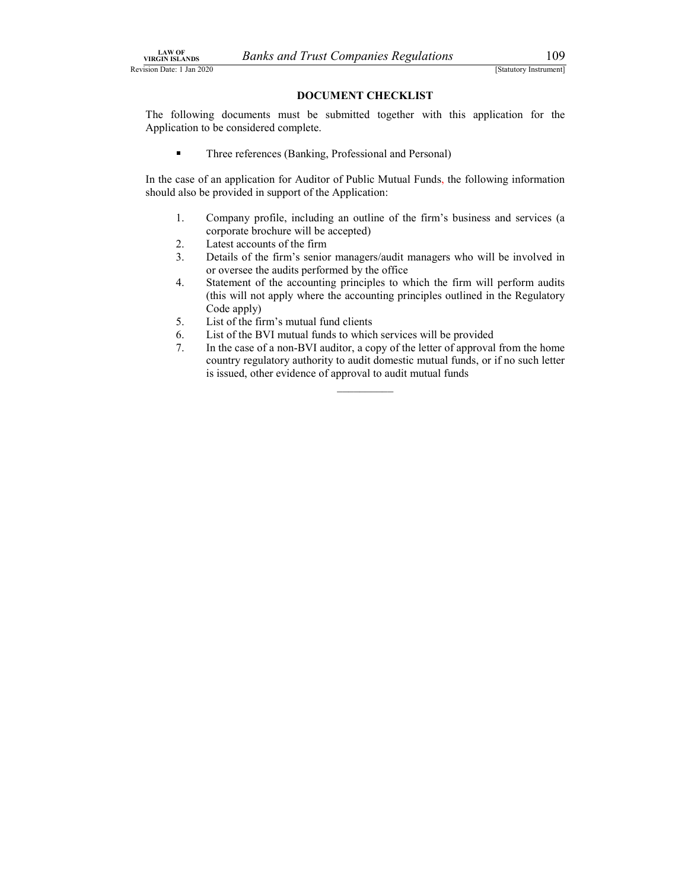Banks and Trust Companies Regulations<br>
[Statutory Instrument]<br> **DOCUMENT CHECKLIST**<br>
Iments must be submitted together with this application for the<br>
sidered complete. LAW OF<br>
Revision Date: 1 Jan 2020<br>
Revision Date: 1 Jan 2020<br> **DOCUMENT CHECKLIST**<br>
The following documents must be submitted together with this application for the<br>
Application to be considered complete. The following documents must be submitted together with this application for the Application to be considered complete.

 $\blacksquare$ Three references (Banking, Professional and Personal)

In the case of an application for Auditor of Public Mutual Funds, the following information should also be provided in support of the Application:

- 1. Company profile, including an outline of the firm's business and services (a corporate brochure will be accepted)
- 2. Latest accounts of the firm
- 3. Details of the firm's senior managers/audit managers who will be involved in or oversee the audits performed by the office
- 4. Statement of the accounting principles to which the firm will perform audits (this will not apply where the accounting principles outlined in the Regulatory Code apply)
- 5. List of the firm's mutual fund clients
- 6. List of the BVI mutual funds to which services will be provided
- 7. In the case of a non-BVI auditor, a copy of the letter of approval from the home country regulatory authority to audit domestic mutual funds, or if no such letter is issued, other evidence of approval to audit mutual funds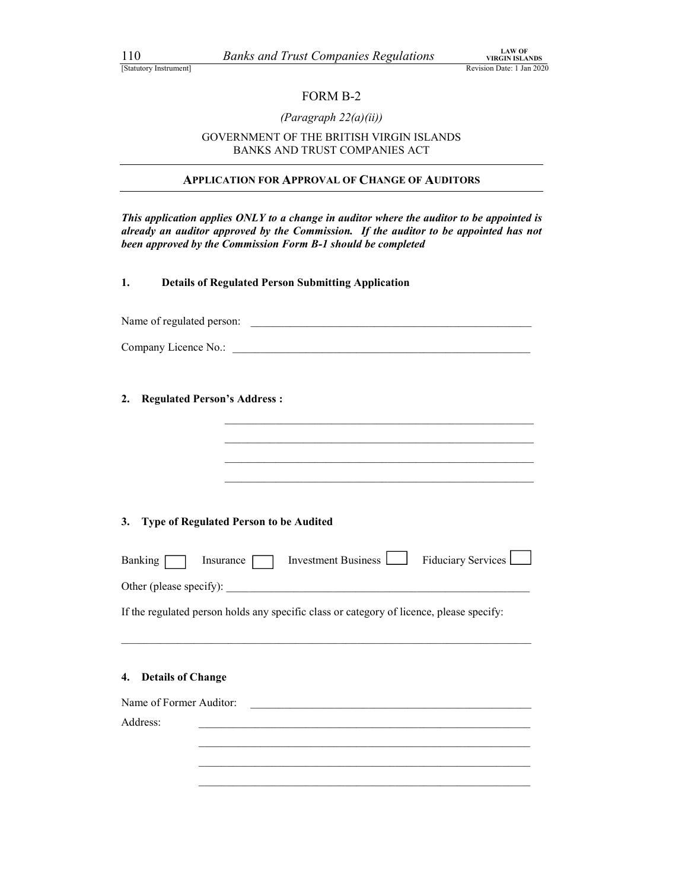### FORM B-2

### (Paragraph 22(a)(ii))

### GOVERNMENT OF THE BRITISH VIRGIN ISLANDS BANKS AND TRUST COMPANIES ACT

### APPLICATION FOR APPROVAL OF CHANGE OF AUDITORS

This application applies ONLY to a change in auditor where the auditor to be appointed is already an auditor approved by the Commission. If the auditor to be appointed has not been approved by the Commission Form B-1 should be completed

1. Details of Regulated Person Submitting Application

| Name of regulated person: |  |  |
|---------------------------|--|--|
|---------------------------|--|--|

Company Licence No.:

2. Regulated Person's Address :

| 3. Type of Regulated Person to be Audited |
|-------------------------------------------|

| Banking [                | Insurance | Investment Business                                                                                                   | Fiduciary Services |  |
|--------------------------|-----------|-----------------------------------------------------------------------------------------------------------------------|--------------------|--|
|                          |           |                                                                                                                       |                    |  |
|                          |           | If the regulated person holds any specific class or category of licence, please specify:                              |                    |  |
|                          |           |                                                                                                                       |                    |  |
|                          |           |                                                                                                                       |                    |  |
|                          |           |                                                                                                                       |                    |  |
| <b>Details of Change</b> |           |                                                                                                                       |                    |  |
| 4.                       |           |                                                                                                                       |                    |  |
| Name of Former Auditor:  |           | <u> 1980 - Johann Stoff, deutscher Stoff, der Stoff, der Stoff, der Stoff, der Stoff, der Stoff, der Stoff, der S</u> |                    |  |
| Address:                 |           |                                                                                                                       |                    |  |
|                          |           |                                                                                                                       |                    |  |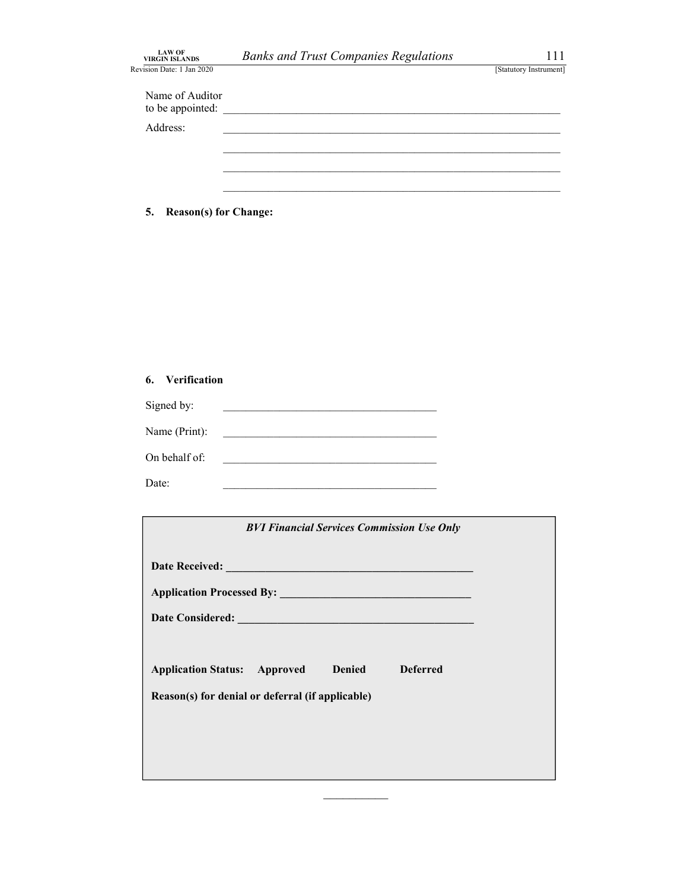| $\begin{array}{c} \text{LAW OF} \\ \text{VIRGIN ISLANDS} \end{array}$<br>Revision Date: 1 Jan 2020 | <b>Banks and Trust Companies Regulations</b>                      | 111<br>[Statutory Instrument] |
|----------------------------------------------------------------------------------------------------|-------------------------------------------------------------------|-------------------------------|
| Name of Auditor<br>to be appointed:                                                                |                                                                   |                               |
| Address:                                                                                           |                                                                   |                               |
|                                                                                                    |                                                                   |                               |
|                                                                                                    |                                                                   |                               |
| <b>Reason(s) for Change:</b><br>5.                                                                 |                                                                   |                               |
|                                                                                                    |                                                                   |                               |
|                                                                                                    |                                                                   |                               |
|                                                                                                    |                                                                   |                               |
|                                                                                                    |                                                                   |                               |
| 6. Verification                                                                                    |                                                                   |                               |
| Signed by:                                                                                         | <u> 1989 - Johann John Stein, mars an deus Frankrik (f. 1989)</u> |                               |
|                                                                                                    |                                                                   |                               |
| Name (Print):                                                                                      | <u> 1989 - Johann Barn, mars eta bainar eta mondo eta mondo</u>   |                               |

| 5.    | <b>Reason(s)</b> for Change: |                                                                                           |                                                   |  |  |
|-------|------------------------------|-------------------------------------------------------------------------------------------|---------------------------------------------------|--|--|
|       |                              |                                                                                           |                                                   |  |  |
|       |                              |                                                                                           |                                                   |  |  |
|       |                              |                                                                                           |                                                   |  |  |
|       |                              |                                                                                           |                                                   |  |  |
| 6.    | Verification                 |                                                                                           |                                                   |  |  |
|       | Signed by:                   |                                                                                           |                                                   |  |  |
|       | Name (Print):                |                                                                                           |                                                   |  |  |
|       | On behalf of:                | the control of the control of the control of the control of the control of the control of |                                                   |  |  |
| Date: |                              |                                                                                           |                                                   |  |  |
|       |                              |                                                                                           |                                                   |  |  |
|       |                              |                                                                                           | <b>BVI Financial Services Commission Use Only</b> |  |  |

| 6. Verification                                                                                                                       |
|---------------------------------------------------------------------------------------------------------------------------------------|
| Signed by:<br><u> 2000 - Jan James James James James James James James James James James James James James James James James J</u>    |
| Name (Print):<br><u> 2008 - Andrea Andrew Maria (h. 1878).</u>                                                                        |
| On behalf of:<br><u> 1989 - Johann John Stone, mars eta bainar eta bainar eta baina eta baina eta baina eta baina eta baina eta b</u> |
| Date:                                                                                                                                 |
|                                                                                                                                       |
| <b>BVI Financial Services Commission Use Only</b>                                                                                     |
|                                                                                                                                       |
|                                                                                                                                       |
|                                                                                                                                       |
|                                                                                                                                       |
| <b>Application Status: Approved</b><br><b>Denied</b><br><b>Deferred</b>                                                               |
| Reason(s) for denial or deferral (if applicable)                                                                                      |
|                                                                                                                                       |
|                                                                                                                                       |
|                                                                                                                                       |

 $\mathcal{L}=\mathcal{L}=\mathcal{L}=\mathcal{L}=\mathcal{L}=\mathcal{L}=\mathcal{L}=\mathcal{L}=\mathcal{L}=\mathcal{L}=\mathcal{L}=\mathcal{L}=\mathcal{L}=\mathcal{L}=\mathcal{L}=\mathcal{L}=\mathcal{L}=\mathcal{L}=\mathcal{L}=\mathcal{L}=\mathcal{L}=\mathcal{L}=\mathcal{L}=\mathcal{L}=\mathcal{L}=\mathcal{L}=\mathcal{L}=\mathcal{L}=\mathcal{L}=\mathcal{L}=\mathcal{L}=\mathcal{L}=\mathcal{L}=\mathcal{L}=\mathcal{L}=\mathcal{L}=\mathcal{$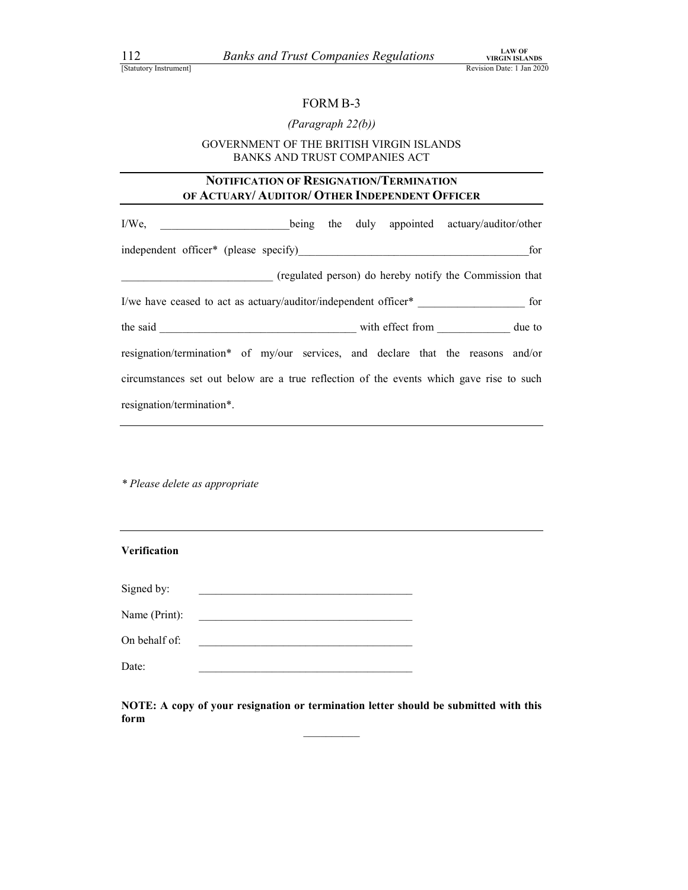### (Paragraph 22(b))

## <sup>LAW OF</sup><br> *EXAMPLE 1*<br>
FORM B-3<br>
FORM B-3<br> *FORM B-3*<br> *FORM B-3*<br> *FORM B-3*<br> *FINE BRITISH VIRGIN ISLANDS*<br>
THE BRITISH VIRGIN ISLANDS<br>
TRUST COMPANIES ACT GOVERNMENT OF THE BRITISH VIRGIN ISLANDS BANKS AND TRUST COMPANIES ACT

### NOTIFICATION OF RESIGNATION/TERMINATION

| <i>Banks and Trust Companies Regulations</i> <b>EXAMPLE AND FEARING</b><br>112<br>[Statutory Instrument] | <b>LAW OF</b><br>Revision Date: 1 Jan 2020 |
|----------------------------------------------------------------------------------------------------------|--------------------------------------------|
|                                                                                                          |                                            |
| FORM B-3                                                                                                 |                                            |
| (Paragraph 22(b))                                                                                        |                                            |
| GOVERNMENT OF THE BRITISH VIRGIN ISLANDS<br>BANKS AND TRUST COMPANIES ACT                                |                                            |
| NOTIFICATION OF RESIGNATION/TERMINATION<br>OF ACTUARY/ AUDITOR/ OTHER INDEPENDENT OFFICER                |                                            |
| being the duly appointed actuary/auditor/other<br>$I/We$ ,                                               |                                            |
| independent officer* (please specify)                                                                    | for                                        |
| (regulated person) do hereby notify the Commission that                                                  |                                            |
| I/we have ceased to act as actuary/auditor/independent officer* for                                      |                                            |
|                                                                                                          |                                            |
| resignation/termination* of my/our services, and declare that the reasons and/or                         |                                            |
| circumstances set out below are a true reflection of the events which gave rise to such                  |                                            |
| resignation/termination*.                                                                                |                                            |

\* Please delete as appropriate

| <b>Verification</b> |                                                                                                                      |  |
|---------------------|----------------------------------------------------------------------------------------------------------------------|--|
| Signed by:          |                                                                                                                      |  |
| Name (Print):       | <u> 1980 - Johann John Stein, markin film yn y brenin y brenin y brenin y brenin y brenin y brenin y brenin y br</u> |  |
| On behalf of:       | <u> 1980 - John Stein, Amerikaansk politiker (</u>                                                                   |  |
| Date:               |                                                                                                                      |  |

NOTE: A copy of your resignation or termination letter should be submitted with this form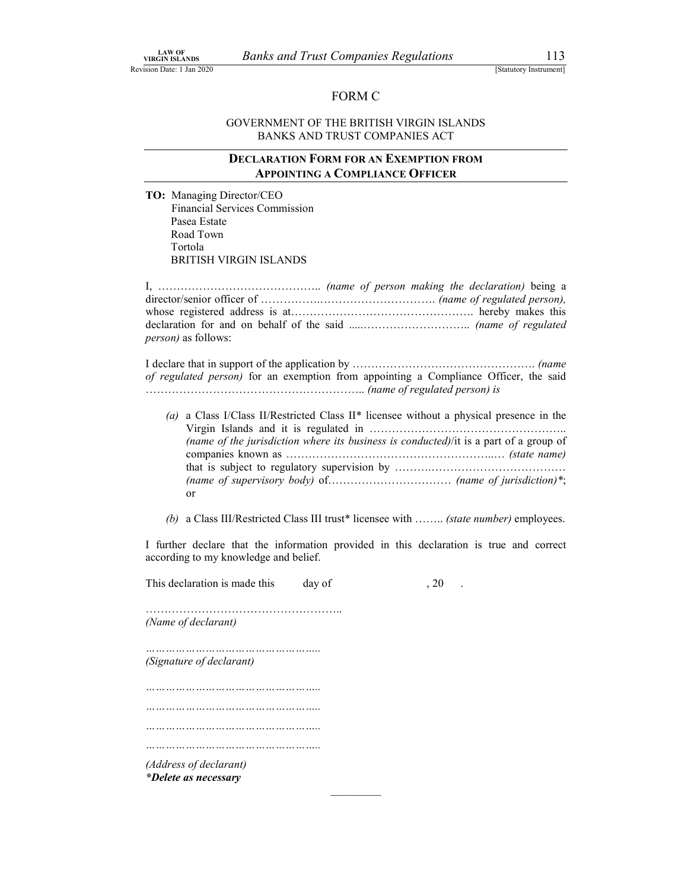### Banks and Trust Companies Regulations 113<br>
[Statutory Instrument]<br>
FORM C<br>
VERNMENT OF THE BRITISH VIRGIN ISLANDS LAW OF BLANDS BANKS And Trust Companies Regulations [Statutory Instrument]<br>
[Statutory Instrument]<br>
EORM C<br>
GOVERNMENT OF THE BRITISH VIRGIN ISLANDS<br>
BANKS AND TRUST COMPANIES ACT Companies Regulations<br>
FORM C<br>
FORM C<br>
HE BRITISH VIRGIN ISLANDS<br>
RUST COMPANIES ACT<br>
M FOR AN EXEMPTION FROM GOVERNMENT OF THE BRITISH VIRGIN ISLANDS BANKS AND TRUST COMPANIES ACT

### DECLARATION FORM FOR AN EXEMPTION FROM APPOINTING A COMPLIANCE OFFICER

TO: Managing Director/CEO Financial Services Commission Pasea Estate Road Town Tortola BRITISH VIRGIN ISLANDS

I, …………………………………….. (name of person making the declaration) being a director/senior officer of …………….…………………………. (name of regulated person), whose registered address is at…………………………………………. hereby makes this declaration for and on behalf of the said .....……………………….. (name of regulated person) as follows:

I declare that in support of the application by …………………………………………. (name of regulated person) for an exemption from appointing a Compliance Officer, the said ………………………………………………….. (name of regulated person) is

(a) a Class I/Class II/Restricted Class II\* licensee without a physical presence in the Virgin Islands and it is regulated in …………………………………………….. (name of the jurisdiction where its business is conducted)/it is a part of a group of companies known as ………………………………………………..… (state name) that is subject to regulatory supervision by ……….……………………………… (name of supervisory body) of  $\ldots$   $\ldots$   $\ldots$   $\ldots$   $\ldots$   $\ldots$  (name of jurisdiction)\*; or

(b) a Class III/Restricted Class III trust\* licensee with …….. (state number) employees.

I further declare that the information provided in this declaration is true and correct according to my knowledge and belief.

| This declaration is made this                  | day of | . 20 |
|------------------------------------------------|--------|------|
| (Name of declarant)                            |        |      |
| <br>(Signature of declarant)                   |        |      |
|                                                |        |      |
|                                                |        |      |
|                                                |        |      |
| (Address of declarant)<br>*Delete as necessary |        |      |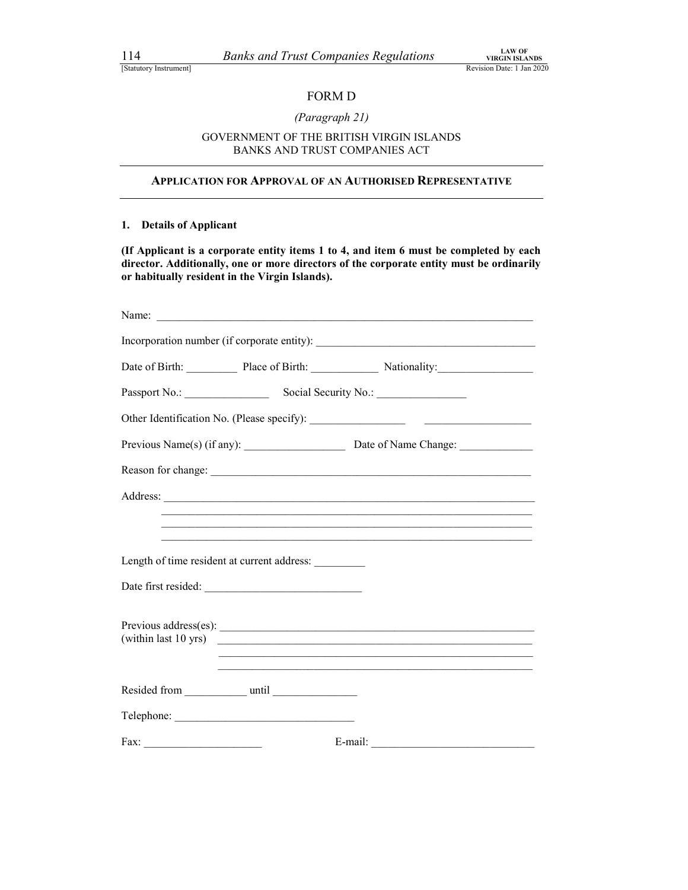### (Paragraph 21)

## Companies Regulations<br>
NEGINISLANDS<br>
Revision Date: 1 Jan 2020<br>
FORM D<br>
FERITISH VIRGIN ISLANDS<br>
RUST COMPANIES ACT GOVERNMENT OF THE BRITISH VIRGIN ISLANDS BANKS AND TRUST COMPANIES ACT

### APPLICATION FOR APPROVAL OF AN AUTHORISED REPRESENTATIVE

### 1. Details of Applicant

(If Applicant is a corporate entity items 1 to 4, and item 6 must be completed by each director. Additionally, one or more directors of the corporate entity must be ordinarily or habitually resident in the Virgin Islands).

|                                             | Date of Birth: Place of Birth: Nationality:                                                                                                                                                                                   |  |
|---------------------------------------------|-------------------------------------------------------------------------------------------------------------------------------------------------------------------------------------------------------------------------------|--|
|                                             |                                                                                                                                                                                                                               |  |
|                                             |                                                                                                                                                                                                                               |  |
|                                             |                                                                                                                                                                                                                               |  |
|                                             | Reason for change: expression of the contract of the contract of the contract of the contract of the contract of the contract of the contract of the contract of the contract of the contract of the contract of the contract |  |
|                                             |                                                                                                                                                                                                                               |  |
|                                             | <u> 1989 - Johann Stoff, deutscher Stoff, der Stoff, der Stoff, der Stoff, der Stoff, der Stoff, der Stoff, der S</u>                                                                                                         |  |
| Length of time resident at current address: | <u> 1989 - Johann John Stone, markin sanadi amerikan bahasa dalam berasal dalam berasal dalam berasal dalam beras</u>                                                                                                         |  |
| Date first resided:                         |                                                                                                                                                                                                                               |  |
|                                             | (within last 10 yrs)                                                                                                                                                                                                          |  |
|                                             | <u> 1989 - Johann John Stone, markin sanat masjid ayyı bir alan bir alan bir alan bir alan bir alan bir alan bir</u>                                                                                                          |  |
|                                             |                                                                                                                                                                                                                               |  |
| Fax:                                        | E-mail:                                                                                                                                                                                                                       |  |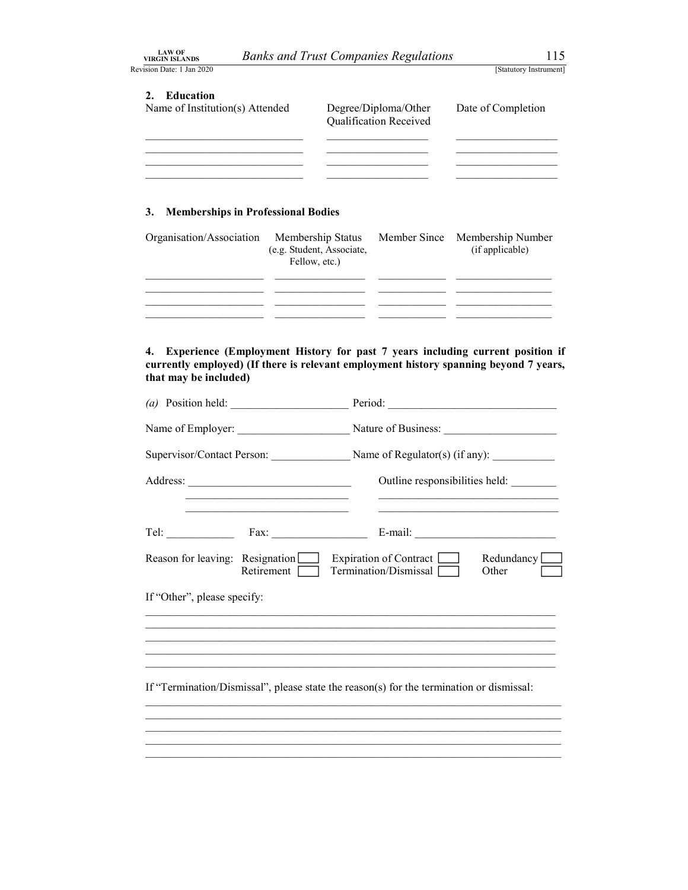| <b>LAW OF</b>         |  |
|-----------------------|--|
| <b>/IRGIN ISLANDS</b> |  |

| <b>LAW OF</b>                                                                                                                                                                                                                                                                                                                                                   |                                                                                                                  |
|-----------------------------------------------------------------------------------------------------------------------------------------------------------------------------------------------------------------------------------------------------------------------------------------------------------------------------------------------------------------|------------------------------------------------------------------------------------------------------------------|
| <b>Banks and Trust Companies Regulations</b><br><b>VIRGIN ISLANDS</b>                                                                                                                                                                                                                                                                                           | 115                                                                                                              |
| Revision Date: 1 Jan 2020<br>2. Education<br>Name of Institution(s) Attended<br>Degree/Diploma/Other<br>Qualification Received<br>the control of the control of the control of the control of the control of the control of the control of the control of the control of the control of the control of the control of the control of the control of the control | [Statutory Instrument]<br>Date of Completion<br>and the control of the control of the control of                 |
| the control of the control of the control of<br>$\sim$                                                                                                                                                                                                                                                                                                          |                                                                                                                  |
| <b>Memberships in Professional Bodies</b><br>3.                                                                                                                                                                                                                                                                                                                 |                                                                                                                  |
| Organisation/Association<br>Membership Status<br>Member Since<br>(e.g. Student, Associate,<br>Fellow, etc.)                                                                                                                                                                                                                                                     | Membership Number<br>(if applicable)                                                                             |
| $\sim$<br>$\sim$                                                                                                                                                                                                                                                                                                                                                | $\frac{1}{2}$<br>the control of the control of the control of<br><u> De Barbara (Barbara de Barbara)</u><br>$ -$ |

### 3. Memberships in Professional Bodies

| Organisation/Association Membership Status Member Since Membership Number | (e.g. Student, Associate,<br>Fellow, etc.) | (if applicable) |  |
|---------------------------------------------------------------------------|--------------------------------------------|-----------------|--|
|                                                                           |                                            |                 |  |
|                                                                           |                                            |                 |  |
|                                                                           |                                            |                 |  |

4. Experience (Employment History for past 7 years including current position if currently employed) (If there is relevant employment history spanning beyond 7 years, that may be included)

|                             |                                                       | Supervisor/Contact Person: Name of Regulator(s) (if any): _______________________                                                                                                                          |  |
|-----------------------------|-------------------------------------------------------|------------------------------------------------------------------------------------------------------------------------------------------------------------------------------------------------------------|--|
|                             |                                                       | Outline responsibilities held:                                                                                                                                                                             |  |
|                             | Tel: $\qquad \qquad \qquad \text{Fax:} \qquad \qquad$ |                                                                                                                                                                                                            |  |
|                             | Reason for leaving: Resignation<br>Retirement         | $\Box$ Expiration of Contract $\Box$<br>Redundancy [<br>Termination/Dismissal [<br>Other                                                                                                                   |  |
| If "Other", please specify: |                                                       |                                                                                                                                                                                                            |  |
|                             |                                                       | <u> 1989 - Johann Barn, amerikan berkeman dalam berkeman berkeman dalam berkeman dalam berkeman dalam berkeman da</u><br>,我们也不能在这里的人,我们也不能在这里的人,我们也不能在这里的人,我们也不能在这里的人,我们也不能在这里的人,我们也不能在这里的人,我们也不能在这里的人,我们也 |  |
|                             |                                                       | If "Termination/Dismissal", please state the reason(s) for the termination or dismissal:                                                                                                                   |  |
|                             |                                                       | ,我们也不能会在这里,我们的人们就会在这里,我们的人们就会在这里,我们也不会在这里,我们也不会在这里,我们也不会在这里。""我们的人们,我们也不会不会不会。""                                                                                                                           |  |
|                             |                                                       |                                                                                                                                                                                                            |  |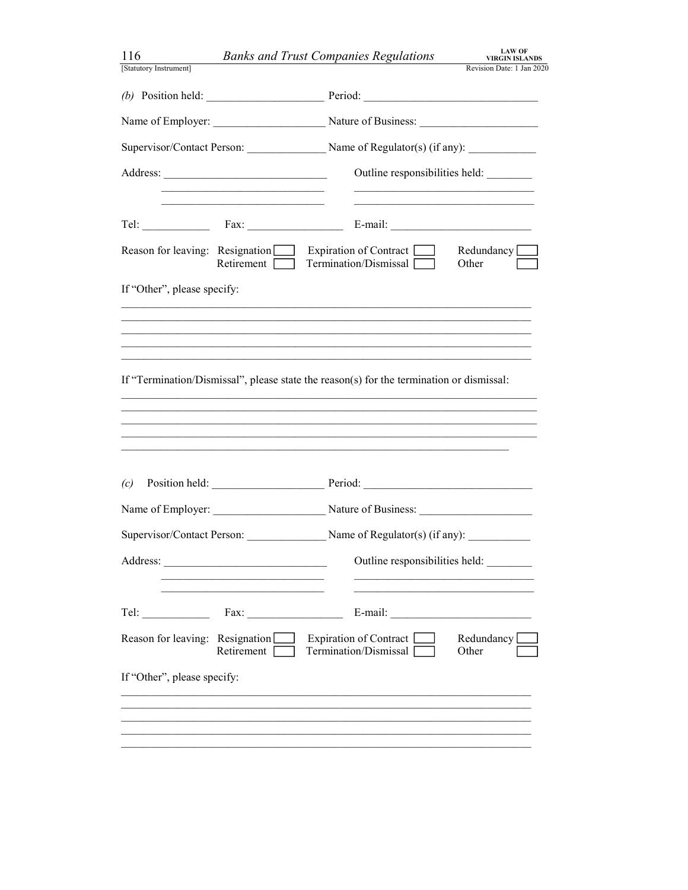| 116                                                                           | <b>LAW OF</b><br><b>Banks and Trust Companies Regulations</b><br><b>VIRGIN ISLANDS</b>    |
|-------------------------------------------------------------------------------|-------------------------------------------------------------------------------------------|
| [Statutory Instrument]                                                        | Revision Date: 1 Jan 2020                                                                 |
|                                                                               | (b) Position held: $\qquad \qquad$ Period: $\qquad \qquad$                                |
|                                                                               | Name of Employer: Nature of Business: Nature of Business:                                 |
|                                                                               |                                                                                           |
|                                                                               | Outline responsibilities held:                                                            |
| Tel: $\qquad \qquad \text{Fax:}$                                              | the control of the control of the control of the control of the control of the control of |
| Reason for leaving: Resignation Expiration of Contract<br>$Retirement$ $\Box$ | Redundancy<br>Termination/Dismissal<br>Other                                              |
| If "Other", please specify:                                                   |                                                                                           |
|                                                                               |                                                                                           |
|                                                                               |                                                                                           |
|                                                                               | If "Termination/Dismissal", please state the reason(s) for the termination or dismissal:  |
|                                                                               |                                                                                           |
|                                                                               |                                                                                           |
|                                                                               |                                                                                           |
| Position held:<br>(c)                                                         |                                                                                           |
|                                                                               |                                                                                           |
|                                                                               |                                                                                           |
|                                                                               | Supervisor/Contact Person: Name of Regulator(s) (if any): _______________________         |
|                                                                               | Outline responsibilities held:                                                            |
|                                                                               |                                                                                           |
| Fax:<br>$\text{Tel:}$                                                         | E-mail: $\qquad \qquad$                                                                   |
| Reason for leaving: Resignation Expiration of Contract [                      | Redundancy <sup>[</sup><br>Retirement Termination/Dismissal<br>Other                      |
| If "Other", please specify:                                                   |                                                                                           |
|                                                                               |                                                                                           |
|                                                                               |                                                                                           |
|                                                                               |                                                                                           |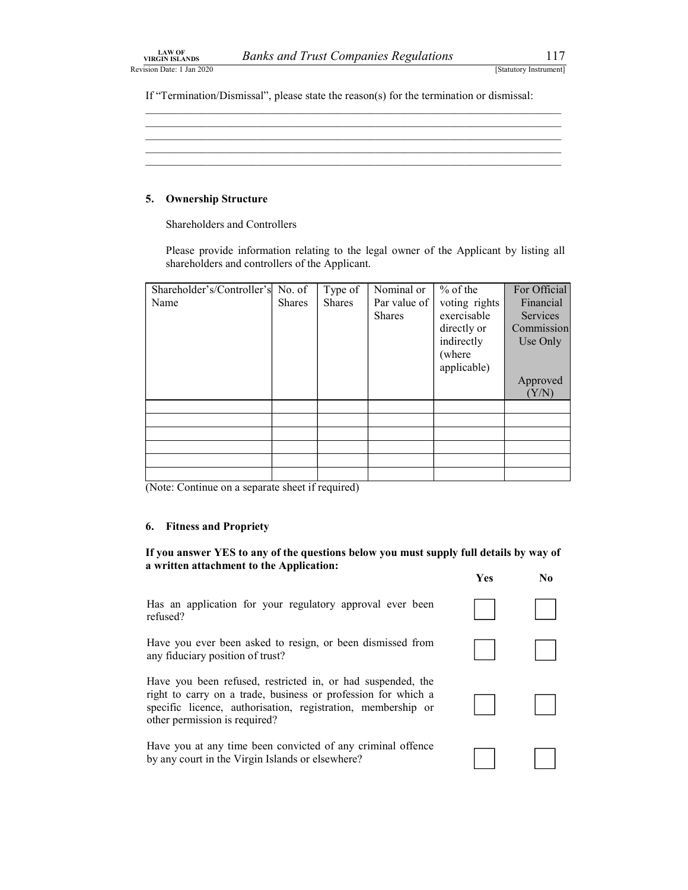Banks and Trust Companies Regulations<br>
[Statutory Instrument]<br>
issal", please state the reason(s) for the termination or dismissal: LAW OF<br>
Revision Date: 1 Jan 2020<br>
Revision Date: 1 Jan 2020<br>
If "Termination/Dismissal", please state the reason(s) for the termination or dismissal: If "Termination/Dismissal", please state the reason(s) for the termination or dismissal:

### 5. Ownership Structure

| <b>LAW OF</b><br><b>VIRGIN ISLANDS</b>                                                                                             |        |                   | <b>Banks and Trust Companies Regulations</b> |                                                                                        | 117                       |
|------------------------------------------------------------------------------------------------------------------------------------|--------|-------------------|----------------------------------------------|----------------------------------------------------------------------------------------|---------------------------|
| sion Date: 1 Jan 2020                                                                                                              |        |                   |                                              |                                                                                        | [Statutory Instrument]    |
| If "Termination/Dismissal", please state the reason(s) for the termination or dismissal:                                           |        |                   |                                              |                                                                                        |                           |
|                                                                                                                                    |        |                   |                                              |                                                                                        |                           |
|                                                                                                                                    |        |                   |                                              |                                                                                        |                           |
|                                                                                                                                    |        |                   |                                              |                                                                                        |                           |
|                                                                                                                                    |        |                   |                                              |                                                                                        |                           |
| 5. Ownership Structure                                                                                                             |        |                   |                                              |                                                                                        |                           |
|                                                                                                                                    |        |                   |                                              |                                                                                        |                           |
| Shareholders and Controllers                                                                                                       |        |                   |                                              |                                                                                        |                           |
| shareholders and controllers of the Applicant.                                                                                     |        |                   |                                              | Please provide information relating to the legal owner of the Applicant by listing all |                           |
|                                                                                                                                    |        |                   |                                              |                                                                                        |                           |
| Shareholder's/Controller's No. of<br>Name                                                                                          | Shares | Type of<br>Shares | Nominal or<br>Par value of                   | $%$ of the<br>voting rights                                                            | For Official<br>Financial |
|                                                                                                                                    |        |                   | <b>Shares</b>                                | exercisable                                                                            | Services                  |
|                                                                                                                                    |        |                   |                                              | directly or<br>indirectly                                                              | Commission<br>Use Only    |
|                                                                                                                                    |        |                   |                                              | (where                                                                                 |                           |
|                                                                                                                                    |        |                   |                                              | applicable)                                                                            | Approved                  |
|                                                                                                                                    |        |                   |                                              |                                                                                        | (Y/N)                     |
|                                                                                                                                    |        |                   |                                              |                                                                                        |                           |
|                                                                                                                                    |        |                   |                                              |                                                                                        |                           |
|                                                                                                                                    |        |                   |                                              |                                                                                        |                           |
|                                                                                                                                    |        |                   |                                              |                                                                                        |                           |
| (Note: Continue on a separate sheet if required)                                                                                   |        |                   |                                              |                                                                                        |                           |
|                                                                                                                                    |        |                   |                                              |                                                                                        |                           |
| 6. Fitness and Propriety                                                                                                           |        |                   |                                              |                                                                                        |                           |
|                                                                                                                                    |        |                   |                                              |                                                                                        |                           |
| If you answer YES to any of the questions below you must supply full details by way of<br>a written attachment to the Application: |        |                   |                                              |                                                                                        |                           |
|                                                                                                                                    |        |                   |                                              | Yes                                                                                    | N <sub>0</sub>            |
| Has an application for your regulatory approval ever been<br>refused?                                                              |        |                   |                                              |                                                                                        |                           |
|                                                                                                                                    |        |                   |                                              |                                                                                        |                           |
| Have you ever been asked to resign, or been dismissed from                                                                         |        |                   |                                              |                                                                                        |                           |

### 6. Fitness and Propriety

|                                                                                                                                                                                                                               | 1 CS | $\mathbf{1}$ |
|-------------------------------------------------------------------------------------------------------------------------------------------------------------------------------------------------------------------------------|------|--------------|
| Has an application for your regulatory approval ever been<br>refused?                                                                                                                                                         |      |              |
| Have you ever been asked to resign, or been dismissed from<br>any fiduciary position of trust?                                                                                                                                |      |              |
| Have you been refused, restricted in, or had suspended, the<br>right to carry on a trade, business or profession for which a<br>specific licence, authorisation, registration, membership or<br>other permission is required? |      |              |
| Have you at any time been convicted of any criminal offence<br>by any court in the Virgin Islands or elsewhere?                                                                                                               |      |              |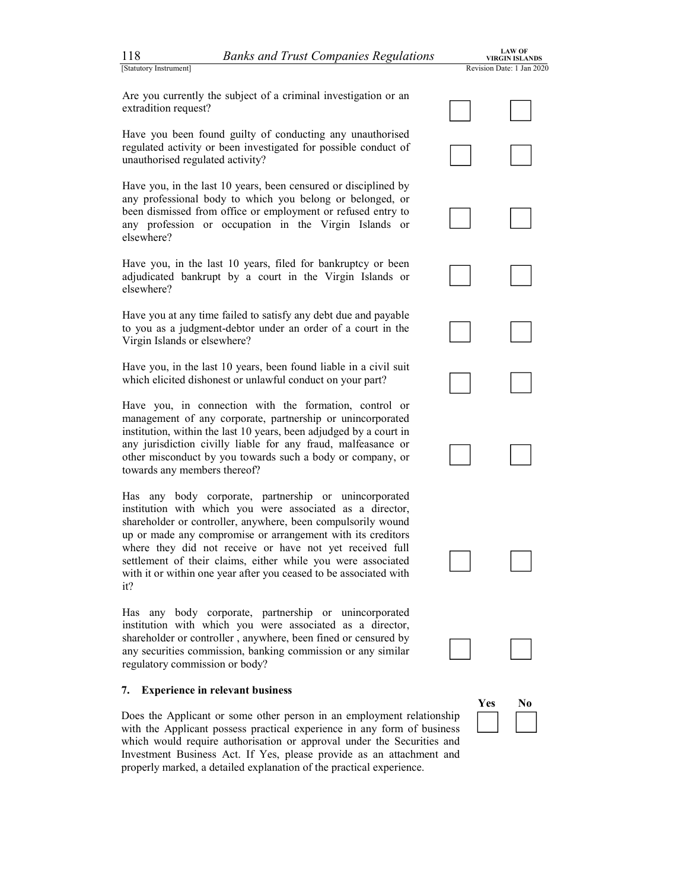

Have you been found guilty of conducting any unauthorised regulated activity or been investigated for possible conduct of unauthorised regulated activity?

Have you, in the last 10 years, been censured or disciplined by any professional body to which you belong or belonged, or been dismissed from office or employment or refused entry to any profession or occupation in the Virgin Islands or elsewhere? any professional body to which you belong or belonged, or<br>been dismissed from office or employment or refused entry to<br>any profession or occupation in the Virgin Islands or<br>elsewhere?<br>Have you, in the last 10 years, filed

adjudicated bankrupt by a court in the Virgin Islands or elsewhere? Have you, in the last 10 years, filed for bankruptcy or been<br>adjudicated bankrupt by a court in the Virgin Islands or<br>elsewhere?<br>Have you at any time failed to satisfy any debt due and payable

to you as a judgment-debtor under an order of a court in the Virgin Islands or elsewhere? Have you at any time failed to satisfy any debt due and payable<br>to you as a judgment-debtor under an order of a court in the<br>Virgin Islands or elsewhere?<br>Have you, in the last 10 years, been found liable in a civil suit

which elicited dishonest or unlawful conduct on your part? Have you, in the last 10 years, been found liable in a civil suit<br>which elicited dishonest or unlawful conduct on your part?<br>Have you, in connection with the formation, control or

management of any corporate, partnership or unincorporated institution, within the last 10 years, been adjudged by a court in any jurisdiction civilly liable for any fraud, malfeasance or other misconduct by you towards such a body or company, or towards any members thereof?

 Has any body corporate, partnership or unincorporated institution with which you were associated as a director, shareholder or controller, anywhere, been compulsorily wound up or made any compromise or arrangement with its creditors where they did not receive or have not yet received full settlement of their claims, either while you were associated with it or within one year after you ceased to be associated with it? Marchester of controller, any more, coen comparisonly weaked<br>up or made any compromise or arrangement with its creditors<br>where they did not receive or have not yet received full<br>settlement of their claims, either while you Has any body corporate, partnership or unincorporated institution with which you were associated as a director<br>ishareholder or controller, anywhere, been compulsorily wound<br>up or made any compromise or arrangement with its

institution with which you were associated as a director, shareholder or controller , anywhere, been fined or censured by any securities commission, banking commission or any similar regulatory commission or body?

### 7. Experience in relevant business

Does the Applicant or some other person in an employment relationship with the Applicant possess practical experience in any form of business which would require authorisation or approval under the Securities and Investment Business Act. If Yes, please provide as an attachment and

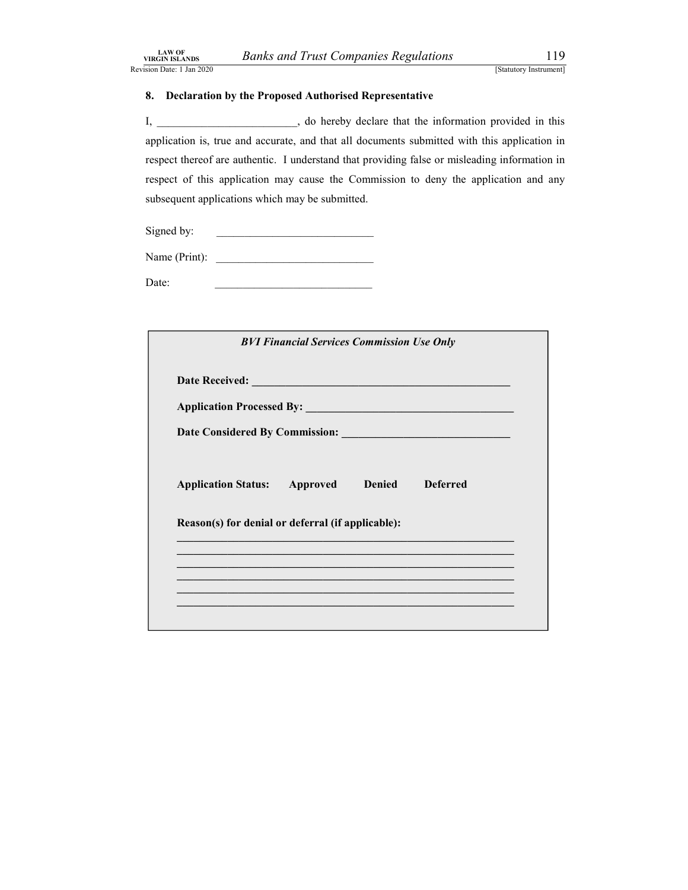Banks and Trust Companies Regulations<br>
[Statutory Instrument]<br> **EXECUTE:** The Proposed Authorised Representative<br>
119<br>
3. do hereby declare that the information provided in this EAN OF<br>
Revision Date: 1 Jan 2020<br>
Revision Date: 1 Jan 2020<br> **Revision Date: 1 Jan 2020**<br> **Revision Date: 1 Jan 2020**<br> **Revision Date: 1 Jan 2020**<br> **Revision Date: 1 Jan 2020**<br> **Revision Date: 2 Authorised Representative** 8. Declaration by the Proposed Authorised Representative I, \_\_\_\_\_\_\_\_\_\_\_\_\_\_\_\_\_\_\_\_\_\_, do hereby declare that the information provided in this **EXAN OF**<br>
Sign Date: 1.1an 2020<br> **EXALANDER SIZANDE SURFER IS A SURFER ACCURATE ASSAUTE ASSAUTE (SURFER ACCURATE SURFER ACCURATE 1,<br>
1. Allow the Proposed Authorised Representative<br>
1. Allow the proposed Authorised Repres** respect thereof are authentic. I understand that providing false or misleading information in respect of this application may cause the Commission to deny the application and any subsequent applications which may be submitted.

| subsequent applications which may be submitted.                                                                       |  |
|-----------------------------------------------------------------------------------------------------------------------|--|
| Signed by:<br><u> 1980 - Andrea Andrew Maria (h. 1980).</u>                                                           |  |
| Name (Print): $\qquad \qquad$                                                                                         |  |
| Date:                                                                                                                 |  |
|                                                                                                                       |  |
| <b>BVI Financial Services Commission Use Only</b>                                                                     |  |
|                                                                                                                       |  |
|                                                                                                                       |  |
|                                                                                                                       |  |
| <b>Approved</b> Denied<br><b>Deferred</b><br><b>Application Status:</b>                                               |  |
| Reason(s) for denial or deferral (if applicable):                                                                     |  |
| <u> 1989 - Johann Barn, amerikan berkemaan di sebagai berkemaan di sebagai berkemaan di sebagai berkemaan di seba</u> |  |
| <u> 1990 - Jan James James Barnett, amerikan bahasa di Indonesia dan berasal dan berasal dan berasal dalam berasa</u> |  |
|                                                                                                                       |  |
|                                                                                                                       |  |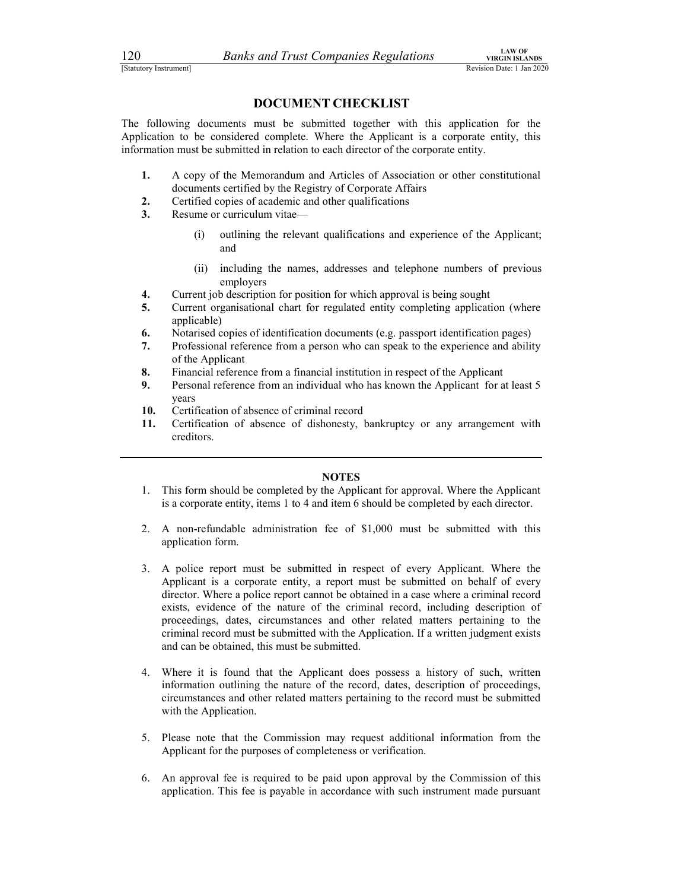120 Banks and Trust Companies Regulations<br>
Estatutory Instrument<br> **DOCUMENT CHECKLIST**<br>
The following documents must be submitted together with this application for the Extractory Instrument<br>
[Statutory Instrument]<br> **Example 2020**<br> **Example 2020**<br> **Example 2020**<br> **Example 2020**<br> **Example 2020**<br> **Example 2020**<br> **Example 2020**<br> **Example 2020**<br> **Example 2020**<br> **Example 2020**<br> **Example 2020**<br> The following documents must be submitted together with this application for the Application to be considered complete. Where the Applicant is a corporate entity, this information must be submitted in relation to each director of the corporate entity.

- 1. A copy of the Memorandum and Articles of Association or other constitutional documents certified by the Registry of Corporate Affairs
- 2. Certified copies of academic and other qualifications
- 3. Resume or curriculum vitae—
	- (i) outlining the relevant qualifications and experience of the Applicant; and
	- (ii) including the names, addresses and telephone numbers of previous employers
- 4. Current job description for position for which approval is being sought
- 5. Current organisational chart for regulated entity completing application (where applicable)
- 6. Notarised copies of identification documents (e.g. passport identification pages)
- 7. Professional reference from a person who can speak to the experience and ability of the Applicant
- 8. Financial reference from a financial institution in respect of the Applicant
- 9. Personal reference from an individual who has known the Applicant for at least 5 years
- 10. Certification of absence of criminal record
- 11. Certification of absence of dishonesty, bankruptcy or any arrangement with creditors.

### NOTES

- 1. This form should be completed by the Applicant for approval. Where the Applicant is a corporate entity, items 1 to 4 and item 6 should be completed by each director.
- 2. A non-refundable administration fee of \$1,000 must be submitted with this application form.
- 3. A police report must be submitted in respect of every Applicant. Where the Applicant is a corporate entity, a report must be submitted on behalf of every director. Where a police report cannot be obtained in a case where a criminal record exists, evidence of the nature of the criminal record, including description of proceedings, dates, circumstances and other related matters pertaining to the criminal record must be submitted with the Application. If a written judgment exists and can be obtained, this must be submitted.
- 4. Where it is found that the Applicant does possess a history of such, written information outlining the nature of the record, dates, description of proceedings, circumstances and other related matters pertaining to the record must be submitted with the Application.
- 5. Please note that the Commission may request additional information from the Applicant for the purposes of completeness or verification.
- 6. An approval fee is required to be paid upon approval by the Commission of this application. This fee is payable in accordance with such instrument made pursuant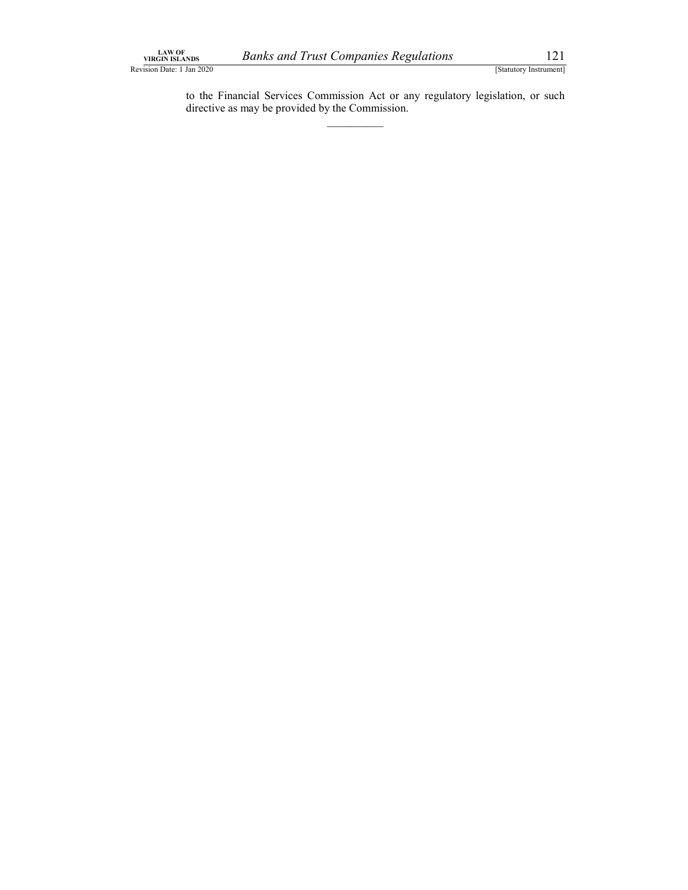Banks and Trust Companies Regulations<br>
[Statutory Instrument]<br>
cial Services Commission Act or any regulatory legislation, or such<br>
may be provided by the Commission. LAW OF<br>
Revision Date: 1 Jan 2020<br>
Revision Date: 1 Jan 2020<br>
Levision Date: 1 Jan 2020<br>
Levision Date: 1 Jan 2020<br>
Levision Date: 1 Jan 2020<br>
Levision Date: 1 Jan 2020<br>
Levision Date: Commission Act or any regulatory legi Runs<br>
Jan 2020<br>
IStatutory Instrument]<br>
to the Financial Services Commission Act or any regulatory legislation, or such<br>
directive as may be provided by the Commission. directive as may be provided by the Commission.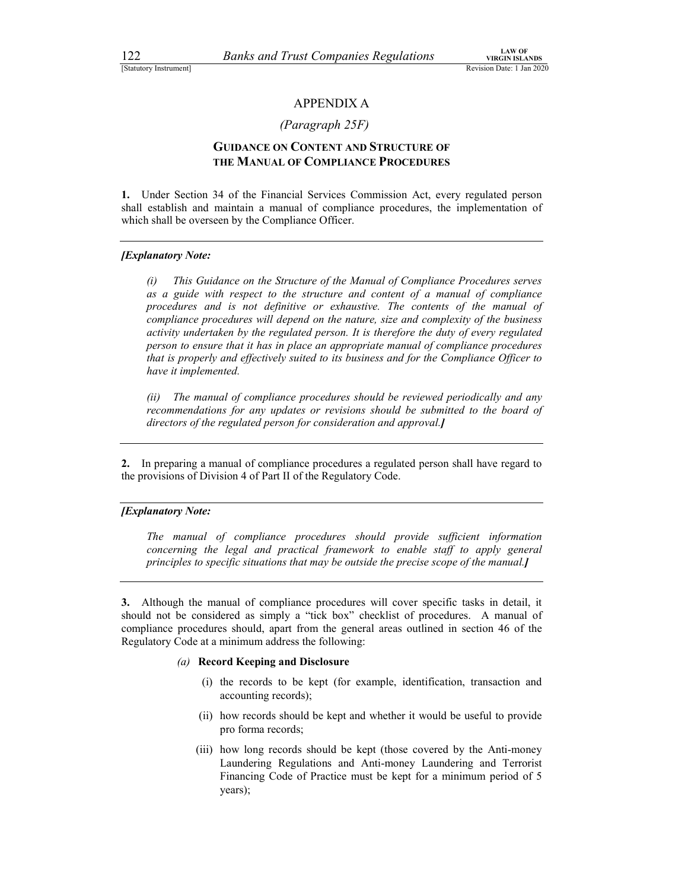### (Paragraph 25F)

## Extratory Instrument<br>
EStatutory Instrument<br>
Revision Date: 1 Jan 2020<br>
APPENDIX A<br>
(Paragraph 25F)<br>
GUIDANCE ON CONTENT AND STRUCTURE OF<br>
THE MANUAL OF COMPLIANCE PROCEDURES GUIDANCE ON CONTENT AND STRUCTURE OF THE MANUAL OF COMPLIANCE PROCEDURES

1. Under Section 34 of the Financial Services Commission Act, every regulated person shall establish and maintain a manual of compliance procedures, the implementation of which shall be overseen by the Compliance Officer.

### **[Explanatory Note:**

(i) This Guidance on the Structure of the Manual of Compliance Procedures serves as a guide with respect to the structure and content of a manual of compliance procedures and is not definitive or exhaustive. The contents of the manual of compliance procedures will depend on the nature, size and complexity of the business activity undertaken by the regulated person. It is therefore the duty of every regulated person to ensure that it has in place an appropriate manual of compliance procedures that is properly and effectively suited to its business and for the Compliance Officer to have it implemented.

(ii) The manual of compliance procedures should be reviewed periodically and any recommendations for any updates or revisions should be submitted to the board of directors of the regulated person for consideration and approval.]

2. In preparing a manual of compliance procedures a regulated person shall have regard to the provisions of Division 4 of Part II of the Regulatory Code.

### [Explanatory Note:

The manual of compliance procedures should provide sufficient information concerning the legal and practical framework to enable staff to apply general principles to specific situations that may be outside the precise scope of the manual.]

3. Although the manual of compliance procedures will cover specific tasks in detail, it should not be considered as simply a "tick box" checklist of procedures. A manual of compliance procedures should, apart from the general areas outlined in section 46 of the Regulatory Code at a minimum address the following:

### (a) Record Keeping and Disclosure

- (i) the records to be kept (for example, identification, transaction and accounting records);
- (ii) how records should be kept and whether it would be useful to provide pro forma records;
- (iii) how long records should be kept (those covered by the Anti-money Laundering Regulations and Anti-money Laundering and Terrorist Financing Code of Practice must be kept for a minimum period of 5 years);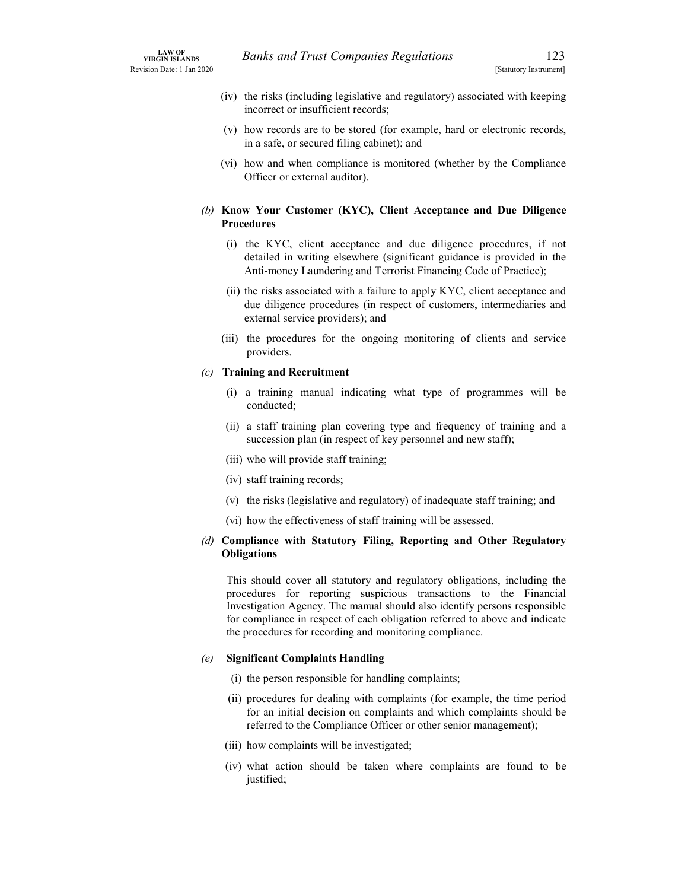- Banks and Trust Companies Regulations<br>
[Statutory Instrument]<br>
the risks (including legislative and regulatory) associated with keeping<br>
incorrect or insufficient records;<br>
how records are to be stored (for example, hard o LAW OF<br>
Revision Date: 1 Jan 2020<br>
(iv) the risks (including legislative and regulatory) associated with keeping<br>
incorrect or insufficient records;<br>
(v) how records are to be stored (for example, hard or electronic record (iv) the risks (including legislative and regulatory) associated with keeping incorrect or insufficient records;
	- (v) how records are to be stored (for example, hard or electronic records, in a safe, or secured filing cabinet); and
	- (vi) how and when compliance is monitored (whether by the Compliance Officer or external auditor).

### (b) Know Your Customer (KYC), Client Acceptance and Due Diligence Procedures

- (i) the KYC, client acceptance and due diligence procedures, if not detailed in writing elsewhere (significant guidance is provided in the Anti-money Laundering and Terrorist Financing Code of Practice);
- (ii) the risks associated with a failure to apply KYC, client acceptance and due diligence procedures (in respect of customers, intermediaries and external service providers); and
- (iii) the procedures for the ongoing monitoring of clients and service providers.

### (c) Training and Recruitment

- (i) a training manual indicating what type of programmes will be conducted;
- (ii) a staff training plan covering type and frequency of training and a succession plan (in respect of key personnel and new staff);
- (iii) who will provide staff training;
- (iv) staff training records;
- (v) the risks (legislative and regulatory) of inadequate staff training; and
- (vi) how the effectiveness of staff training will be assessed.

### (d) Compliance with Statutory Filing, Reporting and Other Regulatory **Obligations**

This should cover all statutory and regulatory obligations, including the procedures for reporting suspicious transactions to the Financial Investigation Agency. The manual should also identify persons responsible for compliance in respect of each obligation referred to above and indicate the procedures for recording and monitoring compliance.

### (e) Significant Complaints Handling

- (i) the person responsible for handling complaints;
- (ii) procedures for dealing with complaints (for example, the time period for an initial decision on complaints and which complaints should be referred to the Compliance Officer or other senior management);
- (iii) how complaints will be investigated;
- (iv) what action should be taken where complaints are found to be justified;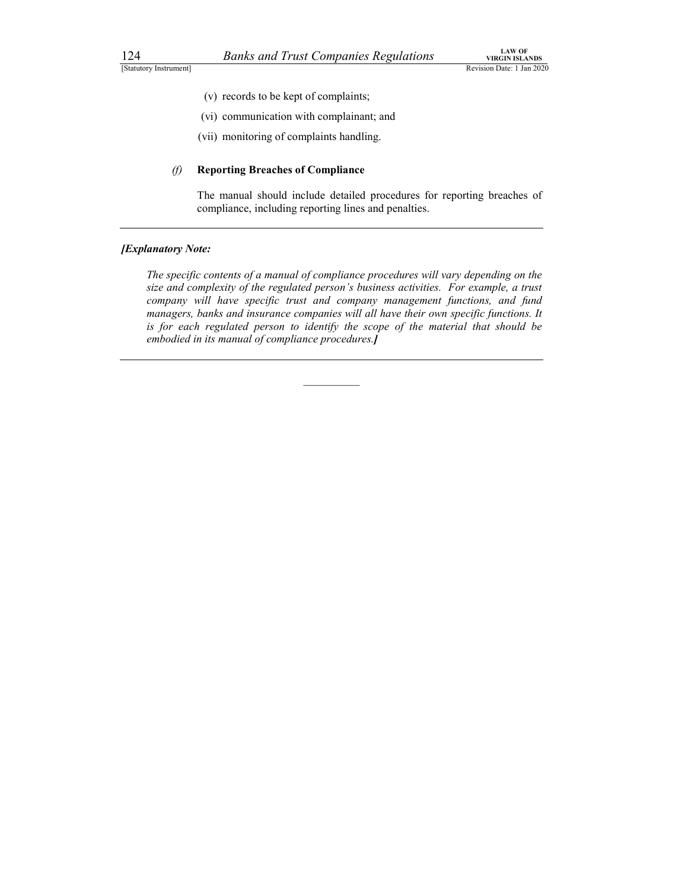- (v) records to be kept of complaints;
- (vi) communication with complainant; and
- (vii) monitoring of complaints handling.

### (f) Reporting Breaches of Compliance

The manual should include detailed procedures for reporting breaches of compliance, including reporting lines and penalties.

### **[Explanatory Note:**

The specific contents of a manual of compliance procedures will vary depending on the size and complexity of the regulated person's business activities. For example, a trust company will have specific trust and company management functions, and fund managers, banks and insurance companies will all have their own specific functions. It is for each regulated person to identify the scope of the material that should be embodied in its manual of compliance procedures.]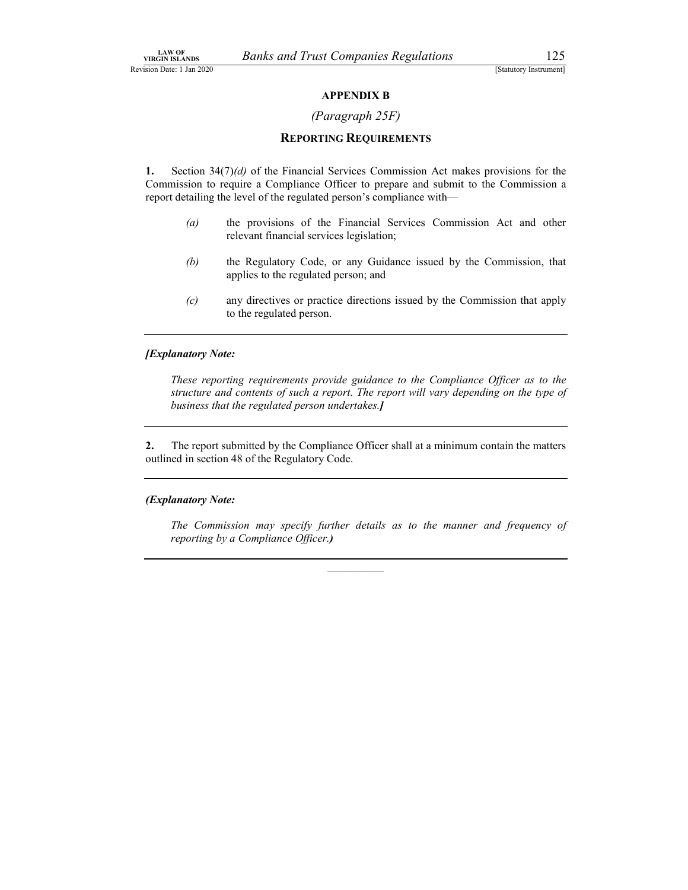### (Paragraph 25F)

### REPORTING REQUIREMENTS

1. Section  $34(7)(d)$  of the Financial Services Commission Act makes provisions for the Commission to require a Compliance Officer to prepare and submit to the Commission a report detailing the level of the regulated person's compliance with—

- (a) the provisions of the Financial Services Commission Act and other relevant financial services legislation;
- (b) the Regulatory Code, or any Guidance issued by the Commission, that applies to the regulated person; and
- (c) any directives or practice directions issued by the Commission that apply to the regulated person.

### [Explanatory Note:

These reporting requirements provide guidance to the Compliance Officer as to the structure and contents of such a report. The report will vary depending on the type of business that the regulated person undertakes.]

2. The report submitted by the Compliance Officer shall at a minimum contain the matters outlined in section 48 of the Regulatory Code.

### (Explanatory Note:

The Commission may specify further details as to the manner and frequency of reporting by a Compliance Officer.)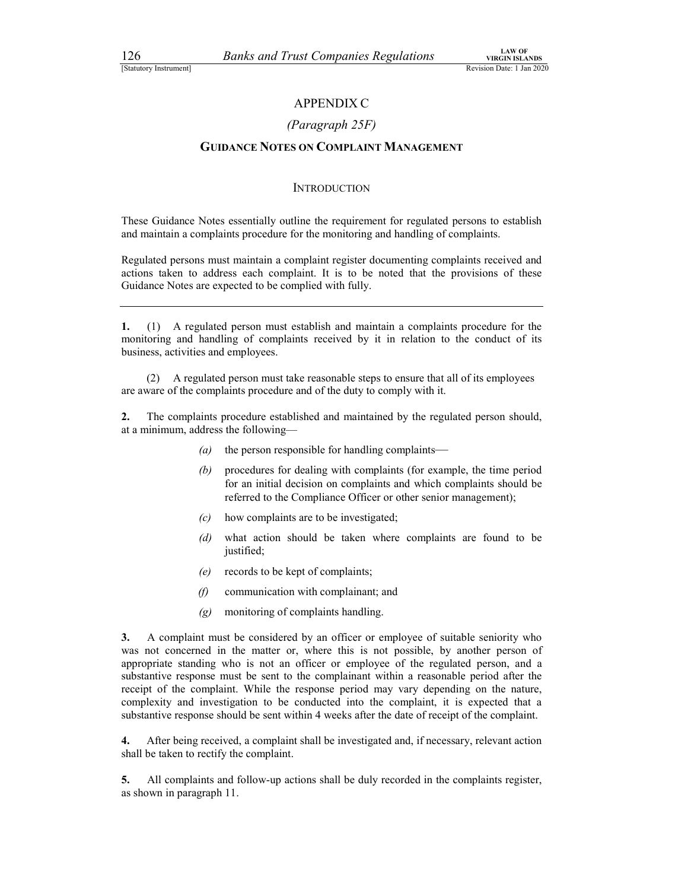### (Paragraph 25F)

# EXAMPLE THE MARK COMPANIES Regulations<br>
EVICIN ISLANDS<br>
ERVISION DATE: 1 Jan 2020<br>
APPENDIX C<br>
(Paragraph 25F)<br>
GUIDANCE NOTES ON COMPLAINT MANAGEMENT GUIDANCE NOTES ON COMPLAINT MANAGEMENT

### **INTRODUCTION**

These Guidance Notes essentially outline the requirement for regulated persons to establish and maintain a complaints procedure for the monitoring and handling of complaints.

Regulated persons must maintain a complaint register documenting complaints received and actions taken to address each complaint. It is to be noted that the provisions of these Guidance Notes are expected to be complied with fully.

1. (1) A regulated person must establish and maintain a complaints procedure for the monitoring and handling of complaints received by it in relation to the conduct of its business, activities and employees.

(2) A regulated person must take reasonable steps to ensure that all of its employees are aware of the complaints procedure and of the duty to comply with it.

2. The complaints procedure established and maintained by the regulated person should, at a minimum, address the following—

- $(a)$  the person responsible for handling complaints—
- (b) procedures for dealing with complaints (for example, the time period for an initial decision on complaints and which complaints should be referred to the Compliance Officer or other senior management);
- (c) how complaints are to be investigated;
- (d) what action should be taken where complaints are found to be justified;
- (e) records to be kept of complaints;
- (f) communication with complainant; and
- (g) monitoring of complaints handling.

3. A complaint must be considered by an officer or employee of suitable seniority who was not concerned in the matter or, where this is not possible, by another person of appropriate standing who is not an officer or employee of the regulated person, and a substantive response must be sent to the complainant within a reasonable period after the receipt of the complaint. While the response period may vary depending on the nature, complexity and investigation to be conducted into the complaint, it is expected that a substantive response should be sent within 4 weeks after the date of receipt of the complaint.

4. After being received, a complaint shall be investigated and, if necessary, relevant action shall be taken to rectify the complaint.

5. All complaints and follow-up actions shall be duly recorded in the complaints register, as shown in paragraph 11.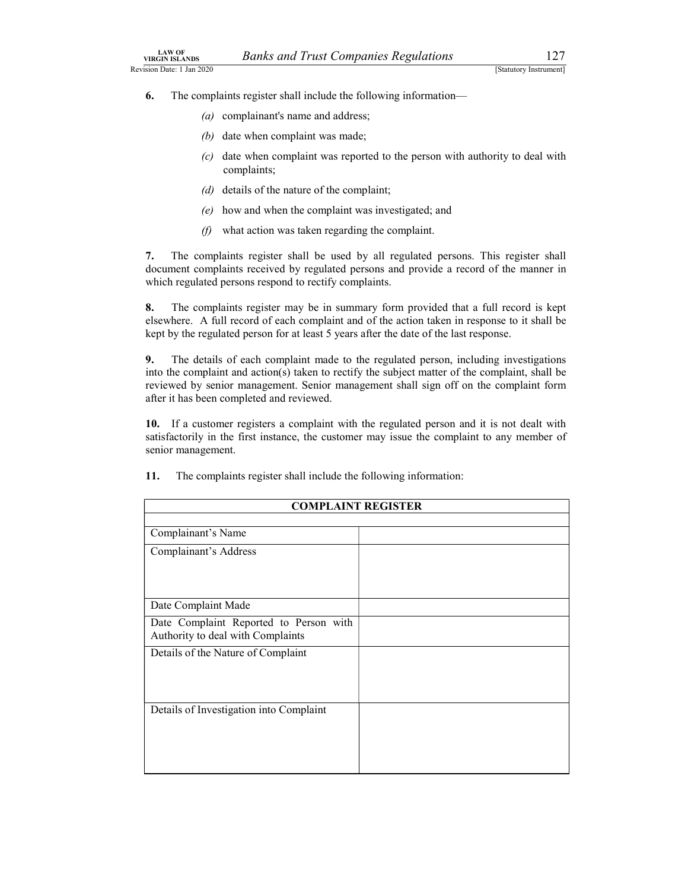- LAW OF<br>
WIRGIN ISLANDS<br>
Revision Date: 1 Jan 2020<br> **Exactle 11 An 2020** [Statutory Instrument]<br> **6.** The complaints register shall include the following information—<br>
(a) complainant's name and address;<br>
(b) date when comp 6. The complaints register shall include the following information—
	- (a) complainant's name and address;
	- (b) date when complaint was made;
	- (c) date when complaint was reported to the person with authority to deal with complaints;
	- (d) details of the nature of the complaint;
	- (e) how and when the complaint was investigated; and
	- $(f)$  what action was taken regarding the complaint.

7. The complaints register shall be used by all regulated persons. This register shall document complaints received by regulated persons and provide a record of the manner in which regulated persons respond to rectify complaints.

8. The complaints register may be in summary form provided that a full record is kept elsewhere. A full record of each complaint and of the action taken in response to it shall be kept by the regulated person for at least 5 years after the date of the last response.

9. The details of each complaint made to the regulated person, including investigations into the complaint and action(s) taken to rectify the subject matter of the complaint, shall be reviewed by senior management. Senior management shall sign off on the complaint form after it has been completed and reviewed.

| 10. If a customer registers a complaint with the regulated person and it is not dealt with<br>senior management. | satisfactorily in the first instance, the customer may issue the complaint to any member of |  |
|------------------------------------------------------------------------------------------------------------------|---------------------------------------------------------------------------------------------|--|
| The complaints register shall include the following information:<br>11.                                          |                                                                                             |  |
| <b>COMPLAINT REGISTER</b>                                                                                        |                                                                                             |  |
| Complainant's Name                                                                                               |                                                                                             |  |
| Complainant's Address                                                                                            |                                                                                             |  |
| Date Complaint Made                                                                                              |                                                                                             |  |
| Date Complaint Reported to Person with<br>Authority to deal with Complaints                                      |                                                                                             |  |
| Details of the Nature of Complaint                                                                               |                                                                                             |  |
| Details of Investigation into Complaint                                                                          |                                                                                             |  |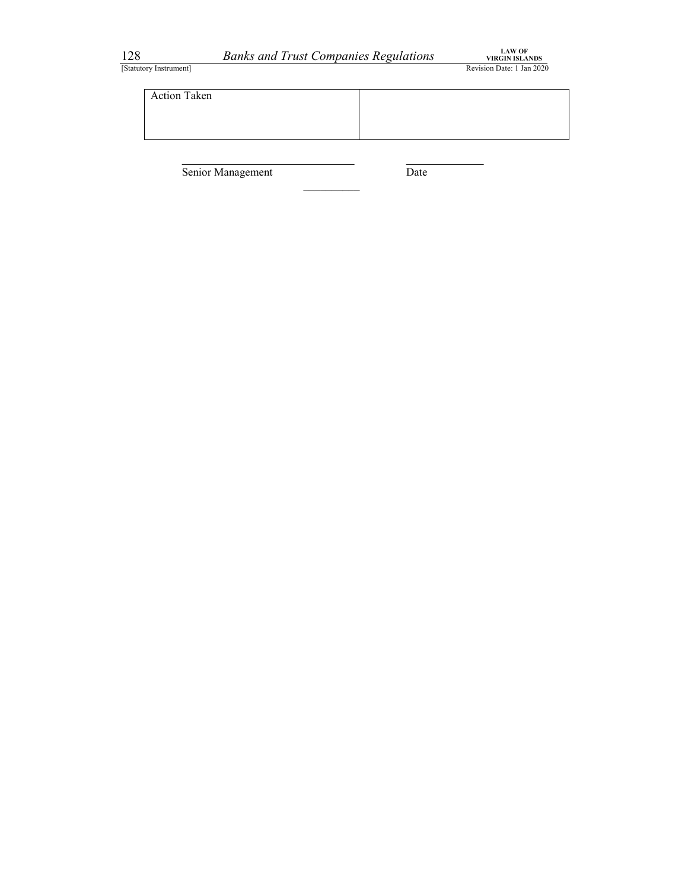

128 Banks and Trust Companies Regulations TREVIN BLANDS<br>
Estatutory Instrument]<br>
Action Taken<br>
Action Taken Action Taken

Senior Management Date